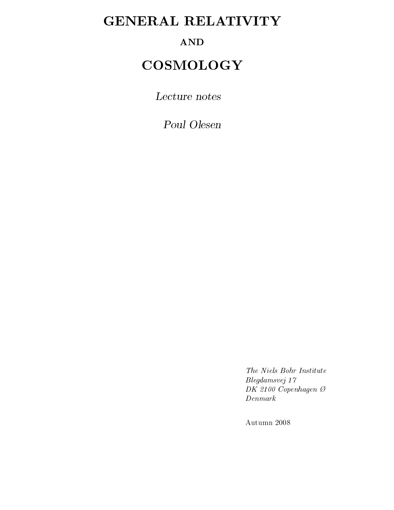# GENERAL RELATIVITY

## AND

# **COSMOLOGY**

Lecture notes

Poul Olesen

The Niels Bohr Institute Blegdamsvej - DK - Copenhagen Denmark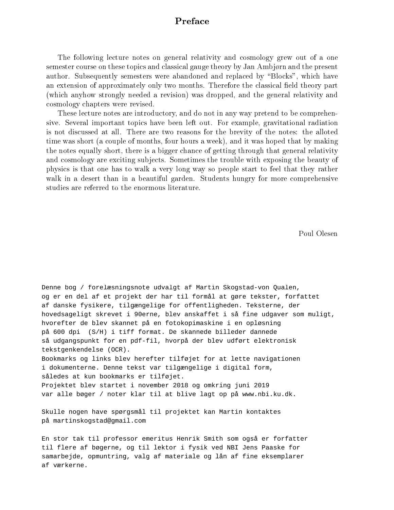### Preface

The following lecture notes on general relativity and cosmology grew out of a one semester course on these topics and classical gauge theory by Jan Ambjørn and the present author. Subsequently semesters were abandoned and replaced by "Blocks", which have an extension of approximately only two months Therefore the classical eld theory part (which anyhow strongly needed a revision) was dropped, and the general relativity and cosmology chapters were revised

These lecture notes are introductory, and do not in any way pretend to be comprehensive. Several important topics have been left out. For example, gravitational radiation is not discussed at all. There are two reasons for the brevity of the notes: the alloted time was short (a couple of months, four hours a week), and it was hoped that by making the notes equally short, there is a bigger chance of getting through that general relativity and cosmology are exciting subjects. Sometimes the trouble with exposing the beauty of physics is that one has to walk a very long way so people start to feel that they rather walk in a desert than in a beautiful garden. Students hungry for more comprehensive studies are referred to the enormous literature

Denne bog / forelæsningsnote udvalgt af Martin Skogstad-von Qualen, og er en del af et projekt der har til formål at gøre tekster, forfattet af danske fysikere, tilgængelige for offentligheden. Teksterne, der hovedsageligt skrevet i 90erne, blev anskaffet i så fine udgaver som muligt, hvorefter de blev skannet på en fotokopimaskine i en opløsning på 600 dpi (S/H) i tiff format. De skannede billeder dannede så udgangspunkt for en pdf-fil, hvorpå der blev udført elektronisk tekstgenkendelse (OCR). Bookmarks og links blev herefter tilføjet for at lette navigationen i dokumenterne. Denne tekst var tilgængelige i digital form, således at kun bookmarks er tilføjet. Projektet blev startet i november 2018 og omkring juni 2019 var alle bøger / noter klar til at blive lagt op på www.nbi.ku.dk.

Skulle nogen have spørgsmål til projektet kan Martin kontaktes på martinskogstad@gmail.com

En stor tak til professor emeritus Henrik Smith som også er forfatter til flere af bøgerne, og til lektor i fysik ved NBI Jens Paaske for samarbejde, opmuntring, valg af materiale og lån af fine eksemplarer af værkerne.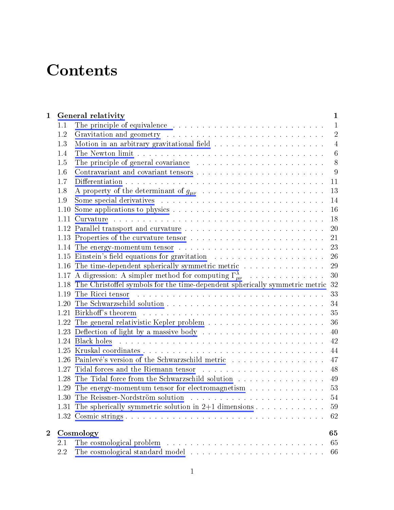# **Contents**

|      | General relativity                                                                            | 1                                                                                                                                                                                                                                                                                                                                                                                                                                                                                                                                                                                                                                                                                    |
|------|-----------------------------------------------------------------------------------------------|--------------------------------------------------------------------------------------------------------------------------------------------------------------------------------------------------------------------------------------------------------------------------------------------------------------------------------------------------------------------------------------------------------------------------------------------------------------------------------------------------------------------------------------------------------------------------------------------------------------------------------------------------------------------------------------|
| 1.1  | The principle of equivalence $\ldots \ldots \ldots \ldots \ldots \ldots \ldots \ldots \ldots$ | $\mathbf 1$                                                                                                                                                                                                                                                                                                                                                                                                                                                                                                                                                                                                                                                                          |
| 1.2  |                                                                                               | $\overline{2}$                                                                                                                                                                                                                                                                                                                                                                                                                                                                                                                                                                                                                                                                       |
| 1.3  |                                                                                               | $\overline{4}$                                                                                                                                                                                                                                                                                                                                                                                                                                                                                                                                                                                                                                                                       |
| 1.4  |                                                                                               | 6                                                                                                                                                                                                                                                                                                                                                                                                                                                                                                                                                                                                                                                                                    |
| 1.5  |                                                                                               | 8                                                                                                                                                                                                                                                                                                                                                                                                                                                                                                                                                                                                                                                                                    |
| 1.6  |                                                                                               | -9                                                                                                                                                                                                                                                                                                                                                                                                                                                                                                                                                                                                                                                                                   |
| 1.7  |                                                                                               | 11                                                                                                                                                                                                                                                                                                                                                                                                                                                                                                                                                                                                                                                                                   |
| 1.8  |                                                                                               | 13                                                                                                                                                                                                                                                                                                                                                                                                                                                                                                                                                                                                                                                                                   |
| 1.9  |                                                                                               | 14                                                                                                                                                                                                                                                                                                                                                                                                                                                                                                                                                                                                                                                                                   |
| 1.10 |                                                                                               | <b>16</b>                                                                                                                                                                                                                                                                                                                                                                                                                                                                                                                                                                                                                                                                            |
|      |                                                                                               | 18                                                                                                                                                                                                                                                                                                                                                                                                                                                                                                                                                                                                                                                                                   |
|      |                                                                                               | <b>20</b>                                                                                                                                                                                                                                                                                                                                                                                                                                                                                                                                                                                                                                                                            |
|      |                                                                                               | -21                                                                                                                                                                                                                                                                                                                                                                                                                                                                                                                                                                                                                                                                                  |
|      |                                                                                               | 23                                                                                                                                                                                                                                                                                                                                                                                                                                                                                                                                                                                                                                                                                   |
|      |                                                                                               | 26                                                                                                                                                                                                                                                                                                                                                                                                                                                                                                                                                                                                                                                                                   |
|      |                                                                                               | 29                                                                                                                                                                                                                                                                                                                                                                                                                                                                                                                                                                                                                                                                                   |
|      |                                                                                               | 30                                                                                                                                                                                                                                                                                                                                                                                                                                                                                                                                                                                                                                                                                   |
|      |                                                                                               |                                                                                                                                                                                                                                                                                                                                                                                                                                                                                                                                                                                                                                                                                      |
|      | The Ricci tensor                                                                              | 33                                                                                                                                                                                                                                                                                                                                                                                                                                                                                                                                                                                                                                                                                   |
|      |                                                                                               | -34                                                                                                                                                                                                                                                                                                                                                                                                                                                                                                                                                                                                                                                                                  |
|      |                                                                                               | 35                                                                                                                                                                                                                                                                                                                                                                                                                                                                                                                                                                                                                                                                                   |
|      |                                                                                               | 36                                                                                                                                                                                                                                                                                                                                                                                                                                                                                                                                                                                                                                                                                   |
|      |                                                                                               | 40                                                                                                                                                                                                                                                                                                                                                                                                                                                                                                                                                                                                                                                                                   |
|      |                                                                                               | 42                                                                                                                                                                                                                                                                                                                                                                                                                                                                                                                                                                                                                                                                                   |
|      |                                                                                               | 44                                                                                                                                                                                                                                                                                                                                                                                                                                                                                                                                                                                                                                                                                   |
|      |                                                                                               | 47                                                                                                                                                                                                                                                                                                                                                                                                                                                                                                                                                                                                                                                                                   |
|      |                                                                                               | 48                                                                                                                                                                                                                                                                                                                                                                                                                                                                                                                                                                                                                                                                                   |
|      |                                                                                               | -49                                                                                                                                                                                                                                                                                                                                                                                                                                                                                                                                                                                                                                                                                  |
|      |                                                                                               |                                                                                                                                                                                                                                                                                                                                                                                                                                                                                                                                                                                                                                                                                      |
|      |                                                                                               |                                                                                                                                                                                                                                                                                                                                                                                                                                                                                                                                                                                                                                                                                      |
|      | 1.31 The spherically symmetric solution in $2+1$ dimensions                                   | 59                                                                                                                                                                                                                                                                                                                                                                                                                                                                                                                                                                                                                                                                                   |
|      |                                                                                               | 62                                                                                                                                                                                                                                                                                                                                                                                                                                                                                                                                                                                                                                                                                   |
|      |                                                                                               |                                                                                                                                                                                                                                                                                                                                                                                                                                                                                                                                                                                                                                                                                      |
|      |                                                                                               | 65                                                                                                                                                                                                                                                                                                                                                                                                                                                                                                                                                                                                                                                                                   |
| 2.1  | Cosmology                                                                                     | 65                                                                                                                                                                                                                                                                                                                                                                                                                                                                                                                                                                                                                                                                                   |
|      |                                                                                               | 1.11<br>1.16 The time-dependent spherically symmetric metric<br>1.17 A digression: A simpler method for computing $\Gamma^{\lambda}_{\mu\nu}$<br>1.18 The Christoffel symbols for the time-dependent spherically symmetric metric 32<br>1.19<br>1.20<br>1.24 Black holes<br>1.26 Painlevé's version of the Schwarzschild metric<br>1.27 Tidal forces and the Riemann tensor enterstance in the set of the set of the set of the set of the set of the set of the set of the set of the set of the set of the set of the set of the set of the set of the set of t<br>1.28 The Tidal force from the Schwarzschild solution<br>1.29 The energy-momentum tensor for electromagnetism 53 |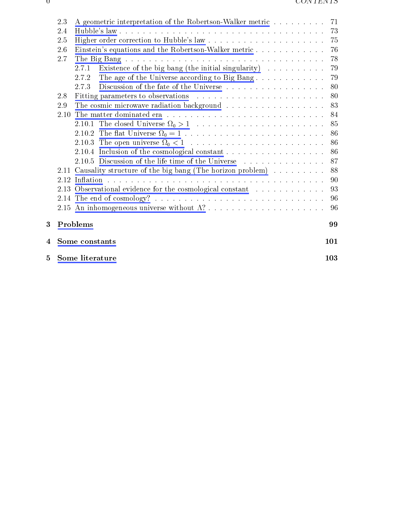| 2.3<br>A geometric interpretation of the Robertson-Walker metric<br>-71                                          |  |
|------------------------------------------------------------------------------------------------------------------|--|
| 2.4<br>73                                                                                                        |  |
| 2.5<br>75                                                                                                        |  |
| Einstein's equations and the Robertson-Walker metric<br>76<br>2.6                                                |  |
| 2.7<br>78                                                                                                        |  |
| Existence of the big bang (the initial singularity) $\ldots$<br>2.7.1<br>79                                      |  |
| 79<br>2.7.2                                                                                                      |  |
| Discussion of the fate of the Universe<br>80<br>2.7.3                                                            |  |
| 80<br>2.8                                                                                                        |  |
| 83<br>2.9                                                                                                        |  |
| The matter dominated era $\dots \dots \dots \dots \dots \dots \dots \dots \dots \dots \dots \dots$<br>84<br>2.10 |  |
| 85                                                                                                               |  |
| 86                                                                                                               |  |
| 86                                                                                                               |  |
| 86<br>2.10.4 Inclusion of the cosmological constant                                                              |  |
| 2.10.5 Discussion of the life time of the Universe<br>87                                                         |  |
| 2.11 Causality structure of the big bang (The horizon problem) $\dots \dots$<br>88                               |  |
| 90                                                                                                               |  |
| 2.13 Observational evidence for the cosmological constant<br>93                                                  |  |
| 96                                                                                                               |  |
| 96                                                                                                               |  |
| Problems<br>99                                                                                                   |  |
| 101<br>Some constants                                                                                            |  |
| Some literature<br>103                                                                                           |  |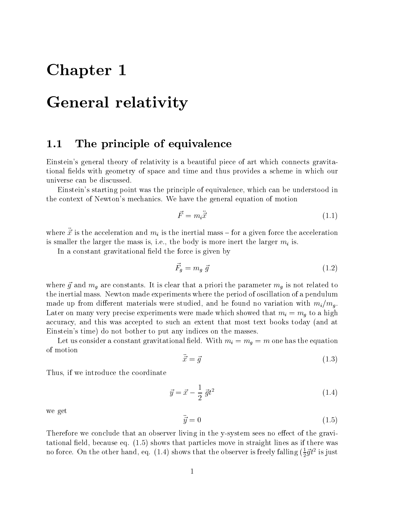# <span id="page-4-0"></span>Chapter - Chapter - Chapter - Chapter - Chapter - Chapter - Chapter - Chapter - Chapter - Chapter - Chapter - C

# General relativity

#### $1.1$ The principle of equivalence

Einstein's general theory of relativity is a beautiful piece of art which connects gravitational elds with geometry of space and time and thus provides a scheme in which our universe can be discussed

Einstein's starting point was the principle of equivalence, which can be understood in the context of Newton's mechanics. We have the general equation of motion

$$
\vec{F} = m_i \dot{\vec{x}} \tag{1.1}
$$

where  $x$  is the acceleration and  $m_i$  is the inertial mass  $-$  for a given force the acceleration is smaller the larger the mass is, i.e., the body is more inert the larger  $m_i$  is.

en a constant gravitation eld the force is given given by

$$
\vec{F}_g = m_g \, \vec{g} \tag{1.2}
$$

where  $\vec{g}$  and  $m_g$  are constants. It is clear that a priori the parameter  $m_g$  is not related to the inertial mass Newton made experiments where the period of oscillation of a pendulum made up from different materials were studied, and he found no variation with  $m_i/m_q$ . Later on many very precise experiments were made which showed that  $m_i = m_g$  to a high accuracy, and this was accepted to such an extent that most text books today (and at Einstein's time) do not bother to put any indices on the masses.

 $\blacksquare$  . With minimize a constant gravitation serves were had the equation of  $\ell$ of motion

$$
\ddot{\vec{x}} = \vec{g} \tag{1.3}
$$

Thus, if we introduce the coordinate

$$
\vec{y} = \vec{x} - \frac{1}{2} \,\vec{g} t^2 \tag{1.4}
$$

we get

$$
\ddot{\vec{y}} = 0 \tag{1.5}
$$

Therefore we conclude that an observer living in the y-system sees no effect of the gravitational elds because the shows that particles move in straight lines as if there was if there was if there was if there was if there was if there was if there was if there was if there was if there was if there was if th no force. On the other hand, eq. (1.4) shows that the observer is freely falling ( $\frac{1}{2}qt^-$  is just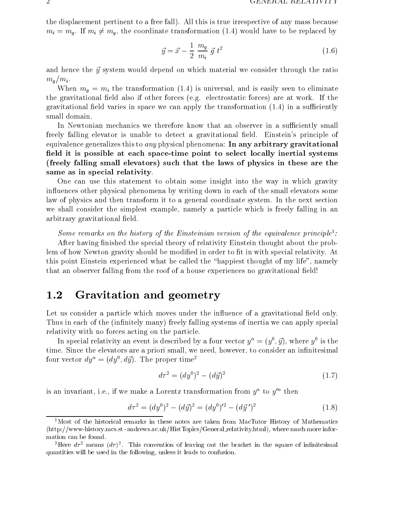<span id="page-5-0"></span>the displacement pertinent to a free fall). All this is true irrespective of any mass because  $m_i = m_q$ . If  $m_i \neq m_q$ , the coordinate transformation (1.4) would have to be replaced by

$$
\vec{y} = \vec{x} - \frac{1}{2} \frac{m_g}{m_i} \vec{g} t^2
$$
\n(1.6)

and hence the  $\vec{y}$  system would depend on which material we consider through the ratio  $m_a/m_i$ .

When  $m_q = m_i$  the transformation (1.4) is universal, and is easily seen to eliminate the gravitation is one of the forces electrostatic forces entered the street of the control of the street of the street of the street of the street of the street of the street of the street of the street of the street of t gravitational eld varies in space we can apply the transformation  in a su"ciently small domain

In Newtonian mechanics we therefore know that an observer in a sufficiently small freely falling elevator is unable to detect a gravitational eld Einsteins principle of equivalence generalizes this to *any* physical phenomena: In any arbitrary gravitational eld it is possible at each space them. Point to select at each  $j$  and the systems (freely falling small elevators) such that the laws of physics in these are the same as in special relativity

One can use this statement to obtain some insight into the way in which gravity influences other physical phenomena by writing down in each of the small elevators some law of physics and then transform it to a general coordinate system. In the next section we shall consider the simplest example, namely a particle which is freely falling in an arbitrary gravitation in the control of the control of the control of the control of the control of the control of the control of the control of the control of the control of the control of the control of the control of th

Some remarks on the history of the Einsteinian version of the equivalence principle After having nished the special theory of relativity Einstein thought about the prob lem of how Newton gravity should be modi ed in order to t in with special relativity At this point Einstein experienced what he called the "happiest thought of my life", namely that an observer falling from the roof of a house the model of a house  $\pi$  and  $\pi$ 

#### 1.2 Gravitation and geometry

Let us consider a particle which moves under the inuence of a gravitational eld only Thus in each of the in nitely many freely falling systems of inertia we can apply special relativity with no forces acting on the particle

In special relativity an event is described by a lour vector  $y^{\perp} = (y^{\perp}, y)$ , where  $y^{\perp}$  is the time since the elevators are an interesting priori small we need the consideration of the consideration of the four vector  $ay^{\perp} = (ay^{\perp}, ay)$ . The proper time-

$$
d\tau^2 = (dy^0)^2 - (d\vec{y})^2 \tag{1.7}
$$

is an invariant, i.e., if we make a Lorentz transformation from  $y^\perp$  to  $y^\perp$  then

$$
d\tau^2 = (dy^0)^2 - (d\vec{y})^2 = (dy^0)^{\prime 2} - (d\vec{y}')^2 \tag{1.8}
$$

<sup>&</sup>lt;sup>1</sup>Most of the historical remarks in these notes are taken from MacTutor History of Mathematics , the space  $\mu$  is a constant relativity and relativity the much more informal relativity in more more informal more informal  $\mu$ mation can be found.

<sup>-</sup> Here  $a\tau$ - means  $(a\tau)$ -. This convention of leaving out the bracket in the square of infinitesimal quantities will be used in the following, unless it leads to confusion.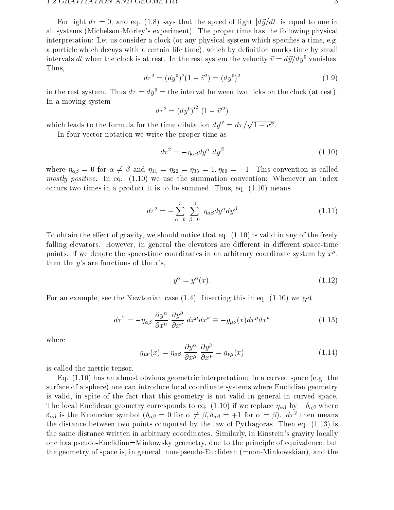For light  $d\tau = 0$ , and eq. (1.8) says that the speed of light  $\frac{d\vec{q}}{dt}$  is equal to one in all systems (Michelson-Morley's experiment). The proper time has the following physical interpretation Let us consider a clock or any physical system which speci es a time eg a particle which decays with a certain life time  $\mu$  which by decays time by decays time by small intervals dt when the clock is at rest. In the rest system the velocity  $\vec{v} = d\vec{y}/dy^0$  vanishes. Thus 

$$
d\tau^2 = (dy^0)^2 (1 - \vec{v}^2) = (dy^0)^2 \tag{1.9}
$$

in the rest system. Thus  $d\tau = dy^0$  = the interval between two ticks on the clock (at rest). In a moving system

$$
d\tau^2 = (dy^0)^{\prime^2} (1 - \vec{v}^{\prime 2})
$$

which leads to the formula for the time dilatation  $dy^{0'} = d\tau/\sqrt{1 - v'^2}$ .

In four vector notation we write the proper time as

$$
d\tau^2 = -\eta_{\alpha\beta} dy^{\alpha} dy^{\beta} \tag{1.10}
$$

where  $\eta_{\alpha\beta} = 0$  for  $\alpha \neq \beta$  and  $\eta_{11} = \eta_{22} = \eta_{33} = 1, \eta_{00} = -1$ . This convention is called *mostly positive.* In eq.  $(1.10)$  we use the summation convention: Whenever an index occurs two times in a product it is to be summed. Thus, eq.  $(1.10)$  means

$$
d\tau^2 = -\sum_{\alpha=0}^3 \sum_{\beta=0}^3 \eta_{\alpha\beta} dy^{\alpha} dy^{\beta} \tag{1.11}
$$

To obtain the effect of gravity, we should notice that eq.  $(1.10)$  is valid in any of the freely falling elevators. However, in general the elevators are different in different space-time points. If we denote the space-time coordinates in an arbitrary coordinate system by  $x^{\mu}$ . then the y's are functions of the  $x$ 's,

$$
y^{\alpha} = y^{\alpha}(x). \tag{1.12}
$$

For an example, see the Newtonian case  $(1.4)$ . Inserting this in eq.  $(1.10)$  we get

$$
d\tau^2 = -\eta_{\alpha\beta} \frac{\partial y^{\alpha}}{\partial x^{\mu}} \frac{\partial y^{\beta}}{\partial x^{\nu}} dx^{\mu} dx^{\nu} \equiv -g_{\mu\nu}(x) dx^{\mu} dx^{\nu}
$$
 (1.13)

where

$$
g_{\mu\nu}(x) = \eta_{\alpha\beta} \frac{\partial y^{\alpha}}{\partial x^{\mu}} \frac{\partial y^{\beta}}{\partial x^{\nu}} = g_{\nu\mu}(x)
$$
\n(1.14)

is called the metric tensor

Eq.  $(1.10)$  has an almost obvious geometric interpretation: In a curved space (e.g. the surface of a sphere) one can introduce local coordinate systems where Euclidian geometry is valid, in spite of the fact that this geometry is not valid in general in curved space. The local Euclidean geometry corresponds to eq. (1.10) if we replace  $\eta_{\alpha\beta}$  by  $-\delta_{\alpha\beta}$  where  $\delta_{\alpha\beta}$  is the Kronecker symbol  $(\delta_{\alpha\beta}=0$  for  $\alpha\neq\beta,\delta_{\alpha\beta}=+1$  for  $\alpha=\beta$ ).  $d\tau^2$  then means the distance between two points computed by the law of Pythagoras. Then eq.  $(1.13)$  is the same distance written in arbitrary coordinates. Similarly, in Einstein's gravity locally one has pseudo-Euclidian=Minkowsky geometry, due to the principle of equivalence, but the geometry of space is, in general, non-pseudo-Euclidean  $(=$ non-Minkowskian), and the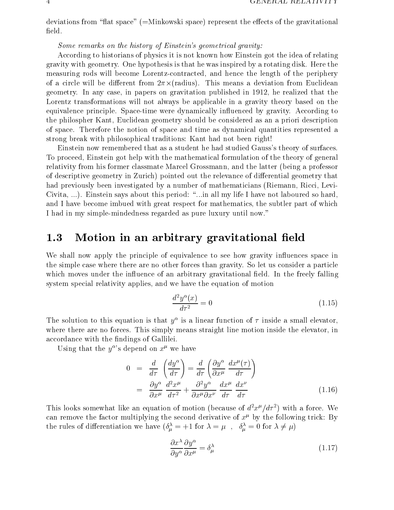<span id="page-7-0"></span>deviations from "flat space"  $(=\text{Minkowski space})$  represent the effects of the gravitational

Some remarks on the history of Einstein's geometrical gravity:

According to historians of physics it is not known how Einstein got the idea of relating gravity with geometry One hypothesis is that he was inspired by a rotating disk Here the measuring rods will become Lorentz-contracted, and hence the length of the periphery of a circle will be different from  $2\pi\times$ (radius). This means a deviation from Euclidean  $\mathbf A$  in any case in papers on gravitation published in  $\mathbf A$ Lorentz transformations will not always be applicable in a gravity theory based on the equivalence principle. Space-time were dynamically influenced by gravity. According to the philospher Kant, Euclidean geometry should be considered as an a priori description of space Therefore the notion of space and time as dynamical quantities represented a strong break with philosophical traditions: Kant had not been right!

Einstein now remembered that as a student he had studied Gauss's theory of surfaces. To proceed, Einstein got help with the mathematical formulation of the theory of general relativity from his former classmate Marcel Grossmann, and the latter (being a professor of descriptive geometry in Zurich) pointed out the relevance of differential geometry that had previously been investigated by a number of mathematicians (Riemann, Ricci, Levi-Civita, ...). Einstein says about this period: "...in all my life I have not laboured so hard, and I have become imbued with great respect for mathematics, the subtler part of which I had in my simple-mindedness regarded as pure luxury until now."

#### 1.3 Motion in an arbitrary gravitational field

We shall now apply the principle of equivalence to see how gravity influences space in the simple case where there are no other forces than gravity. So let us consider a particle which moves under the industrial of an arbitrary gravitation moves. The free  $\alpha$  interesting system special relativity applies, and we have the equation of motion

$$
\frac{d^2y^{\alpha}(x)}{d\tau^2} = 0\tag{1.15}
$$

The solution to this equation is that  $y^{\perp}$  is a linear function of  $\tau$  inside a small elevator, where there are no forces. This simply means straight line motion inside the elevator, in according to the correct of Gallice and Gallice Corrections of Gallice Corrections of Gallice Corrections of G

Using that the  $y$  s depend on  $x<sup>r</sup>$  we have

$$
0 = \frac{d}{d\tau} \left( \frac{dy^{\alpha}}{d\tau} \right) = \frac{d}{d\tau} \left( \frac{\partial y^{\alpha}}{\partial x^{\mu}} \frac{dx^{\mu}(\tau)}{d\tau} \right)
$$
  

$$
= \frac{\partial y^{\alpha}}{\partial x^{\mu}} \frac{d^{2}x^{\mu}}{d\tau^{2}} + \frac{\partial^{2}y^{\alpha}}{\partial x^{\mu} \partial x^{\nu}} \frac{dx^{\mu}}{d\tau} \frac{dx^{\nu}}{d\tau}
$$
(1.16)

This looks somewhat like an equation of motion (because of  $a^{\dagger}x^{\mu}/a^{\dagger}$ ) with a force. We can remove the factor multiplying the second derivative of  $x^{\mu}$  by the following trick: By the rules of differentiation we have  $(\delta_u^{\lambda} = +1$  for  $\lambda = \mu$ ,  $\delta_u^{\lambda} = 0$  for  $\lambda \neq \mu$ )

$$
\frac{\partial x^{\lambda}}{\partial y^{\alpha}} \frac{\partial y^{\alpha}}{\partial x^{\mu}} = \delta^{\lambda}_{\mu}
$$
\n(1.17)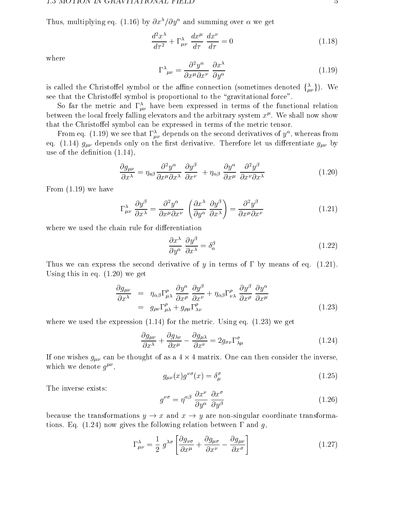Thus, multiplying eq. (1.16) by  $\partial x^{\lambda}/\partial y^{\alpha}$  and summing over  $\alpha$  we get

$$
\frac{d^2x^{\lambda}}{d\tau^2} + \Gamma^{\lambda}_{\mu\nu} \frac{dx^{\mu}}{d\tau} \frac{dx^{\nu}}{d\tau} = 0
$$
\n(1.18)

where

$$
\Gamma^{\lambda}{}_{\mu\nu} = \frac{\partial^2 y^{\alpha}}{\partial x^{\mu} \partial x^{\nu}} \frac{\partial x^{\lambda}}{\partial y^{\alpha}}
$$
\n(1.19)

is called the Christoffel symbol or the affine connection (sometimes denoted  $\{^{\lambda}_{\mu\nu}\}$ ). We see that the Christoffel symbol is proportional to the "gravitational force".

So far the metric and  $\Gamma_{\mu\nu}^+$  have been expressed in terms of the functional relation between the local freely familie elevators and the arbitrary system  $x_r$  . We shall now show that the Christoffel symbol can be expressed in terms of the metric tensor.

From eq.  $(1.19)$  we see that  $\Gamma_{\mu\nu}$  depends on the second derivatives of  $y^{\perp}$ , whereas from equences on the property of the complete contract the contract of the contract the contract  $g_{\mu\nu}$ use of the definition of the definition of the definition of the definition of the definition of the definition

$$
\frac{\partial g_{\mu\nu}}{\partial x^{\lambda}} = \eta_{a\beta} \frac{\partial^2 y^{\alpha}}{\partial x^{\mu} \partial x^{\lambda}} \frac{\partial y^{\beta}}{\partial x^{\nu}} + \eta_{\alpha\beta} \frac{\partial y^{\alpha}}{\partial x^{\mu}} \frac{\partial^2 y^{\beta}}{\partial x^{\nu} \partial x^{\lambda}}
$$
(1.20)

From  $(1.19)$  we have

$$
\Gamma^{\lambda}_{\mu\nu} \frac{\partial y^{\beta}}{\partial x^{\lambda}} = \frac{\partial^2 y^{\alpha}}{\partial x^{\mu} \partial x^{\nu}} \left( \frac{\partial x^{\lambda}}{\partial y^{\alpha}} \frac{\partial y^{\beta}}{\partial x^{\lambda}} \right) = \frac{\partial^2 y^{\beta}}{\partial x^{\mu} \partial x^{\nu}} \tag{1.21}
$$

where we used the chain rule for differentiation

$$
\frac{\partial x^{\lambda}}{\partial y^{\alpha}} \frac{\partial y^{\beta}}{\partial x^{\lambda}} = \delta^{\beta}_{\alpha} \tag{1.22}
$$

Thus we can express the second derivative of y in terms of by means of eq -  $\sim$  0.000  $\sim$  0.000  $\sim$  0.000  $\sim$  0.000  $\sim$  0.000  $\sim$  0.000  $\sim$  0.000  $\sim$  0.000  $\sim$  0.000  $\sim$  0.000  $\sim$  0.000  $\sim$  0.000  $\sim$  0.000  $\sim$  0.000  $\sim$  0.000  $\sim$  0.000  $\sim$  0.000  $\sim$  0.000  $\sim$  0.000  $\sim$  0.000

$$
\frac{\partial g_{\mu\nu}}{\partial x^{\lambda}} = \eta_{\alpha\beta} \Gamma^{\rho}_{\mu\lambda} \frac{\partial y^{\alpha}}{\partial x^{\rho}} \frac{\partial y^{\beta}}{\partial x^{\nu}} + \eta_{\alpha\beta} \Gamma^{\rho}_{\nu\lambda} \frac{\partial y^{\beta}}{\partial x^{\rho}} \frac{\partial y^{\alpha}}{\partial x^{\mu}} \n= g_{\rho\nu} \Gamma^{\rho}_{\mu\lambda} + g_{\rho\mu} \Gamma^{\rho}_{\lambda\nu}
$$
\n(1.23)

where we use the expression (i.e.  $\alpha$  ) and the metric using eq. (i.e.  $\alpha$  ) we get

$$
\frac{\partial g_{\mu\nu}}{\partial x^{\lambda}} + \frac{\partial g_{\lambda\nu}}{\partial x^{\mu}} - \frac{\partial g_{\mu\lambda}}{\partial x^{\nu}} = 2g_{\sigma\nu}\Gamma^{\sigma}_{\lambda\mu}
$$
(1.24)

If one wishes  $g_{\mu\nu}$  can be thought of as a 4  $\times$  4 matrix. One can then consider the inverse, which we denote  $q<sub>r</sub>$ ,

$$
g_{\mu\nu}(x)g^{\nu\sigma}(x) = \delta^{\sigma}_{\mu} \tag{1.25}
$$

The inverse exists

$$
g^{\nu\sigma} = \eta^{\alpha\beta} \frac{\partial x^{\nu}}{\partial y^{\alpha}} \frac{\partial x^{\sigma}}{\partial y^{\beta}}
$$
(1.26)

because the transformations  $y \to x$  and  $x \to y$  are non-singular coordinate transforma $t_1$  is the following relations  $t_1$ 

$$
\Gamma^{\lambda}_{\mu\nu} = \frac{1}{2} g^{\lambda\sigma} \left[ \frac{\partial g_{\nu\sigma}}{\partial x^{\mu}} + \frac{\partial g_{\mu\sigma}}{\partial x^{\nu}} - \frac{\partial g_{\mu\nu}}{\partial x^{\sigma}} \right]
$$
(1.27)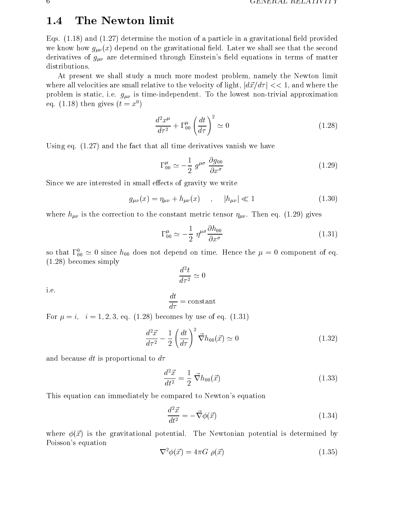#### <span id="page-9-0"></span>1.4 The Newton limit

Eqs  and - determine the motion of a particle in a gravitational eld provided  $u \sim \mathcal{U}$  $d$ distributions.

At present we shall study a much more modest problem, namely the Newton limit where all velocities are small relative to the velocity of light,  $|d\vec{x}/d\tau| << 1$ , and where the is the lowest non-trivial approximation is time to the lowest non-trivial approximation in the lowest non-trivial approximation in the lowest non-trivial approximation in the lowest non-trivial approximation in the lowest eq. (1.18) then gives  $(t = x^0)$ 

$$
\frac{d^2x^{\mu}}{d\tau^2} + \Gamma^{\mu}_{00} \left(\frac{dt}{d\tau}\right)^2 \simeq 0
$$
\n(1.28)

using equation that all time derivatives vanish we have the fact time derivatives vanish we have the fact time

$$
\Gamma_{00}^{\mu} \simeq -\frac{1}{2} g^{\mu\sigma} \frac{\partial g_{00}}{\partial x^{\sigma}}
$$
\n(1.29)

Since we are interested in small effects of gravity we write

$$
g_{\mu\nu}(x) = \eta_{\mu\nu} + h_{\mu\nu}(x) \qquad , \qquad |h_{\mu\nu}| \ll 1 \tag{1.30}
$$

 $\mu\nu$  is the correction to the correction to the constant metric tensor  $\mu$  and  $\mu$ 

$$
\Gamma^{\mu}_{00} \simeq -\frac{1}{2} \eta^{\mu\sigma} \frac{\partial h_{00}}{\partial x^{\sigma}} \tag{1.31}
$$

so that  $\Gamma_{00}^* \simeq 0$  since  $h_{00}$  does not depend on time. Hence the  $\mu = 0$  component of eq.  $\mathbf{b}$  becomes simply simply simply simply simply simply simply simply simply simply simply simply simply simply simply simply simply simply simply simply simply simply simply simply simply simply simply simply simply s

$$
\frac{d^2t}{d\tau^2} \simeq 0
$$

i.e.

$$
\frac{dt}{d\tau} = {\rm constant}
$$

 $\mathbf{F}^*$  is a contract of equation of equation of equation  $\mathbf{F}^*$  . The contract of equation of equation of equation  $\mathbf{F}^*$ 

$$
\frac{d^2\vec{x}}{d\tau^2} - \frac{1}{2} \left(\frac{dt}{d\tau}\right)^2 \vec{\nabla} h_{00}(\vec{x}) \simeq 0 \tag{1.32}
$$

and because dt is proportional to  $d\tau$ 

$$
\frac{d^2\vec{x}}{dt^2} = \frac{1}{2} \vec{\nabla} h_{00}(\vec{x})
$$
\n(1.33)

This equation can immediately be compared to Newton's equation

$$
\frac{d^2\vec{x}}{dt^2} = -\vec{\nabla}\phi(\vec{x})\tag{1.34}
$$

where  $\phi(\vec{x})$  is the gravitational potential. The Newtonian potential is determined by Poisson's equation

$$
\nabla^2 \phi(\vec{x}) = 4\pi G \rho(\vec{x}) \tag{1.35}
$$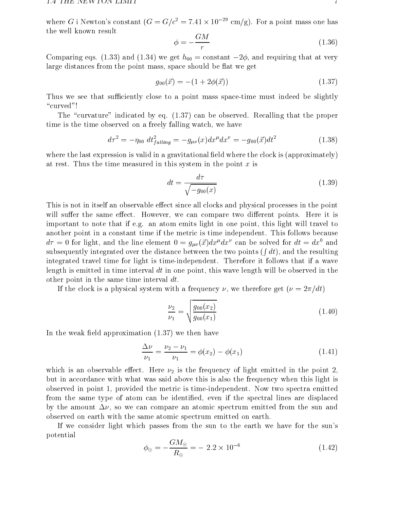where G i Newton's constant  $(G = G/c^2 = 7.41 \times 10^{-29} \text{ cm/g})$ . For a point mass one has the well known result

$$
\phi = -\frac{GM}{r} \tag{1.36}
$$

Comparing eqs. (1.55) and (1.54) we get  $n_{00} = 0$  constant  $-2\varphi$ , and requiring that at very large distances from the point mass, space should be flat we get

$$
g_{00}(\vec{x}) = -(1 + 2\phi(\vec{x})) \tag{1.37}
$$

Thus we see that sufficiently close to a point mass space-time must indeed be slightly "curved"!

The "curvature" indicated by eq.  $(1.37)$  can be observed. Recalling that the proper time is the time observed on a freely falling watch, we have

$$
d\tau^2 = -\eta_{00} \ dt_{falling}^2 = -g_{\mu\nu}(x) dx^{\mu} dx^{\nu} = -g_{00}(\vec{x}) dt^2 \tag{1.38}
$$

where the last expression is valid in a gravitation is valid in a gravitational control where the clock is approximately in a gravitation of the clock is approximately in a gravitational control where the clock is approxim at rest. Thus the time measured in this system in the point  $x$  is

$$
dt = \frac{d\tau}{\sqrt{-g_{00}(x)}}
$$
\n(1.39)

This is not in itself an observable effect since all clocks and physical processes in the point will suffer the same effect. However, we can compare two different points. Here it is important to note that if e.g. an atom emits light in one point, this light will travel to another point in a constant time if the metric is time independent. This follows because  $a_1 = 0$  for light, and the line element  $0 = g_{\mu\nu}(x) a x^{\nu} a x^{\nu}$  can be solved for  $a \iota = a x^{\nu}$  and subsequently integrated over the distance between the two points  $(f dt)$ , and the resulting integrated travel time for light is time-independent. Therefore it follows that if a wave length is emitted in time interval  $dt$  in one point, this wave length will be observed in the other point in the same time interval  $dt$ .

if the clock is a frequency of the clock is the frequency of the there is a frequency  $\mathcal{A}^{(1)}$  . If  $\mathcal{A}^{(2)}$ 

$$
\frac{\nu_2}{\nu_1} = \sqrt{\frac{g_{00}(x_2)}{g_{00}(x_1)}}
$$
\n(1.40)

en and we then now we then have constructed and approximation of the second contract of the second contract of

$$
\frac{\Delta \nu}{\nu_1} = \frac{\nu_2 - \nu_1}{\nu_1} = \phi(x_2) - \phi(x_1) \tag{1.41}
$$

where  $\mu$  is the frequency of light emitted in the point  $\mu$ but in accordance with what was said above this is also the frequency when this light is observed in point 1, provided the metric is time-independent. Now two spectra emitted from the same type of atom can be identi ed even if the spectral lines are displaced by the amount  $\Delta \nu$ , so we can compare an atomic spectrum emitted from the sun and observed on earth with the same atomic spectrum emitted on earth

If we consider light which passes from the sun to the earth we have for the sun's potential

$$
\phi_{\odot} = -\frac{GM_{\odot}}{R_{\odot}} = -2.2 \times 10^{-6}
$$
\n(1.42)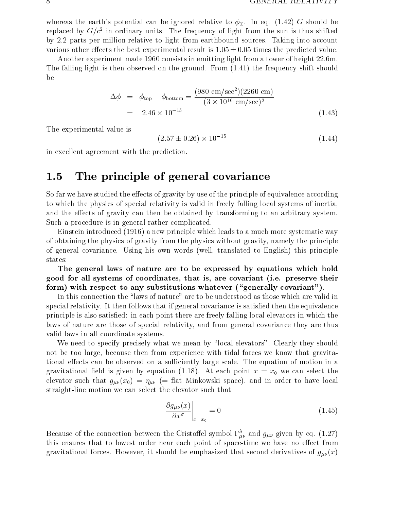<span id="page-11-0"></span>where the earths potential can be interested relative to  $\mathbf{I}$  ,  $\mathbf{I}$  is a shock of  $\mathbf{I}$  . The earth of  $\mathbf{I}$ replaced by  $G/C$  in ordinary units. The frequency of light from the sun is thus shifted that by -- parts per million relative to light from earthbound sources Taking into account various other effects the best experimental result is  $1.05 \pm 0.05$  times the predicted value.

 $\mathbb{R}$  and  $\mathbb{R}$  and  $\mathbb{R}$  in emitting light from a construction  $\mathbb{R}$  in equation  $\mathbb{R}$ The falling light is then observed on the ground. From  $(1.41)$  the frequency shift should be

$$
\Delta \phi = \phi_{\text{top}} - \phi_{\text{bottom}} = \frac{(980 \text{ cm/sec}^2)(2260 \text{ cm})}{(3 \times 10^{10} \text{ cm/sec})^2}
$$
  
= 2.46 × 10<sup>-15</sup> (1.43)

The experimental value is

$$
(2.57 \pm 0.26) \times 10^{-15} \tag{1.44}
$$

in excellent agreement with the prediction

#### 1.5 The principle of general covariance

So far we have studied the effects of gravity by use of the principle of equivalence according to which the physics of special relativity is valid in freely falling local systems of inertia and the effects of gravity can then be obtained by transforming to an arbitrary system. Such a procedure is in general rather complicated

Einstein introduced (1916) a new principle which leads to a much more systematic way of obtaining the physics of gravity from the physics without gravity, namely the principle of general covariance. Using his own words (well, translated to English) this principle states

The general laws of nature are to be expressed by equations which hold good for all systems of coordinates, that is, are covariant (i.e. preserve their form) with respect to any substitutions whatever ("generally covariant").

In this connection the "laws of nature" are to be understood as those which are valid in special relativity It then follows that if general covariance is satis ed then the equivalence principle is also satis ed in each point there are freely falling local elevators in which the laws of nature are those of special relativity, and from general covariance they are thus valid laws in all coordinate systems

We need to specify precisely what we mean by "local elevators". Clearly they should not be too large, because then from experience with tidal forces we know that gravitational effects can be observed on a sufficiently large scale. The equation of motion in a  $\Omega$  is given by equation by equation by equation  $\Omega$ elevator such that g-bit and in order to have spaced in order to have the space of the space of the space of t straight
line motion we can select the elevator such that

$$
\left. \frac{\partial g_{\mu\nu}(x)}{\partial x^{\sigma}} \right|_{x=x_0} = 0 \tag{1.45}
$$

Because of the connection between the Cristoliei symbol 1  $_{\mu\nu}^{\nu}$  and  $g_{\mu\nu}$  given by eq. (1.27) this ensures that to lowest order near each point of space-time we have no effect from  $\Box$  it shows however that showledge that showledge that showledge that showledge that second derivatives of g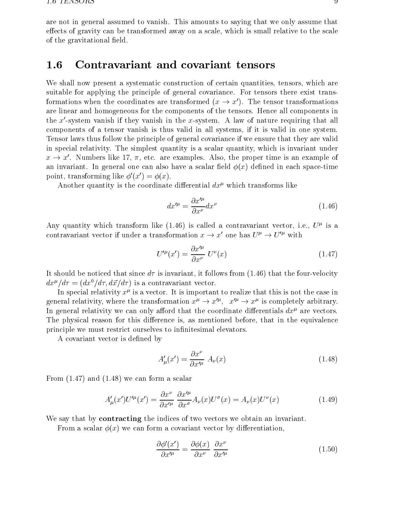<span id="page-12-0"></span>are not in general assumed to vanish. This amounts to saying that we only assume that effects of gravity can be transformed away on a scale, which is small relative to the scale of the gravitational eld

#### $1.6$ Contravariant and covariant tensors

We shall now present a systematic construction of certain quantities, tensors, which are suitable for applying the principle of general covariance For tensors there exist trans formations when the coordinates are transformed  $(x \to x')$ . The tensor transformations are linear and homogeneous for the components of the tensors. Hence all components in the  $x'$ -system vanish if they vanish in the x-system. A law of nature requiring that all components of a tensor vanish is thus valid in all systems, if it is valid in one system. Tensor laws thus follow the principle of general covariance if we ensure that they are valid in special relativity. The simplest quantity is a scalar quantity, which is invariant under  $x \to x'$ . Numbers like 17,  $\pi$ , etc. are examples. Also, the proper time is an example of an invariant in general can also have and a scalar in each  $\tau$  (b) accumulate and college a space college. point, transforming like  $\phi'(x') = \phi(x)$ .

Another quantity is the coordinate differential  $dx^{\mu}$  which transforms like

$$
dx'^{\mu} = \frac{\partial x'^{\mu}}{\partial x^{\nu}} dx^{\nu}
$$
\n(1.46)

Any quantity which transform like  $(1.40)$  is called a contravariant vector, i.e.,  $U^r$  is a contravariant vector if under a transformation  $x \to x'$  one has  $U^{\mu} \to U'^{\mu}$  with

$$
U^{\prime \mu}(x') = \frac{\partial x^{\prime \mu}}{\partial x^{\nu}} U^{\nu}(x)
$$
\n(1.47)

It should be noticed that since  $d\tau$  is invariant, it follows from (1.46) that the four-velocity  $dx^{\mu}/d\tau = (dx^0/d\tau, d\vec{x}/d\tau)$  is a contravariant vector.

In special relativity  $x_{\text{r}}$  is a vector. It is important to realize that this is not the case in general relativity, where the transformation  $x^{\mu} \to x^{\mu}$ ,  $x^{\mu} \to x^{\mu}$  is completely arbitrary. In general relativity we can only afford that the coordinate differentials  $dx^{\mu}$  are vectors. The physical reason for this difference is, as mentioned before, that in the equivalence principle we must restrict ourselves to in nitesimal elevators

a covariant vector is dependent of  $\mathcal{C}$ 

$$
A'_{\mu}(x') = \frac{\partial x^{\nu}}{\partial x'^{\mu}} A_{\nu}(x)
$$
\n(1.48)

From  $(1.47)$  and  $(1.48)$  we can form a scalar

$$
A'_{\mu}(x')U'^{\mu}(x') = \frac{\partial x^{\nu}}{\partial x'^{\mu}} \frac{\partial x'^{\mu}}{\partial x^{\sigma}} A_{\nu}(x)U^{\sigma}(x) = A_{\nu}(x)U^{\nu}(x)
$$
(1.49)

We say that by **contracting** the indices of two vectors we obtain an invariant.

From a scalar  $\phi(x)$  we can form a covariant vector by differentiation,

$$
\frac{\partial \phi'(x')}{\partial x'^{\mu}} = \frac{\partial \phi(x)}{\partial x^{\nu}} \frac{\partial x^{\nu}}{\partial x'^{\mu}}
$$
(1.50)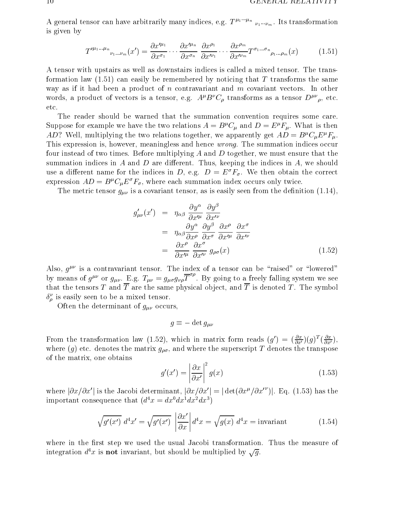A general tensor can have arbitrarily many indices, e.g.  $I^{r_1-r_{m}}|_{\nu_1\cdots\nu_m}$ . Its transformation is given by

$$
T'^{\mu_1 \dots \mu_n}{}_{\nu_1 \dots \nu_m}(x') = \frac{\partial x'^{\mu_1}}{\partial x^{\sigma_1}} \dots \frac{\partial x'^{\mu_n}}{\partial x^{\sigma_n}} \frac{\partial x^{\rho_1}}{\partial x'^{\nu_1}} \dots \frac{\partial x^{\rho_m}}{\partial x'^{\nu_m}} T^{\sigma_1 \dots \sigma_n}{}_{\rho_1 \dots \rho_m}(x) \tag{1.51}
$$

A tensor with upstairs as well as downstairs indices is called a mixed tensor The trans formation law  $(1.51)$  can easily be remembered by noticing that T transforms the same way as if it had been a product of n contravariant and  $m$  covariant vectors. In other words, a product of vectors is a tensor, e.g.  $A^T D$   $C_\rho$  transforms as a tensor  $D^T{}_{\rho}$ , etc.

The reader should be warned that the summation convention requires some care Suppose for example we have the two relations  $A = B^{\mu}C_{\mu}$  and  $D = E^{\mu}F_{\mu}$ . What is then AD? Well, multiplying the two relations together, we apparently get  $AD = B^{\mu}C_{\mu}E^{\mu}F_{\mu}$ . This expression is, however, meaningless and hence *wrong*. The summation indices occur four instead of two times. Before multiplying A and D together, we must ensure that the summation indices in A and D are different. Thus, keeping the indices in A, we should use a different name for the indices in D, e.g.  $D = E^{\sigma} F_{\sigma}$ . We then obtain the correct expression  $AD = B^{\mu}C_{\mu}E^{\sigma}F_{\sigma}$ , where each summation index occurs only twice.

 $\mathcal{L}$  is a covariant tensor g-definition from the definition from the definition of  $\mathcal{L}$ 

$$
g'_{\mu\nu}(x') = \eta_{\alpha\beta} \frac{\partial y^{\alpha}}{\partial x'^{\mu}} \frac{\partial y^{\beta}}{\partial x'^{\nu}} = \eta_{\alpha\beta} \frac{\partial y^{\alpha}}{\partial x^{\rho}} \frac{\partial y^{\beta}}{\partial x^{\sigma}} \frac{\partial x^{\rho}}{\partial x'^{\mu}} \frac{\partial x^{\sigma}}{\partial x'^{\nu}} = \frac{\partial x^{\rho}}{\partial x'^{\mu}} \frac{\partial x^{\sigma}}{\partial x'^{\nu}} g_{\rho\sigma}(x)
$$
(1.52)

Also,  $g^{\mu\nu}$  is a contravariant tensor. The index of a tensor can be faised for lowered by means of  $g^{\mu\nu}$  or  $g_{\mu\nu}$ . E.g.  $T_{\mu\nu} = g_{\mu\sigma}g_{\nu\rho}T$ . By going to a freely falling system we see that the tensors T and  $\overline{T}$  are the same physical object, and  $\overline{T}$  is denoted T. The symbol  $\sigma_{_{\bm{\theta}}}$  is easily seen to be a mixed tensor.

Often the determinant of g- occurs 

$$
g\equiv -\det g_{\mu\nu}
$$

From the transformation law (1.52), which in matrix form reads  $(g) = (\frac{1}{\partial x^{i}})(g)^{2}(\frac{1}{\partial x^{i}})$ , where (g) etc. denotes the matrix  $g_{\rho\sigma}$ , and where the superscript T denotes the transpose of the matrix, one obtains

$$
g'(x') = \left|\frac{\partial x}{\partial x'}\right|^2 g(x) \tag{1.53}
$$

where  $|\partial x/\partial x'|$  is the Jacobi determinant,  $|\partial x/\partial x'| = |\det(\partial x^\mu/\partial x'^\nu)|$ . Eq. (1.53) has the important consequence that  $\alpha x = a x \, a x \, a x$  if

$$
\sqrt{g'(x')} d^4x' = \sqrt{g'(x')} \left| \frac{\partial x'}{\partial x} \right| d^4x = \sqrt{g(x)} d^4x = \text{invariant}
$$
\n(1.54)

rst step we used the usual Jacobi transformation the usual Jacobi transformation Thus the measure of the measure integration  $d^4x$  is **not** invariant, but should be multiplied by  $\sqrt{g}$ .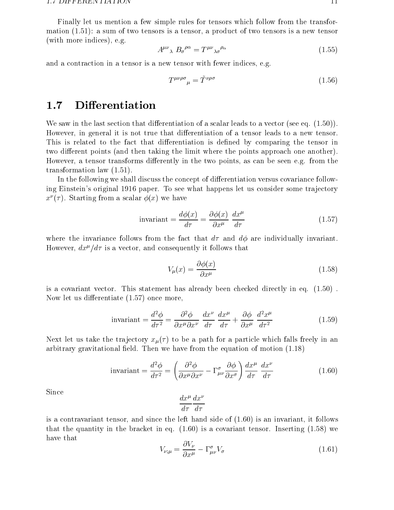<span id="page-14-0"></span>Finally let us mention a few simple rules for tensors which follow from the transfor mation  $(1.51)$ : a sum of two tensors is a tensor, a product of two tensors is a new tensor  $(with \space more \space indices), e.g.$ 

$$
A^{\mu\nu}{}_{\lambda} B_{\sigma}{}^{\rho\alpha} = T^{\mu\nu}{}_{\lambda\sigma}{}^{\rho\alpha} \tag{1.55}
$$

and a contraction in a tensor is a new tensor with fewer indices, e.g.

$$
T^{\mu\nu\rho\sigma}{}_{\mu} = \tilde{T}^{\nu\rho\sigma} \tag{1.56}
$$

## $1.7$

We saw in the last section that differentiation of a scalar leads to a vector (see eq.  $(1.50)$ ). However, in general it is not true that differentiation of a tensor leads to a new tensor. This is related to the fact that dierentiation isde ned by comparing the tensor in two different points (and then taking the limit where the points approach one another). However, a tensor transforms differently in the two points, as can be seen e.g. from the transformation law  $(1.51)$ .

In the following we shall discuss the concept of differentiation versus covariance following Einstein's original 1916 paper. To see what happens let us consider some trajectory  $x$  (7). Starting from a scalar  $\varphi(x)$  we have

$$
invariant = \frac{d\phi(x)}{d\tau} = \frac{\partial\phi(x)}{\partial x^{\mu}} \frac{dx^{\mu}}{d\tau}
$$
 (1.57)

where the invariance follows from the fact that  $d\tau$  and  $d\phi$  are individually invariant. However,  $dx^{\mu}/d\tau$  is a vector, and consequently it follows that

$$
V_{\mu}(x) = \frac{\partial \phi(x)}{\partial x^{\mu}}
$$
\n(1.58)

is a covariant vector. This statement has already been checked directly in eq.  $(1.50)$ . Now let us differentiate  $(1.57)$  once more,

invariant 
$$
=\frac{d^2\phi}{d\tau^2} = \frac{\partial^2\phi}{\partial x^\mu \partial x^\nu} \frac{dx^\nu}{d\tau} \frac{dx^\mu}{d\tau} + \frac{\partial\phi}{\partial x^\mu} \frac{d^2x^\mu}{d\tau^2}
$$
 (1.59)

Next let us take the trajectory  $x_{\mu}(\tau)$  to be a path for a particle which falls freely in an arbitrary gravitation control to the equation of motion of  $\alpha$  motion of motion  $\alpha$  , where  $\beta$ 

invariant 
$$
=\frac{d^2\phi}{d\tau^2} = \left(\frac{\partial^2\phi}{\partial x^\mu \partial x^\nu} - \Gamma^\sigma_{\mu\nu} \frac{\partial \phi}{\partial x^\sigma}\right) \frac{dx^\mu}{d\tau} \frac{dx^\nu}{d\tau}
$$
 (1.60)

Since

$$
\frac{dx^{\mu}}{d\tau}\frac{dx^{\nu}}{d\tau}
$$

is a contravariant tensor, and since the left hand side of  $(1.60)$  is an invariant, it follows that the quantity in the bracket in eq.  $(1.60)$  is a covariant tensor. Inserting  $(1.58)$  we have that

$$
V_{\nu;\mu} = \frac{\partial V_{\nu}}{\partial x^{\mu}} - \Gamma^{\sigma}_{\mu\nu} V_{\sigma}
$$
\n(1.61)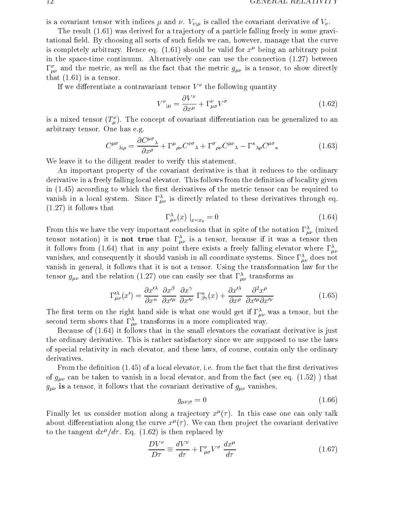$\mathcal{L}$  is called the covariant derivative of  $\mathcal{V}$ 

The result  $(1.61)$  was derived for a trajectory of a particle falling freely in some gravitational elds we can allow  $\mathbf{e}$ is completely arbitrary. Hence eq. (1.61) should be valid for  $x^{\mu}$  being an arbitrary point in the space
time continuum Alternatively one can use the connection - between  $\Gamma_{\mu\nu}$  and the metric, as well as the fact that the metric  $g_{\mu\nu}$  is a tensor, to show directly that  $(1.61)$  is a tensor.

If we differentiate a contravariant tensor  $V$  - the following quantity

$$
V^{\nu}{}_{;\mu} = \frac{\partial V^{\nu}}{\partial x^{\mu}} + \Gamma^{\nu}_{\mu\sigma} V^{\sigma}
$$
\n(1.62)

is a mixed tensor  $(\varGamma_u)$ . The concept of covariant differentiation can be generalized to an arbitrary tensor. One has e.g.

$$
C^{\mu\sigma}{}_{\lambda;\rho} = \frac{\partial C^{\mu\sigma}{}_{\lambda}}{\partial x^{\rho}} + \Gamma^{\mu}{}_{\rho\nu} C^{\nu\sigma}{}_{\lambda} + \Gamma^{\sigma}{}_{\rho\nu} C^{\mu\nu}{}_{\lambda} - \Gamma^{\kappa}{}_{\lambda\rho} C^{\mu\sigma}{}_{\kappa}
$$
\n(1.63)

We leave it to the diligent reader to verify this statement.

An important property of the covariant derivative is that it reduces to the ordinary derivative in a freely falling local electron that  $\mathbf{M}$ in the correction of the metric tensor can be required to the metric tensor can be required to the metric tensor can be required to the metric tensor can be required to the metric tensor can be required to the metric tens vanish in a local system. Since  $\Gamma_{\mu\nu}$  is directly related to these derivatives through eq. - $\mathbf{y} = \mathbf{y} = \mathbf{y}$  , which is follows that if  $\mathbf{y} = \mathbf{y}$ 

$$
\Gamma^{\lambda}_{\mu\nu}(x) \big|_{x=x_0} = 0 \tag{1.64}
$$

From this we have the very important conclusion that in spite of the notation  $\Gamma_{\mu\nu}^+$  (mixed tensor notation) it is **not true** that  $\Gamma^{\lambda}_{\mu\nu}$  is a tensor, because if it was a tensor then it follows from (1.64) that in any point there exists a freely falling elevator where  $\Gamma^{\lambda}_{\mu\nu}$ vanishes, and consequently to should vanish in all coordinate systems. Since f  $_{\mu\nu}$  does not vanish in general, it follows that it is not a tensor. Using the transformation law for the tensor  $g_{\mu\nu}$  and the relation (1.27) one can easily see that 1  $_{\mu\nu}$  transforms as

$$
\Gamma^{\prime \lambda}_{\mu \nu}(x') = \frac{\partial x'^{\lambda}}{\partial x^{\alpha}} \frac{\partial x^{\beta}}{\partial x'^{\mu}} \frac{\partial x^{\gamma}}{\partial x'^{\nu}} \Gamma^{\alpha}_{\beta \gamma}(x) + \frac{\partial x'^{\lambda}}{\partial x^{\rho}} \frac{\partial^{2} x^{\rho}}{\partial x'^{\mu} \partial x'^{\nu}} \tag{1.65}
$$

The first term on the right hand side is what one would get if  $\Gamma_{\mu\nu}$  was a tensor, but the second term shows that  $\Gamma_{\mu\nu}$  transforms in a more complicated way. -

Because of  $(1.64)$  it follows that in the small elevators the covariant derivative is just the ordinary derivative. This is rather satisfactory since we are supposed to use the laws of special relativity in each elevator, and these laws, of course, contain only the ordinary derivatives

From the de nition  of a local elevator ie from the fact that the rst derivatives  $\alpha$  and the taken to vanish in a local electron to vanish in a local electron the fact see equation of  $\alpha$  $\bm{s}$  is a tensor in the covariant derivative of  $\bm{s}$  derivative of  $\bm{s}$ 

$$
g_{\mu\nu;\sigma} = 0 \tag{1.66}
$$

 $\Gamma$ inally let us consider motion along a trajectory  $x^{\mu}(\tau)$ . In this case one can only talk about differentiation along the curve  $x_{\text{r}}(\tau)$  , we can then project the covariant derivative to the tangent  $ax^2/ay$ . Eq. (1.02) is then replaced by

$$
\frac{DV^{\nu}}{D\tau} \equiv \frac{dV^{\nu}}{d\tau} + \Gamma^{\nu}_{\mu\sigma} V^{\sigma} \frac{dx^{\mu}}{d\tau}
$$
 (1.67)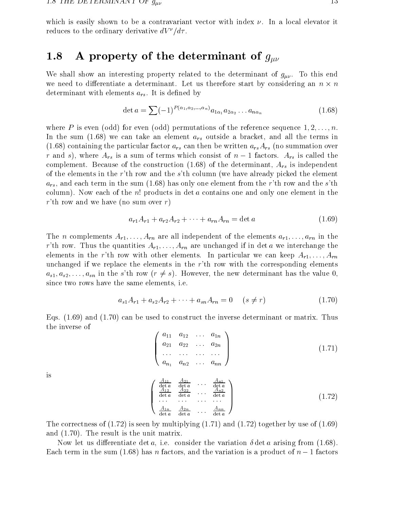<span id="page-16-0"></span>which is easily shown to be a contravariant vector with index  $\nu$ . In a local elevator it reduces to the ordinary derivative  $av/a\tau$ .

#### $1.8\,$ A property of the determinant of  $g_{\mu\nu}$

we show and interesting property related to the determinant of  $g_{\mu\nu}$  , we can construct we need to differentiate a determinant. Let us therefore start by considering an  $n \times n$ determinant with elements are It is determined by the set of the set of the set of the set of the set of the s

$$
\det a = \sum (-1)^{P(\alpha_1, \alpha_2, \dots, \alpha_n)} a_{1\alpha_1} a_{2\alpha_2} \dots a_{n\alpha_n} \tag{1.68}
$$

where P is even odd for even odd permutations of the reference sequence sequence sequence sequence sequence se In the sum (1.68) we can take an element  $a_{rs}$  outside a bracket, and all the terms in (1.68) containing the particular factor  $a_{rs}$  can then be written  $a_{rs}A_{rs}$  (no summation over r and s), where  $A_{rs}$  is a sum of terms which consist of  $n-1$  factors.  $A_{rs}$  is called the complement. Because of the construction  $(1.68)$  of the determinant,  $A_{rs}$  is independent of the elements in the r'th row and the s'th column (we have already picked the element  $a_{rs}$ , and each term in the sum (1.68) has only one element from the r'th row and the s'th column). Now each of the n! products in det a contains one and only one element in the r'th row and we have (no sum over  $r$ )

$$
a_{r1}A_{r1} + a_{r2}A_{r2} + \dots + a_{rn}A_{rn} = \det a \tag{1.69}
$$

The *n* complements  $A_{r1}, \ldots, A_{rn}$  are all independent of the elements  $a_{r1}, \ldots, a_{rn}$  in the r'th row. Thus the quantities  $A_{r1}, \ldots, A_{rn}$  are unchanged if in det a we interchange the elements in the r'th row with other elements. In particular we can keep  $A_{r1}, \ldots, A_{rn}$ unchanged if we replace the elements in the  $r't$ h row with the corresponding elements  $a_{s1}, a_{s2}, \ldots, a_{sn}$  in the s'th row  $(r \neq s)$ . However, the new determinant has the value 0, since two rows have the same elements, *i.e.* 

$$
a_{s1}A_{r1} + a_{s2}A_{r2} + \dots + a_{sn}A_{rn} = 0 \t (s \neq r) \t (1.70)
$$

Eqs.  $(1.69)$  and  $(1.70)$  can be used to construct the inverse determinant or matrix. Thus the inverse of

$$
\begin{pmatrix} a_{11} & a_{12} & \dots & a_{1n} \\ a_{21} & a_{22} & \dots & a_{2n} \\ \dots & \dots & \dots & \dots \\ a_{n_1} & a_{n_2} & \dots & a_{nn} \end{pmatrix}
$$
 (1.71)

is

$$
\begin{pmatrix}\n\frac{A_{11}}{\det a} & \frac{A_{21}}{\det a} & \cdots & \frac{A_{n1}}{\det a} \\
\frac{A_{12}}{\det a} & \frac{A_{22}}{\det a} & \cdots & \frac{A_{n2}}{\det a} \\
\cdots & \cdots & \cdots & \cdots \\
\frac{A_{1n}}{\det a} & \frac{A_{2n}}{\det a} & \cdots & \frac{A_{nn}}{\det a}\n\end{pmatrix}
$$
\n(1.72)

 $\mathbf{r}$  is seen by multiplying the correction of  $\mathbf{r}$  and  $\mathbf{r}$  and  $\mathbf{r}$ and  $(1.70)$ . The result is the unit matrix.

Now let us differentiate det a, i.e. consider the variation  $\delta$  det a arising from (1.68). Each term in the sum (1.68) has n factors, and the variation is a product of  $n-1$  factors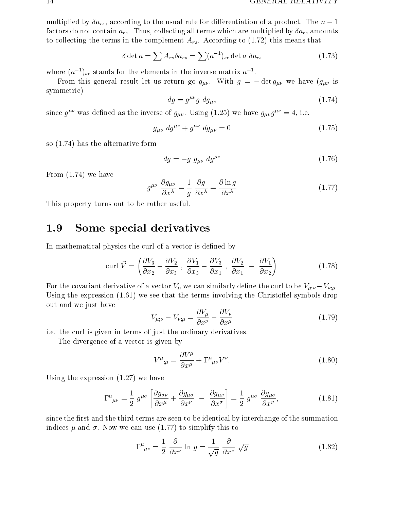<span id="page-17-0"></span>multiplied by  $\delta a_{rs}$ , according to the usual rule for differentiation of a product. The  $n-1$ factors do not contain  $a_{rs}$ . Thus, collecting all terms which are multiplied by  $\delta a_{rs}$  amounts to collecting the terms in the complement Ars According to - this means that

$$
\delta \det a = \sum A_{rs} \delta a_{rs} = \sum (a^{-1})_{sr} \det a \ \delta a_{rs}
$$
 (1.73)

where  $(a_{\parallel}$  -  $)_{sr}$  stands for the elements in the inverse matrix  $a_{\parallel}$  -.

From this general result for us return go  $g_{\mu\nu}$ . Writh  $g = -\det g_{\mu\nu}$  we have  $(g_{\mu\nu}$  is symmetric

$$
dg = g^{\mu\nu}g \, dg_{\mu\nu} \tag{1.74}
$$

since  $g^{P^+}$  was defined as the inverse of  $g_{\mu\nu}$ . Using (1.20) we have  $g_{\mu\nu}g^{P^+} =$  4, i.e.

$$
g_{\mu\nu} \, d g^{\mu\nu} + g^{\mu\nu} \, d g_{\mu\nu} = 0 \tag{1.75}
$$

so  $(1.74)$  has the alternative form

$$
dg = -g g_{\mu\nu} dg^{\mu\nu} \tag{1.76}
$$

From  $(1.74)$  we have

$$
g^{\mu\nu}\frac{\partial g_{\mu\nu}}{\partial x^{\lambda}} = \frac{1}{g}\frac{\partial g}{\partial x^{\lambda}} = \frac{\partial \ln g}{\partial x^{\lambda}} \tag{1.77}
$$

This property turns out to be rather useful

#### 1.9  Some special derivatives

in mathematical physics the curl of a vector is defined by the current of  $\eta$ 

$$
\text{curl } \vec{V} = \left( \frac{\partial V_3}{\partial x_2} - \frac{\partial V_2}{\partial x_3} \right), \frac{\partial V_1}{\partial x_3} - \frac{\partial V_3}{\partial x_1} \right), \frac{\partial V_2}{\partial x_1} - \frac{\partial V_1}{\partial x_2} \right)
$$
(1.78)

For the covariant derivative of a vector  $V_{\mu}$  we can similarly define the curl to be  $V_{\mu;\nu} = V_{\nu;\mu}$ . Using the expression  $(1.61)$  we see that the terms involving the Christoffel symbols drop out and we just have

$$
V_{\mu;\nu} - V_{\nu;\mu} = \frac{\partial V_{\mu}}{\partial x^{\nu}} - \frac{\partial V_{\nu}}{\partial x^{\mu}}
$$
\n(1.79)

i.e. the curl is given in terms of just the ordinary derivatives.

The divergence of a vector is given by

$$
V^{\mu}{}_{;\mu} = \frac{\partial V^{\mu}}{\partial x^{\mu}} + \Gamma^{\mu}{}_{\mu\nu} V^{\nu}.
$$
 (1.80)

Using the expression of  $\sim$   $\sim$   $\sim$   $\sim$   $\sim$   $\sim$   $\sim$ 

$$
\Gamma^{\mu}{}_{\mu\nu} = \frac{1}{2} g^{\mu\sigma} \left[ \frac{\partial g_{\sigma\nu}}{\partial x^{\mu}} + \frac{\partial g_{\mu\sigma}}{\partial x^{\nu}} - \frac{\partial g_{\mu\nu}}{\partial x^{\sigma}} \right] = \frac{1}{2} g^{\mu\sigma} \frac{\partial g_{\mu\sigma}}{\partial x^{\nu}}, \tag{1.81}
$$

since the rst and the third terms are seen to be identical by interchange of the summation indices  $\mu$  and  $\sigma$ . Now we can use (1.77) to simplify this to

$$
\Gamma^{\mu}{}_{\mu\nu} = \frac{1}{2} \frac{\partial}{\partial x^{\nu}} \ln g = \frac{1}{\sqrt{g}} \frac{\partial}{\partial x^{\nu}} \sqrt{g}
$$
 (1.82)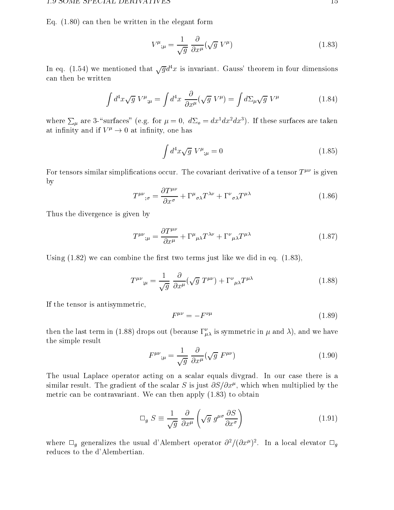Eq.  $(1.80)$  can then be written in the elegant form

$$
V^{\mu}{}_{;\mu} = \frac{1}{\sqrt{g}} \frac{\partial}{\partial x^{\mu}} (\sqrt{g} V^{\mu}) \tag{1.83}
$$

In eq. (1.54) we mentioned that  $\sqrt{g}d^{4}x$  is invariant. Gauss' theorem in four dimensions can then be written

$$
\int d^4x \sqrt{g} V^{\mu}{}_{;\mu} = \int d^4x \; \frac{\partial}{\partial x^{\mu}} (\sqrt{g} V^{\mu}) = \int d\Sigma_{\mu} \sqrt{g} V^{\mu} \tag{1.84}
$$

where  $\sum_{\mu}$  are 3-"surfaces" (e.g. for  $\mu=0$ ,  $d\Sigma_o=dx^idx^zdx^3$ ). If these surfaces are taken at infinity and if  $V^{\mu} \rightarrow 0$  at infinity, one has

$$
\int d^4x \sqrt{g} V^{\mu}{}_{;\mu} = 0 \tag{1.85}
$$

For tensors similar simplifications occur. The covariant derivative of a tensor  $T^+$  is given by

$$
T^{\mu\nu}{}_{;\sigma} = \frac{\partial T^{\mu\nu}}{\partial x^{\sigma}} + \Gamma^{\mu}{}_{\sigma\lambda} T^{\lambda\nu} + \Gamma^{\nu}{}_{\sigma\lambda} T^{\mu\lambda} \tag{1.86}
$$

Thus the divergence is given by

$$
T^{\mu\nu}{}_{;\mu} = \frac{\partial T^{\mu\nu}}{\partial x^{\mu}} + \Gamma^{\mu}{}_{\mu\lambda} T^{\lambda\nu} + \Gamma^{\nu}{}_{\mu\lambda} T^{\mu\lambda} \tag{1.87}
$$

we can compute the component of the computer in the computer we did in equation  $\mathcal{L}_{\mathcal{A}}$ 

$$
T^{\mu\nu}{}_{;\mu} = \frac{1}{\sqrt{g}} \frac{\partial}{\partial x^{\mu}} (\sqrt{g} T^{\mu\nu}) + \Gamma^{\nu}{}_{\mu\lambda} T^{\mu\lambda} \tag{1.88}
$$

If the tensor is antisymmetric 

$$
F^{\mu\nu} = -F^{\nu\mu} \tag{1.89}
$$

then the last term in (1.88) drops out (because  $\Gamma_{\mu\lambda}$  is symmetric in  $\mu$  and  $\lambda$ ), and we have the simple result

$$
F^{\mu\nu}{}_{;\mu} = \frac{1}{\sqrt{g}} \frac{\partial}{\partial x^{\mu}} (\sqrt{g} \, F^{\mu\nu}) \tag{1.90}
$$

The usual Laplace operator acting on a scalar equals divgrad. In our case there is a similar result. The gradient of the scalar  $S$  is just  $\partial S/\partial x^r$ , which when multiplied by the metric can be contravariant. We can then apply  $(1.83)$  to obtain

$$
\Box_g S \equiv \frac{1}{\sqrt{g}} \frac{\partial}{\partial x^{\mu}} \left( \sqrt{g} \ g^{\mu \sigma} \frac{\partial S}{\partial x^{\sigma}} \right) \tag{1.91}
$$

where  $\Box_g$  generalizes the usual d'Alembert operator  $\sigma^*/(\sigma x^r)$  . In a local elevator  $\Box_g$ reduces to the d'Alembertian.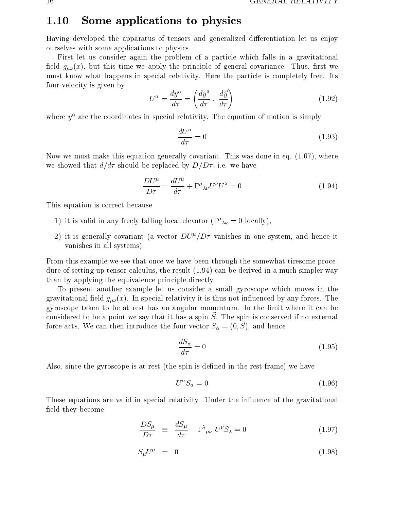#### <span id="page-19-0"></span>1.10 Some applications to physics

Having developed the apparatus of tensors and generalized differentiation let us enjoy ourselves with some applications to physics

First let us consider again the problem of a particle which falls in a gravitational eld g-but this time we apply the principle of general covariance of the presented of the principle of the problem must know what happens in special relativity. Here the particle is completely free. Its four
velocity is given by

$$
U^{\alpha} = \frac{dy^{\alpha}}{d\tau} = \left(\frac{dy^0}{d\tau}, \frac{d\vec{y}}{d\tau}\right)
$$
 (1.92)

where  $y^{\alpha}$  are the coordinates in special relativity. The equation of motion is simply

$$
\frac{dU^{\alpha}}{d\tau} = 0\tag{1.93}
$$

Now we must make this equation generally covariant. This was done in eq.  $(1.67)$ , where we showed that  $d/d\tau$  should be replaced by  $D/D\tau$ , i.e. we have

$$
\frac{DU^{\mu}}{D\tau} = \frac{dU^{\mu}}{d\tau} + \Gamma^{\mu}{}_{\lambda\nu}U^{\nu}U^{\lambda} = 0
$$
\n(1.94)

This equation is correct because

- 1) it is valid in any freely falling local elevator  $(\Gamma^r \lambda_\nu \equiv 0 \,\,\text{locary}\,),$
- $\omega$ ) it is generally covariant (a vector  $D U^c/D$  vanishes in one system, and hence it vanishes in all systems

From this example we see that once we have been through the somewhat tiresome proce dure of setting up tensor calculus, the result  $(1.94)$  can be derived in a much simpler way than by applying the equivalence principle directly

To present another example let us consider a small gyroscope which moves in the  $\alpha$  is the special relativity in the special relativity in the special relativity is the special relativity of  $\alpha$ gyroscope taken to be at rest has an angular momentum In the limit where it can be considered to be a point we say that it has a spin  $D$ . The spin is conserved if no external force acts. We can then introduce the four vector  $\omega_{\alpha} = (0, \omega)$ , and hence

$$
\frac{dS_{\alpha}}{d\tau} = 0\tag{1.95}
$$

Also since the gyroscope is at rest the spin is de ned in the rest frame we have

$$
U^{\alpha} S_{\alpha} = 0 \tag{1.96}
$$

These equations are valid in special relativity. Under the influence of the gravitational eld they become they become they become they become they become they become they become they become they become

$$
\frac{DS_{\mu}}{D\tau} \equiv \frac{dS_{\mu}}{d\tau} - \Gamma^{\lambda}{}_{\mu\nu} U^{\nu} S_{\lambda} = 0 \tag{1.97}
$$

$$
S_{\mu}U^{\mu} = 0 \tag{1.98}
$$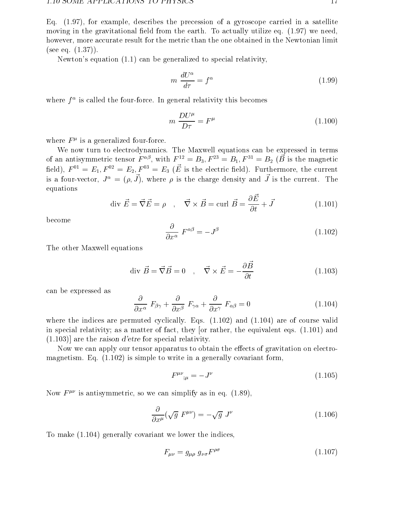Eq.  $(1.97)$ , for example, describes the precession of a gyroscope carried in a satellite moving in the gravitational eld from the earth To actually utilize eq  we need however, more accurate result for the metric than the one obtained in the Newtonian limit (see eq.  $(1.37)$ ).

Newton's equation  $(1.1)$  can be generalized to special relativity.

$$
m\,\frac{dU^{\alpha}}{d\tau} = f^{\alpha} \tag{1.99}
$$

where f s is called the four-force. In general relativity this becomes

$$
m\,\frac{DU^{\mu}}{D\tau} = F^{\mu} \tag{1.100}
$$

where  $F \cap$  is a generalized four-force.

We now turn to electrodynamics. The Maxwell equations can be expressed in terms of an antisymmetric tensor  $F^{-r}$ , with  $F^{-} = D_3, F^{-} = D_1, F^{-} = D_2$  (D is the magnetic neig),  $F^{-} = E_1, F^{-} = E_2, F^{-} = E_3$  (E is the electric neig). Furthermore, the current is a lour-vector,  $J = (\rho, J)$ , where  $\rho$  is the charge density and J is the current. The equations

$$
\text{div } \vec{E} = \vec{\nabla} \vec{E} = \rho \quad , \quad \vec{\nabla} \times \vec{B} = \text{curl } \vec{B} = \frac{\partial E}{\partial t} + \vec{J} \tag{1.101}
$$

become

$$
\frac{\partial}{\partial x^{\alpha}} F^{\alpha \beta} = -J^{\beta} \tag{1.102}
$$

The other Maxwell equations

$$
\text{div } \vec{B} = \vec{\nabla} \vec{B} = 0 \quad , \quad \vec{\nabla} \times \vec{E} = -\frac{\partial \vec{B}}{\partial t} \tag{1.103}
$$

can be expressed as

$$
\frac{\partial}{\partial x^{\alpha}} F_{\beta\gamma} + \frac{\partial}{\partial x^{\beta}} F_{\gamma\alpha} + \frac{\partial}{\partial x^{\gamma}} F_{\alpha\beta} = 0
$$
\n(1.104)

where the indices are permuted cyclically experimental  $\mu$  and  $\mu$  -  $\mu$  -  $\mu$  -  $\mu$  -  $\mu$ in special relativity; as a matter of fact, they [or rather, the equivalent eqs.  $(1.101)$  and  $(1.103)$  are the raison d'etre for special relativity.

Now we can apply our tensor apparatus to obtain the effects of gravitation on electro-. In the covariant is simple to write in a general later in a general later  $\mathcal{L}$ 

$$
F^{\mu\nu}{}_{;\mu} = -J^{\nu} \tag{1.105}
$$

Now  $F^r$  is antisymmetric, so we can simplify as in eq. (1.09),

$$
\frac{\partial}{\partial x^{\mu}}(\sqrt{g} F^{\mu\nu}) = -\sqrt{g} J^{\nu}
$$
\n(1.106)

To make  $(1.104)$  generally covariant we lower the indices,

$$
F_{\mu\nu} = g_{\mu\rho} \ g_{\nu\sigma} F^{\rho\sigma} \tag{1.107}
$$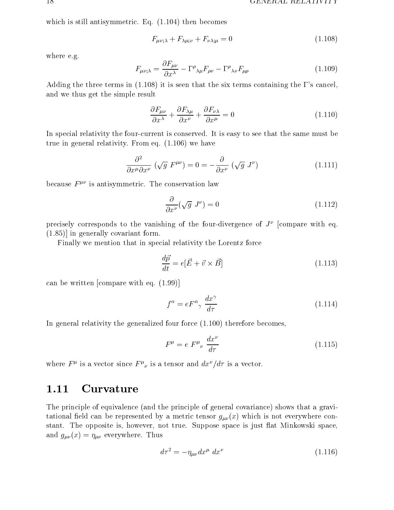<span id="page-21-0"></span>which is still antisymmetric. Eq.  $(1.104)$  then becomes

$$
F_{\mu\nu;\lambda} + F_{\lambda\mu;\nu} + F_{\nu\lambda;\mu} = 0 \tag{1.108}
$$

where e.g.

$$
F_{\mu\nu;\lambda} = \frac{\partial F_{\mu\nu}}{\partial x^{\lambda}} - \Gamma^{\rho}{}_{\lambda\mu} F_{\rho\nu} - \Gamma^{\rho}{}_{\lambda\nu} F_{\mu\rho} \tag{1.109}
$$

Adding the three terms in  $(1.108)$  it is seen that the six terms containing the  $\Gamma$ 's cancel. and we thus get the simple result

$$
\frac{\partial F_{\mu\nu}}{\partial x^{\lambda}} + \frac{\partial F_{\lambda\mu}}{\partial x^{\nu}} + \frac{\partial F_{\nu\lambda}}{\partial x^{\mu}} = 0
$$
\n(1.110)

In special relativity the four-current is conserved. It is easy to see that the same must be true in general relativity. From eq.  $(1.106)$  we have

$$
\frac{\partial^2}{\partial x^\mu \partial x^\nu} \left( \sqrt{g} \ F^{\mu \nu} \right) = 0 = -\frac{\partial}{\partial x^\nu} \left( \sqrt{g} \ J^\nu \right) \tag{1.111}
$$

because  $F^+$  is antisymmetric. The conservation law

$$
\frac{\partial}{\partial x^{\nu}}(\sqrt{g} J^{\nu}) = 0 \tag{1.112}
$$

precisely corresponds to the vanishing of the four
divergence of J- )compare with eq  $(1.85)$  in generally covariant form.

Finally we mention that in special relativity the Lorentz force

$$
\frac{d\vec{p}}{dt} = e[\vec{E} + \vec{v} \times \vec{B}] \tag{1.113}
$$

can be written  $[compare with eq. (1.99)]$ 

$$
f^{\alpha} = eF^{\alpha}{}_{\gamma} \frac{dx^{\gamma}}{d\tau}
$$
 (1.114)

In general relativity the generalized four force  $(1.100)$  therefore becomes,

$$
F^{\mu} = e F^{\mu}{}_{\nu} \frac{dx^{\nu}}{d\tau}
$$
 (1.115)

where  $F^r$  is a vector since  $F^r{}_v$  is a tensor and  $ax^-/ay$  is a vector.

#### 1.11 Curvature

The principle of equivalence (and the principle of general covariance) shows that a gravitational eld can be represented by a metric tensor g-represented by a metric tensor g-representation of  $\mathcal{U}$ stant. The opposite is, however, not true. Suppose space is just flat Minkowski space, and  $\alpha$  -very study and  $\alpha$  -very where  $\alpha$ 

$$
d\tau^2 = -\eta_{\mu\nu} dx^{\mu} dx^{\nu} \tag{1.116}
$$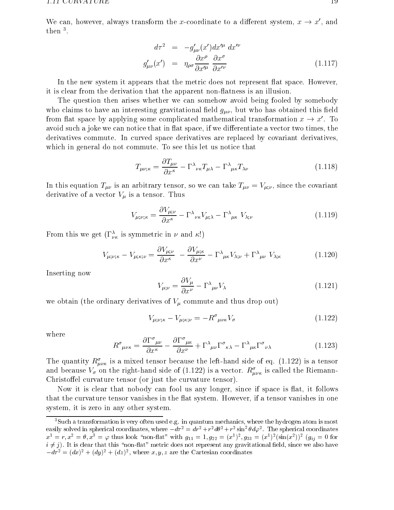We can, however, always transform the x-coordinate to a different system,  $x \to x'$ , and  $then<sup>3</sup>$ .

$$
d\tau^2 = -g'_{\mu\nu}(x')dx'^{\mu} dx'^{\nu}
$$
  

$$
g'_{\mu\nu}(x') = \eta_{\rho\sigma} \frac{\partial x^{\rho}}{\partial x'^{\mu}} \frac{\partial x^{\sigma}}{\partial x'^{\nu}}
$$
 (1.117)

In the new system it appears that the metric does not represent flat space. However, it is clear from the derivation that the apparent non-flatness is an illusion.

The question then arises whether we can somehow avoid being fooled by somebody who concern to have an interesting gravitation has glubber and this concern has obtained the complete this con from flat space by applying some complicated mathematical transformation  $x \to x'$ . To avoid such a joke we can notice that in flat space, if we differentiate a vector two times, the derivatives commute. In curved space derivatives are replaced by covariant derivatives, which in general do not commute. To see this let us notice that

$$
T_{\mu\nu;\kappa} = \frac{\partial T_{\mu\nu}}{\partial x^{\kappa}} - \Gamma^{\lambda}{}_{\nu\kappa} T_{\mu\lambda} - \Gamma^{\lambda}{}_{\mu\kappa} T_{\lambda\nu}
$$
\n(1.118)

 $\mathbf{u}$  is an arbitrary tensor we can take  $\mu$   $\mu$   $\mu$   $\mu$   $\mu$   $\mu$   $\mu$ derivative of a vector  $V_{\mu}$  is a tensor. Thus

$$
V_{\mu;\nu;\kappa} = \frac{\partial V_{\mu;\nu}}{\partial x^{\kappa}} - \Gamma^{\lambda}{}_{\nu\kappa} V_{\mu;\lambda} - \Gamma^{\lambda}{}_{\mu\kappa} V_{\lambda;\nu}
$$
(1.119)

From this we get  $(1\frac{v}{\nu\kappa})$  is symmetric in  $\nu$  and  $\kappa$ .

$$
V_{\mu;\nu;\kappa} - V_{\mu;\kappa;\nu} = \frac{\partial V_{\mu;\nu}}{\partial x^{\kappa}} - \frac{\partial V_{\mu;\kappa}}{\partial x^{\nu}} - \Gamma^{\lambda}{}_{\mu\kappa} V_{\lambda;\nu} + \Gamma^{\lambda}{}_{\mu\nu} V_{\lambda;\kappa}
$$
(1.120)

Inserting now

$$
V_{\mu;\nu} = \frac{\partial V_{\mu}}{\partial x^{\nu}} - \Gamma^{\lambda}{}_{\mu\nu} V_{\lambda}
$$
\n(1.121)

we obtain (the ordinary derivatives of  $V_\mu$  commute and thus drop out)

$$
V_{\mu;\nu;\kappa} - V_{\mu;\kappa;\nu} = -R^{\sigma}{}_{\mu\nu\kappa}V_{\sigma}
$$
\n(1.122)

where

$$
R^{\sigma}{}_{\mu\nu\kappa} = \frac{\partial \Gamma^{\sigma}{}_{\mu\nu}}{\partial x^{\kappa}} - \frac{\partial \Gamma^{\sigma}{}_{\mu\kappa}}{\partial x^{\nu}} + \Gamma^{\lambda}{}_{\mu\nu} \Gamma^{\sigma}{}_{\kappa\lambda} - \Gamma^{\lambda}{}_{\mu\kappa} \Gamma^{\sigma}{}_{\nu\lambda}
$$
(1.123)

The quantity  $R_{\mu\nu\kappa}$  is a mixed tensor because the left-hand side of eq. (1.122) is a tensor and because  $v_{\sigma}$  on the right-nand side of (1.122) is a vector.  $K_{\mu\nu\kappa}$  is called the Kiemann-Christoffel curvature tensor (or just the curvature tensor).

Now it is clear that nobody can fool us any longer, since if space is flat, it follows that the curvature tensor vanishes in the flat system. However, if a tensor vanishes in one system, it is zero in any other system.

 ${}^{3}$ Such a transformation is very often used e.g. in quantum mechanics, where the hydrogen atom is most easily solved in spherical coordinates, where  $- a \tau^* = a r^* + r^* a \theta^* + r^*$  sin-  $\theta a \varphi^*$ . The spherical coordinates  $x^2 = r, x^2 = \sigma, x^2 = \varphi$  thus look non-nat with  $g_{11} = 1, g_{22} = (x^2)^2, g_{33} = (x^2)^2(\sin(x^2))^2, g_{ij} = 0$  for i in it is clear that the metric does not represent any gravitation of the contract of the contract of the contract of the contract of the contract of the contract of the contract of the contract of the contract of the con  $- a \tau^* = (a x)^* + (a y)^* + (a z)^*$ , where  $x, y, z$  are the Cartesian coordinates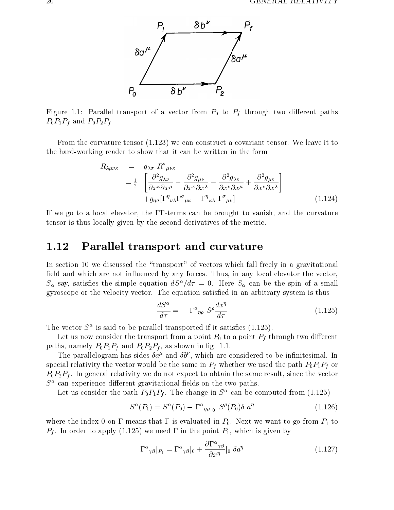

<span id="page-23-0"></span>Figure 1.1: Parallel transport of a vector from  $P_0$  to  $P_f$  through two different paths PPPf and PP-Pf

From the curvature tensor - we can construct a covariant tensor We leave it to the hard
working reader to show that it can be written in the form

$$
R_{\lambda\mu\nu\kappa} = g_{\lambda\sigma} R^{\sigma}{}_{\mu\nu\kappa}
$$
  
=  $\frac{1}{2} \left[ \frac{\partial^2 g_{\lambda\nu}}{\partial x^{\kappa} \partial x^{\mu}} - \frac{\partial^2 g_{\mu\nu}}{\partial x^{\kappa} \partial x^{\lambda}} - \frac{\partial^2 g_{\lambda\kappa}}{\partial x^{\nu} \partial x^{\mu}} + \frac{\partial^2 g_{\mu\kappa}}{\partial x^{\nu} \partial x^{\lambda}} \right]$   
+  $g_{\eta\sigma} [\Gamma^{\eta}{}_{\nu\lambda} \Gamma^{\sigma}{}_{\mu\kappa} - \Gamma^{\eta}{}_{\kappa\lambda} \Gamma^{\sigma}{}_{\mu\nu}]$  (1.124)

If we go to a local elevator, the  $\Gamma$ -terms can be brought to vanish, and the curvature tensor is thus locally given by the second derivatives of the metric

#### 1.12 Parallel transport and curvature

In section 10 we discussed the "transport" of vectors which fall freely in a gravitational eld and which are not investor that  $\alpha$  in any local electron in any local electron the vector the vector the vector the vector the vector the vector the vector the vector the vector the vector the vector the vector the  $S_{\alpha}$  say, satisfies the simple equation  $aS^{\alpha}/a\gamma = 0$ . Here  $S_{\alpha}$  can be the spin of a small gyroscope or the velocity vector. The equation satisfies are easy the equation satisfies in an arbitrary system

$$
\frac{dS^{\alpha}}{d\tau} = -\Gamma^{\alpha}{}_{\eta\rho} S^{\rho} \frac{dx^{\eta}}{d\tau}
$$
\n(1.125)

The vector  $S$  is said to be parallel transported if it satisfies  $(1.120)$ .

Let us now consider the transport from a point  $P_0$  to a point  $P_f$  through two different paths and produced by  $\rho = 0$  -  $\rho = 1$  , and we have  $\rho = 0$  and  $\rho = 0$  and  $\rho = 0$  . In the shown in  $\rho = 0$ 

The parallelogram has sides  $\delta a^{\mu}$  and  $\delta b^{\nu}$ , which are considered to be infinitesimal. In special relativity the vector would be the same in  $P_f$  whether we used the path  $P_0P_1P_f$  or PP-Pf In general relativity we do not expect to obtain the same result since the vector  $S$  – can experience different gravitational fields on the two paths.

Let us consider the path  $F_0F_1F_f$ . The change in  $S^{\sim}$  can be computed from (1.125)

$$
S^{\alpha}(P_1) = S^{\alpha}(P_0) - \Gamma^{\alpha}_{\eta\rho}|_0 \ S^{\rho}(P_0) \delta \ a^{\eta} \qquad (1.126)
$$

where the index 0 on  $\Gamma$  means that  $\Gamma$  is evaluated in  $P_0$ . Next we want to go from  $P_1$  to  $\mathbf{P}_1$  in the point  $\mathbf{P}_2$  is given by a point P  $\mathbf{P}_2$  is given by a point P  $\mathbf{P}_3$ 

$$
\Gamma^{\alpha}{}_{\gamma\beta}|_{P_1} = \Gamma^{\alpha}{}_{\gamma\beta}|_0 + \frac{\partial \Gamma^{\alpha}{}_{\gamma\beta}}{\partial x^{\eta}}|_0 \delta a^{\eta}
$$
\n(1.127)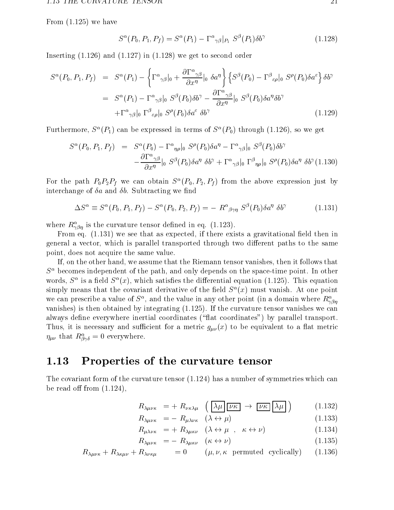<span id="page-24-0"></span> $\mathbf{F}$  and  $\mathbf{F}$  are the set of the set of the set of the set of the set of the set of the set of the set of the set of the set of the set of the set of the set of the set of the set of the set of the set of the set

$$
S^{\alpha}(P_0, P_1, P_f) = S^{\alpha}(P_1) - \Gamma^{\alpha}{}_{\gamma\beta}|_{P_1} S^{\beta}(P_1) \delta b^{\gamma}
$$
\n(1.128)

 $\mathbf{I}$  in and  $\mathbf{I}$  in and  $\mathbf{I}$  in and  $\mathbf{I}$  in and  $\mathbf{I}$  in and  $\mathbf{I}$  in and  $\mathbf{I}$  in and  $\mathbf{I}$  in and  $\mathbf{I}$  in and  $\mathbf{I}$  in and  $\mathbf{I}$  in and  $\mathbf{I}$  in and  $\mathbf{I}$  in and  $\mathbf{I}$  in a

$$
S^{\alpha}(P_0, P_1, P_f) = S^{\alpha}(P_1) - \left\{ \Gamma^{\alpha}{}_{\gamma\beta}|_0 + \frac{\partial \Gamma^{\alpha}{}_{\gamma\beta}}{\partial x^{\eta}}|_0 \delta a^{\eta} \right\} \left\{ S^{\beta}(P_0) - \Gamma^{\beta}{}_{\varepsilon\rho}|_0 S^{\rho}(P_0) \delta a^{\varepsilon} \right\} \delta b^{\gamma}
$$
  

$$
= S^{\alpha}(P_1) - \Gamma^{\alpha}{}_{\gamma\beta}|_0 S^{\beta}(P_0) \delta b^{\gamma} - \frac{\partial \Gamma^{\alpha}{}_{\gamma\beta}}{\partial x^{\eta}}|_0 S^{\beta}(P_0) \delta a^{\eta} \delta b^{\gamma}
$$
  

$$
+ \Gamma^{\alpha}{}_{\gamma\beta}|_0 \Gamma^{\beta}{}_{\varepsilon\rho}|_0 S^{\rho}(P_0) \delta a^{\varepsilon} \delta b^{\gamma}
$$
(1.129)

rurthermore,  $S_-(F_1)$  can be expressed in terms of  $S_-(F_0)$  through (1.120), so we get

$$
S^{\alpha}(P_0, P_1, P_f) = S^{\alpha}(P_0) - \Gamma^{\alpha}{}_{\eta\rho}|_{0} S^{\rho}(P_0)\delta a^{\eta} - \Gamma^{\alpha}{}_{\gamma\beta}|_{0} S^{\beta}(P_0)\delta b^{\gamma}
$$

$$
- \frac{\partial \Gamma^{\alpha}{}_{\gamma\beta}}{\partial x^{\eta}}|_{0} S^{\beta}(P_0)\delta a^{\eta} \delta b^{\gamma} + \Gamma^{\alpha}{}_{\gamma\beta}|_{0} \Gamma^{\beta}{}_{\eta\rho}|_{0} S^{\rho}(P_0)\delta a^{\eta} \delta b^{\gamma}(1.130)
$$

For the path  $F_0F_2F_f$  we can obtain  $S^-(F_0,F_2,F_f)$  from the above expression just by interchange of a subtraction of  $\mathcal{L}$  and  $\mathcal{L}$  and  $\mathcal{L}$  and  $\mathcal{L}$  and  $\mathcal{L}$  and  $\mathcal{L}$  and  $\mathcal{L}$  are  $\mathcal{L}$  and  $\mathcal{L}$  and  $\mathcal{L}$  and  $\mathcal{L}$  and  $\mathcal{L}$  and  $\mathcal{L}$  are  $\mathcal{L}$  and  $\mathcal{L}$ 

$$
\Delta S^{\alpha} \equiv S^{\alpha}(P_0, P_1, P_f) - S^{\alpha}(P_0, P_2, P_f) = -R^{\alpha}{}_{\beta\gamma\eta} S^{\beta}(P_0) \delta a^{\eta} \delta b^{\gamma}
$$
(1.131)

where  $n_{\gamma\beta n}$  is the curvature tensor defined in eq. (1.125).

From eq  we see that as expected if there exists a gravitational eld then in general a vector, which is parallel transported through two different paths to the same point, does not acquire the same value.

If, on the other hand, we assume that the Riemann tensor vanishes, then it follows that  $S^{\alpha}$  becomes independent of the path, and only depends on the space-time point. In other words,  $\beta$  is a neid  $\beta$  (x), which satisfies the differential equation (1.125). This equation simply means that the covariant derivative of the held  $S^-(x)$  must vanish. At one point we can prescribe a value of  $S$  , and the value in any other point tin a domain where  $R_{\omega}$  and  $\overline{\phantom{a}}$  $\alpha$  is the curvature obtained by integrating (  $\alpha$  ) is the curvature tensor vanishes we can be computed with  $\alpha$ always december in the process decoration of the extension of the coordinates of parallel transporters. Thus it is necessary and support for a metric g-definition for a metric g-definition  $\mathcal{S}$  $\eta_{\mu\nu}$  that  $\mathbf{\Lambda}_{\widetilde{\beta}\gamma\delta}=\mathbf{0}$  everywhere.

#### 1.13 Properties of the curvature tensor

the covariant form of the curvature tensor  $\{ \pm i \pm \pm j \}$  and it symmetries which can number  $\pm i$  $\mathbf{b}$  read of from - from - from - from - from - from - from - from - from - from - from - from - from - from - from - from - from - from - from - from - from - from - from - from - from - from - from - from - from - f

$$
R_{\lambda\mu\nu\kappa} = + R_{\nu\kappa\lambda\mu} \left( \overline{\lambda\mu} \overline{\nu\kappa} \rightarrow \overline{\nu\kappa} \overline{\lambda\mu} \right) \qquad (1.132)
$$

$$
R_{\lambda\mu\nu\kappa} = -R_{\mu\lambda\nu\kappa} \quad (\lambda \leftrightarrow \mu) \tag{1.133}
$$

$$
R_{\mu\lambda\nu\kappa} = + R_{\lambda\mu\kappa\nu} \quad (\lambda \leftrightarrow \mu \quad , \quad \kappa \leftrightarrow \nu) \tag{1.134}
$$

$$
R_{\lambda\mu\nu\kappa} = -R_{\lambda\mu\kappa\nu} \quad (\kappa \leftrightarrow \nu) \tag{1.135}
$$

$$
R_{\lambda\mu\nu\kappa} + R_{\lambda\kappa\mu\nu} + R_{\lambda\nu\kappa\mu} = 0 \qquad (\mu, \nu, \kappa \text{ permuted cyclically}) \qquad (1.136)
$$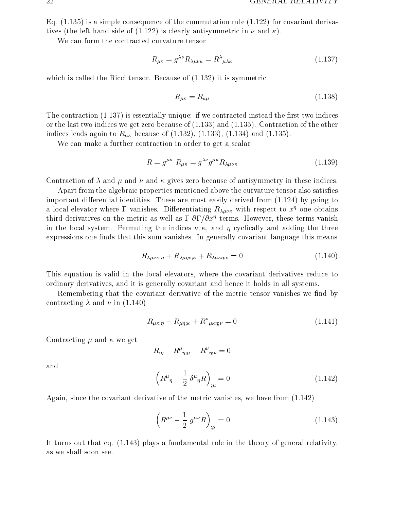Eq  is a simple consequence of the commutation rule -- for covariant deriva tives the left hand side of  $\mathcal{N}$  -defined by  $\mathcal{N}$  -defined by  $\mathcal{N}$ 

We can form the contracted curvature tensor

$$
R_{\mu\kappa} = g^{\lambda\nu} R_{\lambda\mu\nu\kappa} = R^{\lambda}{}_{\mu\lambda\kappa} \tag{1.137}
$$

which is called the Ricci tensor Because of  $\mathcal{S}$  -mass  $\mathcal{S}$  -mass  $\mathcal{S}$  -mass  $\mathcal{S}$  -mass  $\mathcal{S}$ 

$$
R_{\mu\kappa} = R_{\kappa\mu} \tag{1.138}
$$

The contraction is essentially unique if we contracted instead the contracted instead the contracted instead to or the last two indices we get zero because of  $(1.133)$  and  $(1.135)$ . Contraction of the other indices and all the settlements of (first f); (first f); (first f) and (first f);

We can make a further contraction in order to get a scalar

$$
R = g^{\mu\kappa} R_{\mu\kappa} = g^{\lambda\nu} g^{\mu\kappa} R_{\lambda\mu\nu\kappa} \tag{1.139}
$$

Contraction of  $\lambda$  and  $\mu$  and  $\nu$  and  $\kappa$  gives zero because of antisymmetry in these indices.

Apart from the algebraic properties mentioned above the curvature tensor also satis es important dierential identities These are most easily derived from - by going to a local elevator where I vanishes. Differentiating  $R_{\lambda\mu\nu\kappa}$  with respect to  $x^\tau$  one obtains third derivatives on the metric as well as 1  $[OL/OT']$ -terms. However, these terms vanish in the local system. Permuting the indices  $\nu, \kappa$ , and  $\eta$  cyclically and adding the three expressions one nds that this sum vanishesIn generally covariant language this means

$$
R_{\lambda\mu\nu\kappa;\eta} + R_{\lambda\mu\eta\nu;\kappa} + R_{\lambda\mu\kappa\eta;\nu} = 0 \tag{1.140}
$$

This equation is valid in the local elevators, where the covariant derivatives reduce to ordinary derivatives, and it is generally covariant and hence it holds in all systems.

Remembering that the covariant derivative of the metric tensor vanishes we nd by contracting  $\lambda$  and  $\nu$  in (1.140)

$$
R_{\mu\kappa;\eta} - R_{\mu\eta;\kappa} + R^{\nu}{}_{\mu\kappa\eta;\nu} = 0 \tag{1.141}
$$

Contracting  $\mu$  and  $\kappa$  we get

$$
R_{;\eta} - R^{\mu}{}_{\eta;\mu} - R^{\nu}{}_{\eta;\nu} = 0
$$

and

$$
\left(R^{\mu}_{\ \eta} - \frac{1}{2} \delta^{\mu}_{\ \eta} R\right)_{;\mu} = 0\tag{1.142}
$$

Again since the covariant derivative of the metric vanishes  $\mathbf x$  we have from  $\mathbf x$ 

$$
\left(R^{\mu\nu} - \frac{1}{2} g^{\mu\nu} R\right)_{;\mu} = 0 \tag{1.143}
$$

It turns out that eq.  $(1.143)$  plays a fundamental role in the theory of general relativity, as we shall soon see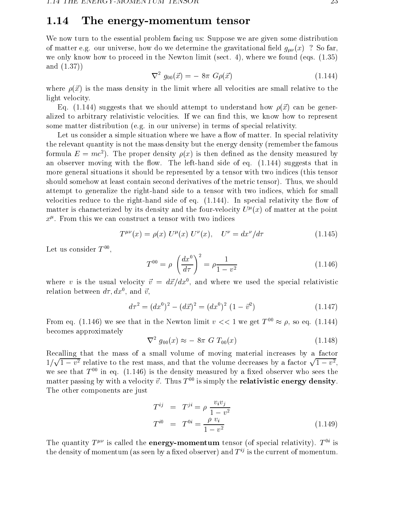#### <span id="page-26-0"></span>1.14 The energy-momentum tensor

We now turn to the essential problem facing us: Suppose we are given some distribution of matter eg our universe how do we determine the gravitational eld g- <sup>x</sup> So far we only know how to proceed in the Newton limit (sect. 4), where we found (eqs.  $(1.35)$ ) and  $(1.37)$ 

$$
\nabla^2 g_{00}(\vec{x}) = -8\pi G\rho(\vec{x})
$$
\n(1.144)

where  $\rho(\vec{x})$  is the mass density in the limit where all velocities are small relative to the light velocity

Eq. (1.144) suggests that we should attempt to understand how  $\rho(\vec{x})$  can be generalized to arbitrary relativistic velocities If we can expect the can be called the can be called the can be ca some matter distribution (e.g. in our universe) in terms of special relativity.

Let us consider a simple situation where we have a flow of matter. In special relativity the relevant quantity is not the mass density but the energy density (remember the famous formula  $E = mc$  ). The proper density  $\rho(x)$  is then defined as the density measured by an observer moving with the flow. The left-hand side of eq.  $(1.144)$  suggests that in more general situations it should be represented by a tensor with two indices (this tensor should somehow at least contain second derivatives of the metric tensor). Thus, we should attempt to generalize the right-hand side to a tensor with two indices, which for small velocities reduce to the right-hand side of eq.  $(1.144)$ . In special relativity the flow of matter is characterized by its density and the four-velocity  $U^r(x)$  of matter at the point  $x<sup>r</sup>$ . From this we can construct a tensor with two indices

$$
T^{\mu\nu}(x) = \rho(x) U^{\mu}(x) U^{\nu}(x), \quad U^{\nu} = dx^{\nu}/d\tau
$$
 (1.145)

Let us consider  $I^{\sim}$ ,

$$
T^{00} = \rho \left(\frac{dx^0}{d\tau}\right)^2 = \rho \frac{1}{1 - v^2} \tag{1.146}
$$

where v is the usual velocity  $v = ax/ax$ , and where we used the special relativistic relation between  $a\tau,ax$  , and  $v,$ 

$$
d\tau^2 = (dx^0)^2 - (d\vec{x})^2 = (dx^0)^2 (1 - \vec{v}^2)
$$
\n(1.147)

From eq. (1.146) we see that in the Newton limit  $v \ll 1$  we get  $T^{00} \approx \rho$ , so eq. (1.144) becomes approximately

$$
\nabla^2 g_{00}(x) \approx -8\pi G T_{00}(x) \tag{1.148}
$$

Recalling that the mass of a small volume of moving material increases by a factor  $1/\sqrt{1-v^2}$  relative to the rest mass, and that the volume decreases by a factor  $\sqrt{1-v^2}$ , we see that  $I$  in eq. (1.140) is the density measured by a lixed observer who sees the  $\,$ matter passing by with a velocity  $\vec{v}$ . Thus  $T^{00}$  is simply the **relativistic energy density**. The other components are just

$$
T^{ij} = T^{ji} = \rho \frac{v_i v_j}{1 - v^2}
$$
  

$$
T^{i0} = T^{0i} = \frac{\rho v_i}{1 - v^2}
$$
 (1.149)

The quantity  $T^+$  is called the **energy-momentum** tensor (of special relativity).  $T^+$  is the density of momentum (as seen by a fixed observer) and  $T \gamma$  is the current of momentum.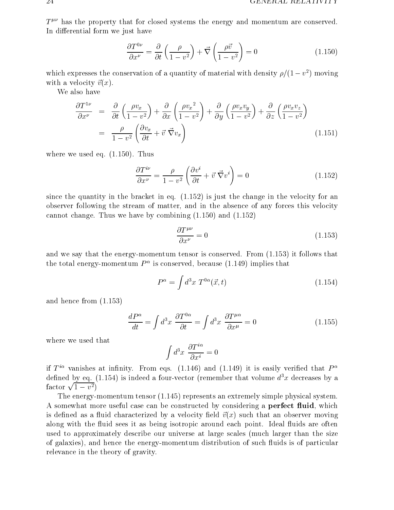$T^{\tau-}$  has the property that for closed systems the energy and momentum are conserved. In differential form we just have

$$
\frac{\partial T^{0\nu}}{\partial x^{\nu}} = \frac{\partial}{\partial t} \left( \frac{\rho}{1 - v^2} \right) + \vec{\nabla} \left( \frac{\rho \vec{v}}{1 - v^2} \right) = 0 \tag{1.150}
$$

which expresses the conservation of a quantity of material with density  $\rho/(1-v)$  moving with a velocity  $\vec{v}(x)$ .

We also have

$$
\frac{\partial T^{1\nu}}{\partial x^{\nu}} = \frac{\partial}{\partial t} \left( \frac{\rho v_x}{1 - v^2} \right) + \frac{\partial}{\partial x} \left( \frac{\rho v_x^2}{1 - v^2} \right) + \frac{\partial}{\partial y} \left( \frac{\rho v_x v_y}{1 - v^2} \right) + \frac{\partial}{\partial z} \left( \frac{\rho v_x v_z}{1 - v^2} \right)
$$
\n
$$
= \frac{\rho}{1 - v^2} \left( \frac{\partial v_x}{\partial t} + \vec{v} \ \vec{\nabla} v_x \right) \tag{1.151}
$$

where we used eq.  $(1.150)$ . Thus

$$
\frac{\partial T^{i\nu}}{\partial x^{\nu}} = \frac{\rho}{1 - v^2} \left( \frac{\partial v^i}{\partial t} + \vec{v} \ \vec{\nabla} v^i \right) = 0 \tag{1.152}
$$

since the bracket in the bracket in the bracket in the velocity for an equal of  $\alpha$ observer following the stream of matter, and in the absence of any forces this velocity can compare Thus we have by combining (Thus ) where  $\alpha$ 

$$
\frac{\partial T^{\mu\nu}}{\partial x^{\nu}} = 0 \tag{1.153}
$$

and we say that the energy-momentum tensor is conserved. From  $(1.153)$  it follows that the total energy-momentum  $F$  is conserved, because (1.149) implies that

$$
P^{\alpha} = \int d^3x \ T^{0\alpha}(\vec{x}, t) \tag{1.154}
$$

and hence from  $(1.153)$ 

$$
\frac{dP^{\alpha}}{dt} = \int d^{3}x \; \frac{\partial T^{0\alpha}}{\partial t} = \int d^{3}x \; \frac{\partial T^{\mu\alpha}}{\partial x^{\mu}} = 0 \tag{1.155}
$$

where we used that

$$
\int d^3x \; \frac{\partial T^{i\alpha}}{\partial x^i} = 0
$$

 $\scriptstyle\rm II~\ I$  - vanishes at infinity. From eqs. (1.140) and (1.149) it is easily verified that  $\scriptstyle\rm F$ defined by eq. (1.154) is indeed a four-vector (remember that volume  $a \; x$  decreases by a factor  $\sqrt{1-v^2}$  $\mathbf{r}$  and  $\mathbf{r}$  and  $\mathbf{r}$  and  $\mathbf{r}$  and  $\mathbf{r}$ 

The energy-momentum tensor (1.145) represents an extremely simple physical system. A somewhat more useful case can be constructed by considering a **perfect fluid**, which is de ned as a uid characterized by a velocity eld vx such that an observer moving along with the fluid sees it as being isotropic around each point. Ideal fluids are often used to approximately describe our universe at large scales (much larger than the size of galaxies), and hence the energy-momentum distribution of such fluids is of particular relevance in the theory of gravity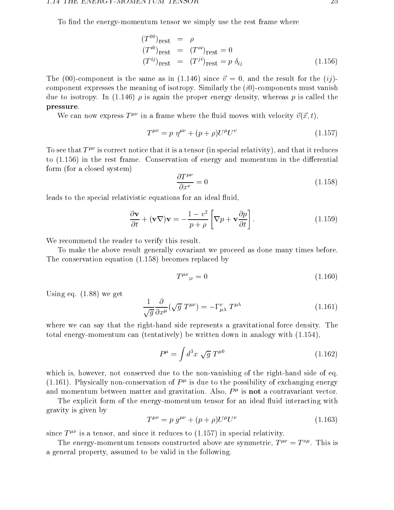To nd the energy
momentum tensor we simply use the rest frame where

$$
(T^{00})rest = \rho
$$
  
\n
$$
(T^{i0})rest = (T^{oi})rest = 0
$$
  
\n
$$
(T^{ij})rest = (T^{ji})rest = p \delta_{ij}
$$
 (1.156)

The (00)-component is the same as in (1.146) since  $\vec{v} = 0$ , and the result for the  $(ij)$ component expresses the meaning of isotropy. Similarly the  $(i0)$ -components must vanish due to isotropy. In (1.146)  $\rho$  is again the proper energy density, whereas p is called the pressure

We can now express  $T^+$  in a frame where the nuid moves with velocity  $v(x, t)$ ,

$$
T^{\mu\nu} = p \ \eta^{\mu\nu} + (p+\rho) U^{\mu} U^{\nu} \tag{1.157}
$$

To see that  $T^*$  is correct notice that it is a tensor (in special relativity), and that it reduces to  $(1.156)$  in the rest frame. Conservation of energy and momentum in the differential form (for a closed system)

$$
\frac{\partial T^{\mu\nu}}{\partial x^{\nu}} = 0 \tag{1.158}
$$

leads to the special relativistic equations for an ideal fluid,

$$
\frac{\partial \mathbf{v}}{\partial t} + (\mathbf{v} \nabla) \mathbf{v} = -\frac{1 - v^2}{p + \rho} \left[ \nabla p + \mathbf{v} \frac{\partial p}{\partial t} \right]. \tag{1.159}
$$

We recommend the reader to verify this result.

To make the above result generally covariant we proceed as done many times before The conservation equation  $(1.158)$  becomes replaced by

$$
T^{\mu\nu}{}_{;\nu} = 0 \tag{1.160}
$$

Using eq.  $(1.88)$  we get

$$
\frac{1}{\sqrt{g}} \frac{\partial}{\partial x^{\mu}} (\sqrt{g} T^{\mu \nu}) = -\Gamma^{\nu}_{\mu \lambda} T^{\mu \lambda}
$$
 (1.161)

where we can say that the right-hand side represents a gravitational force density. The total energy-momentum can (tentatively) be written down in analogy with  $(1.154)$ ,

$$
P^{\mu} = \int d^3x \sqrt{g} \ T^{\mu 0} \tag{1.162}
$$

which is, however, not conserved due to the non-vanishing of the right-hand side of eq. (1.101). Physically non-conservation of  $P^{\mu}$  is due to the possibility of exchanging energy and momentum between matter and gravitation. Also,  $P^{\tau}$  is **not** a contravariant vector.

The explicit form of the energy-momentum tensor for an ideal fluid interacting with gravity is given by

$$
T^{\mu\nu} = p \, g^{\mu\nu} + (p+\rho) U^{\mu} U^{\nu} \tag{1.163}
$$

since  $T^*$  is a tensor, and since it reduces to  $(1.157)$  in special relativity.

The energy-momentum tensors constructed above are symmetric,  $T^{\prime} = T^{\prime}$ . This is a general property, assumed to be valid in the following.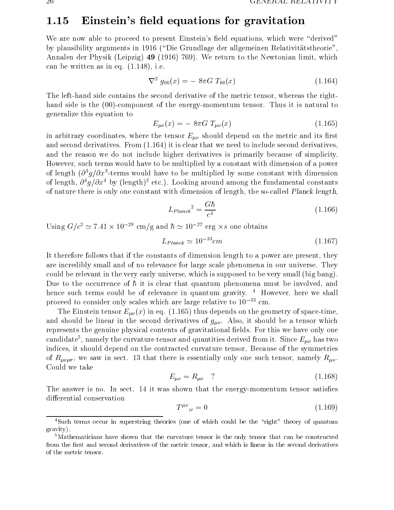#### <span id="page-29-0"></span>1.15 Einstein's field equations for gravitation

We are now able to proceed to present Einsteins eld equations which were derived by plausibility arguments in 1916 ("Die Grundlage der allgemeinen Relativitätstheorie", Annalen der Physik (Leipzig)  $49$  (1916) 769). We return to the Newtonian limit, which can be written as in eq.  $(1.148)$ , i.e.

$$
\nabla^2 g_{00}(x) = -8\pi G T_{00}(x) \tag{1.164}
$$

The left-hand side contains the second derivative of the metric tensor, whereas the righthand side is the  $(00)$ -component of the energy-momentum tensor. Thus it is natural to generalize this equation to

$$
E_{\mu\nu}(x) = -8\pi G \ T_{\mu\nu}(x) \tag{1.165}
$$

in arbitrary contrary contrary contrary  $\mathfrak{m}$ and second derivatives. From  $(1.164)$  it is clear that we need to include second derivatives. and the reason we do not include higher derivatives is primarily because of simplicity However, such terms would have to be multiplied by a constant with dimension of a power of length  $\sigma$   $q/\sigma x$  -terms would have to be multiplied by some constant with dimension of length,  $\sigma$   $q/\sigma x$  -by (length) -etc.). Looking around among the fundamental constants of nature there is only one constant with dimension of length, the so-called Planck length.

$$
L_{Planck}^2 = \frac{G\hbar}{c^3} \tag{1.166}
$$

Using  $G/c^2 \simeq 7.41 \times 10^{-23}$  cm/g and  $h \simeq 10^{-24}$  erg  $\times s$  one obtains

$$
L_{Planck} \simeq 10^{-33} cm \tag{1.167}
$$

It therefore follows that if the constants of dimension length to a power are present, they are incredibly small and of no relevance for large scale phenomena in our universe. They could be relevant in the very early universe, which is supposed to be very small  $(\text{big bang})$ . Due to the occurrence of  $\hbar$  it is clear that quantum phenomena must be involved, and hence such terms could be of relevance in quantum gravity.  $\frac{4}{3}$  However, here we shall proceed to consider only scales which are large relative to  $10^{-11}$  cm.

The Einstein tensor E-W/W in the given the group of space on the control of the geometry of space of the geometry and showled be the second derivatives of graduate  $\mathcal{L}$ represents the genuine physical contents of gravitational elds For this we have only one candidate , namely the curvature tensor and quantities derived from it. Since  $E_{\mu\nu}$  has two indices, it should depend on the contracted curvature tensor. Because of the symmetries  $\dot{\theta}$  insect that there is essentially one such that there is essentially one such tensor namely  $\dot{\theta}$  are namely  $\dot{\theta}$ Could we take

$$
E_{\mu\nu} = R_{\mu\nu} \quad ? \tag{1.168}
$$

The answer is no In sect it was shown that the energy
momentum tensor satis es differential conservation

$$
T^{\mu\nu}{}_{;\nu} = 0 \tag{1.169}
$$

<sup>-</sup>Such terms occur in superstring theories (one of which could be the  $\,$  right  $\,$  theory of quantum  $\,$ gravity

Mathematicians have shown that the curvature tensor is the only tensor that can be constructed from the first and second derivatives of the metric tensor, and which is linear in the second derivatives of the metric tensor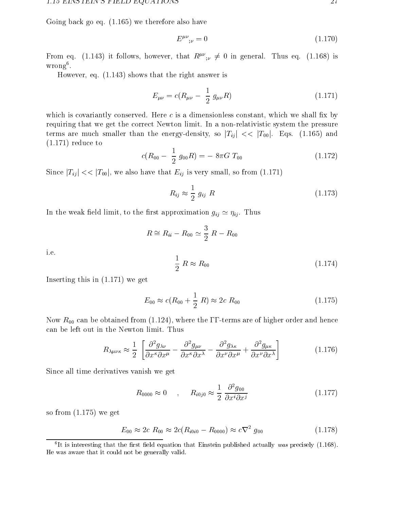Going back go eq.  $(1.165)$  we therefore also have

$$
E^{\mu\nu}{}_{;\nu} = 0 \tag{1.170}
$$

From eq. (1.143) it follows, however, that  $R^{\mu\nu}{}_{;\nu}\,\neq\,0$  in general. Thus eq. (1.168) is wrong

However, eq.  $(1.143)$  shows that the right answer is

$$
E_{\mu\nu} = c(R_{\mu\nu} - \frac{1}{2} g_{\mu\nu} R) \tag{1.171}
$$

which is covariantly conserved Here c is a dimensionless constant  $\mathbf{I}$ requiring that we get the correct Newton limit. In a non-relativistic system the pressure terms are much smaller than the energy-density, so  $|T_{ij}| \ll |T_{00}|$ . Eqs. (1.165) and  $(1.171)$  reduce to

$$
c(R_{00} - \frac{1}{2} g_{00} R) = -8\pi G T_{00}
$$
 (1.172)

Since  $|T_{ij}| \ll |T_{00}|$ , we also have that  $E_{ij}$  is very small, so from (1.171)

$$
R_{ij} \approx \frac{1}{2} g_{ij} R \tag{1.173}
$$

In the weak field limit, to the first approximation  $g_{ij} \simeq \eta_{ij}$ . Thus

$$
R \cong R_{ii} - R_{00} \simeq \frac{3}{2} R - R_{00}
$$
\n
$$
\frac{1}{2} R \approx R_{00}
$$
\n(1.174)

Inserting this in  $(1.171)$  we get

i.e.

$$
E_{00} \approx c(R_{00} + \frac{1}{2} R) \approx 2c R_{00}
$$
 (1.175)

where the can be obtained from an are  $\lambda$  in the of the can be are of the called from the state of the state of the state of the state of the state of the state of the state of the state of the state of the state of the s can be left out in the Newton limit. Thus

$$
R_{\lambda\mu\nu\kappa} \approx \frac{1}{2} \left[ \frac{\partial^2 g_{\lambda\nu}}{\partial x^\kappa \partial x^\mu} - \frac{\partial^2 g_{\mu\nu}}{\partial x^\kappa \partial x^\lambda} - \frac{\partial^2 g_{\lambda\kappa}}{\partial x^\nu \partial x^\mu} + \frac{\partial^2 g_{\mu\kappa}}{\partial x^\nu \partial x^\lambda} \right] \tag{1.176}
$$

Since all time derivatives vanish we get

$$
R_{0000} \approx 0 \quad , \quad R_{i0j0} \approx \frac{1}{2} \frac{\partial^2 g_{00}}{\partial x^i \partial x^j} \tag{1.177}
$$

so from  $(1.175)$  we get

$$
E_{00} \approx 2c \ R_{00} \approx 2c(R_{i0i0} - R_{0000}) \approx c \nabla^2 \ g_{00}
$$
 (1.178)

It is interesting that the first field equation that Einstein published actually was precisely  $(1.108)$ . He was aware that it could not be generally valid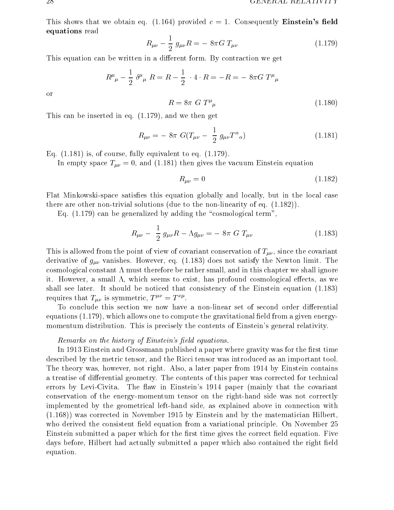This shows that we obtain eq. (1.164) provided  $c = 1$ . Consequently **Einstein's field** equations read

$$
R_{\mu\nu} - \frac{1}{2} g_{\mu\nu} R = - 8\pi G T_{\mu\nu} \tag{1.179}
$$

This equation can be written in a different form. By contraction we get

$$
R^{\mu}{}_{\mu} - \frac{1}{2} \delta^{\mu}{}_{\mu} R = R - \frac{1}{2} \cdot 4 \cdot R = -R = - 8\pi G T^{\mu}{}_{\mu}
$$

or

$$
R = 8\pi G T^{\mu}{}_{\mu} \tag{1.180}
$$

This can be inserted in eq.  $(1.179)$ , and we then get

$$
R_{\mu\nu} = -8\pi \ G(T_{\mu\nu} - \frac{1}{2} \ g_{\mu\nu} T^{\alpha}{}_{\alpha}) \tag{1.181}
$$

Eq.  $(1.181)$  is, of course, fully equivalent to eq.  $(1.179)$ .

In example, the vacuum Einstein equation is a space that the vacuum Einstein equation is a space of  $\alpha$ 

$$
R_{\mu\nu} = 0 \tag{1.182}
$$

Flat Minkowski
space satis es this equation globally and locally but in the local case there are others due to the non-trivial solutions are the non-trivial solutions of eq. (  $\pm$  ,  $\pm$  ,  $\pm$ 

Eq.  $(1.179)$  can be generalized by adding the "cosmological term",

$$
R_{\mu\nu} - \frac{1}{2} g_{\mu\nu} R - \Lambda g_{\mu\nu} = - 8\pi G T_{\mu\nu}
$$
 (1.183)

This is allowed from the point of view of covariant conservation of T-HD ( ) where the covariant  $\sim$  $\Omega$  define the Newton limit The Newton limit Theorem is a satisfy the Newton limit Theorem is a satisfy the Newton limit Theorem is a set of  $\Omega$ cosmological constant  $\Lambda$  must therefore be rather small, and in this chapter we shall ignore it. However, a small  $\Lambda$ , which seems to exist, has profound cosmological effects, as we shall see later. It should be noticed that consistency of the Einstein equation  $(1.183)$ requires that  $T_{\mu\nu}$  is symmetric,  $T^{\mu\nu} \equiv T^{\mu\nu}$ .

To conclude this section we now have a non-linear set of second order differential  $\mathcal{E}$  which allows one to compute the gravitations on the gravitation  $\mathcal{E}$ momentum distribution. This is precisely the contents of Einstein's general relativity.

### remarks on the history of Einstein States and the history of Einstein States and the history of Einstein States

In Einstein and Grossmann published a paper where gravity was for the rst time described by the metric tensor, and the Ricci tensor was introduced as an important tool. The theory was, however, not right. Also, a later paper from 1914 by Einstein contains a treatise of differential geometry. The contents of this paper was corrected for technical errors by Levi-Civita. The flaw in Einstein's 1914 paper (mainly that the covariant conservation of the energy
momentum tensor on the right
hand side was not correctly implemented by the geometrical left-hand side, as explained above in connection with  $(1.168)$ ) was corrected in November 1915 by Einstein and by the matematician Hilbert, who derived the construction from a variation from a variation from a variation  $\mu$  and  $\mu$  and  $\mu$  and  $\mu$  and  $\mu$ Einstein submitted a paper which for the rst time gives the correct eld equation Five days before it contains the submitted and actually submitted as paper which also contained the right contains equation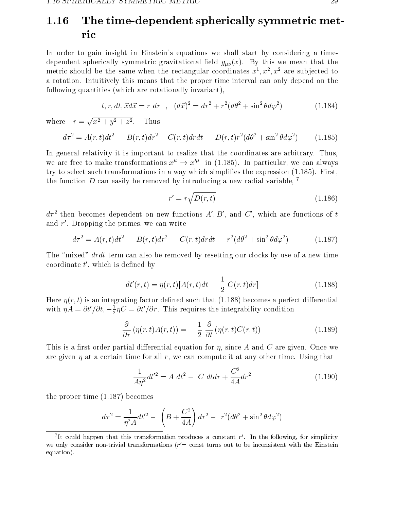### <span id="page-32-0"></span>1.16 The time-dependent spherically symmetric metric

In order to gain insight in Einstein's equations we shall start by considering a time- $\mathbf{E}$  is the spherically symmetric gravitation  $\mathbf{E}$  and the mean that the mean that the mean that the mean that the mean that the mean that the mean that the mean that the mean that the mean that the mean that the metric should be the same when the rectangular coordinates  $x^+, x^-, x^-$  are subjected to a rotation. Intuitively this means that the proper time interval can only depend on the following quantities (which are rotationally invariant).

$$
t, r, dt, \vec{x}d\vec{x} = r dr , (d\vec{x})^2 = dr^2 + r^2(d\theta^2 + \sin^2\theta d\varphi^2)
$$
 (1.184)

where  $r = \sqrt{x^2 + y^2 + z^2}$ . Thus Thus

$$
d\tau^{2} = A(r,t)dt^{2} - B(r,t)dr^{2} - C(r,t)drdt - D(r,t)r^{2}(d\theta^{2} + \sin^{2}\theta d\varphi^{2})
$$
 (1.185)

In general relativity it is important to realize that the coordinates are arbitrary. Thus, we are free to make transformations  $x^{\mu} \to x'^{\mu}$  in (1.185). In particular, we can always try to select such transformations in a way which simplified the expression  $\mathcal{F}_1$  and  $\mathcal{F}_2$ the function D can easily be removed by introducing a new radial variable,  $^7$ 

$$
r' = r\sqrt{D(r, t)}\tag{1.186}
$$

 $a\tau$  then becomes dependent on new functions  $A$  ,  $D$  , and  $C$  , which are functions of  $t$ and  $r$  . Dropping the primes, we can write

$$
d\tau^{2} = A(r,t)dt^{2} - B(r,t)dr^{2} - C(r,t)drdt - r^{2}(d\theta^{2} + \sin^{2}\theta d\varphi^{2})
$$
 (1.187)

The "mixed"  $drdt$ -term can also be removed by resetting our clocks by use of a new time coordinate  $\iota$  , which is defined by

$$
dt'(r,t) = \eta(r,t)[A(r,t)dt - \frac{1}{2}C(r,t)dr]
$$
\n(1.188)

Here r t is an integrating factor de ned such that  becomes a perfect dierential with  $\eta A = \sigma t / \sigma t$ ,  $-\frac{1}{2}\eta C = \sigma t / \sigma r$ . This requires the integrability condition

$$
\frac{\partial}{\partial r} \left( \eta(r, t) A(r, t) \right) = -\frac{1}{2} \frac{\partial}{\partial t} \left( \eta(r, t) C(r, t) \right) \tag{1.189}
$$

This is a rst order partial dierential equation for since A and C are given Once we are given  $\eta$  at a certain time for all r, we can compute it at any other time. Using that

$$
\frac{1}{A\eta^2}dt'^2 = A dt^2 - C dt dr + \frac{C^2}{4A}dr^2
$$
\n(1.190)

the proper time  $(1.187)$  becomes

$$
d\tau^{2} = \frac{1}{\eta^{2} A} dt'^{2} - \left( B + \frac{C^{2}}{4A} \right) dr^{2} - r^{2} (d\theta^{2} + \sin^{2} \theta d\varphi^{2})
$$

It could happen that this transformation produces a constant  $r$  . In the following, for simplicity  $\overline{r}$ we only consider non-trivial transformations  $\tau = {\rm const}$  turns out to be inconsistent with the Einstein equation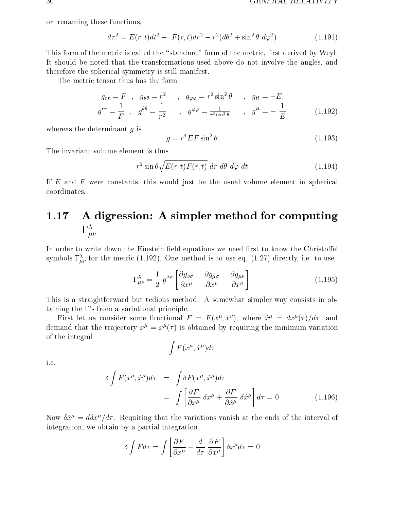<span id="page-33-0"></span>or, renaming these functions,

$$
d\tau^2 = E(r, t)dt^2 - F(r, t)dr^2 - r^2(d\theta^2 + \sin^2\theta \ d\varphi^2)
$$
 (1.191)

This form of this form of this derived the standard form of the metric form of the metric  $\mu$  , we yield It should be noted that the transformations used above do not involve the angles, and therefore the spherical symmetry is still manifest.

The metric tensor thus has the form

$$
g_{rr} = F , \quad g_{\theta\theta} = r^2 , \quad g_{\varphi\varphi} = r^2 \sin^2 \theta , \quad g_{tt} = -E ,
$$
  

$$
g^{rr} = \frac{1}{F} , \quad g^{\theta\theta} = \frac{1}{r^2} , \quad g^{\varphi\varphi} = \frac{1}{r^2 \sin^2 \theta} , \quad g^{tt} = -\frac{1}{E}
$$
 (1.192)

whereas the determinant  $q$  is

$$
g = r^4 EF \sin^2 \theta \tag{1.193}
$$

The invariant volume element is thus

$$
r^{2}\sin\theta\sqrt{E(r,t)F(r,t)}\;dr\;d\theta\;d\varphi\;dt\tag{1.194}
$$

If  $E$  and  $F$  were constants, this would just be the usual volume element in spherical coordinates

### 1.17 A digression: A simpler method for computing  $\frac{1}{\mu\nu}$

In order to write down the Einstein eld equations we need rst to know the Christoel symbols 1  $\mu_{\nu}$  for the metric (1.192). One method is to use eq. (1.27) directly, i.e. to use

$$
\Gamma^{\lambda}_{\mu\nu} = \frac{1}{2} g^{\lambda\sigma} \left[ \frac{\partial g_{\nu\sigma}}{\partial x^{\mu}} + \frac{\partial g_{\mu\sigma}}{\partial x^{\nu}} - \frac{\partial g_{\mu\nu}}{\partial x^{\sigma}} \right]
$$
(1.195)

This is a straightforward but tedious method. A somewhat simpler way consists in obtaining the  $\Gamma$ 's from a variational principle.

First let us consider some functional  $F = F(x^r, x^r)$ , where  $x^r = ax^r(y)/ay$ , and demand that the trajectory  $x^r = x^r (i)$  is obtained by requiring the minimum variation of the integral

$$
\int F(x^\mu,\dot{x}^\mu)d\tau
$$

i.e.

$$
\delta \int F(x^{\mu}, \dot{x}^{\mu}) d\tau = \int \delta F(x^{\mu}, \dot{x}^{\mu}) d\tau \n= \int \left[ \frac{\partial F}{\partial x^{\mu}} \delta x^{\mu} + \frac{\partial F}{\partial \dot{x}^{\mu}} \delta \dot{x}^{\mu} \right] d\tau = 0
$$
\n(1.196)

Now  $\delta \dot{x}^{\mu} = d\delta x^{\mu}/d\tau$ . Requiring that the variations vanish at the ends of the interval of integration, we obtain by a partial integration,

$$
\delta \int F d\tau = \int \left[ \frac{\partial F}{\partial x^{\mu}} - \frac{d}{d\tau} \frac{\partial F}{\partial \dot{x}^{\mu}} \right] \delta x^{\mu} d\tau = 0
$$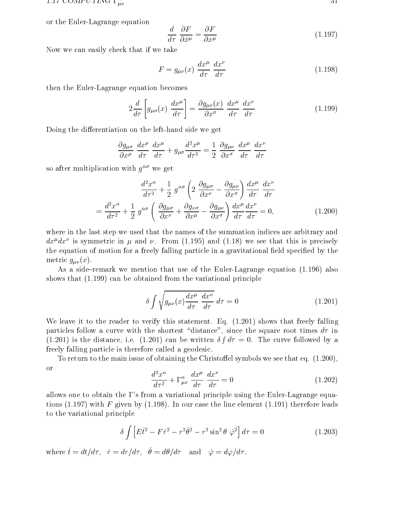or the Euler
Lagrange equation

$$
\frac{d}{d\tau}\frac{\partial F}{\partial \dot{x}^{\mu}} = \frac{\partial F}{\partial x^{\mu}}\tag{1.197}
$$

Now we can easily check that if we take

$$
F = g_{\mu\nu}(x) \frac{dx^{\mu}}{d\tau} \frac{dx^{\nu}}{d\tau}
$$
 (1.198)

then the Euler
Lagrange equation becomes

$$
2\frac{d}{d\tau}\left[g_{\mu\sigma}(x)\frac{dx^{\mu}}{d\tau}\right] = \frac{\partial g_{\mu\nu}(x)}{\partial x^{\sigma}}\frac{dx^{\mu}}{d\tau}\frac{dx^{\nu}}{d\tau}
$$
(1.199)

Doing the differentiation on the left-hand side we get

$$
\frac{\partial g_{\mu\sigma}}{\partial x^{\rho}} \frac{dx^{\rho}}{d\tau} \frac{dx^{\mu}}{d\tau} + g_{\mu\sigma} \frac{d^{2}x^{\mu}}{d\tau^{2}} = \frac{1}{2} \frac{\partial g_{\mu\nu}}{\partial x^{\sigma}} \frac{dx^{\mu}}{d\tau} \frac{dx^{\nu}}{d\tau}
$$

so after multiplication with  $q$  we get

$$
\frac{d^2x^{\alpha}}{d\tau^2} + \frac{1}{2} g^{\alpha\sigma} \left( 2 \frac{\partial g_{\mu\sigma}}{\partial x^{\nu}} - \frac{\partial g_{\mu\nu}}{\partial x^{\sigma}} \right) \frac{dx^{\mu}}{d\tau} \frac{dx^{\nu}}{d\tau}
$$

$$
= \frac{d^2x^{\alpha}}{d\tau^2} + \frac{1}{2} g^{\alpha\sigma} \left( \frac{\partial g_{\mu\sigma}}{\partial x^{\nu}} + \frac{\partial g_{\nu\sigma}}{\partial x^{\mu}} - \frac{\partial g_{\mu\nu}}{\partial x^{\sigma}} \right) \frac{dx^{\mu}}{d\tau} \frac{dx^{\nu}}{d\tau} = 0, \qquad (1.200)
$$

where in the last step we used that the names of the summation indices are arbitrary and  $ar^{\mu}ar$  is symmetric in  $\mu$  and  $\nu$ . From (1.199) and (1.10) we see that this is precisely the equation of motion for a freely falling particle in a gravitational eld speci ed by the  $\frac{1}{2}$  =  $\frac{1}{2}$  =  $\frac{1}{2}$  =  $\frac{1}{2}$  =  $\frac{1}{2}$  =  $\frac{1}{2}$  =  $\frac{1}{2}$  =  $\frac{1}{2}$  =  $\frac{1}{2}$  =  $\frac{1}{2}$  =  $\frac{1}{2}$  =  $\frac{1}{2}$  =  $\frac{1}{2}$  =  $\frac{1}{2}$  =  $\frac{1}{2}$  =  $\frac{1}{2}$  =  $\frac{1}{2}$  =  $\frac{1}{2}$  =  $\frac{1$ 

As a side-remark we mention that use of the Euler-Lagrange equation  $(1.196)$  also shows that  $(1.199)$  can be obtained from the variational principle

$$
\delta \int \sqrt{g_{\mu\nu}(x)\frac{dx^{\mu}}{d\tau}} \frac{dx^{\nu}}{d\tau} d\tau = 0
$$
\n(1.201)

where the contribution is the reader that form  $\mathcal{L}_{\mathcal{A}}$  , and the free  $\mathcal{L}_{\mathcal{A}}$  freely falling  $\mathcal{L}_{\mathcal{A}}$ particles follow a curve with the shortest "distance", since the square root times  $d\tau$  in - is the distance ie - can be written  **Report Following Service** d The curve followed by a freely falling particle is therefore called a geodesic

To return to the main issue of obtaining the Christoel symbols we see that eq  or

$$
\frac{d^2x^{\alpha}}{d\tau^2} + \Gamma^{\alpha}_{\mu\nu} \frac{dx^{\mu}}{d\tau} \frac{dx^{\nu}}{d\tau} = 0
$$
\n(1.202)

allows one to obtain the  $\Gamma$ 's from a variational principle using the Euler-Lagrange equations (1.197) with F given by (1.198). In our case the line element (1.191) therefore leads to the variational principle

$$
\delta \int \left[ E \dot{t}^2 - F \dot{r}^2 - r^2 \dot{\theta}^2 - r^2 \sin^2 \theta \dot{\varphi}^2 \right] d\tau = 0 \tag{1.203}
$$

where  $\iota = a \iota / a \iota$ ,  $\iota = a \iota / a \iota$ ,  $\iota = a \iota / a \iota$  and  $\iota = a \iota / a \iota$ ,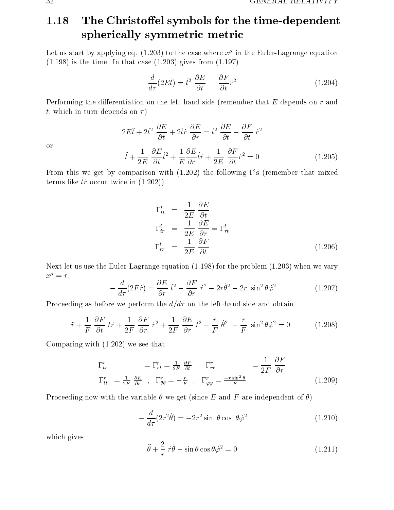### <span id="page-35-0"></span>1.18 The Christo el symbols for the timedependent spherically symmetric metric

Let us start by applying eq.  $(1.205)$  to the case where  $x_{0}$  in the Euler-Lagrange equation is the time In that case  $\mathbf{r}$  that case  $\mathbf{r}$  that case  $\mathbf{r}$  that case  $\mathbf{r}$ 

$$
\frac{d}{d\tau}(2E\dot{t}) = \dot{t}^2 \frac{\partial E}{\partial t} - \frac{\partial F}{\partial t} \dot{r}^2
$$
\n(1.204)

Performing the differentiation on the left-hand side (remember that  $E$  depends on  $r$  and t, which in turn depends on  $\tau$ )

$$
2E\ddot{t} + 2\dot{t}^2 \frac{\partial E}{\partial t} + 2\dot{t}\dot{r} \frac{\partial E}{\partial r} = \dot{t}^2 \frac{\partial E}{\partial t} - \frac{\partial F}{\partial t} \dot{r}^2
$$

$$
\ddot{t} + \frac{1}{2E} \frac{\partial E}{\partial t} \dot{t}^2 + \frac{1}{E} \frac{\partial E}{\partial r} \dot{t}\dot{r} + \frac{1}{2E} \frac{\partial F}{\partial t} \dot{r}^2 = 0
$$
(1.205)

or

From this we get by comparison with -- the following s remember that mixed

$$
\Gamma_{tt}^{t} = \frac{1}{2E} \frac{\partial E}{\partial t}
$$
\n
$$
\Gamma_{tr}^{t} = \frac{1}{2E} \frac{\partial E}{\partial r} = \Gamma_{rt}^{t}
$$
\n
$$
\Gamma_{rr}^{t} = \frac{1}{2E} \frac{\partial F}{\partial t}
$$
\n(1.206)

Next let us use the Euler
Lagrange equation  for the problem - when we vary  $x^{\mu} = r$ ,

$$
-\frac{d}{d\tau}(2F\dot{r}) = \frac{\partial E}{\partial r}\,\dot{t}^2 - \frac{\partial F}{\partial r}\,\dot{r}^2 - 2r\dot{\theta}^2 - 2r\,\sin^2\theta\dot{\varphi}^2\tag{1.207}
$$

Proceeding as before we perform the  $d/d\tau$  on the left-hand side and obtain

$$
\ddot{r} + \frac{1}{F} \frac{\partial F}{\partial t} \dot{t} \dot{r} + \frac{1}{2F} \frac{\partial F}{\partial r} \dot{r}^2 + \frac{1}{2F} \frac{\partial E}{\partial r} \dot{t}^2 - \frac{r}{F} \dot{\theta}^2 - \frac{r}{F} \sin^2 \theta \dot{\varphi}^2 = 0 \qquad (1.208)
$$

 $\blacksquare$  which is a set that  $\blacksquare$  with  $\blacksquare$  with  $\blacksquare$  with  $\blacksquare$ 

 $\alpha$  into  $\alpha$  occur twice in  $(1.202)$ 

$$
\Gamma_{tr}^{r} = \Gamma_{rt}^{r} = \frac{1}{2F} \frac{\partial F}{\partial t} , \quad \Gamma_{rr}^{r} = \frac{1}{2F} \frac{\partial F}{\partial r}
$$
\n
$$
\Gamma_{tt}^{r} = \frac{1}{2F} \frac{\partial E}{\partial r} , \quad \Gamma_{\theta\theta}^{r} = -\frac{r}{F} , \quad \Gamma_{\varphi\varphi}^{r} = \frac{-r \sin^{2} \theta}{F}
$$
\n(1.209)

Proceeding now with the variable  $\theta$  we get (since E and F are independent of  $\theta$ )

$$
-\frac{d}{d\tau}(2r^2\dot{\theta}) = -2r^2\sin\theta\cos\theta\dot{\varphi}^2\tag{1.210}
$$

which gives

$$
\ddot{\theta} + \frac{2}{r}\dot{r}\dot{\theta} - \sin\theta\cos\theta\dot{\varphi}^2 = 0
$$
\n(1.211)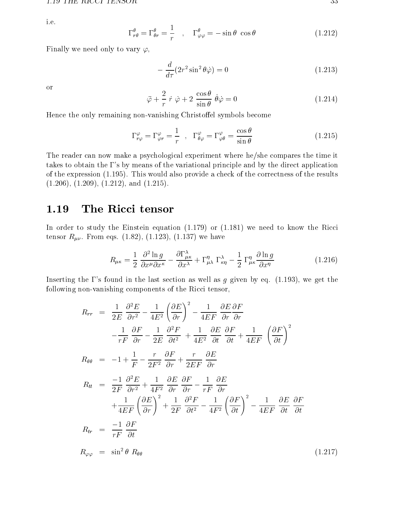i.e.

$$
\Gamma^{\theta}_{r\theta} = \Gamma^{\theta}_{\theta r} = \frac{1}{r} \quad , \quad \Gamma^{\theta}_{\varphi\varphi} = -\sin\theta \cos\theta \tag{1.212}
$$

Finally we need only to vary  $\varphi$ ,

$$
-\frac{d}{d\tau}(2r^2\sin^2\theta\dot{\varphi}) = 0\tag{1.213}
$$

or

$$
\ddot{\varphi} + \frac{2}{r} \dot{r} \dot{\varphi} + 2 \frac{\cos \theta}{\sin \theta} \dot{\theta} \dot{\varphi} = 0 \qquad (1.214)
$$

Hence the only remaining non-vanishing Christoffel symbols become

$$
\Gamma^{\varphi}_{r\varphi} = \Gamma^{\varphi}_{\varphi r} = \frac{1}{r} \quad , \quad \Gamma^{\varphi}_{\theta\varphi} = \Gamma^{\varphi}_{\varphi\theta} = \frac{\cos\theta}{\sin\theta} \tag{1.215}
$$

The reader can now make a psychological experiment where he/she compares the time it takes to obtain the  $\Gamma$ 's by means of the variational principle and by the direct application of the expression  $(1.195)$ . This would also provide a check of the correctness of the results  $\blacksquare$  . The state of the state of the state of the state of the state of the state of the state of the state of the state of the state of the state of the state of the state of the state of the state of the state of the

### 1.19  The Ricci tensor

In order to study the Einstein equation  $(1.179)$  or  $(1.181)$  we need to know the Ricci  $\mathcal{L} = \mathcal{L} = \mathcal{L} \mathcal{L}$  . The first order to the set of the set of  $\mathcal{L} = \{ \mathcal{L} \mid \mathcal{L} = \mathcal{L} \mathcal{L} \}$  . The set of the set of the set of the set of the set of the set of the set of the set of the set of the set

$$
R_{\mu\kappa} = \frac{1}{2} \frac{\partial^2 \ln g}{\partial x^\mu \partial x^\kappa} - \frac{\partial \Gamma^\lambda_{\mu\kappa}}{\partial x^\lambda} + \Gamma^\eta_{\mu\lambda} \Gamma^\lambda_{\kappa\eta} - \frac{1}{2} \Gamma^\eta_{\mu\kappa} \frac{\partial \ln g}{\partial x^\eta}
$$
(1.216)

Inserting the  $\Gamma$ 's found in the last section as well as g given by eq. (1.193), we get the following non-vanishing components of the Ricci tensor,

$$
R_{rr} = \frac{1}{2E} \frac{\partial^2 E}{\partial r^2} - \frac{1}{4E^2} \left( \frac{\partial E}{\partial r} \right)^2 - \frac{1}{4E F} \frac{\partial E}{\partial r} \frac{\partial F}{\partial r}
$$
  
\n
$$
- \frac{1}{rF} \frac{\partial F}{\partial r} - \frac{1}{2E} \frac{\partial^2 F}{\partial t^2} + \frac{1}{4E^2} \frac{\partial E}{\partial t} \frac{\partial F}{\partial t} + \frac{1}{4E F} \left( \frac{\partial F}{\partial t} \right)^2
$$
  
\n
$$
R_{\theta\theta} = -1 + \frac{1}{F} - \frac{r}{2F^2} \frac{\partial F}{\partial r} + \frac{r}{2E F} \frac{\partial E}{\partial r}
$$
  
\n
$$
R_{tt} = \frac{-1}{2F} \frac{\partial^2 E}{\partial r^2} + \frac{1}{4F^2} \frac{\partial E}{\partial r} \frac{\partial F}{\partial r} - \frac{1}{rF} \frac{\partial E}{\partial r}
$$
  
\n
$$
+ \frac{1}{4E F} \left( \frac{\partial E}{\partial r} \right)^2 + \frac{1}{2F} \frac{\partial^2 F}{\partial t^2} - \frac{1}{4F^2} \left( \frac{\partial F}{\partial t} \right)^2 - \frac{1}{4E F} \frac{\partial E}{\partial t} \frac{\partial F}{\partial t}
$$
  
\n
$$
R_{tr} = \frac{-1}{rF} \frac{\partial F}{\partial t}
$$
  
\n
$$
R_{\varphi\varphi} = \sin^2 \theta \, R_{\theta\theta}
$$
  
\n(1.217)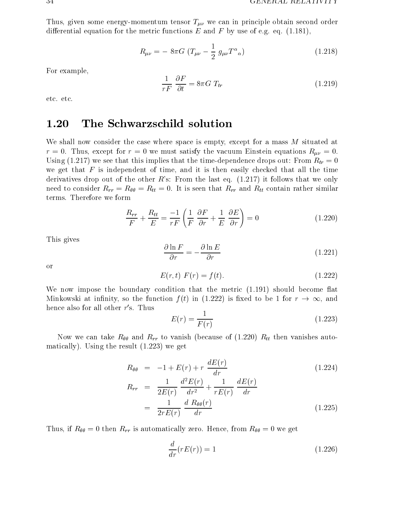$\mathcal{W}$  given some energy and  $\mathcal{W}$  and  $\mathcal{W}$  in principle order to the canonical second order to the canonical second order to the canonical second order to the canonical second order to the canonical second order differential equation for the metric functions E and F by use of e.g. eq.  $(1.181)$ ,

$$
R_{\mu\nu} = -8\pi G \left( T_{\mu\nu} - \frac{1}{2} g_{\mu\nu} T^{\alpha}{}_{\alpha} \right) \tag{1.218}
$$

For example 

$$
\frac{1}{rF} \frac{\partial F}{\partial t} = 8\pi G \ T_{tr} \tag{1.219}
$$

etc. etc.

### 1.20 The Schwarzschild solution

We shall now consider the case where space is empty, except for a mass  $M$  situated at r Thus except for r we must satisfy the vacuum Einstein equations R- Using - we see that this implies that the time
dependence drops out From Rtr we get that  $F$  is independent of time, and it is then easily checked that all the time derivatives drop out of the other Rs From the other Rs From the last equation of the last equation of the last equation of the last equation of the last equation of the last equation of the last equation of the last equati need to consider  $R_{rr} = R_{\theta\theta} = R_{tt} = 0$ . It is seen that  $R_{rr}$  and  $R_{tt}$  contain rather similar terms. Therefore we form

$$
\frac{R_{rr}}{F} + \frac{R_{tt}}{E} = \frac{-1}{rF} \left( \frac{1}{F} \frac{\partial F}{\partial r} + \frac{1}{E} \frac{\partial E}{\partial r} \right) = 0 \tag{1.220}
$$

This gives

$$
\frac{\partial \ln F}{\partial r} = -\frac{\partial \ln E}{\partial r} \tag{1.221}
$$

or

$$
E(r, t) \ F(r) = f(t). \tag{1.222}
$$

We now impose the boundary condition that the metric  $(1.191)$  should become flat Minkowski at infinity, so the function  $f(t)$  in (1.222) is fixed to be 1 for  $r \to \infty$ , and hence also for all other  $r$  s. Thus

$$
E(r) = \frac{1}{F(r)}\tag{1.223}
$$

 $\alpha$  . We can take  $\alpha$  and  $\alpha$  and  $\alpha$  is the called the cause of  $\alpha$  and  $\alpha$  and  $\alpha$  and  $\alpha$ where  $\mathcal{W}$  is the result of the result of the result of the result of the result of the result of the result of the result of the result of the result of the result of the result of the result of the result of the res

$$
R_{\theta\theta} = -1 + E(r) + r \frac{dE(r)}{dr}
$$
  
\n
$$
R_{rr} = \frac{1}{2E(r)} \frac{d^2E(r)}{dr^2} + \frac{1}{rE(r)} \frac{dE(r)}{dr}
$$
  
\n
$$
= \frac{1}{2rE(r)} \frac{d R_{\theta\theta}(r)}{dr}
$$
(1.225)

Thus, if  $R_{\theta\theta} = 0$  then  $R_{rr}$  is automatically zero. Hence, from  $R_{\theta\theta} = 0$  we get

$$
\frac{d}{dr}(rE(r)) = 1\tag{1.226}
$$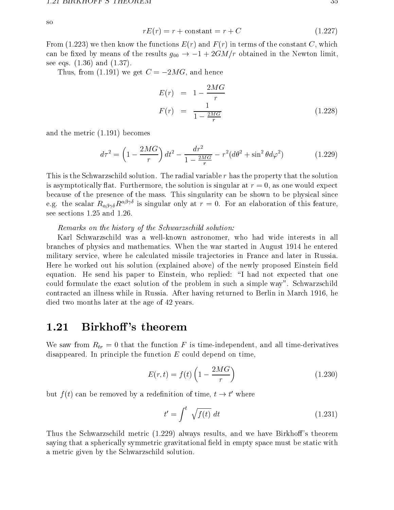so

$$
rE(r) = r + \text{constant} = r + C \tag{1.227}
$$

 $\mathbf{F}$  and From - then know the functions  $\mathbf{F}$  results the functions  $\mathbf{F}$  results of the constant C can be fixed by means of the results  $g_{00} \rightarrow -1 + 2GM/r$  obtained in the Newton limit, see eqs.  $(1.36)$  and  $(1.37)$ .

Thus, from (1.191) we get  $C = -2M\sigma$ , and hence

$$
E(r) = 1 - \frac{2MG}{r}
$$
  
\n
$$
F(r) = \frac{1}{1 - \frac{2MG}{r}}
$$
 (1.228)

and the metric  $(1.191)$  becomes

$$
d\tau^2 = \left(1 - \frac{2MG}{r}\right)dt^2 - \frac{dr^2}{1 - \frac{2MG}{r}} - r^2(d\theta^2 + \sin^2\theta d\varphi^2)
$$
 (1.229)

This is the Schwarzschild solution. The radial variable  $r$  has the property that the solution is asymptotically flat. Furthermore, the solution is singular at  $r = 0$ , as one would expect because of the presence of the mass. This singularity can be shown to be physical since e.g. the scalar  $R_{\alpha\beta\gamma\delta}R^{\alpha\beta\gamma\delta}$  is singular only at  $r=0$ . For an elaboration of this feature,

### Remarks on the history of the Schwarzschild solution

Karl Schwarzschild was a well-known astronomer, who had wide interests in all branches of physics and mathematics. When the war started in August 1914 he entered military service, where he calculated missile trajectories in France and later in Russia. Here he worked out his solution explained above of the newly proposed Einstein eld equation. He send his paper to Einstein, who replied: "I had not expected that one could formulate the exact solution of the problem in such a simple way". Schwarzschild contracted an illness while in Russia. After having returned to Berlin in March 1916, he died two months later at the age of  $\mathcal{M}$ 

## 1.21

We saw from  $R_{tr} = 0$  that the function F is time-independent, and all time-derivatives disappeared. In principle the function  $E$  could depend on time,

$$
E(r,t) = f(t) \left(1 - \frac{2MG}{r}\right) \tag{1.230}
$$

but  $f(t)$  can be removed by a redefinition of time,  $t \to t'$  where

$$
t' = \int^t \sqrt{f(t)} dt
$$
\n(1.231)

Thus the Schwarzschild metric -- always results and we have Birkho s theorem saying that a spherically symmetric gravitational eld in empty space must be static with a metric given by the Schwarzschild solution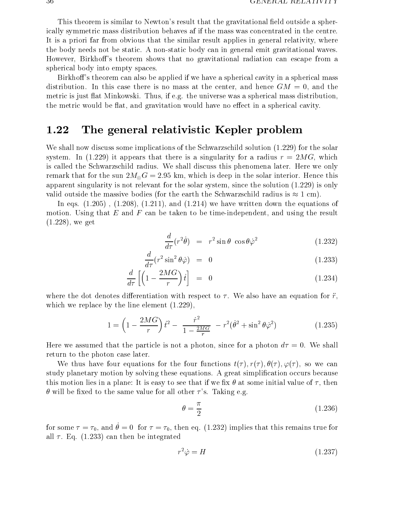This theorem is similar to Newtons result that the gravitational eld outside a spher ically symmetric mass distribution behaves af if the mass was concentrated in the centre It is a priori far from obvious that the similar result applies in general relativity, where the body needs not be static. A non-static body can in general emit gravitational waves. However, Birkhoff's theorem shows that no gravitational radiation can escape from a spherical body into empty spaces

Birkhoff's theorem can also be applied if we have a spherical cavity in a spherical mass distribution. In this case there is no mass at the center, and hence  $GM = 0$ , and the metric is just flat Minkowski. Thus, if e.g. the universe was a spherical mass distribution, the metric would be flat, and gravitation would have no effect in a spherical cavity.

### 1.22 The general relativistic Kepler problem

We shall now discuss some implications of the Schwarzschild solution -- for the solar system in the form is a single state in a singularity for a radius of the singularity for a radius reserved in is called the Schwarzschild radius. We shall discuss this phenomena later. Here we only remark that for the sun - matched in the sun - which is deep in the solar interior for the solar interior Hence apparent singularity is not relevant for the solar system in the solution  $\mathcal{N}$  , and solution  $\mathcal{N}$  , and the solution  $\mathcal{N}$ valid outside the massive bodies (for the earth the Schwarzschild radius is  $\approx 1$  cm).

 $\mathbf{I}$  . The equation of the equation of the equations of the equations of the equations of the equations of the equations of the equations of the equations of the equations of the equations of the equations of the equa motion. Using that  $E$  and  $F$  can be taken to be time-independent, and using the result  $\mathbf{v}$  and  $\mathbf{v}$  and  $\mathbf{v}$  and  $\mathbf{v}$ 

$$
\frac{d}{d\tau}(r^2\dot{\theta}) = r^2\sin\theta\,\cos\theta\dot{\varphi}^2\tag{1.232}
$$

$$
\frac{d}{d\tau}(r^2\sin^2\theta\dot{\varphi}) = 0 \tag{1.233}
$$

$$
\frac{d}{d\tau} \left[ \left( 1 - \frac{2MG}{r} \right) t \right] = 0 \tag{1.234}
$$

where the dot denotes differentiation with respect to  $\tau$ . We also have an equation for  $\ddot{r}$ . which we replace by the line element - and the line element - and the line element - and the line element - an

$$
1 = \left(1 - \frac{2MG}{r}\right)\dot{t}^2 - \frac{\dot{r}^2}{1 - \frac{2MG}{r}} - r^2(\dot{\theta}^2 + \sin^2\theta\dot{\varphi}^2)
$$
(1.235)

Here we assumed that the particle is not a photon, since for a photon  $d\tau = 0$ . We shall return to the photon case later

We thus have four equations for the four functions  $t(\tau), r(\tau), \theta(\tau), \varphi(\tau)$ , so we can study planetary motion by solving these equations A great simpli cation occurs because this motion lies in a plane It is easy to see that if we have initial value of  $\mathbf 1$ will be the same value for all other  $\mathcal{U}$ 

$$
\theta = \frac{\pi}{2} \tag{1.236}
$$

for some  $t = t_0$ , and  $\theta = 0$  for  $t = t_0$ , then eq. (1.202) implies that this remains true for all  $\mathbf{r}$  is a then be integrated by integrating the integrated by  $\mathbf{r}$ 

$$
r^2 \dot{\varphi} = H \tag{1.237}
$$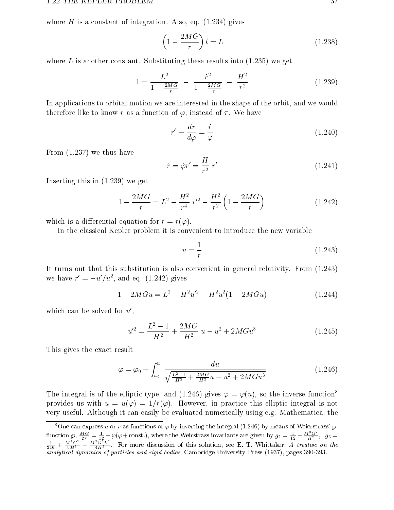where  $H$  is a constant of integration  $H$  is a constant of integration  $H$  is a constant of integration  $H$ 

$$
\left(1 - \frac{2MG}{r}\right)\dot{t} = L\tag{1.238}
$$

where  $\mathcal{L}$  is another constant substituting the substitution into -  $\mathcal{L}$  , and  $\mathcal{L}$ 

$$
1 = \frac{L^2}{1 - \frac{2MG}{r}} - \frac{\dot{r}^2}{1 - \frac{2MG}{r}} - \frac{H^2}{r^2}
$$
 (1.239)

In applications to orbital motion we are interested in the shape of the orbit, and we would therefore like to know r as a function of  $\varphi$ , instead of  $\tau$ . We have

$$
r' \equiv \frac{dr}{d\varphi} = \frac{\dot{r}}{\dot{\varphi}} \tag{1.240}
$$

From - we thus have

$$
\dot{r} = \dot{\varphi}r' = \frac{H}{r^2}r'
$$
\n(1.241)

 $\mathcal{L}$  in a set of the set of the set of the set of the set of the set of the set of the set of the set of the set of the set of the set of the set of the set of the set of the set of the set of the set of the set of th

$$
1 - \frac{2MG}{r} = L^2 - \frac{H^2}{r^4} r'^2 - \frac{H^2}{r^2} \left( 1 - \frac{2MG}{r} \right) \tag{1.242}
$$

which is a differential equation for  $r = r(\varphi)$ .

In the classical Kepler problem it is convenient to introduce the new variable

$$
u = -\frac{1}{r} \tag{1.243}
$$

It turns out that this substitution is also convenient in general relativity  $\mathbf{F}$ we have  $r = -u/u^2$ , and eq. (1.242) gives

$$
1 - 2MGu = L^2 - H^2u^2 - H^2u^2(1 - 2MGu)
$$
\n(1.244)

which can be solved for  $u'$ ,

$$
u'^2 = \frac{L^2 - 1}{H^2} + \frac{2MG}{H^2} u - u^2 + 2MGu^3 \tag{1.245}
$$

This gives the exact result

$$
\varphi = \varphi_0 + \int_{u_0}^{u} \frac{du}{\sqrt{\frac{L^2 - 1}{H^2} + \frac{2MG}{H^2}u - u^2 + 2MGu^3}}
$$
(1.246)

The integral is of the emptic type, and  $(1.240)$  gives  $\varphi = \varphi(u)$ , so the inverse function provides us with  $u = u(\varphi) = 1/r(\varphi)$ . However, in practice this elliptic integral is not very useful. Although it can easily be evaluated numerically using e.g. Mathematica, the

<sup>-</sup> One can express  $u$  or  $r$  as functions of  $\varphi$  by inverting the integral (1.240) by means of weierstrass  $p$ function  $\wp$ ,  $\frac{MG}{2r} = \frac{1}{12} + \wp(\varphi + \text{const.})$ , where the Weirstrass invariants are given by  $g_2 = \frac{1}{12} - \frac{M^2 G^2}{H^2}$ ,  $g_3 =$  $\frac{1}{216} + \frac{M^2G^2}{6H^2} - \frac{M^2G^2L^2}{4H^2}$ . For more discussion of this solution, see E. T. Whittaker, A treatise on the analytical dynamics of particles and rigid bodies Cambridge University Press - pages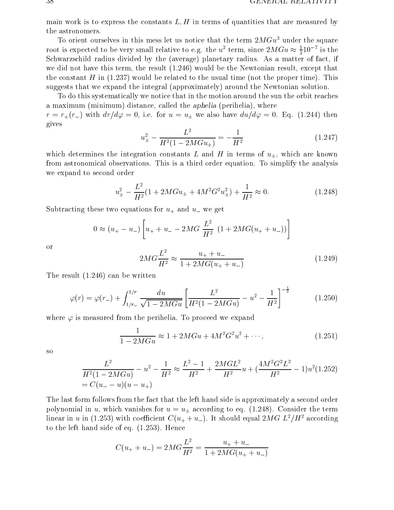main work is to express the constants  $L, H$  in terms of quantities that are measured by the astronomers

To orient ourselves in this mess let us notice that the term  $2MGM$  under the square root is expected to be very small relative to e.g. the  $u^2$  term, since  $2 M G u \approx \frac{1}{3} 10^{-7}$  is the Schwarzschild radius divided by the (average) planetary radius. As a matter of fact, if we did not the this term the result of the  $\gamma$  -result  $\gamma$  , we have the Newtonian results that the Newtonian results that the Newtonian results of the Newtonian results of the Newtonian results of the Newtonian results  $\mathbf{r}$  in  $\mathbf{r}$  in  $\mathbf{r}$  in  $\mathbf{r}$  in  $\mathbf{r}$  is the usual time not the proper time not the proper time not the proper time not the proper time not the proper time not the proper time not the proper time not th suggests that we expand the integral (approximately) around the Newtonian solution.

To do this systematically we notice that in the motion around the sun the orbit reaches a maximum (minimum) distance, called the *aphelia* (perihelia), where

records the contract of the contract of the contract of the contract of the contract of the contract of the contract of the contract of the contract of the contract of the contract of the contract of the contract of the c gives

$$
u_{\pm}^{2} - \frac{L^{2}}{H^{2}(1 - 2MGu_{\pm})} = -\frac{1}{H^{2}}
$$
\n(1.247)

which determines the integration constants L and H in terms of  $u_{\pm}$ , which are known from astronomical observations. This is a third order equation. To simplify the analysis we expand to second order

$$
u_{\pm}^{2} - \frac{L^{2}}{H^{2}}(1 + 2MG_{u_{\pm}} + 4M^{2}G^{2}u_{\pm}^{2}) + \frac{1}{H^{2}} \approx 0.
$$
 (1.248)

subtracting these two equations for u-limited u-limit  $\Delta$  .

$$
0 \approx (u_{+} - u_{-}) \left[ u_{+} + u_{-} - 2MG \frac{L^{2}}{H^{2}} \left( 1 + 2MG(u_{+} + u_{-}) \right) \right]
$$

or

$$
2MG\frac{L^2}{H^2} \approx \frac{u_+ + u_-}{1 + 2MG(u_+ + u_-)}
$$
(1.249)

 $\mathbf T$  and  $\mathbf T$  are written before written be written before  $\mathbf T$  . The written behavior  $\mathbf T$ 

$$
\varphi(r) = \varphi(r_{-}) + \int_{1/r_{-}}^{1/r} \frac{du}{\sqrt{1 - 2MGu}} \left[ \frac{L^2}{H^2(1 - 2MGu)} - u^2 - \frac{1}{H^2} \right]^{-\frac{1}{2}} \tag{1.250}
$$

where  $\varphi$  is measured from the perihelia. To proceed we expand

$$
\frac{1}{1 - 2MGu} \approx 1 + 2MGu + 4M^2G^2u^2 + \cdots,\tag{1.251}
$$

so

$$
\frac{L^2}{H^2(1-2MGu)} - u^2 - \frac{1}{H^2} \approx \frac{L^2 - 1}{H^2} + \frac{2MGL^2}{H^2}u + \left(\frac{4M^2G^2L^2}{H^2} - 1\right)u^2(1.252)
$$
  
=  $C(u_--u)(u - u_+)$ 

The last form follows from the fact that the left hand side is approximately a second order in the constant in uncertainty of the term in uncertainty  $\pm$  uncertainty to equation the term in the term in the term in the term in the term in the term in the term in the term in the term in the term in the term in th linear in  $u$  in (1.255) with coefficient  $C(u_+ + u_-)$ . It should equal 2MG  $L^-/H^-$  according to the left hand side of equations of equations of equations of equations of equations of  $\mathbf{H}$ 

$$
C(u_{+} + u_{-}) = 2MG\frac{L^2}{H^2} = \frac{u_{+} + u_{-}}{1 + 2MG(u_{+} + u_{-})}
$$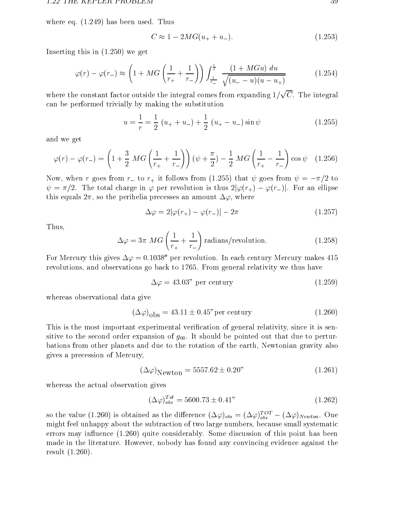where equal the control of the control of the control of the control of the control of the control of the control of the control of the control of the control of the control of the control of the control of the control of

$$
C \approx 1 - 2MG(u_+ + u_-). \tag{1.253}
$$

 $\mathcal{L}$  in a set of the set of the set of the set of the set of the set of the set of the set of the set of the set of the set of the set of the set of the set of the set of the set of the set of the set of the set of th

$$
\varphi(r) - \varphi(r_{-}) \approx \left(1 + MG\left(\frac{1}{r_{+}} + \frac{1}{r_{-}}\right)\right) \int_{\frac{1}{r_{-}}}^{\frac{1}{r}} \frac{\left(1 + MGu\right) du}{\sqrt{(u_{-} - u)(u - u_{+})}} \tag{1.254}
$$

where the constant factor outside the integral comes from expanding  $1/\sqrt{C}$ . The integral can be performed trivially by making the substitution

$$
u = \frac{1}{r} = \frac{1}{2} (u_+ + u_-) + \frac{1}{2} (u_+ - u_-) \sin \psi
$$
 (1.255)

and we get

$$
\varphi(r) - \varphi(r_{-}) = \left(1 + \frac{3}{2} MG \left(\frac{1}{r_{+}} + \frac{1}{r_{-}}\right)\right) \left(\psi + \frac{\pi}{2}\right) - \frac{1}{2} MG \left(\frac{1}{r_{+}} - \frac{1}{r_{-}}\right) \cos \psi \quad (1.256)
$$

Frow, when r goes from  $t = 0$   $t + 10$  follows from (1.200) that  $\psi$  goes from  $\psi = -\pi/2$  to  $\psi = \pi/2$ . The total charge in  $\varphi$  per revolution is thus  $2|\varphi(r_{+}) - \varphi(r_{-})|$ . For an ellipse  $\mathcal{L}$  . This equal so the periodic precesses and an amount  $\mathcal{L}$  and  $\mathcal{L}$ 

$$
\Delta \varphi = 2|\varphi(r_+) - \varphi(r_-)| - 2\pi \tag{1.257}
$$

Thus 

$$
\Delta \varphi = 3\pi \, MG \left(\frac{1}{r_+} + \frac{1}{r_-}\right) \text{radians/revolution.} \tag{1.258}
$$

For Mercury this gives  $\Delta \varphi = 0.1038''$  per revolution. In each century Mercury makes 415 revolutions, and observations go back to 1765. From general relativity we thus have

$$
\Delta \varphi = 43.03^{\circ} \text{ per century} \tag{1.259}
$$

whereas observational data give

$$
(\Delta \varphi)_{\text{obs}} = 43.11 \pm 0.45 \text{"per century} \tag{1.260}
$$

This is the most important experimental verification of general relativity  $\alpha$  sense it is sense sitive to the second order expansion of  $g_{00}$ . It should be pointed out that due to perturbations from other planets and due to the rotation of the earth, Newtonian gravity also gives a precession of Mercury 

$$
(\Delta \varphi)_{\text{Newton}} = 5557.62 \pm 0.20^{\circ} \tag{1.261}
$$

whereas the actual observation gives

$$
(\Delta \varphi)_{obs}^{Tot} = 5600.73 \pm 0.41^{"}
$$
\n(1.262)

so the value (1.200) is obtained as the difference  $(\Delta\varphi)_{obs} = (\Delta\varphi)_{obs}^*$  -  $(\Delta\varphi)_{Newton}$ . One might feel unhappy about the subtraction of two large numbers, because small systematic errors may inuence - quite considerably Some discussion of this point has been made in the literature. However, nobody has found any convincing evidence against the result -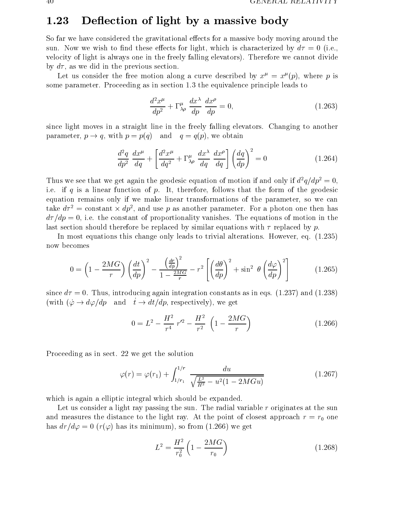### 1.23 Deflection of light by a massive body

So far we have considered the gravitational effects for a massive body moving around the sun Now wish to the electron  $n$  is characterized by d  $n$  light is characterized by d  $i$ velocity of light is always one in the freely falling elevators). Therefore we cannot divide by  $d\tau$ , as we did in the previous section.

Let us consider the free motion along a curve described by  $x_r = x_r(p)$ , where p is some parameter. Proceeding as in section 1.3 the equivalence principle leads to

$$
\frac{d^2x^{\mu}}{dp^2} + \Gamma^{\mu}_{\lambda\rho} \frac{dx^{\lambda}}{dp} \frac{dx^{\rho}}{dp} = 0, \qquad (1.263)
$$

since light moves in a straight line in the freely falling elevators Changing to another parameter,  $p \to q$ , with  $p = p(q)$  and  $q = q(p)$ , we obtain

$$
\frac{d^2q}{dp^2}\frac{dx^{\mu}}{dq} + \left[\frac{d^2x^{\mu}}{dq^2} + \Gamma^{\mu}_{\lambda\rho}\frac{dx^{\lambda}}{dq}\frac{dx^{\rho}}{dq}\right] \left(\frac{dq}{dp}\right)^2 = 0
$$
\n(1.264)

Thus we see that we get again the geodesic equation of motion if and only if  $a \, q/qp \, = 0$ , i.e. if q is a linear function of p. It, therefore, follows that the form of the geodesic equation remains only if we make linear transformations of the parameter, so we can take  $d\tau^2 = \text{constant} \times dp^2$ , and use p as another parameter. For a photon one then has  $d\tau/dp = 0$ , i.e. the constant of proportionality vanishes. The equations of motion in the last section should therefore be replaced by similar equations with  $\tau$  replaced by p.

In most equations this change only leads to trivial alterations However  $\mathcal{H}$ now becomes

$$
0 = \left(1 - \frac{2MG}{r}\right) \left(\frac{dt}{dp}\right)^2 - \frac{\left(\frac{dr}{dp}\right)^2}{1 - \frac{2MG}{r}} - r^2 \left[\left(\frac{d\theta}{dp}\right)^2 + \sin^2\ \theta \left(\frac{d\varphi}{dp}\right)^2\right] \tag{1.265}
$$

since d and  $\alpha$  introducing again integration integration constants as in eqs -(with  $(\dot{\varphi} \to d\varphi/dp$  and  $\dot{t} \to dt/dp$ , respectively), we get

$$
0 = L^2 - \frac{H^2}{r^4} r'^2 - \frac{H^2}{r^2} \left( 1 - \frac{2MG}{r} \right)
$$
 (1.266)

 $\mathcal{L}$ 

$$
\varphi(r) = \varphi(r_1) + \int_{1/r_1}^{1/r} \frac{du}{\sqrt{\frac{L^2}{H^2} - u^2(1 - 2MGu)}}\tag{1.267}
$$

which is again a elliptic integral which should be expanded.

Let us consider a light ray passing the sun. The radial variable  $r$  originates at the sun and measures the distance to the light ray. At the point of closest approach  $r = r_0$  one  $\cdots$  ,  $\cdots$  ,  $\cdots$  ,  $\cdots$  ,  $\cdots$  ,  $\cdots$  from -  $\cdots$  from -  $\cdots$  from -  $\cdots$  ,  $\cdots$  ,  $\cdots$ 

$$
L^2 = \frac{H^2}{r_0^2} \left( 1 - \frac{2MG}{r_0} \right) \tag{1.268}
$$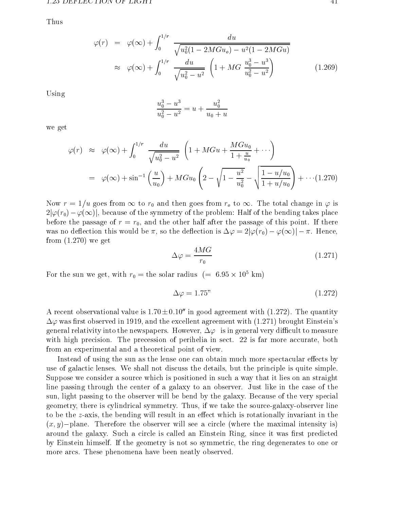Thus

$$
\varphi(r) = \varphi(\infty) + \int_0^{1/r} \frac{du}{\sqrt{u_0^2 (1 - 2MGu_0) - u^2 (1 - 2MGu)}}
$$
  
\n
$$
\approx \varphi(\infty) + \int_0^{1/r} \frac{du}{\sqrt{u_0^2 - u^2}} \left(1 + MG \frac{u_0^3 - u^3}{u_0^2 - u^2}\right)
$$
(1.269)

Using

$$
\frac{u_0^3 - u^3}{u_0^2 - u^2} = u + \frac{u_0^2}{u_0 + u}
$$

we get

$$
\varphi(r) \approx \varphi(\infty) + \int_0^{1/r} \frac{du}{\sqrt{u_0^2 - u^2}} \left( 1 + MGu + \frac{MGu_0}{1 + \frac{u}{u_0}} + \cdots \right)
$$
  
=  $\varphi(\infty) + \sin^{-1}\left(\frac{u}{u_0}\right) + MGu_0 \left( 2 - \sqrt{1 - \frac{u^2}{u_0^2}} - \sqrt{\frac{1 - u/u_0}{1 + u/u_0}} \right) + \cdots (1.270)$ 

Now  $r = 1/u$  goes from  $\infty$  to  $r_0$  and then goes from  $r_0$  to  $\infty$ . The total change in  $\varphi$  is  $2|\varphi(r_0)-\varphi(\infty)|,$  because of the symmetry of the problem: Half of the bending takes place before the passage of  $r = r_0$ , and the other half after the passage of this point. If there was no deflection this would be  $\pi$ , so the deflection is  $\Delta \varphi = 2|\varphi(r_0) - \varphi(\infty)| - \pi$ . Hence, from - we get

$$
\Delta \varphi = \frac{4MG}{r_0} \tag{1.271}
$$

For the sun we get, with  $r_0 =$  the solar radius  $(= 6.95 \times 10^5 \text{ km})$ 

$$
\Delta \varphi = 1.75^{\circ} \tag{1.272}
$$

A recent observational value is  $1.70 \pm 0.10$ " in good agreement with (1.272). The quantity  $\mathcal{L}$  was defined in an and the excellent and the excellent and the excellent  $\mathcal{L}$  and  $\mathcal{L}$ general relativity into the newspapers. However,  $\Delta\varphi$  is in general very difficult to measure with the precision  $\sim$   $\sim$  percentairs of perimeters in sect -  $\sim$  can more accurate  $\sim$  . from an experimental and a theoretical point of view

Instead of using the sun as the lense one can obtain much more spectacular effects by use of galactic lenses. We shall not discuss the details, but the principle is quite simple. Suppose we consider a source which is positioned in such a way that it lies on an straight line passing through the center of a galaxy to an observer. Just like in the case of the sun, light passing to the observer will be bend by the galaxy. Because of the very special geometry, there is cylindrical symmetry. Thus, if we take the source-galaxy-observer line to be the  $z$ -axis, the bending will result in an effect which is rotationally invariant in the  $(x, y)$ -plane. Therefore the observer will see a circle (where the maximal intensity is) around the galaxy Such a circle is called an Einstein Ring since it was rst predicted by Einstein himself. If the geometry is not so symmetric, the ring degenerates to one or more arcs. These phenomena have been neatly observed.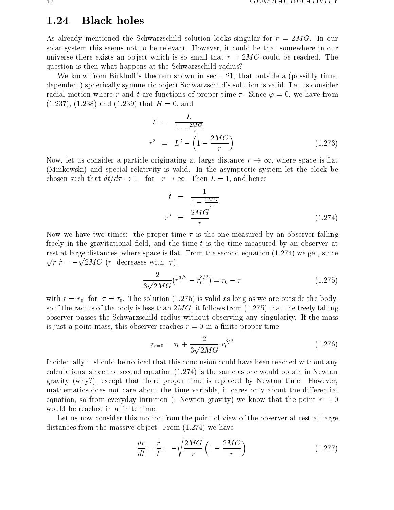#### 1.24 Black holes

As already mentioned the Schwarzschild solution looks singular for r -MG In our solar system this seems not to be relevant. However, it could be that somewhere in our universe there exists an observation is so small that reached that reached that reached that reached Theorem i question is then what happens at the Schwarzschild radius

we know from Birkhos that outside a possible a possible a possible a possible a possible a possible a possible dependent) spherically symmetric object Schwarzschild's solution is valid. Let us consider radial motion where r and t are functions of proper time  $\tau$ . Since  $\dot{\varphi} = 0$ , we have from - - and - that H and

$$
\dot{t} = \frac{L}{1 - \frac{2MG}{r}}
$$
\n
$$
\dot{r}^2 = L^2 - \left(1 - \frac{2MG}{r}\right)
$$
\n(1.273)

Now, let us consider a particle originating at large distance  $r \to \infty$ , where space is flat (Minkowski) and special relativity is valid. In the asymptotic system let the clock be chosen such that  $dt/d\tau \to 1$  for  $r \to \infty$ . Then  $L = 1$ , and hence

$$
\dot{t} = \frac{1}{1 - \frac{2MG}{r}}
$$
\n
$$
\dot{r}^2 = \frac{2MG}{r}
$$
\n(1.274)

Now we have two times: the proper time  $\tau$  is the one measured by an observer falling from the gravitational  $\mathbf{f}$ rest at large distances where space is at From the second equation  $\mathbf{A}$  such as  $\mathbf{A}$  $\sqrt{r} \dot{r} = -\sqrt{2MG} (r \text{ decreases with } \tau),$ 

$$
\frac{2}{3\sqrt{2MG}}(r^{3/2} - r_0^{3/2}) = \tau_0 - \tau \tag{1.275}
$$

with respect to the solution  $\mathcal{C}$  is valid as we are outside the body of the body  $\mathcal{C}$ so it the body is less than  $\mu$  is less thanks from a first that  $\mu$  is a first the from  $\mu$  falling falling  $\mu$ observer passes the Schwarzschild radius without observing any singularity If the mass is just a point masses this observer reaches reaches reaches to the state property comments of the comments of

$$
\tau_{r=0} = \tau_0 + \frac{2}{3\sqrt{2MG}} r_0^{3/2} \tag{1.276}
$$

Incidentally it should be noticed that this conclusion could have been reached without any calculations are second that the same equations of the same assemble as one would obtain in Newton in Newton I gravity  $(why?)$ , except that there proper time is replaced by Newton time. However, mathematics does not care about the time variable, it cares only about the differential equation, so from everyday intuition (=Newton gravity) we know that the point  $r=0$ 

Let us now consider this motion from the point of view of the observer at rest at large distances from the massive observed in the massive observed in the massive observed in the massive observed in

$$
\frac{dr}{dt} = \frac{\dot{r}}{t} = -\sqrt{\frac{2MG}{r}} \left( 1 - \frac{2MG}{r} \right) \tag{1.277}
$$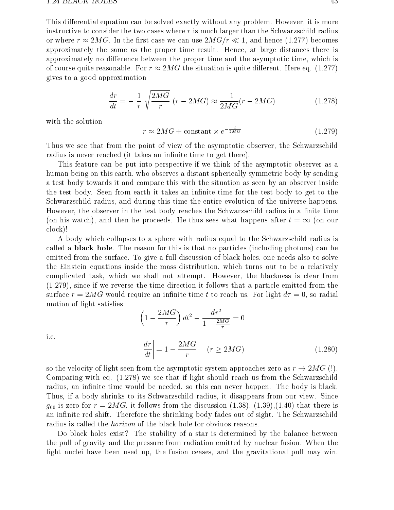This differential equation can be solved exactly without any problem. However, it is more instructive to consider the two cases where  $r$  is much larger than the Schwarzschild radius or where  $r \approx 2MG$ . In the first case we can use  $2MG/r \ll 1$ , and hence (1.277) becomes approximately the same as the proper time result. Hence, at large distances there is approximately no difference between the proper time and the asymptotic time, which is of course quite reasonable. For  $r \approx 2 M G$  the situation is quite different. Here eq. (1.277) gives to a good approximation

$$
\frac{dr}{dt} = -\frac{1}{r} \sqrt{\frac{2MG}{r}} (r - 2MG) \approx \frac{-1}{2MG}(r - 2MG) \tag{1.278}
$$

with the solution

$$
r \approx 2MG + \text{constant} \times e^{-\frac{t}{2MG}} \tag{1.279}
$$

Thus we see that from the point of view of the asymptotic observer, the Schwarzschild radius is never reached it takes an in nite time to get there

This feature can be put into perspective if we think of the asymptotic observer as a human being on this earth, who observes a distant spherically symmetric body by sending a test body towards it and compare this with the situation as seen by an observer inside the test body Seen from earth it takes an in nite time for the test body to get to the Schwarzschild radius, and during this time the entire evolution of the universe happens. However the observer in the test body reaches the Schwarzschild radius in a nite time (on his watch), and then he proceeds. He thus sees what happens after  $t = \infty$  (on our  $clock$ )!

A body which collapses to a sphere with radius equal to the Schwarzschild radius is called a **black hole**. The reason for this is that no particles (including photons) can be emitted from the surface. To give a full discussion of black holes, one needs also to solve the Einstein equations inside the mass distribution, which turns out to be a relatively complicated task, which we shall not attempt. However, the blackness is clear from , since if we reverse the time direction it follows that a particle emitted from the particle emitted from the surface r - MG would require an intervention to reach us For light d so radial d so radial d so radial d s motion of light satis es

$$
\left(1-\frac{2MG}{r}\right)dt^2 - \frac{dr^2}{1-\frac{2MG}{r}} = 0
$$

i.e.

$$
\left|\frac{dr}{dt}\right| = 1 - \frac{2MG}{r} \quad (r \ge 2MG) \tag{1.280}
$$

so the velocity of light seen from the asymptotic system approaches zero as  $r \to 2 M G$  (!). Comparing with eq - we see that if light should reach us from the Schwarzschild radius and interesting time would be neglected so this can never happen The body is black that the body is black Thus, if a body shrinks to its Schwarzschild radius, it disappears from our view. Since  $\mathcal{N}$  is zero for a series from the discussion of the discussion of the discussion of the discussion of the discussion of the discussion of the discussion of the discussion of the discussion of the discussion of the di and includes the shift Therefore the shrinking body fades out of sight. First The Schwarzschilder radius is called the *horizon* of the black hole for obviuos reasons.

Do black holes exist? The stability of a star is determined by the balance between the pull of gravity and the pressure from radiation emitted by nuclear fusion When the light nuclei have been used up, the fusion ceases, and the gravitational pull may win.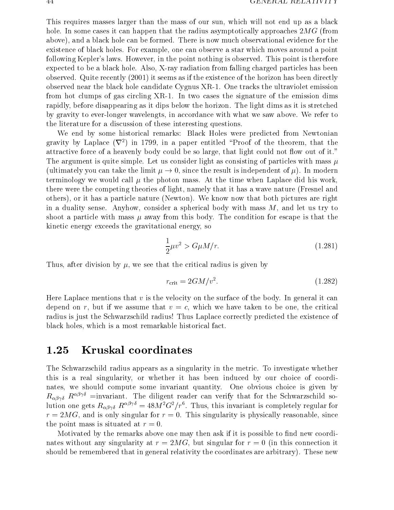This requires masses larger than the mass of our sun, which will not end up as a black hole In some cases it can happen that the radius asymptotically approaches -MG from above), and a black hole can be formed. There is now much observational evidence for the existence of black holes. For example, one can observe a star which moves around a point following Kepler's laws. However, in the point nothing is observed. This point is therefore expected to be a black hole. Also, X-ray radiation from falling charged particles has been  $\blacksquare$ observed near the black hole candidate Cygnus XR-1. One tracks the ultraviolet emission from hot clumps of gas circling XR In two cases the signature of the emission dims rapidly, before disappearing as it dips below the horizon. The light dims as it is stretched by gravity to ever-longer wavelengts, in accordance with what we saw above. We refer to the literature for a discussion of these interesting questions

We end by some historical remarks: Black Holes were predicted from Newtonian gravity by Laplace  $(\nabla^2)$  in 1799, in a paper entitled "Proof of the theorem, that the attractive force of a heavenly body could be so large, that light could not flow out of it." The argument is quite simple. Let us consider light as consisting of particles with mass  $\mu$ (ultimately you can take the limit  $\mu \to 0$ , since the result is independent of  $\mu$ ). In modern terminology we would call  $\mu$  the photon mass. At the time when Laplace did his work, there were the competing theories of light, namely that it has a wave nature (Fresnel and others), or it has a particle nature (Newton). We know now that both pictures are right in a duality sense. Anyhow, consider a spherical body with mass  $M$ , and let us try to shoot a particle with mass  $\mu$  away from this body. The condition for escape is that the kinetic energy exceeds the gravitational energy, so

$$
\frac{1}{2}\mu v^2 > G\mu M/r.\tag{1.281}
$$

Thus, after division by  $\mu$ , we see that the critical radius is given by

$$
r_{\rm crit} = 2GM/v^2. \tag{1.282}
$$

Here Laplace mentions that  $v$  is the velocity on the surface of the body. In general it can depend on r, but if we assume that  $v = c$ , which we have taken to be one, the critical radius is just the Schwarzschild radius! Thus Laplace correctly predicted the existence of black holes, which is a most remarkable historical fact.

#### 1.25 Kruskal coordinates

The Schwarzschild radius appears as a singularity in the metric. To investigate whether this is a real singularity, or whether it has been induced by our choice of coordinates, we should compute some invariant quantity. One obvious choice is given by  $R_{\alpha\beta\gamma\delta}$   $R^{\alpha\beta\gamma\delta}$  =invariant. The diligent reader can verify that for the Schwarzschild sofution one gets  $R_{\alpha\beta\gamma\delta}$   $R^{-\gamma\gamma} = 4\delta M/G^{\gamma}\gamma$  . Thus, this invariant is completely regular for r and is only singular for r  $\mathbf{M}$  and  $\mathbf{M}$  reasonable singular reasonable singular reasonable singular reasonable singular reasonable singular reasonable singular reasonable singular reasonable singular reasonable the point mass is situated at  $r=0$ .

Motivated by the remarks above one may then ask if it is possible to nd new coordi nates without any singularity at r -MG but singular for r in this connection it should be remembered that in general relativity the coordinates are arbitrary). These new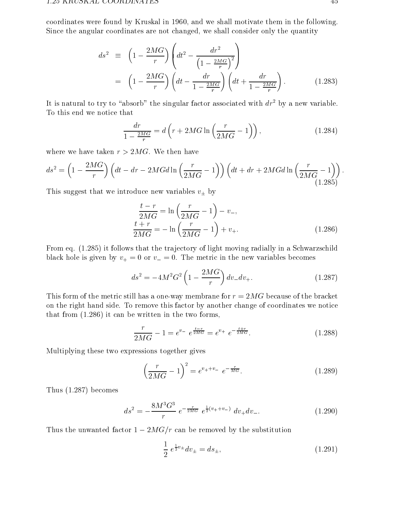coordinates were found by Kruskal in 1960, and we shall motivate them in the following. Since the angular coordinates are not changed, we shall consider only the quantity

$$
ds^2 \equiv \left(1 - \frac{2MG}{r}\right) \left(dt^2 - \frac{dr^2}{\left(1 - \frac{2MG}{r}\right)^2}\right)
$$

$$
= \left(1 - \frac{2MG}{r}\right) \left(dt - \frac{dr}{1 - \frac{2MG}{r}}\right) \left(dt + \frac{dr}{1 - \frac{2MG}{r}}\right).
$$
(1.283)

It is natural to try to absorb The singular factor associated with  $a\tau$  -by a new variable. To this end we notice that

$$
\frac{dr}{1 - \frac{2MG}{r}} = d\left(r + 2MG\ln\left(\frac{r}{2MG} - 1\right)\right),\tag{1.284}
$$

$$
ds^{2} = \left(1 - \frac{2MG}{r}\right) \left(dt - dr - 2MGd\ln\left(\frac{r}{2MG} - 1\right)\right) \left(dt + dr + 2MGd\ln\left(\frac{r}{2MG} - 1\right)\right).
$$
\n(1.285)

This suggest that we introduce new variables  $v_{\pm}$  by

$$
\frac{t-r}{2MG} = \ln\left(\frac{r}{2MG} - 1\right) - v_{-},
$$
\n
$$
\frac{t+r}{2MG} = -\ln\left(\frac{r}{2MG} - 1\right) + v_{+}.
$$
\n(1.286)

From eq - it follows that the tra jectory of light moving radially in a Schwarzschild black hole is given by v or v- The metric in the new variables becomes

$$
ds^{2} = -4M^{2}G^{2} \left(1 - \frac{2MG}{r}\right) dv_{-} dv_{+}.
$$
 (1.287)

This form of the metric still has a one
way membrane for r -MG because of the bracket on the right hand side. To remove this factor by another change of coordinates we notice  $\mathbf{f}$  is can be written in the two forms in the two forms in the two forms in the two forms in the two forms in the two forms in the two forms in the two forms in the two forms in the two forms in the two forms in the

$$
\frac{r}{2MG} - 1 = e^{v_-} e^{\frac{t-r}{2MG}} = e^{v_+} e^{-\frac{t+r}{2MG}}.
$$
\n(1.288)

Multiplying these two expressions together gives

$$
\left(\frac{r}{2MG} - 1\right)^2 = e^{v_+ + v_-} e^{-\frac{r}{MG}}.
$$
\n(1.289)

Thus - becomes

$$
ds^{2} = -\frac{8M^{3}G^{3}}{r} e^{-\frac{r}{2MG}} e^{\frac{1}{2}(v_{+}+v_{-})} dv_{+} dv_{-}.
$$
 (1.290)

Thus the unwanted factor  $1 - 2mG/t$  can be removed by the substitution

$$
\frac{1}{2} e^{\frac{1}{2}v_{\pm}} dv_{\pm} = ds_{\pm}, \qquad (1.291)
$$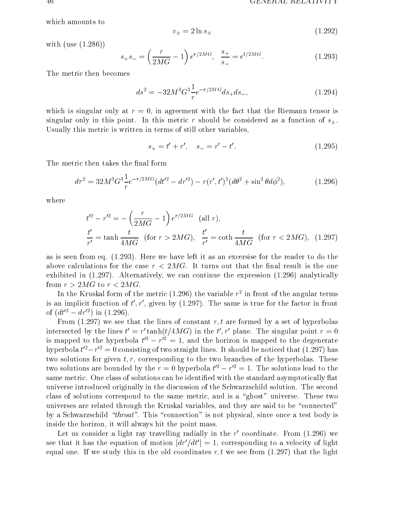which amounts to

$$
v_{\pm} = 2\ln s_{\pm} \tag{1.292}
$$

with use  $\mathbf{u}$  and  $\mathbf{u}$  and  $\mathbf{u}$  and  $\mathbf{u}$  and  $\mathbf{u}$  and  $\mathbf{u}$  and  $\mathbf{u}$  and  $\mathbf{u}$  and  $\mathbf{u}$  and  $\mathbf{u}$  and  $\mathbf{u}$  and  $\mathbf{u}$  and  $\mathbf{u}$  and  $\mathbf{u}$  and  $\mathbf{u}$  and  $\mathbf{u}$  and  $\mathbf$ 

$$
s_{+}s_{-} = \left(\frac{r}{2MG} - 1\right)e^{r/2MG}, \quad \frac{s_{+}}{s_{-}} = e^{t/2MG}.\tag{1.293}
$$

The metric then becomes

$$
ds^2 = -32M^3 G^3 \frac{1}{r} e^{-r/2MG} ds_+ ds_-, \qquad (1.294)
$$

which is singular only at  $r = 0$ , in agreement with the fact that the Riemann tensor is singular only in this point. In this metric r should be considered as a function of  $s_{+}$ . Usually this metric is written in terms of still other variables 

$$
s_{+} = t' + r', \quad s_{-} = r' - t'. \tag{1.295}
$$

$$
d\tau^2 = 32M^3 G^3 \frac{1}{r} e^{-r/2MG} (dt'^2 - dr'^2) - r(r', t')^2 (d\theta^2 + \sin^2 \theta d\phi^2), \tag{1.296}
$$

where

$$
t'^2 - r'^2 = -\left(\frac{r}{2MG} - 1\right)e^{r/2MG} \quad \text{(all } r),
$$
  

$$
\frac{t'}{r'} = \tanh\frac{t}{4MG} \quad \text{(for } r > 2MG), \quad \frac{t'}{r'} = \coth\frac{t}{4MG} \quad \text{(for } r < 2MG), \quad (1.297)
$$

as is seen from equal to the reader to do the reader to do the reader to do the reader to do the reader to do exhibited in - Alternatively we can continue the expression - Alternatively we can continue the expression - A

In the Kruskal lorm of the metric  $(1.290)$  the variable  $r^{\perp}$  in front of the angular terms is an implicit function of  $\iota$  ,  $r$  , given by  $(1.297)$ . The same is true for the factor in front of  $(at - ar^{-})$  in  $(1.290)$ .

From - we see that the lines of constant r t are formed by a set of hyperbolas intersected by the lines  $\iota = r \, \tanh(\iota/4M\mathbf{G})$  in the  $\iota$  ,  $r$  plane. The singular point  $r=0$ is mapped to the hyperbola  $t^+ - r^- = 1$ , and the horizon is mapped to the degenerate  $n_{\rm F}$  is the norm of two straight lines. To should be noticed that (1.297) has two solutions for given  $t, r$ , corresponding to the two branches of the hyperbolas. These two solutions are bounded by the  $r = 0$  hyperbola  $t^- - r^- = 1$ . The solutions lead to the same metric One class of solutions can be identi ed with the standard asymptotically at universe introduced originally in the discussion of the Schwarzschild solution The second class of solutions correspond to the same metric, and is a "ghost" universe. These two universes are related through the Kruskal variables, and they are said to be "connected" by a Schwarzschild "throat". This "connection" is not physical, since once a test body is inside the horizon, it will always hit the point mass.

Let us consider a light ray travelling radially in the  $r$  -coordinate. From (1.290) we see that it has the equation of motion  $\left| dr'/dt' \right| = 1$ , corresponding to a velocity of light equal one in this in this in this in the old coordinates r that the old coordinates r that the light  $\mathbf{H}$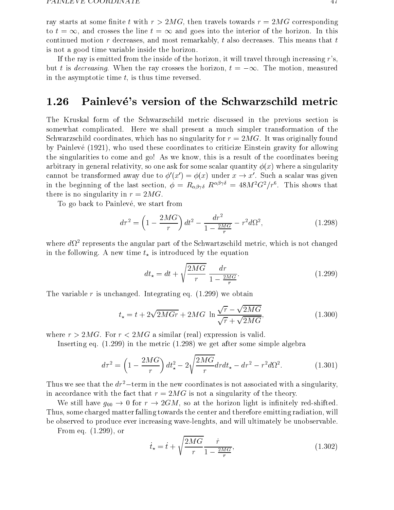ray starts at some nite t with r - -MG then travels towards r -MG corresponding to  $t = \infty$ , and crosses the line  $t = \infty$  and goes into the interior of the horizon. In this continued motion r decreases, and most remarkably,  $t$  also decreases. This means that  $t$ is not a good time variable inside the horizon

If the ray is emitted from the inside of the horizon, it will travel through increasing  $r$ 's. but t is decreasing. When the ray crosses the horizon,  $t = -\infty$ . The motion, measured in the asymptotic time  $t$ , is thus time reversed.

### 1.26 Painlevé's version of the Schwarzschild metric

The Kruskal form of the Schwarzschild metric discussed in the previous section is somewhat complicated. Here we shall present a much simpler transformation of the  $S$  . So the singularity for the singularity for  $\mathcal{S}$  , and  $\mathcal{S}$  are recognized for  $\mathcal{S}$  . The singularity for  $\mathcal{S}$  and  $\mathcal{S}$  $\mathcal{P}$  and the coordinates to coordinates to coordinates to coordinates to coordinates to coordinate  $\mathcal{P}$ the singularities to come and go! As we know, this is a result of the coordinates beeing arbitrary in general relativity, so one ask for some scalar quantity  $\phi(x)$  where a singularity cannot be transformed away due to  $\phi'(x') = \phi(x)$  under  $x \to x'$ . Such a scalar was given in the beginning of the last section,  $\varphi = R_{\alpha\beta\gamma\delta}$   $R^{n-\gamma}$  = 48M-G-/r. This shows that there is no singularity in respective in  $\mathcal{L}$ 

To go back to Painlevé, we start from

$$
d\tau^2 = \left(1 - \frac{2MG}{r}\right)dt^2 - \frac{dr^2}{1 - \frac{2MG}{r}} - r^2d\Omega^2,\tag{1.298}
$$

where  $a_3i^\star$  represents the angular part of the Schwartzschild metric, which is not changed in the following. A new time  $t_{\star}$  is introduced by the equation

$$
dt_{\star} = dt + \sqrt{\frac{2MG}{r}} \frac{dr}{1 - \frac{2MG}{r}}.\tag{1.299}
$$

The variable r is unchanged Integrating eq - we obtain

$$
t_{\star} = t + 2\sqrt{2MGr} + 2MG \ln \frac{\sqrt{r} - \sqrt{2MG}}{\sqrt{r} + \sqrt{2MG}},
$$
\n(1.300)

where r - -MG For r -MG a similar real expression is valid

 $\mathcal{L}$  is the metric of the metric extension of  $\mathcal{L}$  , we after some simple algebra  $\mathcal{L}$ 

$$
d\tau^{2} = \left(1 - \frac{2MG}{r}\right)dt_{\star}^{2} - 2\sqrt{\frac{2MG}{r}}drdt_{\star} - dr^{2} - r^{2}d\Omega^{2}.
$$
 (1.301)

Thus we see that the  $a r$  -term in the new coordinates is not associated with a singularity, in accordance with the fact that results of the theory of the theory of the theory of the theory of the theory

We still have  $g_{00} \to 0$  for  $r \to 2GM$ , so at the horizon light is infinitely red-shifted. Thus, some charged matter falling towards the center and therefore emitting radiation, will be observed to produce ever increasing wave-lenghts, and will ultimately be unobservable.

 $\mathbf{F}$  and  $\mathbf{F}$  are a set of  $\mathbf{F}$  and  $\mathbf{F}$  are a set of  $\mathbf{F}$  and  $\mathbf{F}$  are a set of  $\mathbf{F}$ 

$$
\dot{t}_{\star} = \dot{t} + \sqrt{\frac{2MG}{r}} \frac{\dot{r}}{1 - \frac{2MG}{r}},\tag{1.302}
$$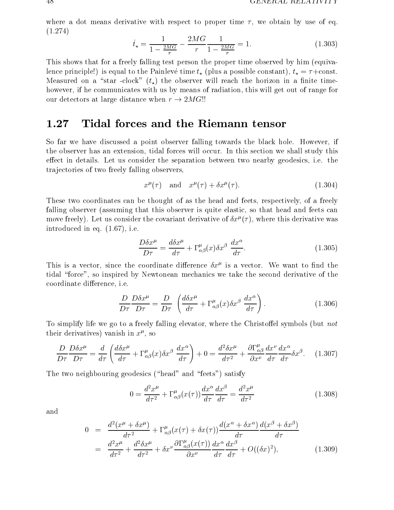where a dot means derivative with respect to proper time  $\tau$ , we obtain by use of eq. -

$$
\dot{t}_{\star} = \frac{1}{1 - \frac{2MG}{r}} - \frac{2MG}{r} \frac{1}{1 - \frac{2MG}{r}} = 1. \tag{1.303}
$$

This shows that for a freely falling test person the proper time observed by him (equivalence principle!) is equal to the Painlevé time  $t_{\star}$  (plus a possible constant),  $t_{\star} = \tau + \text{const.}$  $\Lambda$  and  $\Lambda$ however, if he communicates with us by means of radiation, this will get out of range for our detectors at large distance when  $r \rightarrow 2MG$ !!

### 1.27 Tidal forces and the Riemann tensor

So far we have discussed a point observer falling towards the black hole. However, if the observer has an extension, tidal forces will occur. In this section we shall study this effect in details. Let us consider the separation between two nearby geodesics, i.e. the tra jectories of two freely falling observers 

$$
x^{\mu}(\tau) \quad \text{and} \quad x^{\mu}(\tau) + \delta x^{\mu}(\tau). \tag{1.304}
$$

These two coordinates can be thought of as the head and feets, respectively, of a freely falling observer (assuming that this observer is quite elastic, so that head and feets can move freely). Let us consider the covariant derivative of  $\sigma x^{\mu}(\tau)$ , where this derivative was introduced in eq.  $(1.67)$ , i.e.

$$
\frac{D\delta x^{\mu}}{D\tau} = \frac{d\delta x^{\mu}}{d\tau} + \Gamma^{\mu}_{\alpha\beta}(x)\delta x^{\beta} \frac{dx^{\alpha}}{d\tau}.
$$
 (1.305)

This is a vector, since the coordinate difference  $\sigma x^{\mu}$  is a vector. We want to find the tidal "force", so inspired by Newtonean mechanics we take the second derivative of the coordinate difference, i.e.

$$
\frac{D}{D\tau}\frac{D\delta x^{\mu}}{D\tau} = \frac{D}{D\tau} \left( \frac{d\delta x^{\mu}}{d\tau} + \Gamma^{\mu}_{\alpha\beta}(x)\delta x^{\beta} \frac{dx^{\alpha}}{d\tau} \right). \tag{1.306}
$$

To simplify life we go to a freely falling elevator, where the Christoffel symbols (but not their derivatives) vanish in  $x<sup>r</sup>$ , so

$$
\frac{D}{D\tau}\frac{D\delta x^{\mu}}{D\tau} = \frac{d}{d\tau}\left(\frac{d\delta x^{\mu}}{d\tau} + \Gamma^{\mu}_{\alpha\beta}(x)\delta x^{\beta} \frac{dx^{\alpha}}{d\tau}\right) + 0 = \frac{d^{2}\delta x^{\mu}}{d\tau^{2}} + \frac{\partial \Gamma^{\mu}_{\alpha\beta}}{\partial x^{\nu}}\frac{dx^{\nu}}{d\tau}\frac{dx^{\alpha}}{d\tau}\delta x^{\beta}.
$$
 (1.307)

The two neighbouring geodesics ("head" and "feets") satisfy

$$
0 = \frac{d^2x^{\mu}}{d\tau^2} + \Gamma^{\mu}_{\alpha\beta}(x(\tau))\frac{dx^{\alpha}}{d\tau}\frac{dx^{\beta}}{d\tau} = \frac{d^2x^{\mu}}{d\tau^2}
$$
(1.308)

and

$$
0 = \frac{d^2(x^{\mu} + \delta x^{\mu})}{d\tau^2} + \Gamma^{\mu}_{\alpha\beta}(x(\tau) + \delta x(\tau))\frac{d(x^{\alpha} + \delta x^{\alpha})}{d\tau}\frac{d(x^{\beta} + \delta x^{\beta})}{d\tau}
$$
  
= 
$$
\frac{d^2x^{\mu}}{d\tau^2} + \frac{d^2\delta x^{\mu}}{d\tau^2} + \delta x^{\nu}\frac{\partial \Gamma^{\mu}_{\alpha\beta}(x(\tau))}{\partial x^{\nu}}\frac{dx^{\alpha}}{d\tau}\frac{dx^{\beta}}{d\tau} + O((\delta x)^2),
$$
(1.309)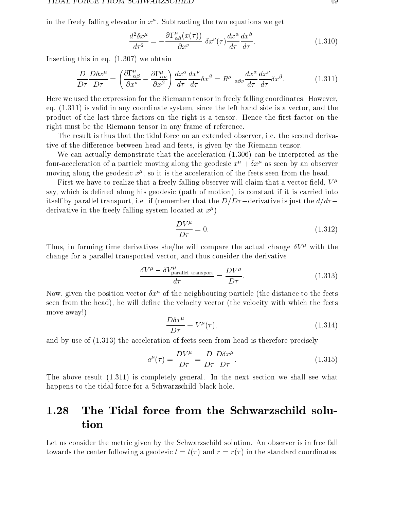In the freely falling elevator in  $x<sup>r</sup>$ . Subtracting the two equations we get

$$
\frac{d^2\delta x^{\mu}}{d\tau^2} = -\frac{\partial \Gamma^{\mu}_{\alpha\beta}(x(\tau))}{\partial x^{\nu}} \delta x^{\nu}(\tau) \frac{dx^{\alpha}}{d\tau} \frac{dx^{\beta}}{d\tau}.
$$
\n(1.310)

Inserting this in eq.  $(1.307)$  we obtain

$$
\frac{D}{D\tau}\frac{D\delta x^{\mu}}{D\tau} = \left(\frac{\partial \Gamma^{\mu}_{\alpha\beta}}{\partial x^{\nu}} - \frac{\partial \Gamma^{\mu}_{\alpha\nu}}{\partial x^{\beta}}\right) \frac{dx^{\alpha}}{d\tau} \frac{dx^{\nu}}{d\tau} \delta x^{\beta} = R^{\mu}{}_{\alpha\beta\nu} \frac{dx^{\alpha}}{d\tau} \frac{dx^{\nu}}{d\tau} \delta x^{\beta}.
$$
 (1.311)

Here we used the expression for the Riemann tensor in freely falling coordinates. However, eq.  $(1.311)$  is valid in any coordinate system, since the left hand side is a vector, and the product of the last three factors on the right is a tensor Hence the rst factor on the right must be the Riemann tensor in any frame of reference

The result is thus that the tidal force on an extended observer, i.e. the second derivative of the difference between head and feets, is given by the Riemann tensor.

We can actually demonstrate that the acceleration  $(1.306)$  can be interpreted as the four-acceleration of a particle moving along the geodesic  $x^{\mu} + \delta x^{\mu}$  as seen by an observer moving along the geodesic  $x<sup>r</sup>$ , so it is the acceleration of the feets seen from the head.

First we have to realize that a freely falling observer will claim that a vector held,  $V\cap$ say which is defined as a motion of motion  $\mathbf{H}$ itself by parallel transport, i.e. if (remember that the  $D/D\tau$ -derivative is just the  $d/d\tau$ derivative in the freely falling system located at  $x_{r}$  )

$$
\frac{DV^{\mu}}{D\tau} = 0.\tag{1.312}
$$

Thus, in forming time derivatives she/he will compare the actual change  $\delta V^{\mu}$  with the change for a parallel transported vector, and thus consider the derivative

$$
\frac{\delta V^{\mu} - \delta V_{\text{parallel transport}}^{\mu}}{d\tau} = \frac{DV^{\mu}}{D\tau}.
$$
\n(1.313)

Now, given the position vector  $\delta x^{\mu}$  of the neighbouring particle (the distance to the feets seen from the head of the velocity vector the velocity with which the velocity with which the velocity with which the feets with which the feets with which the feets with with which the feets with which the feets with whic move away!)

$$
\frac{D\delta x^{\mu}}{D\tau} \equiv V^{\mu}(\tau),\tag{1.314}
$$

and by use of  $(1.313)$  the acceleration of feets seen from head is therefore precisely

$$
a^{\mu}(\tau) = \frac{DV^{\mu}}{D\tau} = \frac{D}{D\tau} \frac{D\delta x^{\mu}}{D\tau}.
$$
\n(1.315)

The above result  $(1.311)$  is completely general. In the next section we shall see what happens to the tidal force for a Schwarzschild black hole.

# 1.28 The Tidal force from the Schwarzschild solu

Let us consider the metric given by the Schwarzschild solution. An observer is in free fall towards the center following a geodesic  $t = t(\tau)$  and  $r = r(\tau)$  in the standard coordinates.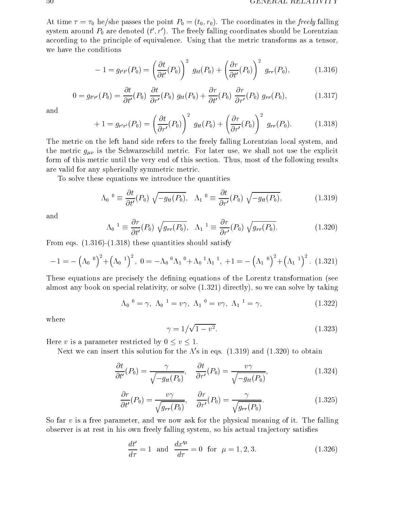At time  $\tau = \tau_0$  he/she passes the point  $P_0 = (t_0, r_0)$ . The coordinates in the freely falling system around  $F_0$  are denoted  $(t\,,r\,$  ). The freely falling coordinates should be Lorentzian according to the principle of equivalence. Using that the metric transforms as a tensor. we have the conditions

$$
-1 = g_{t't'}(P_0) = \left(\frac{\partial t}{\partial t'}(P_0)\right)^2 g_{tt}(P_0) + \left(\frac{\partial r}{\partial t'}(P_0)\right)^2 g_{rr}(P_0), \qquad (1.316)
$$

$$
0 = g_{t'r'}(P_0) = \frac{\partial t}{\partial t'}(P_0) \frac{\partial t}{\partial r'}(P_0) g_{tt}(P_0) + \frac{\partial r}{\partial t'}(P_0) \frac{\partial r}{\partial r'}(P_0) g_{rr}(P_0), \qquad (1.317)
$$

and

$$
+1 = g_{r'r'}(P_0) = \left(\frac{\partial t}{\partial r'}(P_0)\right)^2 g_{tt}(P_0) + \left(\frac{\partial r}{\partial r'}(P_0)\right)^2 g_{rr}(P_0).
$$
 (1.318)

The metric on the left hand side refers to the freely falling Lorentzian local system, and the metric g-d-contract g-contract g-contract metric  $\mu$  is the explicit metric  $\mu$ form of this metric until the very end of this section. Thus, most of the following results are valid for any spherically symmetric metric

To solve these equations we introduce the quantities

$$
\Lambda_0^0 \equiv \frac{\partial t}{\partial t'}(P_0) \sqrt{-g_{tt}(P_0)}, \quad \Lambda_1^0 \equiv \frac{\partial t}{\partial r'}(P_0) \sqrt{-g_{tt}(P_0)}, \tag{1.319}
$$

and

$$
\Lambda_0^{-1} \equiv \frac{\partial r}{\partial t'}(P_0) \sqrt{g_{rr}(P_0)}, \quad \Lambda_1^{-1} \equiv \frac{\partial r}{\partial r'}(P_0) \sqrt{g_{rr}(P_0)}.
$$
 (1.320)

From eqs.  $(1.316)-(1.318)$  these quantities should satisfy

$$
-1 = -(\Lambda_0^{-0})^2 + (\Lambda_0^{-1})^2, 0 = -\Lambda_0^{-0} \Lambda_1^{-0} + \Lambda_0^{-1} \Lambda_1^{-1}, +1 = -(\Lambda_1^{-0})^2 + (\Lambda_1^{-1})^2.
$$
 (1.321)

These equations are precisely the de ning equations of the Lorentz transformation see almost any book on special relations of the canonical relationship or solve by taking  $\mathcal{M}$ 

$$
\Lambda_0^0 = \gamma, \ \Lambda_0^{-1} = v\gamma, \ \Lambda_1^0 = v\gamma, \ \Lambda_1^{-1} = \gamma,
$$
\n(1.322)

where

$$
\gamma = 1/\sqrt{1 - v^2}.\tag{1.323}
$$

Here v is a parameter restricted by  $0 \le v \le 1$ .

Next we can insert this solution for the A s in eqs. (1.519) and (1.520) to obtain

$$
\frac{\partial t}{\partial t'}(P_0) = \frac{\gamma}{\sqrt{-g_{tt}(P_0)}}, \quad \frac{\partial t}{\partial r'}(P_0) = \frac{v\gamma}{\sqrt{-g_{tt}(P_0)}},\tag{1.324}
$$

$$
\frac{\partial r}{\partial t'}(P_0) = \frac{v\gamma}{\sqrt{g_{rr}(P_0)}}, \quad \frac{\partial r}{\partial r'}(P_0) = \frac{\gamma}{\sqrt{g_{rr}(P_0)}}.
$$
\n(1.325)

So far  $v$  is a free parameter, and we now ask for the physical meaning of it. The falling observer is at rest in his own freely falling system so his actual tra jectory satis es

$$
\frac{dt'}{d\tau} = 1 \text{ and } \frac{dx'^{\mu}}{d\tau} = 0 \text{ for } \mu = 1, 2, 3. \qquad (1.326)
$$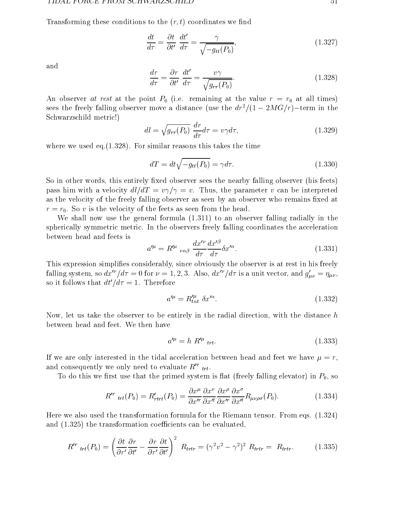Transforming the results to the r three conditions to the r three conditions  $\mathbf{r}$  and  $\mathbf{r}$  are conditions we expected the r three conditions we expected the r three conditions we expected the r three conditions we

$$
\frac{dt}{d\tau} = \frac{\partial t}{\partial t'} \frac{dt'}{d\tau} = \frac{\gamma}{\sqrt{-g_{tt}(P_0)}},\tag{1.327}
$$

and

$$
\frac{dr}{d\tau} = \frac{\partial r}{\partial t'} \frac{dt'}{d\tau} = \frac{v\gamma}{\sqrt{g_{rr}(P_0)}}.\tag{1.328}
$$

An observer at rest at the point  $P_0$  (i.e. remaining at the value  $r = r_0$  at all times) sees the freely familie observer move a distance tuse the  $a\tau^{\ast}/(1-\frac{2M}{M}G/T)$  -term in the Schwarzschild metric!)

$$
dl = \sqrt{g_{rr}(P_0)} \frac{dr}{d\tau} d\tau = v\gamma d\tau, \qquad (1.329)
$$

where we use the similar reasons the time similar reasons the time the time  $\mathcal{F}$ 

$$
dT = dt \sqrt{-g_{tt}(P_0)} = \gamma d\tau. \qquad (1.330)
$$

So in other words this entirely xed observer sees the nearby falling observer his feets pass him with a velocity  $dl/dT = v\gamma/\gamma = v$ . Thus, the parameter v can be interpreted as the velocity of the freely falling observer as seen by an observer who remains xed at  $r = r_0$ . So v is the velocity of the feets as seen from the head.

We shall now use the general formula  $(1.311)$  to an observer falling radially in the spherically symmetric metric In the observers freely falling coordinates the acceleration between head and feets is

$$
a^{\prime \mu} = R^{\prime \mu} \, \,_{\nu \alpha \beta} \, \frac{dx^{\prime \nu}}{d\tau} \frac{dx^{\prime \beta}}{d\tau} \delta x^{\prime \alpha}.
$$

This expression simpli es considerably since obviously the observer is at rest in his freely railing system, so  $ax^+/a\tau = 0$  for  $\nu = 1, 2, 3$ . Also,  $ax^-/a\tau$  is a unit vector, and  $g_{\mu\nu} = \eta_{\mu\nu}$ , so it follows that  $dt'/d\tau = 1$ . Therefore

$$
a^{\prime \mu} = R^{\prime \mu}_{t\alpha t} \ \delta x^{\prime \alpha}.\tag{1.332}
$$

Now, let us take the observer to be entirely in the radial direction, with the distance  $h$ between head and feet. We then have

$$
a'^{\mu} = h R'^{\mu}{}_{tri}.
$$
 (1.333)

If we are only interested in the tidal acceleration between head and feet we have  $\mu = r$ . and consequently we only need to evaluate  $R_{\perp trt}$ .

To do the this we have the the presence in the presence is at freely falling electronical for all in P social

$$
R^{tr}_{\ \ trt}(P_0) = R'_{\ \ trt}(P_0) = \frac{\partial x^{\mu}}{\partial x^{\prime r}} \frac{\partial x^{\nu}}{\partial x^{\prime t}} \frac{\partial x^{\rho}}{\partial x^{\prime r}} \frac{\partial x^{\sigma}}{\partial x^{\prime t}} R_{\mu\nu\rho\sigma}(P_0). \tag{1.334}
$$

Here we also used the transformation formula for the Riemann tensor From eqs  and , the transformation coefficients coefficients can be evaluated the coefficients can be evaluated to the c

$$
R^{tr}_{t} \, tr(tP_0) = \left(\frac{\partial t}{\partial r'}\frac{\partial r}{\partial t'} - \frac{\partial r}{\partial r'}\frac{\partial t}{\partial t'}\right)^2 \, R_{trtr} = (\gamma^2 v^2 - \gamma^2)^2 \, R_{trtr} = R_{trtr}.
$$
 (1.335)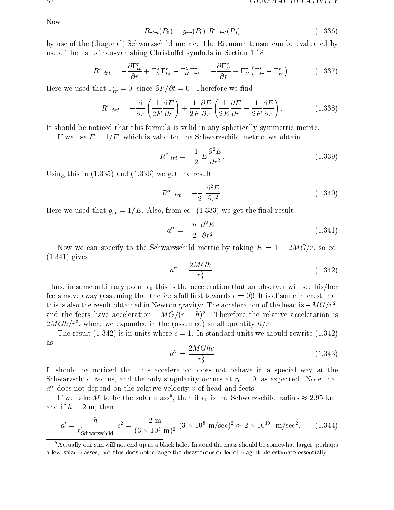Now

 $52$ 

$$
R_{rtrt}(P_0) = g_{rr}(P_0) R^r_{trt}(P_0)
$$
\n(1.336)

by use of the diagonal Schwarzschild metric The Riemann tensor can be evaluated by use of the list of non-vanishing Christoffel symbols in Section 1.18,

$$
R^r_{\ \ trt} = -\frac{\partial \Gamma^r_{tt}}{\partial r} + \Gamma^{\lambda}_{tr} \Gamma^r_{t\lambda} - \Gamma^{\lambda}_{tt} \Gamma^r_{r\lambda} = -\frac{\partial \Gamma^r_{tt}}{\partial r} + \Gamma^r_{tt} \left( \Gamma^t_{tr} - \Gamma^r_{rr} \right). \tag{1.337}
$$

Here we used that  $\Gamma_{tr} = 0$ , since  $\sigma r / \sigma t = 0$ . Therefore we find

$$
R^r_{\ \ trt} = -\frac{\partial}{\partial r} \left( \frac{1}{2F} \frac{\partial E}{\partial r} \right) + \frac{1}{2F} \frac{\partial E}{\partial r} \left( \frac{1}{2E} \frac{\partial E}{\partial r} - \frac{1}{2F} \frac{\partial E}{\partial r} \right). \tag{1.338}
$$

It should be noticed that this formula is valid in any spherically symmetric metric

If we use  $E = 1/F$ , which is valid for the Schwarzschild metric, we obtain

$$
R^r_{\ \ trt} = -\frac{1}{2} E \frac{\partial^2 E}{\partial r^2}.
$$
 (1.339)

Using this in  $(1.335)$  and  $(1.336)$  we get the result

$$
R^{tr}_{\ \ trt} = -\frac{1}{2} \frac{\partial^2 E}{\partial r^2}.
$$
 (1.340)

here we have the straight and the form of the straight of the straight that the straight and the straight of t

$$
a^{\prime r} = -\frac{h}{2} \frac{\partial^2 E}{\partial r^2}.
$$
\n(1.341)

Now we can specify to the Schwarzschild metric by taking  $E = 1 = 2mG/t$ , so eq.  $(1.341)$  gives

$$
a^{r} = \frac{2M Gh}{r_0^3}.
$$
\n(1.342)

Thus, in some arbitrary point  $r_0$  this is the acceleration that an observer will see his/her feets move as a rest toward that the feets fall is of the feets fall interest that the feets fall  $\alpha$ this is also the result obtained in Newton gravity: The acceleration of the head is  $-MG/T$  . and the feets have acceleration  $-MG/(T=R)$  . Therefore the relative acceleration is  $ZM$ G $R/T$ , where we expanded in the (assumed) small quantity  $R/T$ .

The result - is in units where c In standard units we should rewrite - $\mathbf{r}$  and  $\mathbf{r}$  and  $\mathbf{r}$  and  $\mathbf{r}$  and  $\mathbf{r}$ as

$$
a^{r} = \frac{2MGhc}{r_0^3} \tag{1.343}
$$

It should be noticed that this acceleration does not behave in a special way at the Schwarzschild radius, and the only singularity occurs at  $r_0 = 0$ , as expected. Note that  $a^{r}$  does not depend on the relative velocity v of head and feets.

If we take M to be the solar mass", then if  $r_0$  is the Schwarzschild radius  $\approx$  2.95 km, and if h  $\sim$  then if h  $\sim$  then if h  $\sim$  then if  $\sim$  then if  $\sim$  then if  $\sim$ 

$$
a' = \frac{h}{r_{\text{Schwarzschild}}^2} \ c^2 = \frac{2 \text{ m}}{(3 \times 10^3 \text{ m})^2} \ (3 \times 10^8 \text{ m/sec})^2 \approx 2 \times 10^{10} \text{ m/sec}^2. \tag{1.344}
$$

<sup>&</sup>lt;sup>9</sup> Actually our sun will not end up as a black hole. Instead the mass should be somewhat larger, perhaps a few solar masses, but this does not change the disasterous order of magnitude estimate essentially.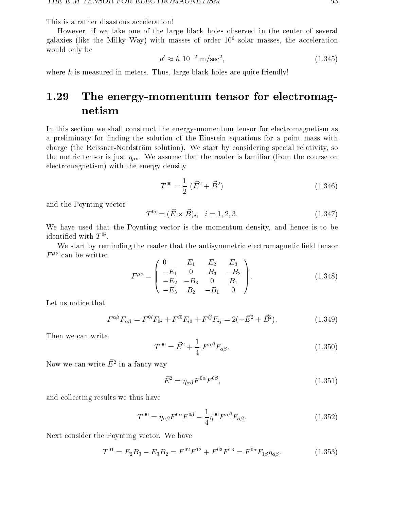This is a rather disastous acceleration!

However, if we take one of the large black holes observed in the center of several galaxies (like the Milky Way) with masses of order  $10^6$  solar masses, the acceleration would only be

$$
a' \approx h \ 10^{-2} \ \text{m/sec}^2,\tag{1.345}
$$

where  $h$  is measured in meters. Thus, large black holes are quite friendly!

## 1.29 The energy-momentum tensor for electromag-

In this section we shall construct the energy
momentum tensor for electromagnetism as a preliminary for the solution of the solution of the Einstein equations for a point mass with charge (the Reissner-Nordström solution). We start by considering special relativity, so  $t$  is just -from the reader is familiar from the reader is familiar from the course on the course on the course on the course on the course on the course on the course on the course on the course on the course on the cou electromagnetism) with the energy density

$$
T^{00} = \frac{1}{2} \left( \vec{E}^2 + \vec{B}^2 \right) \tag{1.346}
$$

and the Poynting vector

$$
T^{0i} = (\vec{E} \times \vec{B})_i, \quad i = 1, 2, 3. \tag{1.347}
$$

We have used that the Poynting vector is the momentum density, and hence is to be identified with  $T^{0i}$ .

itined with  $I^{\infty}$ .<br>We start by reminding the reader that the antisymmetric electromagnetic field tensor  $\mathbf{r}$  - can be written  $\mathbf{r}$ 

$$
F^{\mu\nu} = \begin{pmatrix} 0 & E_1 & E_2 & E_3 \\ -E_1 & 0 & B_3 & -B_2 \\ -E_2 & -B_3 & 0 & B_1 \\ -E_3 & B_2 & -B_1 & 0 \end{pmatrix} . \tag{1.348}
$$

Let us notice that

$$
F^{\alpha\beta}F_{\alpha\beta} = F^{0i}F_{0i} + F^{i0}F_{i0} + F^{ij}F_{ij} = 2(-\vec{E}^2 + \vec{B}^2). \tag{1.349}
$$

Then we can write

$$
T^{00} = \vec{E}^2 + \frac{1}{4} F^{\alpha\beta} F_{\alpha\beta}.
$$
 (1.350)

in ow we can write  $E^-$  in a fancy way

$$
\vec{E}^2 = \eta_{\alpha\beta} F^{0\alpha} F^{0\beta},\tag{1.351}
$$

and collecting results we thus have

$$
T^{00} = \eta_{\alpha\beta} F^{0\alpha} F^{0\beta} - \frac{1}{4} \eta^{00} F^{\alpha\beta} F_{\alpha\beta}.
$$
 (1.352)

Next consider the Poynting vector. We have

$$
T^{01} = E_2 B_3 - E_3 B_2 = F^{02} F^{12} + F^{03} F^{13} = F^{0\alpha} F_{1\beta} \eta_{\alpha\beta}.
$$
 (1.353)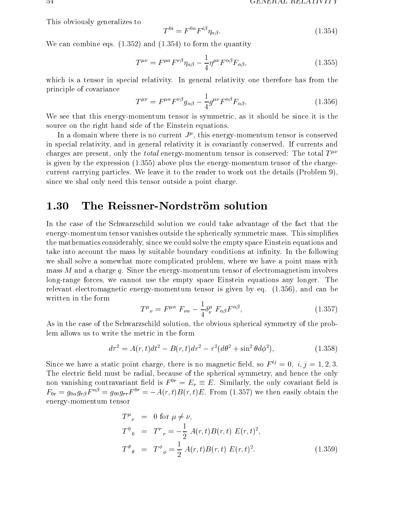This obviously generalizes to

$$
T^{0i} = F^{0\alpha} F^{i\beta} \eta_{\alpha\beta}.
$$
\n
$$
(1.354)
$$

We can combine eqs - and  to form the quantity

$$
T^{\mu\nu} = F^{\mu\alpha} F^{\nu\beta} \eta_{\alpha\beta} - \frac{1}{4} \eta^{\mu\nu} F^{\alpha\beta} F_{\alpha\beta}, \qquad (1.355)
$$

which is a tensor in special relativity. In general relativity one therefore has from the principle of covariance

$$
T^{\mu\nu} = F^{\mu\alpha} F^{\nu\beta} g_{\alpha\beta} - \frac{1}{4} g^{\mu\nu} F^{\alpha\beta} F_{\alpha\beta}, \qquad (1.356)
$$

We see that this energy-momentum tensor is symmetric, as it should be since it is the source on the right hand side of the Einstein equations.

In a domain where there is no current  $J^{\kappa},$  this energy-momentum tensor is conserved in special relativity, and in general relativity it is covariantly conserved. If currents and charges are present, only the *total* energy-momentum tensor is conserved: The total  $T^{\mu\nu}$ is given by the expression  $(1.355)$  above plus the energy-momentum tensor of the chargecurrent carrying particles. We leave it to the reader to work out the details  $(Problem 9)$ . since we shal only need this tensor outside a point charge.

### 1.30 The Reissner-Nordström solution

In the case of the Schwarzschild solution we could take advantage of the fact that the energy
momentum tensor vanishes outside the spherically symmetric mass This simpli es the mathematics considerably, since we could solve the empty space Einstein equations and take into account the mass by suitable boundary conditions at in nity In the following we shall solve a somewhat more complicated problem, where we have a point mass with mass M and a charge  $q$ . Since the energy-momentum tensor of electromagnetism involves long-range forces, we cannot use the empty space Einstein equations any longer. The relevant electromagnetic energy-momentum tensor is given by eq.  $(1.356)$ , and can be written in the form

$$
T^{\mu}{}_{\nu} = F^{\mu\alpha} F_{\nu\alpha} - \frac{1}{4} \delta^{\mu}_{\nu} F_{\alpha\beta} F^{\alpha\beta}, \qquad (1.357)
$$

As in the case of the Schwarzschild solution, the obvious spherical symmetry of the problem allows us to write the metric in the form

$$
d\tau^2 = A(r, t)dt^2 - B(r, t)dr^2 - r^2(d\theta^2 + \sin^2\theta d\phi^2),
$$
\n(1.358)

Since we have a static point charge, there is no magnetic held, so  $F^{-1} = 0, \ i, j = 1, 2, 5$ . The electric eld must be radial because of the spherical symmetry and hence the only non vanishing contravariant field is  $F^{\circ\circ}=E_r\equiv E$ . Similarly, the only covariant field is  $F_{0r} = g_{0\alpha}g_{r\beta}F^{\alpha\beta} = g_{00}g_{rr}F^{0r} = -A(r,t)B(r,t)E$ . From (1.357) we then easily obtain the energy
momentum tensor

$$
T^{\mu}{}_{\nu} = 0 \text{ for } \mu \neq \nu,
$$
  
\n
$$
T^{0}{}_{0} = T^{r}{}_{r} = -\frac{1}{2} A(r,t) B(r,t) E(r,t)^{2},
$$
  
\n
$$
T^{\theta}{}_{\theta} = T^{\phi}{}_{\phi} = \frac{1}{2} A(r,t) B(r,t) E(r,t)^{2}.
$$
\n(1.359)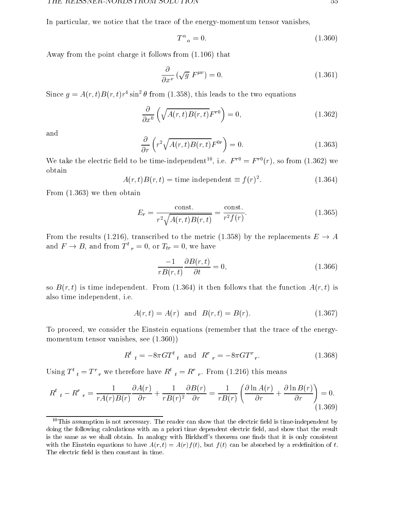In particular, we notice that the trace of the energy-momentum tensor vanishes,

$$
T^{\alpha}{}_{\alpha} = 0. \tag{1.360}
$$

Away from the point charge it follows from  $(1.106)$  that

$$
\frac{\partial}{\partial x^{\nu}}\left(\sqrt{g} F^{\mu\nu}\right) = 0. \tag{1.361}
$$

Since  $g = A(r, t)B(r, t)r$  sin-  $\theta$  from (1.358), this leads to the two equations

$$
\frac{\partial}{\partial x^0} \left( \sqrt{A(r,t)B(r,t)} F^{r0} \right) = 0, \qquad (1.362)
$$

and

$$
\frac{\partial}{\partial r}\left(r^2\sqrt{A(r,t)B(r,t)}F^{0r}\right) = 0.\tag{1.363}
$$

We take the electric held to be time-independent  $\Box$ , i.e.  $r = r - (r)$ , so from (1.502) we obtain

$$
A(r,t)B(r,t) = \text{time independent} \equiv f(r)^2. \tag{1.364}
$$

From  $(1.363)$  we then obtain

$$
E_r = \frac{\text{const.}}{r^2 \sqrt{A(r, t)B(r, t)}} = \frac{\text{const.}}{r^2 f(r)}.
$$
 (1.365)

From the results (1.216), transcribed to the metric (1.358) by the replacements  $E \to A$ and  $F \to B$ , and from  $T^*$   $_r = 0$ , or  $T_{tr} = 0$ , we have

$$
\frac{-1}{rB(r,t)}\frac{\partial B(r,t)}{\partial t} = 0,\t(1.366)
$$

so  $B(r,t)$  is time independent. From (1.364) it then follows that the function  $A(r,t)$  is also time independent, i.e.

$$
A(r,t) = A(r)
$$
 and  $B(r,t) = B(r)$ . (1.367)

To proceed, we consider the Einstein equations (remember that the trace of the energymomentum tensor vanishes, see  $(1.360)$ )

$$
R^{t}_{t} = -8\pi GT^{t}_{t} \text{ and } R^{r}_{r} = -8\pi GT^{r}_{r}.
$$
 (1.368)

Using  $T_t = T_r$  we therefore have  $R_t = R_r$ , from (1.210) this means

$$
R^{t}{}_{t} - R^{r}{}_{r} = \frac{1}{rA(r)B(r)} \frac{\partial A(r)}{\partial r} + \frac{1}{rB(r)^{2}} \frac{\partial B(r)}{\partial r} = \frac{1}{rB(r)} \left( \frac{\partial \ln A(r)}{\partial r} + \frac{\partial \ln B(r)}{\partial r} \right) = 0.
$$
\n(1.369)

 $^\circ$  I ms assumption is not necessary. The reader can show that the electric held is time-independent by doing the following calculations with an a priori time dependent electric field, and show that the result is the same as we shall obtain. In analogy with Birkhoff's theorem one finds that it is only consistent  $\mathcal{A} \cup \mathcal{A} \longrightarrow \mathcal{A} \cup \mathcal{A} \longrightarrow \mathcal{A} \cup \mathcal{A} \longrightarrow \mathcal{A} \longrightarrow \mathcal{A} \longrightarrow \mathcal{A} \longrightarrow \mathcal{A} \longrightarrow \mathcal{A} \longrightarrow \mathcal{A} \longrightarrow \mathcal{A} \longrightarrow \mathcal{A} \longrightarrow \mathcal{A} \longrightarrow \mathcal{A} \longrightarrow \mathcal{A} \longrightarrow \mathcal{A} \longrightarrow \mathcal{A} \longrightarrow \mathcal{A} \longrightarrow \mathcal{A} \longrightarrow \mathcal{A} \longrightarrow \mathcal{A} \longrightarrow \mathcal{A} \longrightarrow \mathcal{A} \longrightarrow \mathcal{A} \longrightarrow \mathcal{A} \longrightarrow \mathcal{$ The electric field is then constant in time.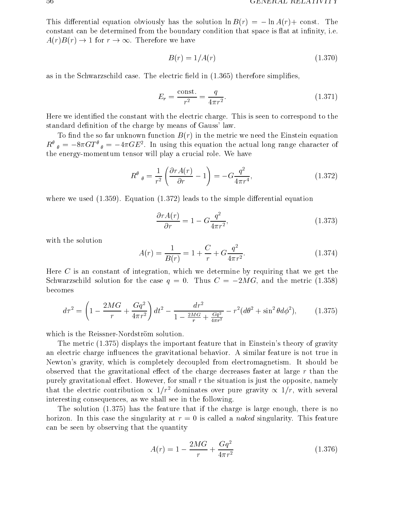This differential equation obviously has the solution  $\ln B(r) = -\ln A(r) + \text{const.}$  The constant can be determined from the boundary condition that space is at interesting in that space is at at in  $A(r)B(r) \rightarrow 1$  for  $r \rightarrow \infty$ . Therefore we have

$$
B(r) = 1/A(r) \tag{1.370}
$$

as in the Schwarzschild case The electric Case The electric in the electric simplication in the electric simplication of the electric simplication of the electric simplication of the electric simplication in the electric s

$$
E_r = \frac{\text{const.}}{r^2} = \frac{q}{4\pi r^2}.
$$
\n(1.371)

Here we identi ed the constant with the electric charge This is seen to correspond to the standard de nition of the charge by means of Gauss law

To the so far unknown function  $\mathbf{N}$  and  $\mathbf{N}$  in the metric we need the Einstein equation equation equation equation equation equation equation equation equation equation equation equation equation equation equatio  $R_{\theta} = -\delta \pi G I_{\theta} = -4 \pi G E$ . In using this equation the actual long range character of the energy
momentum tensor will play a crucial role We have

$$
R^{\theta}{}_{\theta} = \frac{1}{r^2} \left( \frac{\partial r A(r)}{\partial r} - 1 \right) = -G \frac{q^2}{4\pi r^4},\tag{1.372}
$$

where we use  $\mathcal{L} = \mathcal{L}$  is the simple dierential equation - the simple dierential equation - the simple dierential equation -

$$
\frac{\partial rA(r)}{\partial r} = 1 - G \frac{q^2}{4\pi r^2},\tag{1.373}
$$

with the solution

$$
A(r) = \frac{1}{B(r)} = 1 + \frac{C}{r} + G\frac{q^2}{4\pi r^2}.
$$
 (1.374)

Here  $C$  is an constant of integration, which we determine by requiring that we get the Schwarzschild solution for the case  $q = 0$ . Thus  $\bigcirc = -2m\sigma$ , and the metric (1.000) becomes

$$
d\tau^2 = \left(1 - \frac{2MG}{r} + \frac{Gq^2}{4\pi r^2}\right)dt^2 - \frac{dr^2}{1 - \frac{2MG}{r} + \frac{Gq^2}{4\pi r^2}} - r^2(d\theta^2 + \sin^2\theta d\phi^2),\tag{1.375}
$$

which is the Reissner-Nordström solution.

The metric  $(1.375)$  displays the important feature that in Einstein's theory of gravity an electric charge influences the gravitational behavior. A similar feature is not true in Newton's gravity, which is completely decoupled from electromagnetism. It should be observed that the gravitational effect of the charge decreases faster at large  $r$  than the purely gravitational effect. However, for small  $r$  the situation is just the opposite, namely that the electric contribution  $\propto$  1/ $r^2$  dominates over pure gravity  $\propto$  1/ $r$ , with several interesting consequences, as we shall see in the following.

The solution  $(1.375)$  has the feature that if the charge is large enough, there is no horizon. In this case the singularity at  $r = 0$  is called a *naked* singularity. This feature can be seen by observing that the quantity

$$
A(r) = 1 - \frac{2MG}{r} + \frac{Gq^2}{4\pi r^2}
$$
\n(1.376)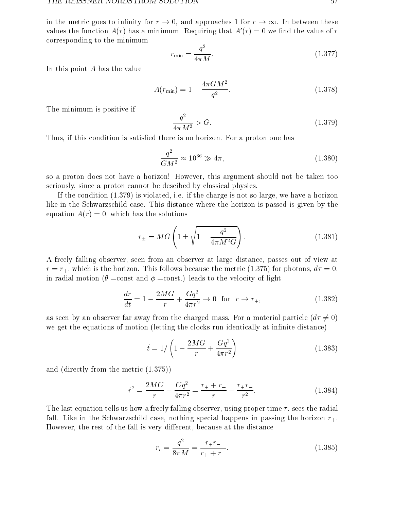in the metric goes to infinity for  $r \to 0$ , and approaches 1 for  $r \to \infty$ . In between these values the function  $A(T)$  has a minimum. Requiring that  $A(T) = 0$  we find the value of  $T$ corresponding to the minimum

$$
r_{\min} = \frac{q^2}{4\pi M}.\tag{1.377}
$$

In this point A has the value

$$
A(r_{\min}) = 1 - \frac{4\pi GM^2}{q^2}.
$$
\n(1.378)

The minimum is positive if

$$
\frac{q^2}{4\pi M^2} > G.
$$
\n(1.379)

the is the condition is satisfactor is no horizon for a proton for a proton  $\mu$  , and the proton  $\mu$ 

$$
\frac{q^2}{GM^2} \approx 10^{36} \gg 4\pi,\tag{1.380}
$$

so a proton does not have a horizon! However, this argument should not be taken too seriously, since a proton cannot be descibed by classical physics.

If the condition  $(1.379)$  is violated, i.e. if the charge is not so large, we have a horizon like in the Schwarzschild case. This distance where the horizon is passed is given by the equation  $A(r) = 0$ , which has the solutions

$$
r_{\pm} = MG \left( 1 \pm \sqrt{1 - \frac{q^2}{4\pi M^2 G}} \right). \tag{1.381}
$$

A freely falling observer, seen from an observer at large distance, passes out of view at  $r = r_{+}$ , which is the horizon. This follows because the metric (1.375) for photons,  $d\tau = 0$ . in radial motion ( $\theta = \text{const}$  and  $\phi = \text{const}$ .) leads to the velocity of light

$$
\frac{dr}{dt} = 1 - \frac{2MG}{r} + \frac{Gq^2}{4\pi r^2} \to 0 \quad \text{for} \quad r \to r_+, \tag{1.382}
$$

as seen by an observer far away from the charged mass. For a material particle  $(d\tau \neq 0)$ we give the equations of motions (coloring the clocks run identically at interesting at  $\sim$ 

$$
\dot{t} = 1/\left(1 - \frac{2MG}{r} + \frac{Gq^2}{4\pi r^2}\right) \tag{1.383}
$$

and (directly from the metric  $(1.375)$ )

$$
\dot{r}^2 = \frac{2MG}{r} - \frac{Gq^2}{4\pi r^2} = \frac{r_+ + r_-}{r} - \frac{r_+ r_-}{r^2}.
$$
\n(1.384)

The last equation tells us how a freely falling observer, using proper time  $\tau$ , sees the radial fall. Like in the Schwarzschild case, nothing special happens in passing the horizon  $r_{+}$ . However, the rest of the fall is very different, because at the distance

$$
r_c = \frac{q^2}{8\pi M} = \frac{r_+ r_-}{r_+ + r_-}.\tag{1.385}
$$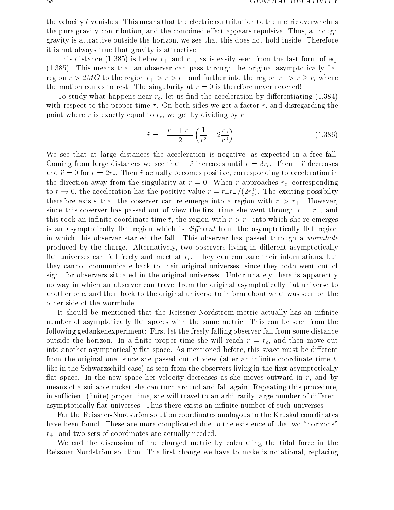the velocity  $\dot{r}$  vanishes. This means that the electric contribution to the metric overwhelms the pure gravity contribution, and the combined effect appears repulsive. Thus, although gravity is attractive outside the horizon, we see that this does not hold inside. Therefore it is not always true that gravity is attractive.

 $\sqrt{1-\frac{1}{\sqrt{1-\frac{1}{\sqrt{1-\frac{1}{\sqrt{1-\frac{1}{\sqrt{1-\frac{1}{\sqrt{1-\frac{1}{\sqrt{1-\frac{1}{\sqrt{1-\frac{1}{\sqrt{1-\frac{1}{\sqrt{1-\frac{1}{\sqrt{1-\frac{1}{\sqrt{1-\frac{1}{\sqrt{1-\frac{1}{\sqrt{1-\frac{1}{\sqrt{1-\frac{1}{\sqrt{1-\frac{1}{\sqrt{1-\frac{1}{\sqrt{1-\frac{1}{\sqrt{1-\frac{1}{\sqrt{1-\frac{1}{\sqrt{1-\frac{1}{\sqrt{1-\frac{1}{\sqrt{1-\frac{1}{\sqrt{1-\frac{1}{\sqrt{1$  $(1.385)$ . This means that an observer can pass through the original asymptotically flat region  $r > 2MG$  to the region  $r_+ > r > r_-$  and further into the region  $r_- > r \geq r_c$  where the motion comes to rest. The singularity at  $r = 0$  is therefore never reached!

to study what happens near real terms near real terms near real terms of the acceleration by differentiating o with respect to the proper time  $\tau$ . On both sides we get a factor  $\dot{r}$ , and disregarding the point where r is exactly equal to  $r_c$ , we get by dividing by  $\dot{r}$ 

$$
\ddot{r} = -\frac{r_+ + r_-}{2} \left( \frac{1}{r^2} - 2\frac{r_c}{r^3} \right). \tag{1.386}
$$

We see that at large distances the acceleration is negative, as expected in a free fall. Coming from large distances we see that  $-\ddot{r}$  increases until  $r = 3r_c$ . Then  $-\ddot{r}$  decreases and recorresponding to recorresponding to actually becomes positive actually becomes positive actually becomes the direction away from the singularity at  $r = 0$ . When r approaches  $r_c$ , corresponding to  $r \to 0$ , the acceleration has the positive value  $r = r_+ r_-/(2r_c^2)$ . The exciting possibilty therefore the observer can region with region with region with region  $\mathbf{H}$ since the time she went time she went through r  $\Omega$  ratios of view the went through r ratios of view through r ratios of view through r ratios of view through r ratios of view through r ratios of view through r ratios of this to an interesting the region with region regions with region  $\ell$  ,  $\ell$  into we receive the region  $Q$  and is an asymptotically flat region which is  $differential$  from the asymptotically flat region in which this observer started the fall. This observer has passed through a *wormhole* produced by the charge. Alternatively, two observers living in different asymptotically flat universes can fall freely and meet at  $r_c$ . They can compare their informations, but they cannot communicate back to their original universes, since they both went out of sight for observers situated in the original universes Unfortunately there is apparently no way in which an observer can travel from the original asymptotically flat universe to another one, and then back to the original universe to inform about what was seen on the other side of the wormhole

It should be mentioned that the Reissner
Nordstrom metric actually has an in nite number of asymptotically flat spaces with the same metric. This can be seen from the following gedankenexperiment: First let the freely falling observer fall from some distance outside the horizon In a nite proper time she will reach r rc and then move out into another asymptotically flat space. As mentioned before, this space must be different from the original one since she passed out of view after an in nite coordinate time t like in the Schwarzschild case as seen from the observers living in the rst asymptotically flat space. In the new space her velocity decreases as she moves outward in  $r$ , and by means of a suitable rocket she can turn around and fall again Repeating this procedure in su"cient nite proper time she will travel to an arbitrarily large number of dierent asymptotically at universes Thus there exists an in nite number of such universes

For the Reissner
Nordstrom solution coordinates analogous to the Kruskal coordinates have been found. These are more complicated due to the existence of the two "horizons"  $r_{\pm}$ , and two sets of coordinates are actually needed.

We end the discussion of the charged metric by calculating the tidal force in the Reissner
Nordstrom solution The rst change we have to make is notational replacing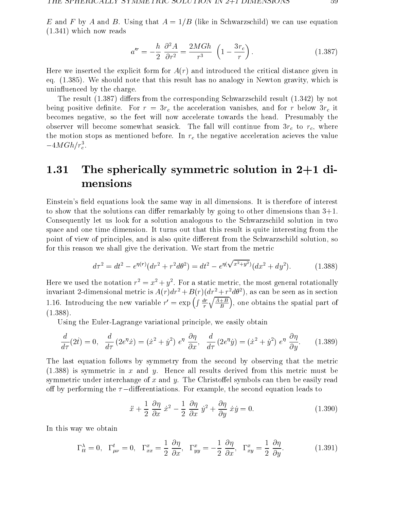E and F by A and B. Using that  $A = 1/B$  (like in Schwarzschild) we can use equation  $(1.341)$  which now reads

$$
a^{r} = -\frac{h}{2} \frac{\partial^2 A}{\partial r^2} = \frac{2M Gh}{r^3} \left( 1 - \frac{3r_c}{r} \right).
$$
 (1.387)

Here we inserted the explicit form for  $A(r)$  and introduced the critical distance given in eq.  $(1.385)$ . We should note that this result has no analogy in Newton gravity, which is uninfluenced by the charge.

The result  diers from the corresponding Schwarzschild result - by not being positive de nite For <sup>r</sup> rc the acceleration vanishes and for <sup>r</sup> below rc it becomes negative, so the feet will now accelerate towards the head. Presumably the observer will become somewhat seasick. The fall will continue from  $3r_c$  to  $r_c$ , where the motion stops as mentioned before. In  $r_c$  the negative acceleration acieves the value  $-4M$  GH/T<sub>c</sub>.

### 1.31 The spherically symmetric solution in  $2+1$  dimensions

Einsteins eld equations look the same way in all dimensions It is therefore of interest to show that the solutions can differ remarkably by going to other dimensions than  $3+1$ . Consequently let us look for <sup>a</sup> solution analogous to the Schwarzschild solution in two space and one time dimension. It turns out that this result is quite interesting from the point of view of principles, and is also quite different from the Schwarzschild solution, so for this reason we shall give the derivation We start from the metric

$$
d\tau^2 = dt^2 - e^{\eta(r)}(dr^2 + r^2d\theta^2) = dt^2 - e^{\eta(\sqrt{x^2 + y^2})}(dx^2 + dy^2).
$$
 (1.388)

Here we used the notation  $r_x = x_y + y$  . For a static metric, the most general rotationally invariant 2-dimensional metric is  $A(r) a r^+ + D(r) (a r^+ + r^- a \theta^-)$ , as can be seen as in section 1.10. Introducing the new variable  $r = \exp(1 - \sqrt{1 - \frac{1}{n}})$  $\left(\int \frac{dr}{r} \sqrt{\frac{A+B}{B}}\right)$ , one obt  $\overline{\phantom{a}}$  $\mathcal{L}$  and  $\mathcal{L}$  and  $\mathcal{L}$  and  $\mathcal{L}$  and  $\mathcal{L}$  and  $\mathcal{L}$  and  $\mathcal{L}$  and  $\mathcal{L}$  and  $\mathcal{L}$  and  $\mathcal{L}$  and  $\mathcal{L}$  and  $\mathcal{L}$  and  $\mathcal{L}$  and  $\mathcal{L}$  and  $\mathcal{L}$  and  $\mathcal{L}$  and  $\mathcal{L}$  and one obtains the spatial part of part of  $\sim$  $(1.388).$ 

Using the Euler-Lagrange variational principle, we easily obtain

$$
\frac{d}{d\tau}(2\dot{t}) = 0, \quad \frac{d}{d\tau}(2e^{\eta}\dot{x}) = (\dot{x}^2 + \dot{y}^2) e^{\eta} \frac{\partial \eta}{\partial x}, \quad \frac{d}{d\tau}(2e^{\eta}\dot{y}) = (\dot{x}^2 + \dot{y}^2) e^{\eta} \frac{\partial \eta}{\partial y}.
$$
(1.389)

The last equation follows by symmetry from the second by observing that the metric  $(1.388)$  is symmetric in x and y. Hence all results derived from this metric must be symmetric under interchange of x and y. The Christoffel symbols can then be easily read off by performing the  $\tau$ -differentiations. For example, the second equation leads to

$$
\ddot{x} + \frac{1}{2} \frac{\partial \eta}{\partial x} \dot{x}^2 - \frac{1}{2} \frac{\partial \eta}{\partial x} \dot{y}^2 + \frac{\partial \eta}{\partial y} \dot{x} \dot{y} = 0.
$$
 (1.390)

In this way we obtain

$$
\Gamma_{tt}^{\lambda} = 0, \quad \Gamma_{\mu\nu}^{t} = 0, \quad \Gamma_{xx}^{x} = \frac{1}{2} \frac{\partial \eta}{\partial x}, \quad \Gamma_{yy}^{x} = -\frac{1}{2} \frac{\partial \eta}{\partial x}, \quad \Gamma_{xy}^{x} = \frac{1}{2} \frac{\partial \eta}{\partial y}.
$$
 (1.391)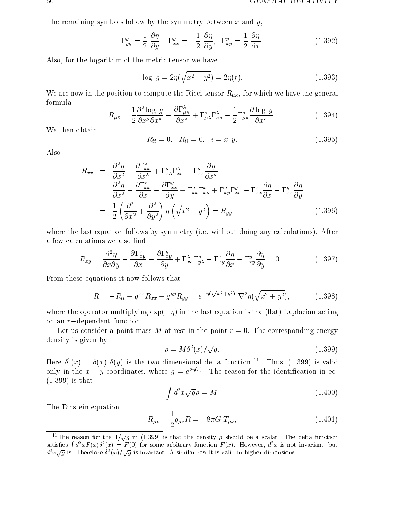The remaining symbols follow by the symmetry between x and y.

$$
\Gamma_{yy}^{y} = \frac{1}{2} \frac{\partial \eta}{\partial y}, \quad \Gamma_{xx}^{y} = -\frac{1}{2} \frac{\partial \eta}{\partial y}, \quad \Gamma_{xy}^{y} = \frac{1}{2} \frac{\partial \eta}{\partial x}.
$$
 (1.392)

Also, for the logarithm of the metric tensor we have

$$
\log g = 2\eta(\sqrt{x^2 + y^2}) = 2\eta(r). \tag{1.393}
$$

which we have the position to compute the second resort tensor RVM) can we have the matrix tensor  $\Delta$  concernsion formula

$$
R_{\mu\kappa} = \frac{1}{2} \frac{\partial^2 \log g}{\partial x^{\mu} \partial x^{\kappa}} - \frac{\partial \Gamma^{\lambda}_{\mu\kappa}}{\partial x^{\lambda}} + \Gamma^{\sigma}_{\mu\lambda} \Gamma^{\lambda}_{\kappa\sigma} - \frac{1}{2} \Gamma^{\sigma}_{\mu\kappa} \frac{\partial \log g}{\partial x^{\sigma}}.
$$
(1.394)

We then obtain

$$
R_{tt} = 0, \quad R_{ti} = 0, \quad i = x, y. \tag{1.395}
$$

Also

$$
R_{xx} = \frac{\partial^2 \eta}{\partial x^2} - \frac{\partial \Gamma_{xx}^{\lambda}}{\partial x^{\lambda}} + \Gamma_{x\lambda}^{\sigma} \Gamma_{x\sigma}^{\lambda} - \Gamma_{xx}^{\sigma} \frac{\partial \eta}{\partial x^{\sigma}}
$$
  
\n
$$
= \frac{\partial^2 \eta}{\partial x^2} - \frac{\partial \Gamma_{xx}^x}{\partial x} - \frac{\partial \Gamma_{xx}^y}{\partial y} + \Gamma_{xx}^{\sigma} \Gamma_{x\sigma}^x + \Gamma_{xy}^{\sigma} \Gamma_{x\sigma}^y - \Gamma_{xx}^x \frac{\partial \eta}{\partial x} - \Gamma_{xx}^y \frac{\partial \eta}{\partial y}
$$
  
\n
$$
= \frac{1}{2} \left( \frac{\partial^2}{\partial x^2} + \frac{\partial^2}{\partial y^2} \right) \eta \left( \sqrt{x^2 + y^2} \right) = R_{yy},
$$
 (1.396)

where the last equation follows by symmetry (i.e. without doing any calculations). After

$$
R_{xy} = \frac{\partial^2 \eta}{\partial x \partial y} - \frac{\partial \Gamma_{xy}^x}{\partial x} - \frac{\partial \Gamma_{xy}^y}{\partial y} + \Gamma_{x\sigma}^{\lambda} \Gamma_{y\lambda}^{\sigma} - \Gamma_{xy}^x \frac{\partial \eta}{\partial x} - \Gamma_{xy}^y \frac{\partial \eta}{\partial y} = 0.
$$
 (1.397)

From these equations it now follows that

$$
R = -R_{tt} + g^{xx}R_{xx} + g^{yy}R_{yy} = e^{-\eta(\sqrt{x^2 + y^2})} \nabla^2 \eta(\sqrt{x^2 + y^2}), \tag{1.398}
$$

where the operator multiplying  $\exp(-\eta)$  in the last equation is the (flat) Laplacian acting on an  $r$ -dependent function.

Let us consider a point mass M at rest in the point  $r = 0$ . The corresponding energy density is given by

$$
\rho = M\delta^2(x)/\sqrt{g}.\tag{1.399}
$$

Here  $\sigma^-(x) = \sigma(x)$   $\sigma(y)$  is the two dimensional delta function  $\tau^*$ . Thus, (1.399) is valid only in the  $x - y$ -coordinates, where  $y = e^{-\kappa/\tau}$ . The reason for the identification in eq.  $(1.399)$  is that

$$
\int d^2x \sqrt{g}\rho = M. \tag{1.400}
$$

The Einstein equation

$$
R_{\mu\nu} - \frac{1}{2}g_{\mu\nu}R = -8\pi G \ T_{\mu\nu},\tag{1.401}
$$

<sup>&</sup>lt;sup>11</sup>The reason for the  $1/\sqrt{g}$  in (1.399) is that the density  $\rho$  should be a scalar. The delta function satisfies  $\int d^2x F(x) \delta^2(x) = F(0)$  for some arbitrary function  $F(x)$ . However,  $d^2x$  is not invariant, but  $d^2x\sqrt{g}$  is. Therefore  $\delta^2(x)/\sqrt{g}$  is invariant. A similar result is valid in higher dimensions.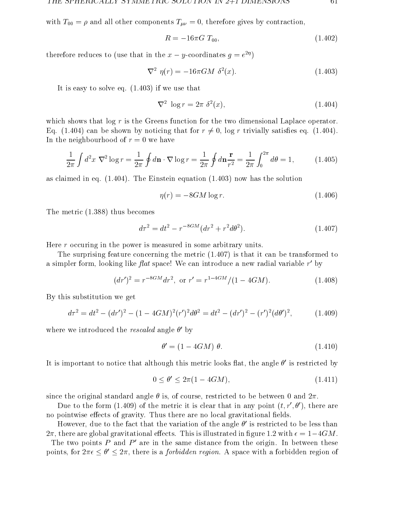with T and all other components therefore gives by contraction  $\mu$ 

$$
R = -16\pi G T_{00},\tag{1.402}
$$

therefore reduces to tuse that in the  $x - y$ -coordinates  $q = e^{-y}$ 

$$
\nabla^2 \eta(r) = -16\pi GM \delta^2(x). \qquad (1.403)
$$

It is easy to solve eq.  $(1.403)$  if we use that

$$
\nabla^2 \log r = 2\pi \delta^2(x),\tag{1.404}
$$

which shows that  $\log r$  is the Greens function for the two dimensional Laplace operator. Eq. (1.404) can be shown by noticing that for  $r \neq 0$ , log r trivially satisfies eq. (1.404). In the neighbourhood of  $r = 0$  we have

$$
\frac{1}{2\pi} \int d^2x \nabla^2 \log r = \frac{1}{2\pi} \oint d\mathbf{n} \cdot \nabla \log r = \frac{1}{2\pi} \oint d\mathbf{n} \frac{\mathbf{r}}{r^2} = \frac{1}{2\pi} \int_0^{2\pi} d\theta = 1,
$$
 (1.405)

as claimed in eq.  $(1.404)$ . The Einstein equation  $(1.403)$  now has the solution

$$
\eta(r) = -8GM \log r. \tag{1.406}
$$

The metric  $(1.388)$  thus becomes

$$
d\tau^2 = dt^2 - r^{-8GM} (dr^2 + r^2 d\theta^2). \tag{1.407}
$$

Here  $r$  occuring in the power is measured in some arbitrary units.

The surprising feature concerning the metric  $(1.407)$  is that it can be transformed to a simpler form, looking like *flut* space: We can introduce a new radial variable  $r$  by

$$
(dr')^2 = r^{-8GM} dr^2, \text{ or } r' = r^{1-4GM} / (1 - 4GM). \tag{1.408}
$$

By this substitution we get

$$
d\tau^2 = dt^2 - (dr')^2 - (1 - 4GM)^2 (r')^2 d\theta^2 = dt^2 - (dr')^2 - (r')^2 (d\theta')^2, \qquad (1.409)
$$

where we introduced the *rescated* angle  $\sigma$  by

$$
\theta' = (1 - 4GM) \theta. \tag{1.410}
$$

It is important to notice that although this metric looks hat, the angle  $\theta$  is restricted by

$$
0 \le \theta' \le 2\pi (1 - 4GM),\tag{1.411}
$$

since the original standard angle  $\mathcal{L}$  course  $\mathcal{L}$  restricted to be between  $\mathcal{L}$ 

Due to the form (1.409) of the metric it is clear that in any point  $(t, r, \theta)$ , there are no pointwise extensive there are no local gravitations that there are no local gravitations are no local gravitations of  $\mathbf{A}$ 

However, que to the fact that the variation of the angle  $\theta$  is restricted to be less than  $\Delta n$ , there are grobal gravitational effects. This is inustrated in ligure 1.2 wrth  $\epsilon = 1 - 4GM$  .

The two points  $P$  and  $P'$  are in the same distance from the origin. In between these points, for  $2\pi\epsilon \leq \theta' \leq 2\pi$ , there is a *forbidden region*. A space with a forbidden region of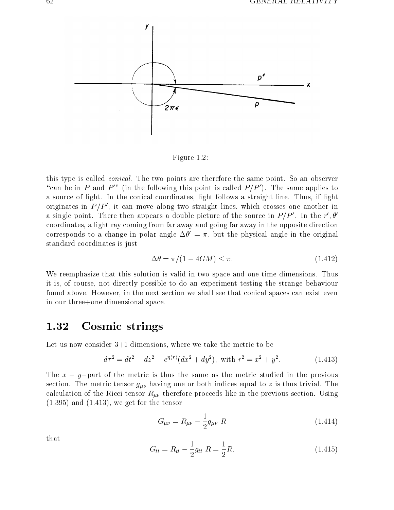

Figure  $1.2$ :

this type is called *conical*. The two points are therefore the same point. So an observer "can be in P and  $P''$  (in the following this point is called  $P/P'$ ). The same applies to a source of light. In the conical coordinates, light follows a straight line. Thus, if light originates in  $P/P'$ , it can move along two straight lines, which crosses one another in a single point. There then appears a double picture of the source in  $P/P$  . In the  $r$  ,  $\theta$ coordinates, a light ray coming from far away and going far away in the opposite direction corresponds to a change in polar angle  $\Delta \theta = \pi$ , but the physical angle in the original standard coordinates is just

$$
\Delta \theta = \pi / (1 - 4GM) \le \pi. \tag{1.412}
$$

We reemphasize that this solution is valid in two space and one time dimensions. Thus it is, of course, not directly possible to do an experiment testing the strange behaviour found above. However, in the next section we shall see that conical spaces can exist even in our three+one dimensional space.

### 1.32 Cosmic strings

Let us now consider  $3+1$  dimensions, where we take the metric to be

$$
d\tau^2 = dt^2 - dz^2 - e^{\eta(r)}(dx^2 + dy^2), \text{ with } r^2 = x^2 + y^2. \tag{1.413}
$$

The  $x - y$ -part of the metric is thus the same as the metric studied in the previous section The metric tensor gauge metric tensor and the metric trium to the tensor to z is the tensor to an calculation of the Ricci tensor Ricci tensor Ricci tensor Ricci tensor Ricci tensor Previous section Using  $\sim$  $(1.395)$  and  $(1.413)$ , we get for the tensor

$$
G_{\mu\nu} = R_{\mu\nu} - \frac{1}{2}g_{\mu\nu} R \tag{1.414}
$$

that

$$
G_{tt} = R_{tt} - \frac{1}{2}g_{tt} R = \frac{1}{2}R.
$$
 (1.415)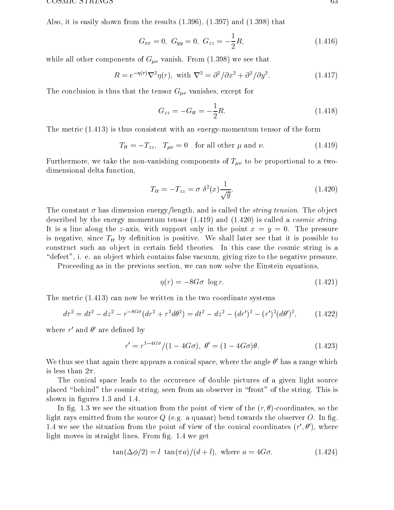Also, it is easily shown from the results  $(1.396)$ ,  $(1.397)$  and  $(1.398)$  that

$$
G_{xx} = 0, \ G_{yy} = 0, \ G_{zz} = -\frac{1}{2}R,\tag{1.416}
$$

 $\mathbb{R}$  all other components of G- $\mu\nu$ 

$$
R = e^{-\eta(r)} \nabla^2 \eta(r), \text{ with } \nabla^2 = \partial^2 / \partial x^2 + \partial^2 / \partial y^2. \tag{1.417}
$$

 $\sim$   $\mu$ 

$$
G_{zz} = -G_{tt} = -\frac{1}{2}R.\t\t(1.418)
$$

The metric  $(1.413)$  is thus consistent with an energy-momentum tensor of the form

$$
T_{tt} = -T_{zz}, \quad T_{\mu\nu} = 0 \quad \text{for all other } \mu \text{ and } \nu. \tag{1.419}
$$

 $\Gamma$  to be proportional to be proportional to be proportional to a two and the proportional to a two and two and two and two and two and two and two and two and two and two and two and two and two and two and two and two dimensional delta function 

$$
T_{tt} = -T_{zz} = \sigma \ \delta^2(x) \frac{1}{\sqrt{g}}.
$$
 (1.420)

The constant  $\sigma$  has dimension energy/length, and is called the *string tension*. The object described by the energy momentum tensor (intervaly moment) at energy at the string string. It is a line along the z-axis, with support only in the point  $x = y = 0$ . The pressure is negative since The Signal later sees that it is possible to the iterative were computed to possible to a co construct such an ob ject in certain eld theories In this case the cosmic string is a "defect", i. e. an object which contains false vacuum, giving rize to the negative pressure.

Proceeding as in the previous section, we can now solve the Einstein equations,

$$
\eta(r) = -8G\sigma \log r. \tag{1.421}
$$

The metric  $(1.413)$  can now be written in the two coordinate systems

$$
d\tau^2 = dt^2 - dz^2 - r^{-8G\sigma} (dr^2 + r^2 d\theta^2) = dt^2 - dz^2 - (dr')^2 - (r')^2 (d\theta')^2, \qquad (1.422)
$$

where  $r$  and  $\sigma$  are defined by

$$
r' = r^{1-4G\sigma}/(1 - 4G\sigma), \ \theta' = (1 - 4G\sigma)\theta.
$$
 (1.423)

we thus see that again there appears a conical space, where the angle  $\sigma$  has a range which

The conical space leads to the occurence of double pictures of a given light source placed "behind" the cosmic string, seen from an observer in "front" of the string. This is shown in  $\mathcal{L}$  shown in  $\mathcal{L}$  and  $\mathcal{L}$  and  $\mathcal{L}$  and  $\mathcal{L}$  and  $\mathcal{L}$  and  $\mathcal{L}$  and  $\mathcal{L}$  and  $\mathcal{L}$  and  $\mathcal{L}$  and  $\mathcal{L}$  and  $\mathcal{L}$  and  $\mathcal{L}$  and  $\mathcal{L}$  and  $\mathcal{L}$  and  $\mathcal{L}$  and

in and the situation for the situation of the rest of the situation of the resolution of the rest of the rest o light rays emitted from the source Q eg a quasar bend towards the observer O In g 1.4 we see the situation from the point of view of the conical coordinates  $(r, \sigma)$ , where light moves in straight lines from  $\ell$  we get the straight lines  $\ell$  we get the straight lines  $\ell$  we get the straight lines of  $\ell$ 

$$
\tan(\Delta\phi/2) = l \ \tan(\pi a)/(d+l), \text{ where } a = 4G\sigma. \tag{1.424}
$$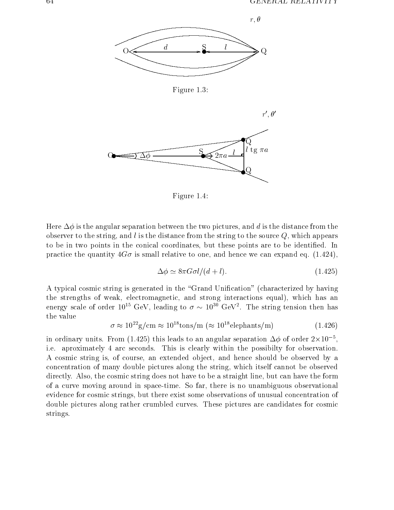

Figure 1.4:

Here  $\Delta\phi$  is the angular separation between the two pictures, and d is the distance from the observer to the string, and l is the distance from the string to the source  $Q$ , which appears to be in two points in the conical coordinates but these points are to be identi ed In practice the quantity FC is smaller to one in the quantity we can expand the proposition of  $\eta$  ,  $\eta$  and  $\eta$ 

$$
\Delta \phi \simeq 8\pi G \sigma l/(d+l). \tag{1.425}
$$

A typical cosmic string is generated in the Grand Uni cation characterized by having the strengths of weak, electromagnetic, and strong interactions equal), which has an energy scale of order to  $\sim$  GeV, leading to  $\sigma \sim$  to GeV-. The string tension then has the value

$$
\sigma \approx 10^{22} \text{g/cm} \approx 10^{18} \text{tons/m} \ (\approx 10^{18} \text{elephants/m}) \tag{1.426}
$$

in ordinary units. From (1.425) this leads to an angular separation  $\Delta\phi$  of order 2×10  $\degree$ . i.e. aproximately 4 arc seconds. This is clearly within the possibilty for observation. A cosmic string is, of course, an extended object, and hence should be observed by a concentration of many double pictures along the string, which itself cannot be observed directly. Also, the cosmic string does not have to be a straight line, but can have the form of a curve moving around in space-time. So far, there is no unambiguous observational evidence for cosmic strings, but there exist some observations of unusual concentration of double pictures along rather crumbled curves. These pictures are candidates for cosmic strings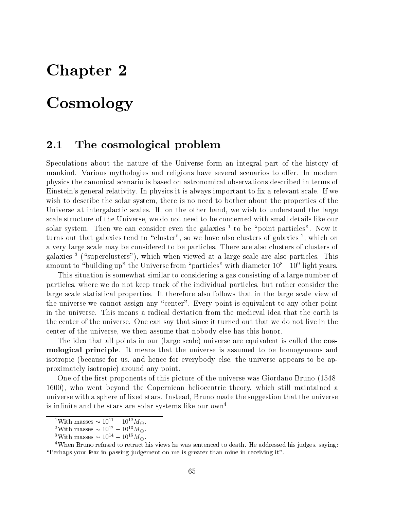# <u>Chapter of the community of the community of the community of the community of the community of the community of the community of the community of the community of the community of the community of the community of the co</u>

# **Cosmology**

### 2.1 The cosmological problem

Speculations about the nature of the Universe form an integral part of the history of mankind. Various mythologies and religions have several scenarios to offer. In modern physics the canonical scenario is based on astronomical observations described in terms of  $\mathbf{A}$  . The interval relativity is always in physics in physics in physics in physics in the interval relativity in  $\mathbf{B}$ wish to describe the solar system, there is no need to bother about the properties of the Universe at intergalactic scales. If, on the other hand, we wish to understand the large scale structure of the Universe, we do not need to be concerned with small details like our solar system. Then we can consider even the galaxies  $1$  to be "point particles". Now it turns out that galaxies tend to cluster , so we have also clusters of galaxies -, which on a very large scale may be considered to be particles. There are also clusters of clusters of galaxies  $3$  ("superclusters"), which when viewed at a large scale are also particles. This amount to "building up" the Universe from "particles" with diameter 10° - 10° light years.

This situation is somewhat similar to considering a gas consisting of a large number of particles, where we do not keep track of the individual particles, but rather consider the large scale statistical properties. It therefore also follows that in the large scale view of the universe we cannot assign any "center". Every point is equivalent to any other point in the universe. This means a radical deviation from the medieval idea that the earth is the center of the universe. One can say that since it turned out that we do not live in the center of the universe, we then assume that nobody else has this honor.

The idea that all points in our (large scale) universe are equivalent is called the cosmological principle It means that the universe is assumed to be homogeneous and isotropic (because for us, and hence for everybody else, the universe appears to be approximately isotropic) around any point.

One of the rst proponents of this picture of the universe was Giordano Bruno 1600), who went beyond the Copernican heliocentric theory, which still maintained a with a stars instead of stars instead of the stars instead  $\mathbf{r}$  and the suggestion that the universe  $\mathbf{r}$ is infinite and the stars are solar systems like our own<sup>-</sup>.

With masses  $\sim 10^{-7} - 10^{-7} M_{\odot}$ .

With masses  $\sim 10^{-7} - 10^{-7} M_{\odot}$ .

<sup>&</sup>lt;sup>3</sup>With masses  $\sim 10^{14} - 10^{15} M_{\odot}$ .

<sup>&</sup>lt;sup>4</sup>When Bruno refused to retract his views he was sentenced to death. He addressed his judges, saying: Perhaps your fear in passing judgement on me is greater than mine in receiving it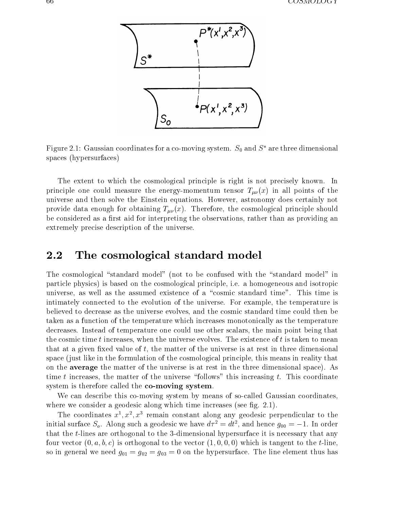

r igure 2.1: Gaussian coordinates for a co-moving system.  $S_0$  and  $S$  -are three dimensional relations of  $S_0$ spaces (hypersurfaces)

The extent to which the cosmological principle is right is not precisely known. In principle one course the energy measure the energy the energy couples the energy  $-\mu\nu$  and the points of the energy universe and then solve the Einstein equations. However, astronomy does certainly not  $p \rightarrow \infty$  and the cosmological provides  $\Theta = \mu \nu$  (c), which is the contracted  $\Theta$  and  $\mu$  and the cosmological principle showledge that  $\sigma$ be considered asa rst aid for interpreting the observations rather than asproviding an extremely precise description of the universe

### 2.2 The cosmological standard model

The cosmological "standard model" (not to be confused with the "standard model" in particle physics) is based on the cosmological principle, i.e. a homogeneous and isotropic universe, as well as the assumed existence of a "cosmic standard time". This time is intimately connected to the evolution of the universe. For example, the temperature is believed to decrease as the universe evolves, and the cosmic standard time could then be taken asa function of the temperature which increases monotonically as the temperature decreases. Instead of temperature one could use other scalars, the main point being that the cosmic time t increases, when the universe evolves. The existence of  $t$  is taken to mean that a given matter of the universe is at the matter of the matter of the universe in the second complete  $\sim$ space (just like in the formulation of the cosmological principle, this means in reality that on the **average** the matter of the universe is at rest in the three dimensional space). As time t increases, the matter of the universe "follows" this increasing  $t$ . This coordinate system is therefore called the co moving system

We can describe this co-moving system by means of so-called Gaussian coordinates, where we consider a given increase  $\alpha$  which time is along the set  $\alpha$  and  $\alpha$ 

The coordinates  $x^2$ ,  $x^2$ ,  $x^-$  remain constant along any geodesic perpendicular to the initial surface  $S_o$ . Along such a geodesic we have  $a\tau^{\bot}=a\iota^{\bot},$  and hence  $g_{00}=-1.$  In order that the *t*-lines are orthogonal to the 3-dimensional hypersurface it is necessary that any four vector  $(0, a, b, c)$  is orthogonal to the vector  $(1, 0, 0, 0)$  which is tangent to the t-line,  $\Omega$  in the first vector of the line element the line element thus has been the line element thus has been thus has been thus has been thus has been thus has been thus has been thus has been thus has been thus has been th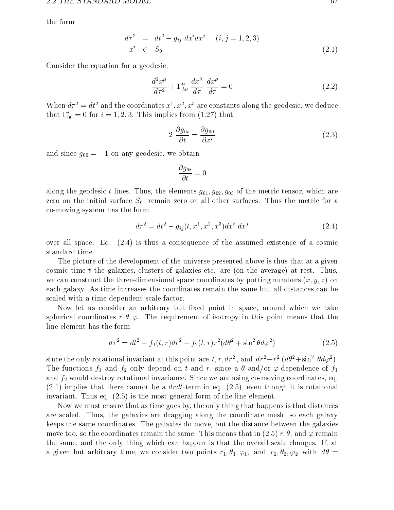the form

$$
d\tau^{2} = dt^{2} - g_{ij} dx^{i} dx^{j} \quad (i, j = 1, 2, 3)
$$
  

$$
x^{i} \in S_{0}
$$
 (2.1)

Consider the equation for a geodesic 

$$
\frac{d^2x^{\mu}}{d\tau^2} + \Gamma^{\mu}_{\lambda\rho} \frac{dx^{\lambda}}{d\tau} \frac{dx^{\rho}}{d\tau} = 0
$$
\n(2.2)

When  $a_1 = a_1$  and the coordinates  $x_1, x_2, x_3$  are constants along the geodesic, we deduce that  $\Gamma_{00} = 0$  for  $i = 1, 2, 3$ . This implies from  $(1.27)$  that

$$
2\,\frac{\partial g_{0i}}{\partial t} = \frac{\partial g_{00}}{\partial x^i} \tag{2.3}
$$

and since  $g_{00} = -1$  on any geodesic, we obtain

$$
\frac{\partial g_{0i}}{\partial t}=0
$$

along the geodesic t
lines Thus the elements g g- g of the metric tensor which are zero on the initial surface  $S_0$ , remain zero on all other surfaces. Thus the metric for a co
moving system has the form

$$
d\tau^2 = dt^2 - g_{ij}(t, x^1, x^2, x^3)dx^i dx^j
$$
 (2.4)

over and space  $\equiv$  q -  $\rightarrow$  as the assumed existence of the assumed existence of a consequence of a consequence standard time

The picture of the development of the universe presented above is thus that at a given cosmic time t the galaxies, clusters of galaxies etc. are (on the average) at rest. Thus, we can construct the three-dimensional space coordinates by putting numbers  $(x, y, z)$  on each galaxy. As time increases the coordinates remain the same but all distances can be scaled with a time
dependent scale factor

Now let us consider an arbitrary but xed point in space around which we take spherical coordinates  $r, \theta, \varphi$ . The requirement of isotropy in this point means that the line element has the form

$$
d\tau^2 = dt^2 - f_1(t, r)dr^2 - f_2(t, r)r^2(d\theta^2 + \sin^2\theta d\varphi^2)
$$
 (2.5)

since the only rotational invariant at this point are  $\iota, r, ar^*$  , and  $ar^* + r^*$  ( $a\sigma^* + \sin^* \theta a\varphi^*$ ). The functions for  $f \perp$  and  $f \perp$  and  $f$  are dependent on the form of function  $f$  and  $f$  and  $f$  are considered of  $f \perp$ and f-coordinates would destroy rotational invariance we are using contracted coordinates and invariance we are u , is the product there can be a drawing the and the control  $\eta$  ,  $\eta$  is the canonical control of the control of  $\eta$ invariant Thus equal form of the most general form of the most general form of the line element  $\mathcal{L}$ 

Now we must ensure that as time goes by, the only thing that happens is that distances are scaled. Thus, the galaxies are dragging along the coordinate mesh, so each galaxy keeps the same coordinates. The galaxies do move, but the distance between the galaxies move to so the coordinates remain the same This means that in  $\mathbf{r}$  and  $\mathbf{r}$ the same, and the only thing which can happen is that the overall scale changes. If, at and are we consider the constant of the constant of  $\mathbf{r}$  and  $\mathbf{r}$  and  $\mathbf{r}$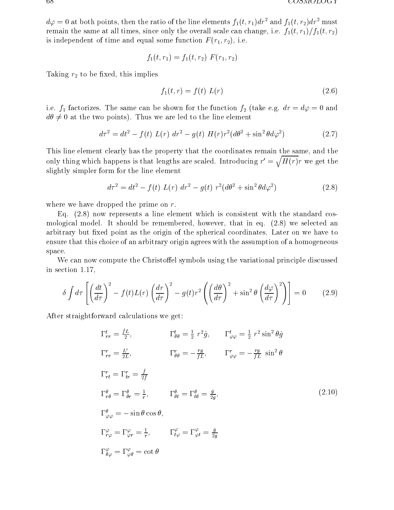$a\varphi = 0$  at both points, then the ratio of the line elements  $f_1(t, r_1) a r_-$  and  $f_1(t, r_2) a r_-$  must remain the same at all times, since only the overall scale can change, i.e.  $f_1(t, r_1)/f_1(t, r_2)$  $\mathbf{r}$  and  $\mathbf{r}$  and  $\mathbf{r}$  and  $\mathbf{r}$  and  $\mathbf{r}$ is independent of time and equal some function  $\lambda$  and  $\lambda$  respectively. The result of  $\lambda$ 

$$
f_1(t,r_1) = f_1(t,r_2) F(r_1,r_2)
$$

Taking resources to the complete this implies the contract of the contract of the contract of the contract of the contract of the contract of the contract of the contract of the contract of the contract of the contract of

$$
f_1(t, r) = f(t) L(r)
$$
\n(2.6)

if for factorizes The same can be shown for the function for the function function function function function function  $f$  $d\theta \neq 0$  at the two points). Thus we are led to the line element

$$
d\tau^2 = dt^2 - f(t) L(r) dr^2 - g(t) H(r) r^2 (d\theta^2 + \sin^2 \theta d\varphi^2)
$$
 (2.7)

This line element clearly has the property that the coordinates remain the same, and the only thing which happens is that lengths are scaled. Introducing  $r' = \sqrt{H(r)}r$  we get the slightly simpler form for the line element

$$
d\tau^2 = dt^2 - f(t) L(r) dr^2 - g(t) r^2 (d\theta^2 + \sin^2 \theta d\varphi^2)
$$
 (2.8)

where we have dropped the prime on  $r$ .

equal terms as a line element with interesting with the standard costs with the standard costs with the standard costs of the standard costs of the standard costs of the standard costs of the standard costs of the standard mological model is shown that it should be remembered that it should be replaced and it is a selected and it in arbitrary but the origin of the spherical coordinates Later originates Later originates Later on we have to th ensure that this choice of an arbitrary origin agrees with the assumption of a homogeneous space

We can now compute the Christoffel symbols using the variational principle discussed in section 1.17.

$$
\delta \int d\tau \left[ \left( \frac{dt}{d\tau} \right)^2 - f(t)L(r) \left( \frac{dr}{d\tau} \right)^2 - g(t)r^2 \left( \left( \frac{d\theta}{d\tau} \right)^2 + \sin^2 \theta \left( \frac{d\varphi}{d\tau} \right)^2 \right) \right] = 0 \tag{2.9}
$$

After straightforward calculations we get

$$
\Gamma_{rr}^{t} = \frac{fL}{2}, \qquad \Gamma_{\theta\theta}^{t} = \frac{1}{2} r^{2} \dot{g}, \qquad \Gamma_{\varphi\varphi}^{t} = \frac{1}{2} r^{2} \sin^{2} \theta \dot{g}
$$
\n
$$
\Gamma_{rr}^{r} = \frac{L'}{2L}, \qquad \Gamma_{\theta\theta}^{r} = -\frac{rg}{fL}, \qquad \Gamma_{\varphi\varphi}^{r} = -\frac{rg}{fL} \sin^{2} \theta
$$
\n
$$
\Gamma_{rt}^{r} = \Gamma_{tr}^{r} = \frac{\dot{f}}{2f}
$$
\n
$$
\Gamma_{r\theta}^{\theta} = \Gamma_{\theta r}^{\theta} = \frac{1}{r}, \qquad \Gamma_{\theta t}^{\theta} = \Gamma_{t\theta}^{\theta} = \frac{\dot{g}}{2g}, \qquad (2.10)
$$
\n
$$
\Gamma_{\varphi\varphi}^{\theta} = -\sin \theta \cos \theta,
$$
\n
$$
\Gamma_{\varphi\varphi}^{\varphi} = \Gamma_{\varphi r}^{\varphi} = \frac{1}{r}, \qquad \Gamma_{t\varphi}^{\varphi} = \Gamma_{\varphi t}^{\varphi} = \frac{\dot{g}}{2g}
$$
\n
$$
\Gamma_{\theta\varphi}^{\varphi} = \Gamma_{\varphi\theta}^{\varphi} = \cot \theta
$$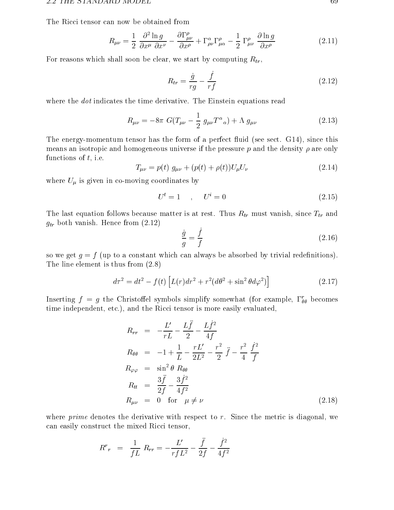The Ricci tensor can now be obtained from

$$
R_{\mu\nu} = \frac{1}{2} \frac{\partial^2 \ln g}{\partial x^{\mu} \partial x^{\nu}} - \frac{\partial \Gamma^{\rho}_{\mu\nu}}{\partial x^{\rho}} + \Gamma^{\alpha}_{\rho\nu} \Gamma^{\rho}_{\mu\alpha} - \frac{1}{2} \Gamma^{\rho}_{\mu\nu} \frac{\partial \ln g}{\partial x^{\rho}}
$$
(2.11)

For reasons which shall soon be clear, we start by computing  $R_{tr}$ ,

$$
R_{tr} = \frac{\dot{g}}{rg} - \frac{\dot{f}}{rf} \tag{2.12}
$$

where the *dot* indicates the time derivative. The Einstein equations read

$$
R_{\mu\nu} = -8\pi G (T_{\mu\nu} - \frac{1}{2} g_{\mu\nu} T^{\alpha}{}_{\alpha}) + \Lambda g_{\mu\nu}
$$
 (2.13)

The energy-momentum tensor has the form of a perfect fluid (see sect.  $G14$ ), since this means an isotropic and homogeneous universe if the pressure  $p$  and the density  $\rho$  are only functions of  $t$ , i.e.

$$
T_{\mu\nu} = p(t) g_{\mu\nu} + (p(t) + \rho(t)) U_{\mu} U_{\nu}
$$
\n(2.14)

where  $U_{\mu}$  is given in co-moving coordinates by

$$
U^t = 1 \qquad , \qquad U^i = 0 \tag{2.15}
$$

The last equation follows because matter is at rest. Thus  $R_{tr}$  must vanish, since  $T_{tr}$  and  $\mathcal{L}$ 

$$
\frac{\dot{g}}{g} = \frac{f}{f} \tag{2.16}
$$

so we get g f up to a constant which can always be absorbed by trivial rede nitions The line element is the line element is thus from  $\mathbf{I}$  thus from -  $\mathbf{I}$ 

$$
d\tau^{2} = dt^{2} - f(t) \left[ L(r) dr^{2} + r^{2} (d\theta^{2} + \sin^{2} \theta d\varphi^{2}) \right]
$$
 (2.17)

Inserting  $f = g$  the Christoffel symbols simplify somewhat (for example,  $\Gamma_{\theta\theta}^r$  becomes time independent, etc.), and the Ricci tensor is more easily evaluated,

$$
R_{rr} = -\frac{L'}{rL} - \frac{L\ddot{f}}{2} - \frac{L\dot{f}^2}{4f}
$$
  
\n
$$
R_{\theta\theta} = -1 + \frac{1}{L} - \frac{rL'}{2L^2} - \frac{r^2}{2} \ddot{f} - \frac{r^2}{4} \frac{\dot{f}^2}{f}
$$
  
\n
$$
R_{\varphi\varphi} = \sin^2 \theta \ R_{\theta\theta}
$$
  
\n
$$
R_{tt} = \frac{3\ddot{f}}{2f} - \frac{3\dot{f}^2}{4f^2}
$$
  
\n
$$
R_{\mu\nu} = 0 \text{ for } \mu \neq \nu
$$
 (2.18)

where *prime* denotes the derivative with respect to  $r$ . Since the metric is diagonal, we can easily construct the mixed Ricci tensor 

$$
R^r{}_r\;\;=\;\;\frac{1}{fL}\;R_{rr}=-\frac{L'}{rfL^2}-\frac{\ddot{f}}{2f}-\frac{\dot{f}^2}{4f^2}
$$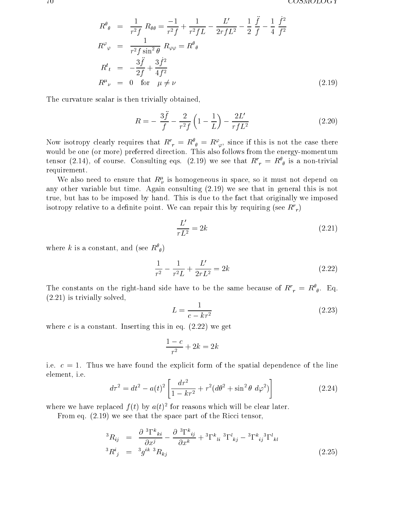$$
R^{\theta}{}_{\theta} = \frac{1}{r^{2}f} R_{\theta\theta} = \frac{-1}{r^{2}f} + \frac{1}{r^{2}fL} - \frac{L'}{2rfL^{2}} - \frac{1}{2}\frac{\ddot{f}}{f} - \frac{1}{4}\frac{\dot{f}^{2}}{f^{2}}
$$
  
\n
$$
R^{\varphi}{}_{\varphi} = \frac{1}{r^{2}f\sin^{2}\theta} R_{\varphi\varphi} = R^{\theta}{}_{\theta}
$$
  
\n
$$
R^{t}{}_{t} = -\frac{3\ddot{f}}{2f} + \frac{3\dot{f}^{2}}{4f^{2}}
$$
  
\n
$$
R^{\mu}{}_{\nu} = 0 \text{ for } \mu \neq \nu
$$
 (2.19)

The curvature scalar is then trivially obtained.

$$
R = -\frac{3\ddot{f}}{f} - \frac{2}{r^2f} \left( 1 - \frac{1}{L} \right) - \frac{2L'}{r f L^2}
$$
 (2.20)

Now isotropy clearly requires that  $K_r = K_\theta = K_{\varphi}$ , since if this is not the case there would be one (or more) preferred direction. This also follows from the energy-momentum tensor (2.14), of course. Consulting eqs. (2.19) we see that  $R_r = R_\theta$  is a non-trivial requirement

we also heed to ensure that  $R_V^r$  is homogeneous in space, so it must not depend on any other variable but time  $\mathcal{W}$  is not time  $\mathcal{W}$  is not time  $\mathcal{W}$ true, but has to be imposed by hand. This is due to the fact that originally we imposed isotropy relative to a definite point. We can repair this by requiring (see  $K_{\lfloor r \rfloor}$ )

$$
\frac{L'}{rL^2} = 2k\tag{2.21}
$$

where  $\kappa$  is a constant, and (see  $K_{\theta}$ )

$$
\frac{1}{r^2} - \frac{1}{r^2L} + \frac{L'}{2rL^2} = 2k\tag{2.22}
$$

The constants on the right-hand side have to be the same because of  $R_r = R_{\theta}$ . Eq.  $\blacksquare$  is trivially solved to the contract of the contract of the contract of the contract of the contract of the contract of the contract of the contract of the contract of the contract of the contract of the contract of

$$
L = \frac{1}{c - kr^2} \tag{2.23}
$$

where  $\alpha$  is a constant insertion in equation in eq. (where  $\alpha$  ) we have  $\alpha$ 

$$
\frac{1-c}{r^2} + 2k = 2k
$$

i.e.  $c = 1$ . Thus we have found the explicit form of the spatial dependence of the line element, *i.e.* 

$$
d\tau^2 = dt^2 - a(t)^2 \left[ \frac{dr^2}{1 - kr^2} + r^2 (d\theta^2 + \sin^2 \theta \ d\varphi^2) \right]
$$
 (2.24)

where we have replaced  $f(t)$  by  $a(t)$  for reasons which will be clear later.

From eq - we see that the space part of the Ricci tensor 

$$
{}^{3}R_{ij} = \frac{\partial {}^{3}\Gamma^{k}{}_{ki}}{\partial x^{j}} - \frac{\partial {}^{3}\Gamma^{k}{}_{ij}}{\partial x^{k}} + {}^{3}\Gamma^{k}{}_{li} {}^{3}\Gamma^{l}{}_{kj} - {}^{3}\Gamma^{k}{}_{ij} {}^{3}\Gamma^{l}{}_{kl}
$$
  

$$
{}^{3}R^{i}{}_{j} = {}^{3}g^{ik} {}^{3}R_{kj}
$$
 (2.25)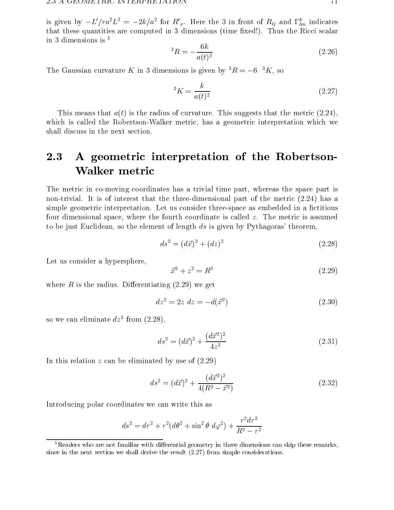is given by  $-L$  /ra  $L = -2\kappa/a$  for  $R_r$ . Here the 5 in front of  $R_{ij}$  and  $L_{lm}$  indicates that these quantities are computed in dimensions time are computed in dimensions time  $\mathcal{A}$ in 3 dimensions is  $5$ 

$$
{}^{3}R = -\frac{6k}{a(t)^{2}}\tag{2.26}
$$

The Gaussian curvature K in 3 dimensions is given by  ${}^3R = -6 \ {}^3K$ , so

$$
{}^{3}K = \frac{k}{a(t)^{2}}
$$
 (2.27)

This means that at  $\mathcal{L}_{\mathcal{A}}$  is the curvature This superior of  $\mathcal{L}_{\mathcal{A}}$  , the metric - metric -  $\mathcal{L}_{\mathcal{A}}$ which is called the Robertson-Walker metric, has a geometric interpretation which we shall discuss in the next section

# 2.3 A geometric interpretation of the Robertson Walker metric

The metric in co-moving coordinates has a trivial time part, whereas the space part is non trivial It is of interest that the three dimensional part of the metric - the metric - the metric - the me simple geometric interpretation Let us consider three pace as embedded in a constant in a second in four dimensional space, where the fourth coordinate is called  $z$ . The metric is assumed to be just Euclidean, so the element of length  $ds$  is given by Pythagoras' theorem,

$$
ds^2 = (d\vec{x})^2 + (dz)^2 \tag{2.28}
$$

Let us consider a hypersphere.

$$
\vec{x}^2 + z^2 = R^2 \tag{2.29}
$$

where  $\alpha$  is the radius distribution of the radius  $\alpha$  is the property of  $\alpha$ 

$$
dz^2 = 2z \ dz = -d(\vec{x}^2)
$$
 (2.30)

so we can eliminate  $az^-$  from  $(z.28)$ ,

$$
ds^2 = (d\vec{x})^2 + \frac{(d\vec{x}^2)^2}{4z^2}
$$
\n(2.31)

In this relation  $\mathcal{A}$  and  $\mathcal{A}$  are lating by use of -  $\mathcal{A}$  -  $\mathcal{A}$  -  $\mathcal{A}$  -  $\mathcal{A}$  -  $\mathcal{A}$ 

$$
ds^{2} = (d\vec{x})^{2} + \frac{(d\vec{x}^{2})^{2}}{4(R^{2} - \vec{x}^{2})}
$$
\n(2.32)

Introducing polar coordinates we can write this as

$$
ds^{2} = dr^{2} + r^{2} (d\theta^{2} + \sin^{2} \theta \, d\varphi^{2}) + \frac{r^{2} dr^{2}}{R^{2} - r^{2}}
$$

 $5$ Readers who are not familiar with differential geometry in three dimensions can skip these remarks, since in the next section we shall derive the result - from simple considerations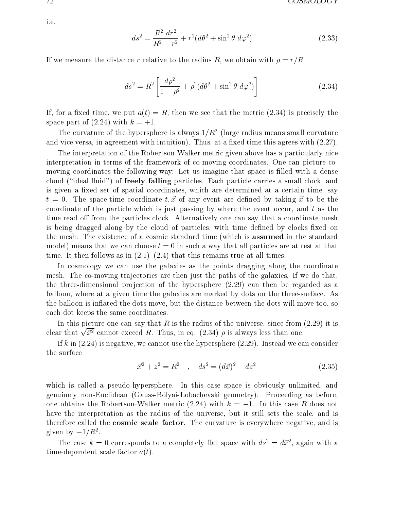i.e.

$$
ds^{2} = \frac{R^{2} dr^{2}}{R^{2} - r^{2}} + r^{2} (d\theta^{2} + \sin^{2} \theta \ d\varphi^{2})
$$
 (2.33)

If we measure the distance r relative to the radius R, we obtain with  $\rho = r/R$ 

$$
ds^{2} = R^{2} \left[ \frac{d\rho^{2}}{1 - \rho^{2}} + \rho^{2} (d\theta^{2} + \sin^{2} \theta \, d\varphi^{2}) \right]
$$
 (2.34)

... It is a see the metric of the metric at the metric of the metric of the set of the metric of the metric of space part of the space part of the space part of the space of the space of the space of the space of the space

The curvature of the hypersphere is always  $1/R^-$  (large radius means small curvature and vice versary in angle the case of the content content  $\mu$  and  $\mu$  and  $\mu$  are a sequence with  $\mu$ 

The interpretation of the Robertson
Walker metric given above has a particularly nice interpretation in terms of the framework of co
moving coordinates One can picture co moving coordinates the following way Let us imagine that space is lled with a dense cloud ("ideal fluid") of **freely falling** particles. Each particle carries a small clock, and is given a model coordinates  $\alpha$  are determined at a certain time  $\alpha$  at a certain time  $\alpha$ t the space time coordinate the space of any event are determined by taking x to be the space of any event are coordinate of the particle which is just passing by where the event occur, and  $t$  as the time read off from the particles clock. Alternatively one can say that a coordinate mesh is being dragged along by the cloud of particles with time de ned by clocks xed on the mesh. The existence of a cosmic standard time (which is **assumed** in the standard model) means that we can choose  $t = 0$  in such a way that all particles are at rest at that  $\mathbf{I}$  is a in  $\mathbf{I}$  then follows as in  $\mathbf{I}$ 

In cosmology we can use the galaxies as the points dragging along the coordinate mesh. The co-moving trajectories are then just the paths of the galaxies. If we do that. the three dimensional projection of the hypersphere (files) the theory of the most as a complete as a set balloon, where at a given time the galaxies are marked by dots on the three-surface. As the balloon is inflated the dots move, but the distance between the dots will move too, so each dot keeps the same coordinates

in this picture one can say that R is the radius of the universe  $\sim$  the universe  $\sim$ clear that  $\sqrt{\vec{x}^2}$  cannot exceed R. Thus, in eq. (2.34)  $\rho$  is always less than one.

If k in -- is negative we cannot use the hypersphere -- Instead we can consider the surface

$$
-\vec{x}^2 + z^2 = R^2 \quad , \quad ds^2 = (d\vec{x})^2 - dz^2 \tag{2.35}
$$

which is called a pseudo-hypersphere. In this case space is obviously unlimited, and genuinely non-Euclidean (Gauss-Bólyai-Lobachevski geometry). Proceeding as before. one obtains the Robertson-Walker metric  $(2.24)$  with  $\kappa = -1$ . In this case R does not have the interpretation as the radius of the universe, but it still sets the scale, and is therefore called the **cosmic scale factor**. The curvature is everywhere negative, and is given by  $-1/R$  .

The case  $\kappa = 0$  corresponds to a completely hat space with  $as^2 = ax^2$ , again with a time-dependent scale factor  $a(t)$ .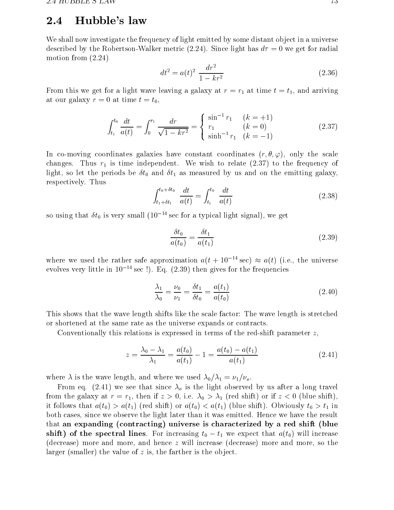## 2.4 Hubble's law

We shall now investigate the frequency of light emitted by some distant object in a universe described by the Robertson control of the Robertson control of radial control of radial control of the Roberts motion from  $\mathcal{N}$  and  $\mathcal{N}$  and  $\mathcal{N}$  and  $\mathcal{N}$  are the set of the set of the set of the set of the set of the set of the set of the set of the set of the set of the set of the set of the set of the set of the

$$
dt^2 = a(t)^2 \frac{dr^2}{1 - kr^2} \tag{2.36}
$$

From this we get for a light wave leaving a galaxy at  $r = r_1$  at time  $t = t_1$ , and arriving at our galaxy  $r = 0$  at time  $t = t_0$ ,

$$
\int_{t_1}^{t_0} \frac{dt}{a(t)} = \int_0^{r_1} \frac{dr}{\sqrt{1 - kr^2}} = \begin{cases} \sin^{-1} r_1 & (k = +1) \\ r_1 & (k = 0) \\ \sinh^{-1} r_1 & (k = -1) \end{cases}
$$
(2.37)

In co-moving coordinates galaxies have constant coordinates  $(r, \theta, \varphi)$ , only the scale changes Thus relate the changes through the total control of the frequency of the frequency of the frequency of light, so let the periods be  $\delta t_0$  and  $\delta t_1$  as measured by us and on the emitting galaxy, respectively. Thus

$$
\int_{t_1 + \delta t_1}^{t_0 + \delta t_0} \frac{dt}{a(t)} = \int_{t_1}^{t_0} \frac{dt}{a(t)} \tag{2.38}
$$

so using that  $\sigma \iota_0$  is very small (10  $^{-1}$  sec for a typical light signal), we get

$$
\frac{\delta t_0}{a(t_0)} = \frac{\delta t_1}{a(t_1)}\tag{2.39}
$$

where we used the rather safe approximation  $a(t + 10^{-14} \text{ sec}) \approx a(t)$  (i.e., the universe evolves very little in 10  $^{-1}$  sec !). Eq. (2.59) then gives for the frequencies

$$
\frac{\lambda_1}{\lambda_0} = \frac{\nu_0}{\nu_1} = \frac{\delta t_1}{\delta t_0} = \frac{a(t_1)}{a(t_0)}
$$
\n(2.40)

This shows that the wave length shifts like the scale factor: The wave length is stretched or shortened at the same rate as the universe expands or contracts

Conventionally this relations is expressed in terms of the red-shift parameter  $z$ ,

$$
z = \frac{\lambda_0 - \lambda_1}{\lambda_1} = \frac{a(t_0)}{a(t_1)} - 1 = \frac{a(t_0) - a(t_1)}{a(t_1)}
$$
(2.41)

where  $\lambda$  is the wave length, and where we used  $\lambda_0/\lambda_1 = \nu_1/\nu_0$ .

From eq - we see that since o is the light observed by us after <sup>a</sup> long travel from the galaxy at red shift  $\mathbf{u}$  is the shift of  $\mathbf{u}$  -form if  $\mathbf{u}$  -form if  $\mathbf{u}$ it follows the state of the contract of the contract of the contract of the contract of the contract of the con both cases, since we observe the light later than it was emitted. Hence we have the result that an expanding (contracting) universe is characterized by a red shift (blue shift) of the spectral lines. For increasing  $t_0 - t_1$  we expect that  $a(t_0)$  will increase (decrease) more and more, and hence  $z$  will increase (decrease) more and more, so the larger (smaller) the value of z is, the farther is the object.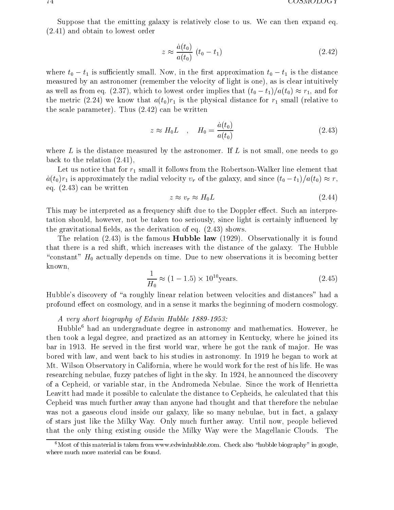Suppose that the emitting galaxy is relatively close to us. We can then expand eq.  $\mathbf{A}$  and obtain to lowest order to lowest order to lowest order to lowest order to lowest order to lowest order to lowest order to lowest order to lowest order to lowest order to lowest order to lowest order to lowest

$$
z \approx \frac{\dot{a}(t_0)}{a(t_0)} \ (t_0 - t_1) \tag{2.42}
$$

where  $t_0 = t_1$  is sufficiently small. From, in the first approximation  $t_0 = t_1$  is the distance measured by an astronomer (remember the velocity of light is one), as is clear intuitively as well as from eq. (2.37), which to lowest order implies that  $(t_0-t_1)/a(t_0)\approx r_1,$  and for the metric (mimor) with metric control of supplying the physical distance for a small relative to the physical distance for the scale parameter Thus -- can be written

$$
z \approx H_0 L \quad , \quad H_0 = \frac{\dot{a}(t_0)}{a(t_0)} \tag{2.43}
$$

where L is the distance measured by the astronomer. If L is not small, one needs to go  $\sim$  to the relation  $\sim$   $\sim$   $\sim$   $\sim$   $\sim$ 

Let us notice that for  $r_1$  small it follows from the Robertson-Walker line element that  $\dot{a}(t_0)r_1$  is approximately the radial velocity  $v_r$  of the galaxy, and since  $(t_0-t_1)/a(t_0) \approx r$ . equal to the canonical control of the canonical control of the canonical control of the canonical control of the canonical control of the canonical control of the canonical control of the canonical control of the canonical

$$
z \approx v_r \approx H_0 L \tag{2.44}
$$

This may be interpreted as a frequency shift due to the Doppler effect. Such an interpretation should, however, not be taken too seriously, since light is certainly influenced by the gravitation contribution of the derivation of the shows  $\mathcal{A}$  as the derivation of  $\mathcal{A}$ 

 $\mathbf{r}$  is the famous Hubble law -  $\mathbf{r}$  is found in the famous Hubble law -  $\mathbf{r}$ that there is a red shift, which increases with the distance of the galaxy. The Hubble "constant"  $H_0$  actually depends on time. Due to new observations it is becoming better known 

$$
\frac{1}{H_0} \approx (1 - 1.5) \times 10^{10} \text{years.}
$$
 (2.45)

Hubble's discovery of "a roughly linear relation between velocities and distances" had a profound effect on cosmology, and in a sense it marks the beginning of modern cosmology.

## A very short biography of Edwin Hubble --

 $Hubble<sup>6</sup>$  had an undergraduate degree in astronomy and mathematics. However, he then took a legal degree, and practized as an attorney in Kentucky, where he joined its bar in He served in the rst world war where he got the rank of ma jor He was bored with law, and went back to his studies in astronomy. In 1919 he began to work at Mt. Wilson Observatory in California, where he would work for the rest of his life. He was researching the search in the discovery patches of light in the sky In -  $\alpha$  -  $\alpha$  -  $\alpha$  -  $\alpha$  -  $\alpha$  -  $\alpha$  -  $\alpha$ of a Cepheid, or variable star, in the Andromeda Nebulae. Since the work of Henrietta Leavitt had made it possible to calculate the distance to Cepheids, he calculated that this Cepheid was much further away than anyone had thought and that therefore the nebulae was not a gaseous cloud inside our galaxy, like so many nebulae, but in fact, a galaxy of stars just like the Milky Way. Only much further away. Until now, people believed that the only thing existing ouside the Milky Way were the Magellanic Clouds. The

 $6$ Most of this material is taken from www.edwinhubble.com. Check also "hubble biography" in google, where much more material can be found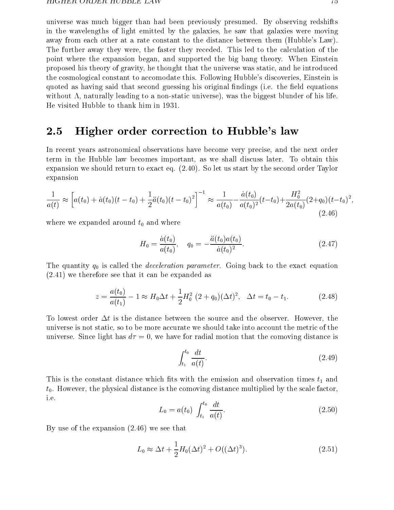universe was much bigger than had been previously presumed. By observing redshifts in the wavelengths of light emitted by the galaxies, he saw that galaxies were moving away from each other at a rate constant to the distance between them (Hubble's Law). The further away they were, the faster they receded. This led to the calculation of the point where the expansion began, and supported the big bang theory. When Einstein proposed his theory of gravity, he thought that the universe was static, and he introduced the cosmological constant to accomodate this. Following Hubble's discoveries, Einstein is quoted as having said that second guessing his original memory (file the most of motors) without  $\Lambda$ , naturally leading to a non-static universe), was the biggest blunder of his life. He visited Hubble to thank him in

## 2.5 Higher order correction to Hubble's law

In recent years astronomical observations have become very precise, and the next order term in the Hubble law becomes important, as we shall discuss later. To obtain this expansion we should return to exact equation we should return to exact equation to exact equation or the second order Taylor in the second order Taylor in the second order Taylor in the second order Taylor in the second or expansion

$$
\frac{1}{a(t)} \approx \left[ a(t_0) + \dot{a}(t_0)(t - t_0) + \frac{1}{2}\ddot{a}(t_0)(t - t_0)^2 \right]^{-1} \approx \frac{1}{a(t_0)} - \frac{\dot{a}(t_0)}{a(t_0)^2}(t - t_0) + \frac{H_0^2}{2a(t_0)}(2 + q_0)(t - t_0)^2,
$$
\n(2.46)

where we expanded around  $t_0$  and where

$$
H_0 = \frac{\dot{a}(t_0)}{a(t_0)}, \quad q_0 = -\frac{\ddot{a}(t_0)a(t_0)}{\dot{a}(t_0)^2}.
$$
 (2.47)

The quantity  $q_0$  is called the *deceleration parameter*. Going back to the exact equation  $\blacksquare$  we therefore see that it can be expanded as the expanded as the expanded as the expanded as the expanded as the expanded as the expanded as the expanded as the expanded as the expanded as the expanded as the expand

$$
z = \frac{a(t_0)}{a(t_1)} - 1 \approx H_0 \Delta t + \frac{1}{2} H_0^2 (2 + q_0) (\Delta t)^2, \quad \Delta t = t_0 - t_1.
$$
 (2.48)

To lowest order  $\Delta t$  is the distance between the source and the observer. However, the universe is not static, so to be more accurate we should take into account the metric of the universe. Since light has  $d\tau = 0$ , we have for radial motion that the comoving distance is

$$
\int_{t_1}^{t_0} \frac{dt}{a(t)}.\tag{2.49}
$$

This is the constant distance which ts with the emission and observation times t and  $t_0$ . However, the physical distance is the comoving distance multiplied by the scale factor. i.e.

$$
L_0 = a(t_0) \int_{t_1}^{t_0} \frac{dt}{a(t)}.
$$
\n(2.50)

 $\mathcal{L}$  , we see that the expansion of the expansion of the expansion of the expansion of  $\mathcal{L}$ 

$$
L_0 \approx \Delta t + \frac{1}{2} H_0 (\Delta t)^2 + O((\Delta t)^3). \tag{2.51}
$$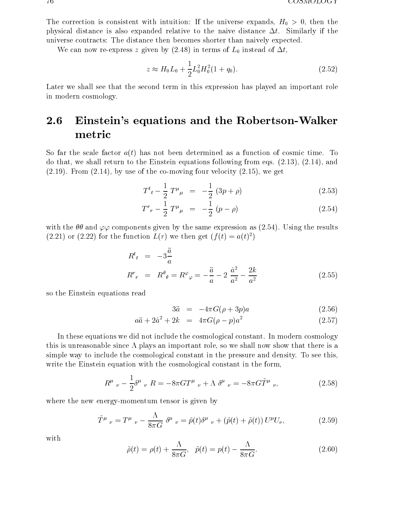The correction is consistent with interesting  $\mathbf{u}$  and  $\mathbf{u}$  -then the universe expandix  $\mathbf{u}$ physical distance is also expanded relative to the naive distance  $\Delta t$ . Similarly if the universe contracts: The distance then becomes shorter than naively expected.

where the contract of the contract of  $\mathcal{A}$  in terms of L instead of L instead of L instead of L instead of

$$
z \approx H_0 L_0 + \frac{1}{2} L_0^2 H_0^2 (1 + q_0).
$$
 (2.52)

Later we shall see that the second term in this expression has played an important role in modern cosmology

# 2.6 Einstein's equations and the Robertson-Walker metric

So far the scale factor  $a(t)$  has not been determined as a function of cosmic time. To do that we shall return to the Einstein equations for the Einstein equations for  $\mathbf{A}$  $\mathbf{f}$ 

$$
T^{t}{}_{t} - \frac{1}{2} T^{\mu}{}_{\mu} = -\frac{1}{2} (3p + \rho) \tag{2.53}
$$

$$
T^r{}_r - \frac{1}{2} T^\mu{}_\mu = -\frac{1}{2} (p - \rho) \tag{2.54}
$$

with the same  $\bm{r}$  , the same given by the same expression as-  $\bm{r}$  , where  $\bm{q}$  the results  $\bm{r}$ (2.21) or (2.22) for the function  $L(T)$  we then get ( $L(T) = a(t)^{-}$ )

$$
R^{t}{}_{t} = -3\frac{\ddot{a}}{a} R^{r}{}_{r} = R^{\theta}{}_{\theta} = R^{\varphi}{}_{\varphi} = -\frac{\ddot{a}}{a} - 2\frac{\dot{a}^{2}}{a^{2}} - \frac{2k}{a^{2}}
$$
 (2.55)

so the Einstein equations read

$$
3\ddot{a} = -4\pi G(\rho + 3p)a \tag{2.56}
$$

$$
a\ddot{a} + 2\dot{a}^2 + 2k = 4\pi G(\rho - p)a^2 \tag{2.57}
$$

In these equations we did not include the cosmological constant In modern cosmology this is unreasonable since  $\Lambda$  plays an important role, so we shall now show that there is a simple way to include the cosmological constant in the pressure and density. To see this. write the Einstein equation with the cosmological constant in the form,

$$
R^{\mu}{}_{\nu} - \frac{1}{2} \delta^{\mu}{}_{\nu} R = -8\pi G T^{\mu}{}_{\nu} + \Lambda \delta^{\mu}{}_{\nu} = -8\pi G \tilde{T}^{\mu}{}_{\nu}, \qquad (2.58)
$$

where the new energy
momentum tensor is given by

$$
\tilde{T}^{\mu}{}_{\nu} = T^{\mu}{}_{\nu} - \frac{\Lambda}{8\pi G} \delta^{\mu}{}_{\nu} = \tilde{p}(t)\delta^{\mu}{}_{\nu} + (\tilde{p}(t) + \tilde{\rho}(t)) U^{\mu} U_{\nu}, \qquad (2.59)
$$

with

$$
\tilde{\rho}(t) = \rho(t) + \frac{\Lambda}{8\pi G}, \quad \tilde{p}(t) = p(t) - \frac{\Lambda}{8\pi G}.
$$
\n(2.60)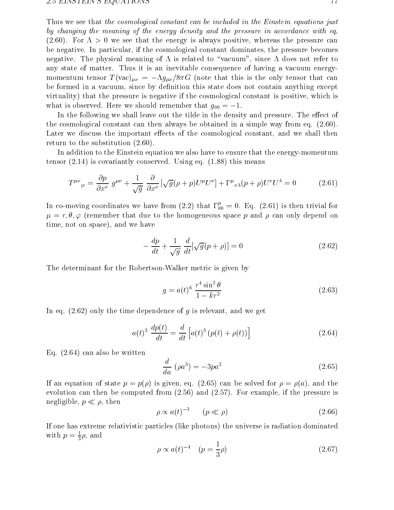## EINSTEINS EQUATIONS

Thus we see that the cosmological constant can be included in the Einstein equations just by changing the meaning of the energy density and the pressure in accordance with eq - For - wesee that the energy is always positive whereas the pressure can be negative. In particular, if the cosmological constant dominates, the pressure becomes negative. The physical meaning of  $\Lambda$  is related to "vacuum", since  $\Lambda$  does not refer to any state of matter. Thus it is an inevitable consequence of having a vacuum energymomentum tensor  $T$  (vac) $_{\mu\nu} = -\Lambda g_{\mu\nu}$  on  $\sigma$  (note that this is the only tensor that can be formed in a vacuum since by decreasing this state does not contain any thing except the specific virtuality) that the pressure is negative if the cosmological constant is positive, which is what is observed. Here we should remember that  $g_{00} = -1$ .

In the following we shall leave out the tilde in the density and pressure. The effect of the cosmological constant can then always be obtained in <sup>a</sup> simple way from eq - Later we discuss the important effects of the cosmological constant, and we shall then return to the substitution of the substitution of  $\mathcal{L}_1$ 

In addition to the Einstein equation we also have to ensure that the energy
momentum  $\mathcal{L}$  . The conserved Using Countries of  $\mathcal{L}$  and  $\mathcal{L}$  and  $\mathcal{L}$  are  $\mathcal{L}$  . This means the conserved using  $\mathcal{L}$ 

$$
T^{\mu\nu}{}_{;\nu} = \frac{\partial p}{\partial x^{\nu}} g^{\mu\nu} + \frac{1}{\sqrt{g}} \frac{\partial}{\partial x^{\nu}} \left[ \sqrt{g} (\rho + p) U^{\mu} U^{\nu} \right] + \Gamma^{\mu}{}_{\nu\lambda} (p + \rho) U^{\nu} U^{\lambda} = 0 \tag{2.61}
$$

In co-moving coordinates we have from (2.2) that  $\Gamma_{00}^r=0$ . Eq. (2.61) is then trivial for  $\mu = r, \theta, \varphi$  (remember that due to the homogeneous space p and  $\rho$  can only depend on time, not on space), and we have

$$
-\frac{dp}{dt} + \frac{1}{\sqrt{g}} \frac{d}{dt} [\sqrt{g}(p+\rho)] = 0
$$
\n(2.62)

The determinant for the Robertson
Walker metric is given by

$$
g = a(t)^6 \frac{r^4 \sin^2 \theta}{1 - kr^2}
$$
 (2.63)

and a quest of a sense of the time dependence of g is relevant of the sense of  $\mathcal{A}$ 

$$
a(t)^{3} \frac{dp(t)}{dt} = \frac{d}{dt} \left[ a(t)^{3} \left( p(t) + \rho(t) \right) \right]
$$
 (2.64)

Eq - can also be written

$$
\frac{d}{da}\left(\rho a^3\right) = -3p a^2\tag{2.65}
$$

If an equation of state property is given the state of the state of  $\rho$  ,  $\rho$  ,  $\alpha$  ,  $\beta$  and the solve evolution can the computer of the pressure  $\mathcal{A}$  and  $\mathcal{A}$  and  $\mathcal{A}$  if the pressure is a pressure in negligible,  $p \ll \rho$ , then

$$
\rho \propto a(t)^{-3} \qquad (p \ll \rho) \tag{2.66}
$$

If one has extreme relativistic particles (like photons) the universe is radiation dominated with  $p = \frac{1}{3}\rho$ , and

$$
\rho \propto a(t)^{-4} \quad (p = \frac{1}{3}\rho) \tag{2.67}
$$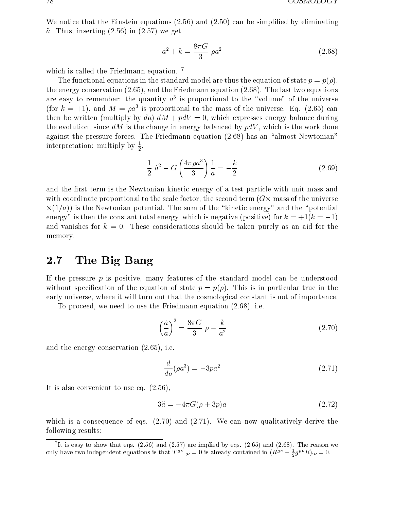We notice that the Einstein equations - and - can be simpli ed by eliminating  $\mathbf{1}$  in  $\mathbf{1}$  in  $\mathbf{1}$  in  $\mathbf{1}$  in  $\mathbf{1}$ 

$$
\dot{a}^2 + k = \frac{8\pi G}{3} \rho a^2 \tag{2.68}
$$

which is called the Friedmann equation.<sup>7</sup>

The functional equations in the standard model are thus the equation of state  $p = p(\rho)$ . . The energy conservation is and the Friedmann equation of  $\alpha$  , where  $\alpha$  is a set of  $\alpha$  is a set of  $\alpha$ are easy to remember: the quantity  $a^*$  is proportional to the volume of the universe (for  $\kappa = +1$ ), and  $M = \rho a$  is proportional to the mass of the universe. Eq. (2.00) can then be written (multiply by da)  $dM + pdV = 0$ , which expresses energy balance during the evolution, since  $dM$  is the change in energy balanced by  $pdV$ , which is the work done against the pressure forces The Friedmann equations (The Friedmann et al. 1993) - The Company of the Friedmann interpretation: multiply by  $\frac{1}{5}$ ,

$$
\frac{1}{2} \dot{a}^2 - G \left( \frac{4\pi \rho a^3}{3} \right) \frac{1}{a} = -\frac{k}{2}
$$
 (2.69)

and the Media the Newtonian kinetic energy of a test particle with unit mass and the second with  $\alpha$ with coordinate proportional to the scale factor, the second term  $(G \times \text{mass of the universe})$  $\times(1/a)$  is the Newtonian potential. The sum of the "kinetic energy" and the "potential energy" is then the constant total energy, which is negative (positive) for  $k = +1(k = -1)$ and vanishes for  $k = 0$ . These considerations should be taken purely as an aid for the memory

## $\bf 2.7$  The Big Bang

If the pressure  $p$  is positive, many features of the standard model can be understood with special cation of the equation of state p particular true in the equation of state p particular true in the equation of the equation of the equation of the equation of the equation of the equation of the equation of t early universe, where it will turn out that the cosmological constant is not of importance.

To proceed the Friedmann equation - the Friedmann equation - the Friedmann equation - the Friedmann equation -

$$
\left(\frac{\dot{a}}{a}\right)^2 = \frac{8\pi G}{3} \rho - \frac{k}{a^2} \tag{2.70}
$$

and the energy conservation of  $\mathbf{r}$  is the energy conservation of  $\mathbf{r}$ 

$$
\frac{d}{da}(\rho a^3) = -3p a^2\tag{2.71}
$$

It is also convenient to use equal to use equal to use equal to use equal to use equal to use equal to use equal to use equal to use the set of the set of the set of the set of the set of the set of the set of the set of t

$$
3\ddot{a} = -4\pi G(\rho + 3p)a\tag{2.72}
$$

which is a consequence of eqs. (with  $\mu$  and  $\mu$  and  $\mu$  and  $\mu$  and  $\mu$  and  $\mu$ following results:

It is easy to show that eqs.  $(2.50)$  and  $(2.57)$  are implied by eqs.  $(2.65)$  and  $(2.08)$ . The reason we only have two independent equations is that  $T^{\mu\nu}_{\phantom{\mu\nu};\nu}=0$  is already contained in  $(R^{\mu\nu}_{\phantom{\mu\nu}}-\frac{1}{2}g^{\mu\nu}_{\phantom{\mu\nu}}R)_{;\nu}=0.$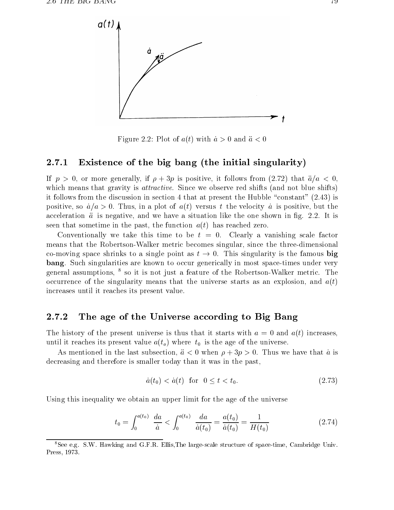

Figure -- Plot of at with a -, and a

#### 2.7.1 Existence of the big bang (the initial singularity)

if it is a contract generally on public processes in the contract terms (contract them it is a signal of the s which means that gravity is *attractive*. Since we observe red shifts (and not blue shifts) it follows from the discussion in section that at present the Hubble constant - is positive and a so a so a so a so a so a plot of at a plot of at a plot of at a plot of a plot of a plot of at  $\mathbb{R}^n$ acceleration as is negatively went that we have also contained the one shown in  $\mathcal{A}^{(1)}$  is in the one shown in seen that sometime in the past, the function  $a(t)$  has reached zero.

Conventionally we take this time to be  $t = 0$ . Clearly a vanishing scale factor means that the Robertson-Walker metric becomes singular, since the three-dimensional co-moving space shrinks to a single point as  $t \to 0$ . This singularity is the famous big bang. Such singularities are known to occur generically in most space-times under very general assumptions,  $\delta$  so it is not just a feature of the Robertson-Walker metric. The occurrence of the singularity means that the universe starts as an explosion, and  $a(t)$ increases until it reaches its present value

# The age of the Universe according to Big Bang

The history of the present universe is thus that it starts with  $a = 0$  and  $a(t)$  increases, until it reaches its present value  $a(t_o)$  where  $t_0$  is the age of the universe.

As measured in the last subsection and a distance  $p$  -p  $p$  -p  $p$  -when  $\alpha$  and  $\alpha$  is a subsection and a subsection  $\alpha$ decreasing and therefore is smaller today than it was in the past 

$$
\dot{a}(t_0) < \dot{a}(t) \quad \text{for} \quad 0 \le t < t_0. \tag{2.73}
$$

Using this inequality we obtain an upper limit for the age of the universe

$$
t_0 = \int_0^{a(t_0)} \frac{da}{\dot{a}} < \int_0^{a(t_0)} \frac{da}{\dot{a}(t_0)} = \frac{a(t_0)}{\dot{a}(t_0)} = \frac{1}{H(t_0)}\tag{2.74}
$$

 $S$ See e.g. S.W. Hawking and G.F.R. Ellis, The large-scale structure of space-time, Cambridge Univ. Press, 1973.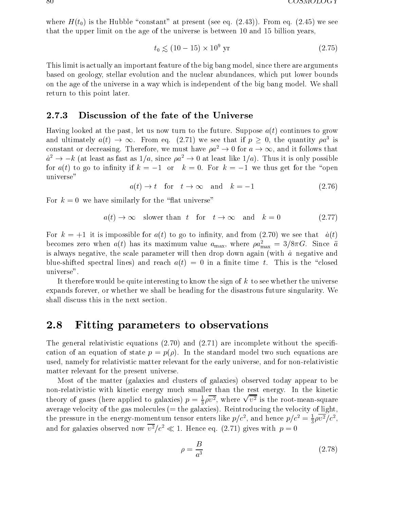where  $\mathbb{R}$  is the Hubble constant at present see equation of  $\mathbb{R}$  at present see equation of  $\mathbb{R}$ that the upper limit on the age of the universe is between  $10$  and  $15$  billion years,

$$
t_0 \lesssim (10 - 15) \times 10^9 \text{ yr} \tag{2.75}
$$

This limit is actually an important feature of the big bang model, since there are arguments based on geology, stellar evolution and the nuclear abundances, which put lower bounds on the age of the universe in a way which is independent of the big bang model We shall return to this point later

#### 2.7.3 Discussion of the fate of the Universe

Having looked at the past, let us now turn to the future. Suppose  $a(t)$  continues to grow and ultimately  $a(t) \to \infty$ . From eq. (2.71) we see that if  $p \geq 0$ , the quantity  $\rho a^3$  is constant or decreasing. Therefore, we must have  $\varrho a^2 \to 0$  for  $a \to \infty$ , and it follows that  $a^2 \to -k$  (at least as fast as  $1/a$ , since  $\rho a^2 \to 0$  at least like  $1/a$ ). Thus it is only possible for  $u(t)$  to go to infinity if  $\kappa = -1$  or  $\kappa = 0$ . For  $\kappa = -1$  we thus get for the open universe

$$
a(t) \to t \quad \text{for} \quad t \to \infty \quad \text{and} \quad k = -1 \tag{2.76}
$$

For  $k = 0$  we have similarly for the "flat universe"

$$
a(t) \to \infty
$$
 slower than t for  $t \to \infty$  and  $k = 0$  (2.77)

For a straightforward for  $\alpha$  is  $\alpha$  to interest  $\alpha$  and  $\alpha$  and  $\alpha$  is the set that and  $\alpha$ becomes zero when  $a(t)$  has its maximum value  $a_{\text{max}}$ , where  $\beta a_{\text{max}} = 3/8\pi G$ . Since  $a$ is always negative, the scale parameter will then drop down again (with  $\dot{a}$  negative and  $\mathcal{L}$  is the spectral lines of the closed  $\mathcal{L}$  ,  $\mathcal{L}$  ,  $\mathcal{L}$  and  $\mathcal{L}$  and  $\mathcal{L}$  . This is the contract of the contract of the contract of the contract of the contract of the contract of the contract universe".

It therefore would be quite interesting to know the sign of  $k$  to see whether the universe expands forever, or whether we shall be heading for the disastrous future singularity. We shall discuss this in the next section

## 2.8 Fitting parameters to observations

The general relativistic equations - and - are incomplete without the speci cation of an equation of state  $p = p(\rho)$ . In the standard model two such equations are used, namely for relativistic matter relevant for the early universe, and for non-relativistic matter relevant for the present universe

Most of the matter (galaxies and clusters of galaxies) observed today appear to be non-relativistic with kinetic energy much smaller than the rest energy. In the kinetic theory of gases (here applied to galaxies)  $p = \frac{1}{3}\rho\overline{v^2}$ , where  $\sqrt{v^2}$  is the root-mean-square average velocity of the gas molecules ( $=$  the galaxies). Reintroducing the velocity of light, the pressure in the energy-momentum tensor enters like  $p/c^2$ , and hence  $p/c^2 = \frac{1}{3}\rho v^2/c^2$ , and for galaxies observed now  $v^2/c^2 \ll 1$ . Hence eq. (2.71) gives with  $p=0$ 

$$
\rho = \frac{B}{a^3} \tag{2.78}
$$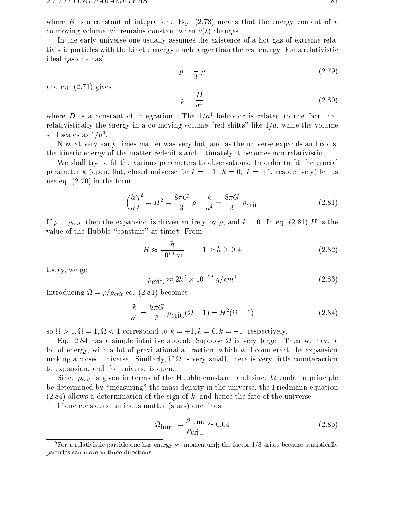where  $\mathbf{M}$  is a constant of a constant of a constant of a content of a content of a content of a content of a content of a content of a content of a content of a content of a content of a content of a content of a con co-moving volume  $a^3$  remains constant when  $a(t)$  changes.

In the early universe one usually assumes the existence of a hot gas of extreme rela tivistic particles with the kinetic energy much larger than the rest energy. For a relativistic ideal gas one has

$$
p = \frac{1}{3} \rho \tag{2.79}
$$

and experimental contracts and a series of the contracts of the contracts of the contracts of the contracts of

$$
\rho = \frac{D}{a^4} \tag{2.80}
$$

where D is a constant of integration. The  $1/a<sup>4</sup>$  behavior is related to the fact that relativistically the energy in a co-moving volume "red shifts" like  $1/a$ , while the volume still scales as  $1/d$  .

Now at very early times matter was very hot, and as the universe expands and cools. the kinetic energy of the matter redshifts and ultimately it becomes non-relativistic.

we shall try to the various parameters to observations in order to observations in order to observations in order to observations in order to observations in order to observations in order to observations in order to obser parameter k (open, flat, closed universe for  $k = -1$ ,  $k = 0$ ,  $k = +1$ , respectively) let us  $\mathbb{R}^n$  is the form of the form  $\mathbb{R}^n$  . The form of the form of the form of the form of the form of the form of the form of the form of the form of the form of the form of the form of the form of the form of the f

$$
\left(\frac{\dot{a}}{a}\right)^2 = H^2 = \frac{8\pi G}{3} \rho - \frac{k}{a^2} \equiv \frac{8\pi G}{3} \rho_{\text{crit.}} \tag{2.81}
$$

If  $\Gamma$  is the expansion is defined by a set of  $\Gamma$  is defined by  $\Gamma$  is the entirely equal to  $\Gamma$ value of the Hubble "constant" at time  $t$ . From

$$
H \approx \frac{h}{10^{10} \text{ yr}} \quad , \quad 1 \ge h \ge 0.4 \tag{2.82}
$$

today, we get

$$
\rho_{\rm crit.} \approx 2h^2 \times 10^{-29} \ g/cm^3 \tag{2.83}
$$

 $\mathcal{L}$  is the control of the control of  $\mathcal{L}$  . In the control of  $\mathcal{L}$  is the control of  $\mathcal{L}$ 

$$
\frac{k}{a^2} = \frac{8\pi G}{3} \rho_{\text{crit.}}(\Omega - 1) = H^2(\Omega - 1)
$$
\n(2.84)

so  $\alpha \geq 1$ ,  $\alpha = 1$ ,  $\alpha \leq 1$  correspond to  $\alpha = \pm 1$ ,  $\alpha = 0$ ,  $\alpha = \pm 1$ , respectively.

Eq - has a simple intuitive appeal Suppose is very large Then we have a lot of energy, with a lot of gravitational attraction, which will counteract the expansion making a closed universe. Similarly, if  $\Omega$  is very small, there is very little counteraction to expansion, and the universe is open.

Since  $\rho_{crit}$  is given in terms of the Hubble constant, and since  $\Omega$  could in principle be determined by "measuring" the mass density in the universe, the Friedmann equation  $\mathcal{L} = \mathcal{L}$  and the sign of the sign of the sign of the fate of the sign of the sign of the universe

If one considers luminous matter stars luminous matter stars and considers the construction of the construction

$$
\Omega_{\text{lum.}} = \frac{\rho_{\text{lum.}}}{\rho_{\text{crit.}}} \simeq 0.04 \tag{2.85}
$$

<sup>&</sup>lt;sup>9</sup>For a relativistic particle one has energy  $\approx$  |momentum|; the factor 1/3 arises because statistically particles can move in three directions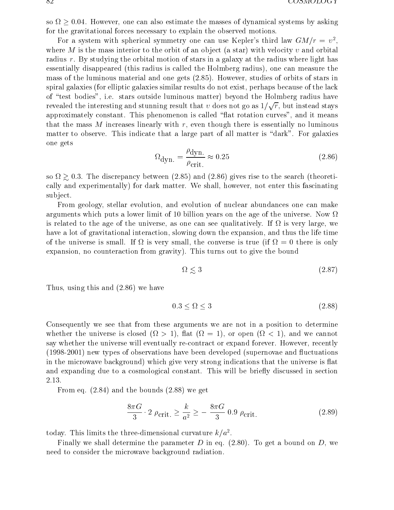so  $\Omega \geq 0.04$ . However, one can also estimate the masses of dynamical systems by asking for the gravitational forces necessary to explain the observed motions

For a system with spherical symmetry one can use Kepler's third law  $GM/r = v^2$ . where M is the mass interior to the orbit of an object (a star) with velocity  $v$  and orbital radius r. By studying the orbital motion of stars in a galaxy at the radius where light has essentially disappeared (this radius is called the Holmberg radius), one can measure the mass of the luminous material and one gets  $\mathbf{q}$  , and  $\mathbf{q}$  , and  $\mathbf{q}$  studies of stars in the stars in spiral galaxies (for elliptic galaxies similar results do not exist, perhaps because of the lack of "test bodies", i.e. stars outside luminous matter) beyond the Holmberg radius have revealed the interesting and stunning result that  $v$  does not go as  $1/\sqrt{r},$  but instead stays approximately constant. This phenomenon is called "flat rotation curves", and it means that the mass M increases linearly with  $r$ , even though there is essentially no luminous matter to observe. This indicate that a large part of all matter is "dark". For galaxies one gets

$$
\Omega_{\rm dyn.} = \frac{\rho_{\rm dyn.}}{\rho_{\rm crit.}} \approx 0.25
$$
\n(2.86)

so as  $\sim$  0.0. The discrepancy between  $(z, \infty)$  and  $(z, \infty)$  gives rise to the search (theoretic cally and experimentally) for dark matter. We shall, however, not enter this fascinating subject.

From geology, stellar evolution, and evolution of nuclear abundances one can make arguments which puts a lower limit of 10 billion years on the age of the universe. Now  $\Omega$ is related to the age of the universe, as one can see qualitatively. If  $\Omega$  is very large, we have a lot of gravitational interaction, slowing down the expansion, and thus the life time of the universe is small. If  $\Omega$  is very small, the converse is true (if  $\Omega = 0$  there is only expansion, no counteraction from gravity). This turns out to give the bound

$$
\Omega \lesssim 3\tag{2.87}
$$

 $\mathbf{u}$  is and  $\mathbf{u}$  using the set of  $\mathbf{u}$  is and  $\mathbf{u}$  is and  $\mathbf{u}$  is and  $\mathbf{u}$  is and  $\mathbf{u}$  is a set of  $\mathbf{u}$  is a set of  $\mathbf{u}$  is a set of  $\mathbf{u}$  is a set of  $\mathbf{u}$  is a set of  $\mathbf{u}$  i

$$
0.3 \le \Omega \le 3 \tag{2.88}
$$

Consequently we see that from these arguments we are not in a position to determine where the universe is constant  $\mathbf{u}$  and we can not an anomaly constant  $\mathbf{u}$ say whether the universe will eventually re-contract or expand forever. However, recently  $\mathbf{r}$  and uncertainty of observations have been developed supernovae and uncertainty  $\mathbf{r}$ in the microwave background) which give very strong indications that the universe is flat and expanding due to a cosmological constant. This will be briefly discussed in section

. The bounds of the bounds of the bounds  $\mathcal{F}_1$  and the bounds  $\mathcal{F}_2$  and  $\mathcal{F}_3$  and  $\mathcal{F}_4$  and  $\mathcal{F}_5$  and  $\mathcal{F}_6$  and  $\mathcal{F}_7$  and  $\mathcal{F}_8$  and  $\mathcal{F}_9$  and  $\mathcal{F}_9$  and  $\mathcal{F}_9$  and  $\mathcal{F}_9$  and

$$
\frac{8\pi G}{3} \cdot 2 \rho_{\text{crit.}} \ge \frac{k}{a^2} \ge -\frac{8\pi G}{3} \cdot 0.9 \rho_{\text{crit.}} \tag{2.89}
$$

today. This limits the three-dimensional curvature  $\kappa/a$ -.

 $\mathcal{F}$  is a bound determined the parameter  $\mathcal{F}$  in eq. ,  $\mathcal{F}$  ,  $\mathcal{F}$  ,  $\mathcal{F}$  ,  $\mathcal{F}$  , and  $\mathcal{F}$  , and  $\mathcal{F}$ need to consider the microwave background radiation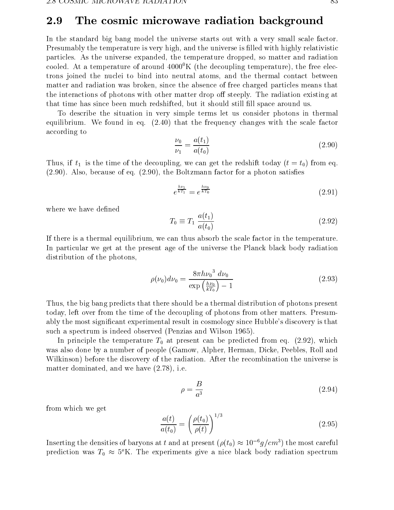## The cosmic microwave radiation background  $2.9$

In the standard big bang model the universe starts out with a very small scale factor Presumably the temperature is very high and the universe is lled with highly relativistic particles. As the universe expanded, the temperature dropped, so matter and radiation cooled. At a temperature of around  $4000\mathrm{K}$  (the decoupling temperature), the free electrons joined the nuclei to bind into neutral atoms, and the thermal contact between matter and radiation was broken, since the absence of free charged particles means that the interactions of photons with other matter drop off steeply. The radiation existing at that time has since been much redshifted but it should still ll space around us

To describe the situation in very simple terms let us consider photons in thermal  $\mathbf{w}$  is that the frequency changes with the frequency changes with the scale factor  $\mathbf{w}$ according to

$$
\frac{\nu_0}{\nu_1} = \frac{a(t_1)}{a(t_0)}\tag{2.90}
$$

Thus, if  $t_1$  is the time of the decoupling, we can get the redshift today  $(t = t_0)$  from eq. - Also because of eq - the Boltzmann factor for a photon satis es

$$
e^{\frac{h\nu_1}{kT_1}} = e^{\frac{h\nu_0}{kT_0}}
$$
\n(2.91)

$$
T_0 \equiv T_1 \frac{a(t_1)}{a(t_0)}\tag{2.92}
$$

If there is a thermal equilibrium, we can thus absorb the scale factor in the temperature. In particular we get at the present age of the universe the Planck black body radiation distribution of the photons 

$$
\rho(\nu_0)d\nu_0 = \frac{8\pi h\nu_0^3 \ d\nu_0}{\exp\left(\frac{h\nu_0}{kT_0}\right) - 1} \tag{2.93}
$$

Thus, the big bang predicts that there should be a thermal distribution of photons present today, left over from the time of the decoupling of photons from other matters. Presumably the most signi cant experimental result in cosmology since Hubbles discovery isthat such a spectrum is indeed observed (Penzias and Wilson 1965).

In principle the temperature T at principle temperature T at predicted from equation  $\mathcal{U}$ was also done by a number of people (Gamow, Alpher, Herman, Dicke, Peebles, Roll and Wilkinson before the discovery of the radiation After the recombination the universe is matter dominated and we have - ie

$$
\rho = \frac{B}{a^3} \tag{2.94}
$$

from which we get

$$
\frac{a(t)}{a(t_0)} = \left(\frac{\rho(t_0)}{\rho(t)}\right)^{1/3} \tag{2.95}
$$

Inserting the densities of baryons at t and at present ( $\rho(t_0)\approx 10^{-8} g/cm^3$ ) the most careful prediction was  $T_0 \approx 5$ °K. The experiments give a nice black body radiation spectrum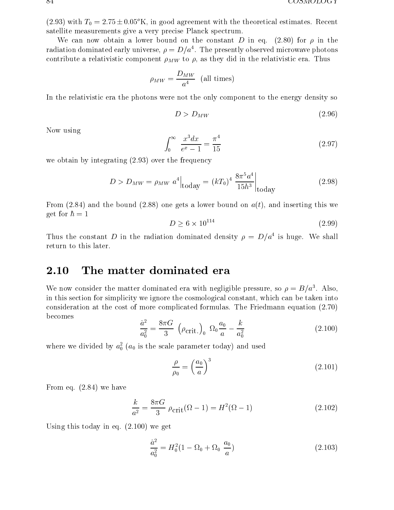$(2.93)$  with  $T_0 = 2.75 \pm 0.05^{\circ}$ K, in good agreement with the theoretical estimates. Recent satellite measurements give a very precise Planck spectrum

where  $\mathbf{w}$  is a lower bound on the constant D in equation and D in equation  $\mathbf{w}$ radiation dominated early universe,  $\rho = D/a^*$ . The presently observed microwave photons contribute a relativistic component  $\rho_{MW}$  to  $\rho$ , as they did in the relativistic era. Thus

$$
\rho_{MW} = \frac{D_{MW}}{a^4} \ \ (\text{all times})
$$

In the relativistic era the photons were not the only component to the energy density so

$$
D > D_{MW} \tag{2.96}
$$

Now using

$$
\int_0^\infty \frac{x^3 dx}{e^x - 1} = \frac{\pi^4}{15} \tag{2.97}
$$

we obtain by integrating order that  $\mathbf{u}$  is a contract of the frequency of  $\mathbf{u}$ 

$$
D > D_{MW} = \rho_{MW} a^4 \Big|_{\text{today}} = (kT_0)^4 \left. \frac{8\pi^5 a^4}{15h^3} \right|_{\text{today}}
$$
 (2.98)

 $\mathbf{F}$  and the bound one gets a lower bound on at lower bound on at lower bound on at lower bound on at lower bound on at lower bound on at lower bound on at lower bound on at lower bound on at lower bound on at lower b get for  $\hbar = 1$ 

$$
D \geq 6 \times 10^{114} \tag{2.99}
$$

Thus the constant D in the radiation dominated density  $\rho = D/a$  is huge. We shall return to this later

## 2.10 The matter dominated era

We now consider the matter dominated era with negligible pressure, so  $\rho = D/a$  . Also, in this section for simplicity we ignore the cosmological constant, which can be taken into consideration at the cost of more complicated formulas The Friedmann equation  becomes

$$
\frac{\dot{a}^2}{a_0^2} = \frac{8\pi G}{3} \left(\rho_{\text{crit.}}\right)_0 \Omega_0 \frac{a_0}{a} - \frac{k}{a_0^2} \tag{2.100}
$$

where we divided by  $a_0^-(a_0)$  is the scale parameter today) and used

$$
\frac{\rho}{\rho_0} = \left(\frac{a_0}{a}\right)^3\tag{2.101}
$$

From eq - we have

$$
\frac{k}{a^2} = \frac{8\pi G}{3} \rho_{\text{crit}}(\Omega - 1) = H^2(\Omega - 1)
$$
\n(2.102)

 $\mathbb{R}^n$  in this total in this total in the following the set of  $\mathbb{R}^n$  in this case of  $\mathbb{R}^n$ 

$$
\frac{\dot{a}^2}{a_0^2} = H_0^2 (1 - \Omega_0 + \Omega_0 \frac{a_0}{a})
$$
\n(2.103)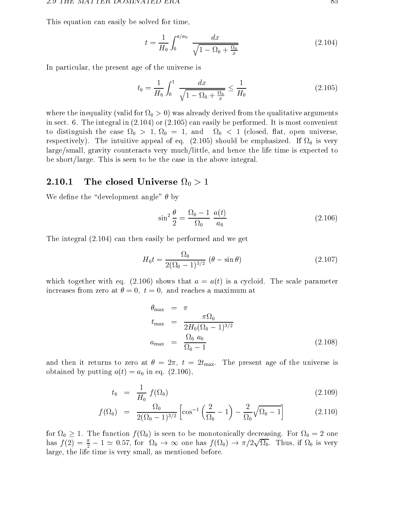This equation can easily be solved for time 

$$
t = \frac{1}{H_0} \int_0^{a/a_0} \frac{dx}{\sqrt{1 - \Omega_0 + \frac{\Omega_0}{x}}}
$$
(2.104)

In particular, the present age of the universe is

$$
t_0 = \frac{1}{H_0} \int_0^1 \frac{dx}{\sqrt{1 - \Omega_0 + \frac{\Omega_0}{x}}} \le \frac{1}{H_0}
$$
\n(2.105)

where the interval  $\alpha$  valid for  $\alpha$  and  $\alpha$  allows the already derived from the qualitative arguments  $\alpha$ in sect to the integral in (it is first form integral in a partner of the performance in  $\sim$ to distinguish the case - and closed at open universe respectively in the internal of examples in the internal of examples in the shock of the shock of emphasized i  $\langle \text{small}, \text{gravity} \rangle$  counteracts very much/little, and hence the life time is expected to be short/large. This is seen to be the case in the above integral.

### 2.10.1 The closed Universe  $\Omega_0 > 1$

where the development angle  $\mathbb{R}^n$  and development angle  $\mathbb{R}^n$ 

$$
\sin^2 \frac{\theta}{2} = \frac{\Omega_0 - 1}{\Omega_0} \frac{a(t)}{a_0}
$$
 (2.106)

 $\mathcal{L}$  . The integral of  $\mathcal{L}$  is the performed and we get  $\mathcal{L}$  and we get  $\mathcal{L}$ 

$$
H_0 t = \frac{\Omega_0}{2(\Omega_0 - 1)^{3/2}} \left(\theta - \sin \theta\right)
$$
 (2.107)

where the structure with the structure structure  $\alpha$  is a cycloid  $\alpha$  at a contribution parameters. increases from zero at  $\theta = 0$ ,  $t = 0$ , and reaches a maximum at

$$
\theta_{\text{max}} = \pi
$$
\n
$$
t_{\text{max}} = \frac{\pi \Omega_0}{2H_0(\Omega_0 - 1)^{3/2}}
$$
\n
$$
a_{\text{max}} = \frac{\Omega_0 a_0}{\Omega_0 - 1}
$$
\n(2.108)

and the contract is the universe is the universe is  $\alpha$  and  $\alpha$  are universe is  $\alpha$ obtained by putting at  $\alpha$  in equation  $\alpha$  in  $\alpha$  in  $\alpha$ 

$$
t_0 = \frac{1}{H_0} f(\Omega_0) \tag{2.109}
$$

$$
f(\Omega_0) = \frac{\Omega_0}{2(\Omega_0 - 1)^{3/2}} \left[ \cos^{-1} \left( \frac{2}{\Omega_0} - 1 \right) - \frac{2}{\Omega_0} \sqrt{\Omega_0 - 1} \right]
$$
 (2.110)

for  $\Omega_0 \geq 1$ . The function  $f(\Omega_0)$  is seen to be monotonically decreasing. For  $\Omega_0 = 2$  one has  $f(2) = \frac{\pi}{2} - 1 \simeq 0.57$ , for  $\Omega_0 \to \infty$  one has  $f(\Omega_0) \to \pi/2\sqrt{\Omega_0}$ . Thus, if  $\Omega_0$  is very large the life time is very small  $\alpha$  small  $\alpha$  mentioned before the small  $\alpha$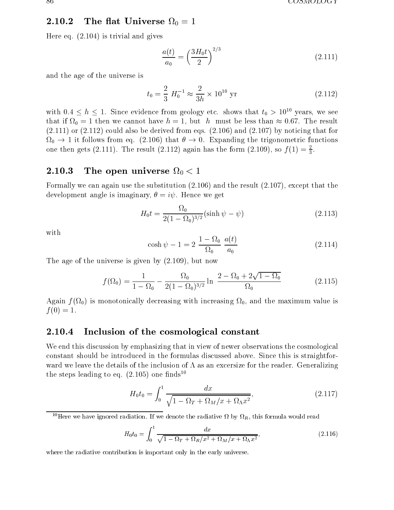# The at Universe -

. Here exists a strivial and gives a strivial and gives  $\mathcal{F}(\mathbf{A})$ 

$$
\frac{a(t)}{a_0} = \left(\frac{3H_0t}{2}\right)^{2/3} \tag{2.111}
$$

and the age of the universe is

$$
t_0 = \frac{2}{3} H_0^{-1} \approx \frac{2}{3h} \times 10^{10} \text{ yr}
$$
 (2.112)

with  $0.4 \leq h \leq 1$ . Since evidence from geology etc. shows that  $t_0 > 10^{10}$  years, we see that if  $\Omega_0 = 1$  then we cannot have  $h = 1$ , but h must be less than  $\approx 0.67$ . The result - or -- could also be derived from eqs - and - by noticing that for  $\Omega_0 \rightarrow 1$  it follows from eq. (2.106) that  $\theta \rightarrow 0$ . Expanding the trigonometric functions one then gets (2.111). The result (2.112) again has the form (2.109), so  $f(1) = \frac{1}{5}$ .

### 2.10.3 The open universe  $\Omega_0 < 1$

For all the substitution of the substitution  $\mathbf{A}$  and the result of the result of the result of the result of the result of the result of the result of the result of the result of the result of the result of the resul development angle is imaginary,  $\theta = i\psi$ . Hence we get

$$
H_0 t = \frac{\Omega_0}{2(1 - \Omega_0)^{3/2}} (\sinh \psi - \psi)
$$
 (2.113)

with

$$
\cosh \psi - 1 = 2 \frac{1 - \Omega_0}{\Omega_0} \frac{a(t)}{a_0} \tag{2.114}
$$

The age of the universe is given by - but now

$$
f(\Omega_0) = \frac{1}{1 - \Omega_0} - \frac{\Omega_0}{2(1 - \Omega_0)^{3/2}} \ln \frac{2 - \Omega_0 + 2\sqrt{1 - \Omega_0}}{\Omega_0}
$$
(2.115)

Again  $f(\Omega_0)$  is monotonically decreasing with increasing  $\Omega_0$ , and the maximum value is  $f(0) = 1.$ 

#### $2.10.4$  Inclusion of the cosmological constant

We end this discussion by emphasizing that in view of newer observations the cosmological constant should be introduced in the formulas discussed above Since this is straightfor ward we leave the details of the inclusion of  $\Lambda$  as an excersize for the reader. Generalizing the steps reading to eq.  $(2.103)$  one mids

$$
H_0 t_0 = \int_0^1 \frac{dx}{\sqrt{1 - \Omega_T + \Omega_M/x + \Omega_\Lambda x^2}},
$$
\n(2.117)

 $\cdot$  - Here we have ignored radiation. If we denote the radiative  $\iota$  by  $\iota_R,$  this formula would read

$$
H_0 t_0 = \int_0^1 \frac{dx}{\sqrt{1 - \Omega_T + \Omega_R/x^2 + \Omega_M/x + \Omega_\Lambda x^2}},
$$
\n(2.116)

where the radiative contribution is important only in the early universe.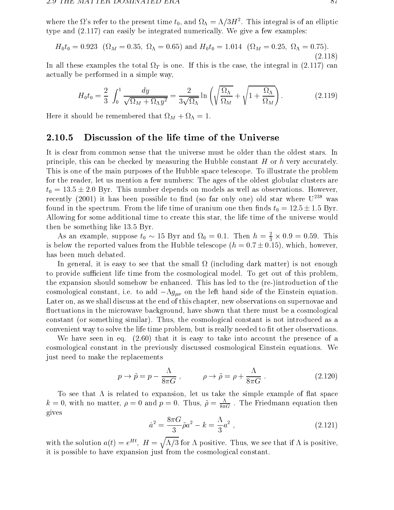where the  $\Omega$  s refer to the present time  $t_0$ , and  $\Omega_\Lambda = \Lambda/\partial H_-$ . This integral is of an emptic  $\mathcal{C}$  type and - can easily be integrated numerically We give a few examples of  $\mathcal{C}$ 

$$
H_0 t_0 = 0.923 \quad (\Omega_M = 0.35, \ \Omega_\Lambda = 0.65) \text{ and } H_0 t_0 = 1.014 \quad (\Omega_M = 0.25, \ \Omega_\Lambda = 0.75). \tag{2.118}
$$

in all these controllers that the the If the the the the integral integral integral in the later later is the i actually be performed in a simple way,

$$
H_0 t_0 = \frac{2}{3} \int_0^1 \frac{dy}{\sqrt{\Omega_M + \Omega_\Lambda y^2}} = \frac{2}{3\sqrt{\Omega_\Lambda}} \ln \left( \sqrt{\frac{\Omega_\Lambda}{\Omega_M}} + \sqrt{1 + \frac{\Omega_\Lambda}{\Omega_M}} \right). \tag{2.119}
$$

Here it should be remembered that  $\Omega_M + \Omega_\Lambda = 1$ 

#### $2.10.5$ Discussion of the life time of the Universe

It is clear from common sense that the universe must be older than the oldest stars. In principle, this can be checked by measuring the Hubble constant  $H$  or h very accurately. This is one of the main purposes of the Hubble space telescope. To illustrate the problem for the reader, let us mention a few numbers: The ages of the oldest globular clusters are  $t_0 = 13.5 \pm 2.0$  Byr. This number depends on models as well as observations. However,  ${\rm recentiv}$  (2001) it has been possible to find (so far only one) old star where  ${\rm U}-$  was found in the spectrum. From the life time of uranium one then finds  $t_0 = 12.5 \pm 1.5$  Byr. Allowing for some additional time to create this star, the life time of the universe would then be something like  $13.5 \text{ Byr.}$ 

As an example, suppose  $t_0 \sim 15$  Byr and  $\Omega_0 = 0.1$ . Then  $h = \frac{2}{3} \times 0.9 = 0.59$ . This is below the reported values from the Hubble telescope  $(h = 0.7 \pm 0.15)$ , which, however, has been much debated

In general, it is easy to see that the small  $\Omega$  (including dark matter) is not enough to provide sufficient life time from the cosmological model. To get out of this problem. the expansion should somehow be enhanced. This has led to the (re-)introduction of the cosmological constant, i.e. to add  $-\Lambda g_{\mu\nu}$  on the left hand side of the Emistein equation. Later on, as we shall discuss at the end of this chapter, new observations on supernovae and fluctuations in the microwave background, have shown that there must be a cosmological constant (or something similar). Thus, the cosmological constant is not introduced as a convenient way to solve the life time problems with is really needed to me a complete the convenient.

where seen in equal that it is easy to take into account the presence of account the presence of account the presence of account the presence of account the presence of account the presence of account the presence of acco cosmological constant in the previously discussed cosmological Einstein equations We just need to make the replacements

$$
p \to \tilde{p} = p - \frac{\Lambda}{8\pi G} , \qquad \rho \to \tilde{\rho} = \rho + \frac{\Lambda}{8\pi G} . \qquad (2.120)
$$

To see that  $\Lambda$  is related to expansion, let us take the simple example of flat space  $\kappa = 0$ , with no matter,  $\rho = 0$  and  $p = 0$ . Thus,  $\rho = \frac{1}{8\pi G}$ . The Friedmann equation then gives

$$
\dot{a}^2 = \frac{8\pi G}{3}\tilde{\rho}a^2 - k = \frac{\Lambda}{3}a^2 \,,\tag{2.121}
$$

with the solution  $a(t) = e^{Ht}$ ,  $H = \sqrt{\Lambda/3}$  for  $\Lambda$  positive. Thus, we see that if  $\Lambda$  is positive, it is possible to have expansion just from the cosmological constant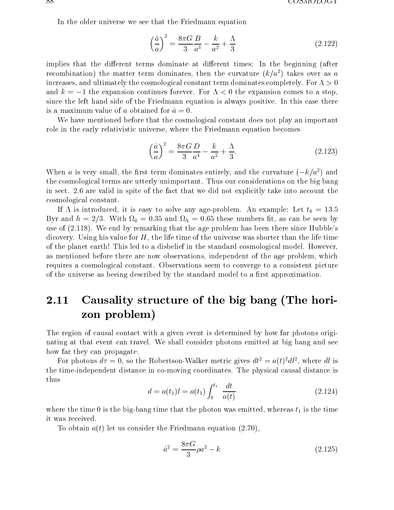In the older universe we see that the Friedmann equation

$$
\left(\frac{\dot{a}}{a}\right)^2 = \frac{8\pi G}{3} \frac{B}{a^3} - \frac{k}{a^2} + \frac{\Lambda}{3}
$$
 (2.122)

implies that the different terms dominate at different times: In the beginning (after recombination) the matter term dominates, then the curvature  $(\kappa/a^+)$  takes over as  $a$ increases, and ultimately the cosmological constant term dominates completely. For  $\Lambda > 0$ and  $k = -1$  the expansion continues forever. For  $\Lambda < 0$  the expansion comes to a stop. since the left hand side of the Friedmann equation is always positive In this case there is a maximum value of a obtained for  $\dot{a}=0$ .

We have mentioned before that the cosmological constant does not play an important role in the early relativistic universe, where the Friedmann equation becomes

$$
\left(\frac{\dot{a}}{a}\right)^2 = \frac{8\pi G}{3}\frac{D}{a^4} - \frac{k}{a^2} + \frac{\Lambda}{3}.
$$
\n(2.123)

when  $a$  is very small, the first term dominates entirely, and the curvature  $(-\kappa/a^{2})$  and the cosmological terms are utterly unimportant. Thus our considerations on the big bang in sect - are valid in spite of the fact that we did not explicitly take into account the cosmological constant

If  $\Lambda$  is introduced, it is easy to solve any age-problem. An example: Let  $t_0 = 13.5$  $\mathcal{N}$  and h  $\mathcal{N}$  are numbers to the set numbers of the set of the set of the set of the set of the set of the set of the set of the set of the set of the set of the set of the set of the set of the set of the set o was an interesting that the age end by remarking the age problem has been the since the since Hubbles of the s dicovery. Using his value for  $H$ , the life time of the universe was shorter than the life time of the planet earth! This led to a disbelief in the standard cosmological model. However, as mentioned before there are now observations, independent of the age problem, which requires a cosmological constant Observations seem to converge to a consistent picture of the universe as been described by the standard model to a standard model to a standard model to a standard model to a standard model to a standard model to a standard model to a standard model to a standard model to a

# 2.11 Causality structure of the big bang (The horizon problem

The region of causal contact with a given event is determined by how far photons origi nating at that event can travel. We shall consider photons emitted at big bang and see how far they can propagate.

For photons  $a_1 = 0$ , so the Robertson-Walker metric gives  $a_1 = a(t)$  at , where at is the time
independent distance in co
moving coordinates The physical causal distance is thus

$$
d = a(t_1)l = a(t_1) \int_0^{t_1} \frac{dt}{a(t)}
$$
\n(2.124)

where the time 0 is the big-bang time that the photon was emitted, whereas  $t_1$  is the time it was received

 $\mathcal{L}$  . To obtain at let us consider the Friedmann equation -  $\mathcal{L}$  ,  $\mathcal{L}$ 

$$
\dot{a}^2 = \frac{8\pi G}{3}\rho a^2 - k\tag{2.125}
$$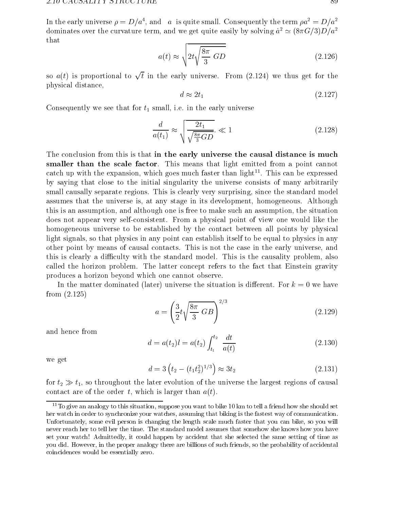In the early universe  $\rho \equiv D/a$  , and  $-a$  is quite small. Consequently the term  $\rho a_\parallel \equiv D/a_\parallel$ dominates over the curvature term, and we get quite easily by solving  $a^2 \cong (8\pi G/3)D/a^2$ that

$$
a(t) \approx \sqrt{2t\sqrt{\frac{8\pi}{3}GD}}\tag{2.126}
$$

so  $a(t)$  is proportional to  $\sqrt{t}$  in the early universe. From (2.124) we thus get for the physical distance 

$$
d \approx 2t_1 \tag{2.127}
$$

Consequently we see that for  $t_1$  small, i.e. in the early universe

$$
\frac{d}{a(t_1)} \approx \sqrt{\frac{2t_1}{\sqrt{\frac{8\pi}{3}GD}}} \ll 1\tag{2.128}
$$

The conclusion from this is that in the early universe the causal distance is much smaller than the scale factor. This means that light emitted from a point cannot catch up with the expansion, which goes much faster than light than scan be expressed by saying that close to the initial singularity the universe consists of many arbitrarily small causally separate regions. This is clearly very surprising, since the standard model assumes that the universe is, at any stage in its development, homogeneous. Although this is an assumption, and although one is free to make such an assumption, the situation does not appear very self-consistent. From a physical point of view one would like the homogeneous universe to be established by the contact between all points by physical light signals, so that physics in any point can establish itself to be equal to physics in any other point by means of causal contacts. This is not the case in the early universe, and this is clearly a difficulty with the standard model. This is the causality problem, also called the horizon problem. The latter concept refers to the fact that Einstein gravity produces a horizon beyond which one cannot observe

In the matter dominated (later) universe the situation is different. For  $k = 0$  we have from the contract of the contract of the contract of the contract of the contract of the contract of the contract of the contract of the contract of the contract of the contract of the contract of the contract of the contr

$$
a = \left(\frac{3}{2}t\sqrt{\frac{8\pi}{3}GB}\right)^{2/3}
$$
 (2.129)

and hence from

$$
d = a(t_2)l = a(t_2) \int_{t_1}^{t_2} \frac{dt}{a(t)}
$$
\n(2.130)

we get

$$
d = 3\left(t_2 - (t_1 t_2^2)^{1/3}\right) \approx 3t_2\tag{2.131}
$$

for  $t_2 \gg t_1$ , so throughout the later evolution of the universe the largest regions of causal contact are of the order t, which is larger than  $a(t)$ .

 $11$ To give an analogy to this situation, suppose you want to bike 10 km to tell a friend how she should set her watch in order to synchronize your watches, assuming that biking is the fastest way of communication. Unfortunately, some evil person is changing the length scale much faster that you can bike, so you will never reach her to tell her the time. The standard model assumes that somehow she knows how you have set your watch! Admittedly, it could happen by accident that she selected the same setting of time as you did. However, in the proper analogy there are billions of such friends, so the probability of accidental coincidences would be essentially zero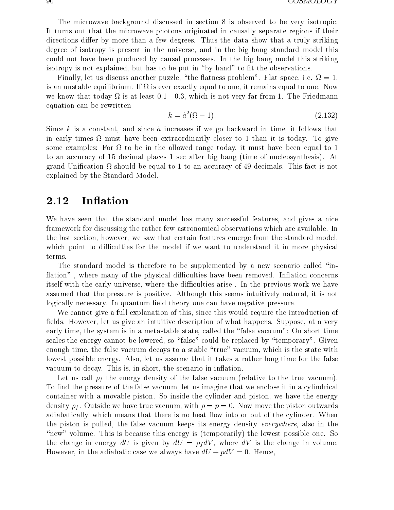The microwave background discussed in section  $\delta$  is observed to be very isotropic. It turns out that the microwave photons originated in causally separate regions if their directions differ by more than a few degrees. Thus the data show that a truly striking degree of isotropy is present in the universe, and in the big bang standard model this could not have been produced by causal processes In the big bang model this striking is the put is not the put in but has to be put in the boundary to be the observations of the observations of t

Finally, let us discuss another puzzle, "the flatness problem". Flat space, i.e.  $\Omega = 1$ . is an unstable equilibrium. If  $\Omega$  is ever exactly equal to one, it remains equal to one. Now we know that today  $\Omega$  is at least 0.1 - 0.3, which is not very far from 1. The Friedmann equation can be rewritten

$$
k = \dot{a}^2(\Omega - 1). \tag{2.132}
$$

Since k is a constant, and since  $\dot{a}$  increases if we go backward in time, it follows that in early times  $\Omega$  must have been extraordinarily closer to 1 than it is today. To give some examples: For  $\Omega$  to be in the allowed range today, it must have been equal to 1 to an accuracy of 15 decimal places 1 sec after big bang (time of nucleosynthesis). At grand University of the equal to the control to an accuracy of the control theory of decimals  $\alpha$ explained by the Standard Model

## 2.12 Inflation

We have seen that the standard model has many successful features, and gives a nice framework for discussing the rather few astronomical observations which are available In the last section, however, we saw that certain features emerge from the standard model. which point to difficulties for the model if we want to understand it in more physical terms

The standard model is therefore to be supplemented by a new scenario called "inflation", where many of the physical difficulties have been removed. Inflation concerns itself with the early universe, where the difficulties arise. In the previous work we have assumed that the pressure is positive. Although this seems intuitively natural, it is not logically necessary In quantum eld theory one can have negative pressure

We cannot give a full explanation of this, since this would require the introduction of elds However and the give and intuitive description of what is an intuitive order what happens  $\alpha$ early time, the system is in a metastable state, called the "false vacuum": On short time scales the energy cannot be lowered, so "false" could be replaced by "temporary". Given enough time, the false vacuum decays to a stable "true" vacuum, which is the state with lowest possible energy. Also, let us assume that it takes a rather long time for the false vacuum to decay. This is, in short, the scenario in inflation.

Let us call  $\rho_f$  the energy density of the false vacuum (relative to the true vacuum). To the false pressure of the false vacuum in a changine that we enclose it is in a cylindrical contract of the container with a movable piston. So inside the cylinder and piston, we have the energy density  $\rho_f$ . Outside we have true vacuum, with  $\rho = p = 0$ . Now move the piston outwards adiabatically, which means that there is no heat flow into or out of the cylinder. When the piston is pulled, the false vacuum keeps its energy density *everywhere*, also in the "new" volume. This is because this energy is (temporarily) the lowest possible one. So the change in energy dU is given by  $dU = \rho_f dV$ , where dV is the change in volume. However, in the adiabatic case we always have  $dU + pdV = 0$ . Hence,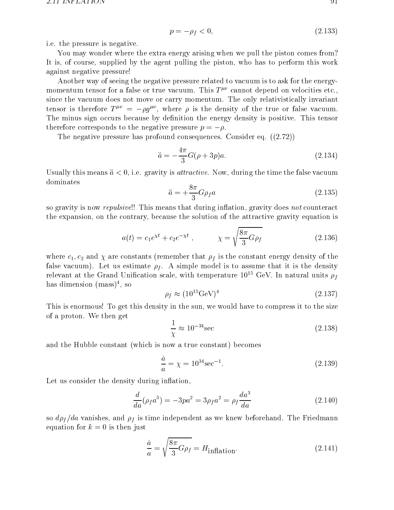$$
p = -\rho_f < 0,\tag{2.133}
$$

i.e. the pressure is negative.

You may wonder where the extra energy arising when we pull the piston comes from? It is, of course, supplied by the agent pulling the piston, who has to perform this work against negative pressure!

Another way of seeing the negative pressure related to vacuum is to ask for the energy  $\rm{momentum}$  tensor for a false or true vacuum. This  $T^+$  -cannot depend on velocities etc., since the vacuum does not move or carry momentum. The only relativistically invariant tensor is therefore  $T^+ = -\rho q^+$ , where  $\rho$  is the density of the true or false vacuum. The minus sign occurs because by de nition the energy density is positive This tensor therefore corresponds to the negative pressure  $p = -\rho$ .

The negative pressure has profound consequences Consider eq --

$$
\ddot{a} = -\frac{4\pi}{3}G(\rho + 3p)a.
$$
\n(2.134)

Usually this means  $\ddot{a} < 0$ , i.e. gravity is *attractive*. Now, during the time the false vacuum dominates

$$
\ddot{a} = +\frac{8\pi}{3} G \rho_f a \tag{2.135}
$$

so gravity is now *repulsive!!* This means that during inflation, gravity does not counteract the expansion, on the contrary, because the solution of the attractive gravity equation is

$$
a(t) = c_1 e^{\chi t} + c_2 e^{-\chi t} , \qquad \chi = \sqrt{\frac{8\pi}{3} G \rho_f}
$$
 (2.136)

where constants  $\Lambda$  are constants remember that for the constants remember that for  $\alpha_{\ell}$  are more than  $\Lambda$ false vacuum). Let us estimate  $\rho_f$ . A simple model is to assume that it is the density relevant at the Grand Unincation scale, with temperature 10  $\,$  GeV. In natural units  $\rho_f$ nas dimension (mass)", so

$$
\rho_f \approx (10^{15} \text{GeV})^4 \tag{2.137}
$$

This is enormous! To get this density in the sun, we would have to compress it to the size of a proton. We then get

$$
\frac{1}{\chi} \approx 10^{-34} \text{sec} \tag{2.138}
$$

and the Hubble constant (which is now a true constant) becomes

$$
\frac{\dot{a}}{a} = \chi = 10^{34} \text{sec}^{-1}.
$$
 (2.139)

Let us consider the density during inflation,

$$
\frac{d}{da}(\rho_f a^3) = -3pa^2 = 3\rho_f a^2 = \rho_f \frac{da^3}{da}
$$
\n(2.140)

so  $d\rho_f / da$  vanishes, and  $\rho_f$  is time independent as we knew beforehand. The Friedmann equation for  $k = 0$  is then just

$$
\frac{\dot{a}}{a} = \sqrt{\frac{8\pi}{3}G\rho_f} = H_{\text{inflation}}.\tag{2.141}
$$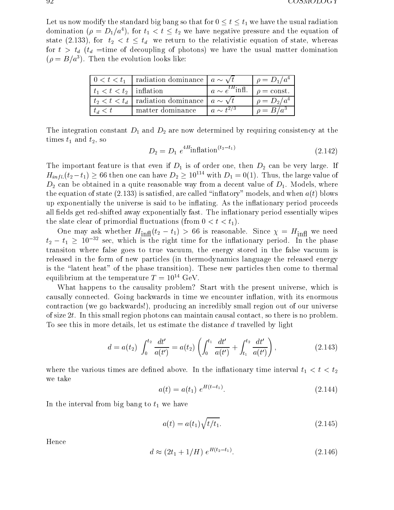Let us now modify the standard big bang so that for  $0 \le t \le t_1$  we have the usual radiation domination ( $\rho = D_1/a^4$ ), for  $t_1 < t \leq t_2$  we have negative pressure and the equation of state (2.133), for  $t_2 < t \leq t_d$  we return to the relativistic equation of state, whereas for the top to the straight of decoupling of photons in the usual matter straight continuous continuous continuous  $(\rho = B/a^3)$ . Then the evolution looks like:

|                             | $\vert 0 < t < t_1 \vert$ radiation dominance $\vert a \sim \sqrt{t} \vert$ |                                              | $\int \rho = D_1/a^4$ |
|-----------------------------|-----------------------------------------------------------------------------|----------------------------------------------|-----------------------|
| $t_1 < t < t_2$   inflation |                                                                             | $a \sim e^{tH}$ infl. $\rho = \text{const.}$ |                       |
|                             | $t_2 < t < t_d$ radiation dominance $ a \sim \sqrt{t}$                      |                                              | $\int \rho = D_2/a^4$ |
| $t_d < t$                   | matter dominance                                                            | $a \sim t^{2/3}$                             | $\int \rho = B/a^3$   |

The integration constant D  $_1$  and D-  $_2$  are now determined by requiring consistency at the theory times the source of the source of the source of the source of the source of the source of the source of the so

$$
D_2 = D_1 e^{4H} \text{inflation}^{(t_2 - t_1)} \tag{2.142}
$$

The important feature is that even if  $\pm$  is the state if  $\pm$  is the  $\pm$  and then  $\pm$  $H_{int}(t_2-t_1) \geq 66$  then one can have  $D_2 \geq 10^{114}$  with  $D_1=0(1)$ . Thus, the large value of D- can be obtained in <sup>a</sup> quite reasonable way from <sup>a</sup> decent value of D Models where  $\mathbf{u}$  is satisfied in a satisfied in a satisfied in and when at  $\mathbf{u}$  and when at  $\mathbf{u}$ up exponentially the universe is said to be inflating. As the inflationary period proceeds all elds get red
shifted away exponentially fast The inationary period essentially wipes the slate clear of primordial fluctuations (from  $0 < t < t_1$ ).

One may ask whether  $H_{\text{infl}}(t_2 = t_1) > 00$  is reasonable. Since  $\chi = H_{\text{infl}}$  we need  $t_2-t_1 \geq 10^{-32}$  sec, which is the right time for the inflationary period. In the phase transiton where false goes to true vacuum, the energy stored in the false vacuum is released in the form of new particles (in thermodynamics language the released energy is the "latent heat" of the phase transition). These new particles then come to thermal equilibrium at the temperature  $T = 10^{14}$  GeV.

What happens to the causality problem? Start with the present universe, which is causally connected. Going backwards in time we encounter inflation, with its enormous contraction (we go backwards!), producing an incredibly small region out of our universe of size  $\mathbf M$  is small region photons can maintain contact  $\mathbf M$  so there is no problem is no problem. To see this in more details, let us estimate the distance  $d$  travelled by light

$$
d = a(t_2) \int_0^{t_2} \frac{dt'}{a(t')} = a(t_2) \left( \int_0^{t_1} \frac{dt'}{a(t')} + \int_{t_1}^{t_2} \frac{dt'}{a(t')} \right), \qquad (2.143)
$$

where the various times are defined as the interval time interval time in the interval time  $\mathbf{1} \rightarrow \mathbf{1}$ we take

$$
a(t) = a(t_1) e^{H(t - t_1)}.
$$
\n(2.144)

In the interval from big bang to  $t_1$  we have

$$
a(t) = a(t_1)\sqrt{t/t_1}.
$$
\n(2.145)

Hence

$$
d \approx (2t_1 + 1/H) e^{H(t_2 - t_1)}.
$$
\n(2.146)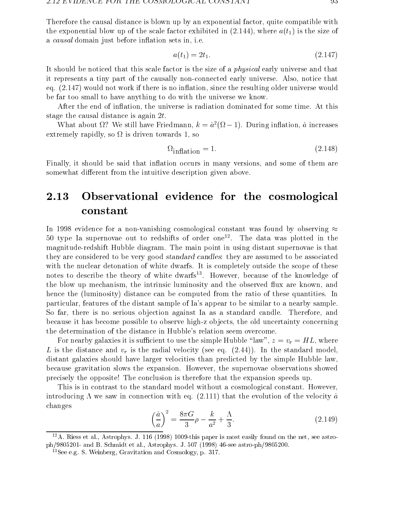Therefore the causal distance is blown up by an exponential factor, quite compatible with  $\mathbf{r}$  is the size of the size of the size of the size of the size of the size of the size of the size of the size of the size of the size of the size of the size of the size of the size of the size of the size of the s a *causal* domain just before inflation sets in, i.e.

$$
a(t_1) = 2t_1. \t\t(2.147)
$$

It should be noticed that this scale factor is the size of a *physical* early universe and that it represents a tiny part of the causally non-connected early universe. Also, notice that equate the since the resulting is not work if the resulting of the resulting order would be resulted would be be far too small to have anything to do with the universe we know

After the end of inflation, the universe is radiation dominated for some time. At this stage the causal distance is again -t

What about  $\Omega$ : We still have Friedmann,  $\kappa = a$  ( $\Omega - 1$ ). During inhation, a increases extremely rapidly, so  $\Omega$  is driven towards 1, so

$$
\Omega_{\text{inflation}} = 1. \tag{2.148}
$$

Finally, it should be said that inflation occurs in many versions, and some of them are somewhat different from the intuitive description given above.

# 2.13 Observational evidence for the cosmological constant

In 1998 evidence for a non-vanishing cosmological constant was found by observing  $\approx$  type Ia supernovae out to redshifts of order one- The data was plotted in the magnitude
redshift Hubble diagram The main point in using distant supernovae is that they are considered to be very good standard candles: they are assumed to be associated with the nuclear detonation of white dwarfs. It is completely outside the scope of these notes to describe the theory of white dwarfs However because of the knowledge of the blow up mechanism, the intrinsic luminosity and the observed flux are known, and hence the (luminosity) distance can be computed from the ratio of these quantities. In particular, features of the distant sample of Ia's appear to be similar to a nearby sample. So far, there is no serious objection against Ia as a standard candle. Therefore, and because it has become possible to observe high-z objects, the old uncertainty concerning the determination of the distance in Hubble's relation seem overcome.

For nearby galaxies it is sufficient to use the simple Hubble "law",  $z = v_r = HL$ , where <sup>L</sup> is the distance and vr is the radial velocity see eq - In the standard model distant galaxies should have larger velocities than predicted by the simple Hubble law because gravitation slows the expansion. However, the supernovae observations showed precisely the opposite! The conclusion is therefore that the expansion speeds up.

This is in contrast to the standard model without a cosmological constant. However, introducing we saw inconnection with equation with equation  $\mathcal{U}$ changes

$$
\left(\frac{\dot{a}}{a}\right)^2 = \frac{8\pi G}{3}\rho - \frac{k}{a^2} + \frac{\Lambda}{3}.\tag{2.149}
$$

 $\sim$  A. Riess et al., Astrophys. J. 110 (1998) 1009-this paper is most easily found on the net, see astroph and B Schmidt et al. Astrophys J and B Schwidt et al. Astrophys J and B Schwidt et al. Astrophys J and B Sc

 $^{13}$ See e.g. S. Weinberg, Gravitation and Cosmology, p. 317.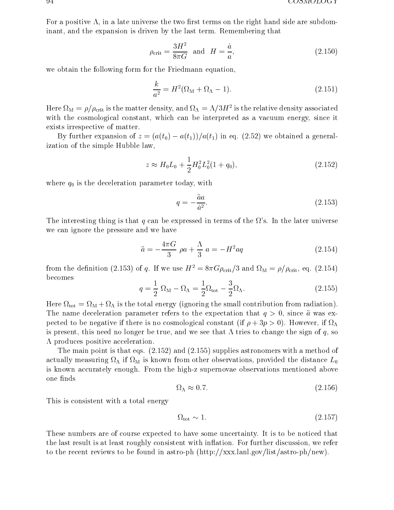For a positive  $\mathbf r$  in a late universe the two terms on the two side are subdominated than  $\mathbf r$ inant, and the expansion is driven by the last term. Remembering that

$$
\rho_{\rm crit} = \frac{3H^2}{8\pi G} \quad \text{and} \quad H = \frac{\dot{a}}{a},\tag{2.150}
$$

we obtain the following form for the Friedmann equation 

$$
\frac{k}{a^2} = H^2(\Omega_M + \Omega_\Lambda - 1).
$$
 (2.151)

Here  $\Omega_{\rm M} = \rho/\rho_{\rm crit}$  is the matter density, and  $\Omega_{\Lambda} = \Lambda/\Im H^{-1}$  is the relative density associated with the cosmological constant, which can be interpreted as a vacuum energy, since it exists irrespective of matter

By further expansion of  $z = (a(t_0) - a(t_1))/a(t_1)$  in eq. (2.02) we obtained a generalization of the simple Hubble law 

$$
z \approx H_0 L_0 + \frac{1}{2} H_0^2 L_0^2 (1 + q_0), \qquad (2.152)
$$

where  $q_0$  is the deceleration parameter today, with

$$
q = -\frac{\ddot{a}a}{\dot{a}^2}.\tag{2.153}
$$

The interesting thing is that q can be expressed in terms of the  $\Omega$ 's. In the later universe we can ignore the pressure and we have

$$
\ddot{a} = -\frac{4\pi G}{3} \rho a + \frac{\Lambda}{3} a = -H^2 a q \tag{2.154}
$$

from the definition (2.155) of q. If we use  $H_{\rm c} = 8\pi G \rho_{\rm crit}$  /3 and  $\Omega_{\rm M} = \rho / \rho_{\rm crit}$ , eq. (2.154) becomes

$$
q = \frac{1}{2} \Omega_{\text{M}} - \Omega_{\Lambda} = \frac{1}{2} \Omega_{\text{tot}} - \frac{3}{2} \Omega_{\Lambda}.
$$
 (2.155)

Here  $\Omega_{\rm tot} = \Omega_{\rm M} + \Omega_{\Lambda}$  is the total energy (ignoring the small contribution from radiation). The name deceleration parameter refers to the expectation that  $\mathbf{v}$  -that  $\mathbf{v}$  -that  $\mathbf{v}$ pected to be negative if the internal constant in  $\Omega$  . If  $\Gamma$  if  $\Gamma$  if  $\Gamma$  if  $\Gamma$  if  $\Gamma$  if  $\Gamma$  if  $\Gamma$  if  $\Gamma$  if  $\Gamma$  if  $\Gamma$  if  $\Gamma$  if  $\Gamma$  if  $\Gamma$  if  $\Gamma$  if  $\Gamma$  if  $\Gamma$  if  $\Gamma$  if  $\Gamma$  if  $\Gamma$  if  $\Gamma$  if is present, this need no longer be true, and we see that  $\Lambda$  tries to change the sign of q, so  $\Lambda$  produces positive acceleration.

The main point is that eqs -- and - supplies astronomers with a method of actually measuring  $\Omega_{\Lambda}$  if  $\Omega_{\rm M}$  is known from other observations, provided the distance  $L_0$ is known accurately enough. From the high-z supernovae observations mentioned above

$$
\Omega_{\Lambda} \approx 0.7. \tag{2.156}
$$

This is consistent with a total energy

$$
\Omega_{\rm tot} \sim 1. \tag{2.157}
$$

These numbers are of course expected to have some uncertainty It is to be noticed that the last result is at least roughly consistent with inflation. For further discussion, we refer to the recent reviews to be found in astro-ph  $(\text{http://xxx.lanl.gov/list/astro-ph/news}).$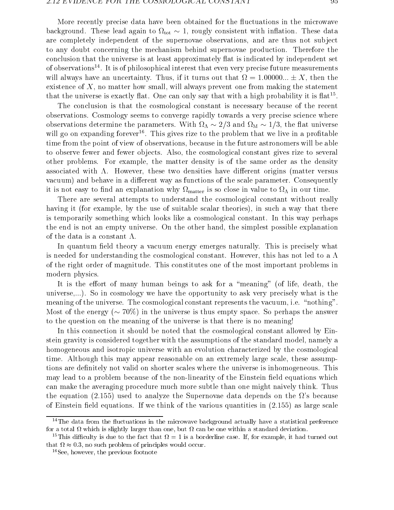More recently precise data have been obtained for the fluctuations in the microwave background. These lead again to  $\Omega_{\text{tot}} \sim 1$ , rougly consistent with inflation. These data are completely independent of the supernovae observations, and are thus not subject to any doubt concerning the mechanism behind supernovae production. Therefore the conclusion that the universe is at least approximately flat is indicated by independent set of observations" . It is of philosophical interest that even very precise future measurements will always have an uncertainty. Thus, if it turns out that  $\Omega = 1.00000... \pm X$ , then the existence of  $X$ , no matter how small, will always prevent one from making the statement that the universe is exactly hat. One can only say that with a high probability it is hat  $\cdot$  .

The conclusion is that the cosmological constant is necessary because of the recent observations. Cosmology seems to converge rapidly towards a very precise science where observations determine the parameters. With  $\nu_{\Lambda} \sim$  2/5 and  $\nu_{\rm M} \sim$  1/5, the nat universe will go on expanding forever – . This gives rize to the problem that we live in a prohtable time from the point of view of observations, because in the future astronomers will be able to observe fewer and fewer objects. Also, the cosmological constant gives rize to several other problems. For example, the matter density is of the same order as the density associated with  $\Lambda$ . However, these two densities have different origins (matter versus vacuum) and behave in a different way as functions of the scale parameter. Consequently it is not easy to an explanation why matter is so close in value to  $i$  in our time to  $i$  in  $i$ 

There are several attempts to understand the cosmological constant without really having it (for example, by the use of suitable scalar theories), in such a way that there is temporarily something which looks like a cosmological constant. In this way perhaps the end is not an empty universe. On the other hand, the simplest possible explanation of the data is a constant  $\Lambda$ .

In quantum eld theory a vacuum energy emerges naturally This is precisely what is needed for understanding the cosmological constant. However, this has not led to a  $\Lambda$ of the right order of magnitude. This constitutes one of the most important problems in modern physics

It is the effort of many human beings to ask for a "meaning" (of life, death, the universe,...). So in cosmology we have the opportunity to ask very precisely what is the meaning of the universe. The cosmological constant represents the vacuum, i.e. "nothing". Most of the energy ( $\sim 70\%$ ) in the universe is thus empty space. So perhaps the answer to the question on the meaning of the universe is that there is no meaning!

In this connection it should be noted that the cosmological constant allowed by Ein stein gravity is considered together with the assumptions of the standard model, namely a homogeneous and isotropic universe with an evolution characterized by the cosmological time. Although this may appear reasonable on an extremely large scale, these assumptions are de nitely not valid on shorter scales where the universe is inhomogeneous This may lead to a problem because of the non
linearity of the Einstein eld equations which can make the averaging procedure much more subtle than one might naively think. Thus the equation - used to analyze the Supernovae data depends on the s because of Einstein eld equations If we think of the various quantities in - as large scale

 $14$ The data from the fluctuations in the microwave background actually have a statistical preference for a total  $\Omega$  which is slightly larger than one, but  $\Omega$  can be one within a standard deviation.

 $\cdot$  This difficulty is due to the fact that  $u=1$  is a borderline case. If, for example, it had turned out that  $\Omega \approx 0.3$ , no such problem of principles would occur.

<sup>&</sup>lt;sup>16</sup>See, however, the previous footnote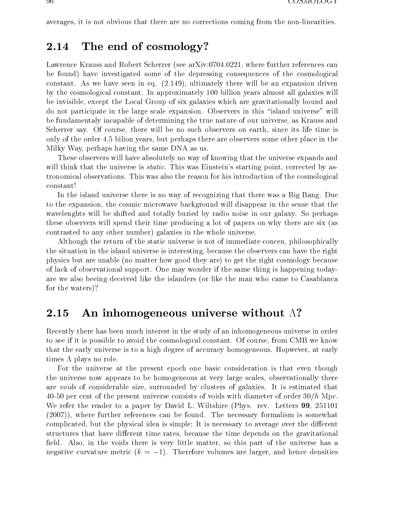averages, it is not obvious that there are no corrections coming from the non-linearities.

### 2.14 The end of cosmology

Lawrence Krauss and Robert Scherrer see arXiv-- where further references can be found have investigated some of the depressing consequences of the cosmological constant As we have seen in eq - ultimately there will be an expansion driven by the cosmological constant. In approximately 100 billion years almost all galaxies will be invisible, except the Local Group of six galaxies which are gravitationally bound and do not participate in the large scale expansion. Observers in this "island universe" will be fundamentaly incapable of determining the true nature of our universe, as Krauss and Scherrer say. Of course, there will be no such observers on earth, since its life time is only of the order 4.5 bilion years, but perhaps there are observers some other place in the Milky Way, perhaps having the same DNA as us.

These observers will have absolutely no way of knowing that the universe expands and will think that the universe is *static*. This was Einstein's starting point, corrected by astronomical observations This was also the reason for his introduction of the cosmological constant!

In the island universe there is no way of recognizing that there was a Big Bang. Due to the expansion, the cosmic microwave background will disappear in the sense that the wavelenghts will be shifted and totally buried by radio noise in our galaxy. So perhaps these observers will spend their time producing a lot of papers on why there are six (as contrasted to any other number) galaxies in the whole universe.

Although the return of the static universe is not of immediate concen, philosophically the situation in the island universe is interesting, because the observers can have the right physics but are unable (no matter how good they are) to get the right cosmology because of lack of observational support One may wonder if the same thing is happening today are we also beeing deceived like the islanders (or like the man who came to Casablanca for the waters)?

### 2.15 An inhomogeneous universe without -

Recently there has been much interest in the study of an inhomogeneous universe in order to see if it is possible to avoid the cosmological constant. Of course, from CMB we know that the early universe is to a high degree of accuracy homogeneous. Hopwever, at early times  $\Lambda$  plays no role.

For the universe at the present epoch one basic consideration is that even though the universe now appears to be homogeneous at very large scales, observationally there are voids of considerable size, surrounded by clusters of galaxies. It is estimated that 40-50 per cent of the present universe consists of voids with diameter of order  $30/h$  Mpc. We refer the referred to a paper by  $\sim$  10 minutes  $\sim$  11 minutes  $\sim$  . The virtual  $\sim$  -  $\sim$  $\blacksquare$  where further references can be found The necessary function is somewhat  $\blacksquare$ complicated, but the physical idea is simple: It is necessary to average over the different structures that have different time rates, because the time depends on the gravitational eld also in the void the very little matter of the society of the universe of the universe has a society of th negative curvature metric  $(k = -1)$ . Therefore volumes are larger, and hence densities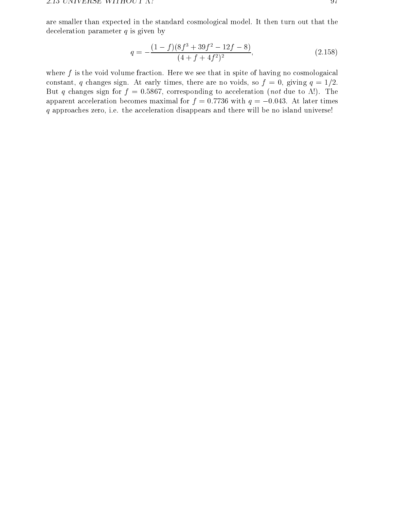are smaller than expected in the standard cosmological model It then turn out that the deceleration parameter  $q$  is given by

$$
q = -\frac{(1-f)(8f^3 + 39f^2 - 12f - 8)}{(4+f+4f^2)^2},
$$
\n(2.158)

where  $f$  is the void volume fraction. Here we see that in spite of having no cosmologaical constant  $\alpha$  are no voids sign At early times of  $\alpha$  so f  $\alpha$  f  $\alpha$  f  $\alpha$  f  $\alpha$ But q changes sign for  $f = 0.5867$ , corresponding to acceleration (not due to  $\Lambda$ !). The apparent acceleration becomes maximal for  $f = 0.7736$  with  $q = -0.043$ . At later times  $q$  approaches zero, i.e. the acceleration disappears and there will be no island universe!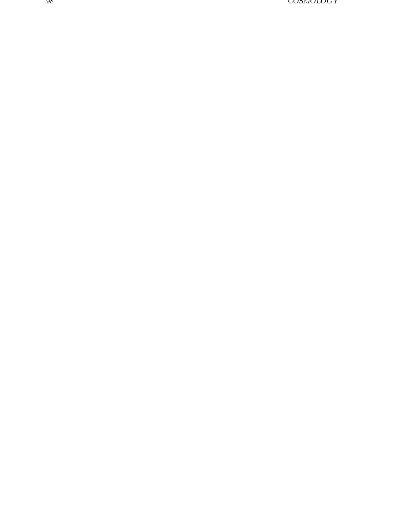98 COSMOLOGY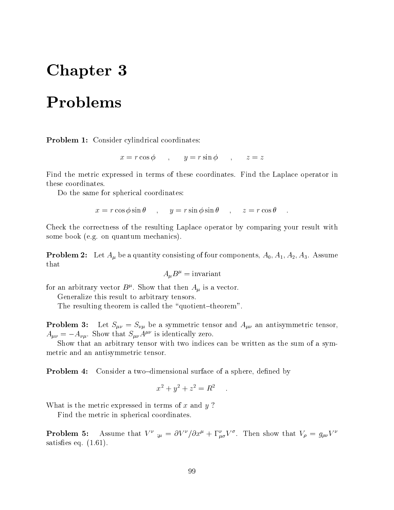# <u>Chapter of the contract of the contract of the contract of the contract of the contract of the contract of the contract of the contract of the contract of the contract of the contract of the contract of the contract of th</u>

# Problems

**Problem 1:** Consider cylindrical coordinates:

 $x = r \cos \phi$ ,  $y = r \sin \phi$ ,  $z = z$ 

Find the metric expressed in terms of these coordinates. Find the Laplace operator in these coordinates

Do the same for spherical coordinates

$$
x = r \cos \phi \sin \theta \qquad , \qquad y = r \sin \phi \sin \theta \qquad , \qquad z = r \cos \theta \qquad .
$$

Check the correctness of the resulting Laplace operator by comparing your result with some book (e.g. on quantum mechanics).

Problem - Let A be a quantity consisting of four components A A A- A Assume that

$$
A_{\mu}B^{\mu}=\text{invariant}
$$

for an arbitrary vector  $D^{\kappa}$ . Show that then  $A_{\mu}$  is a vector.

Generalize this result to arbitrary tensors

The resulting theorem is called the "quotient-theorem".

 $\mathbb{P}$  be a symmetric tensor and A-reduced and A-reduced and A-reduced and A-reduced and A-reduced and A-reduced and A-reduced and A-reduced and A-reduced and A-reduced and A-reduced and A-reduced and A-reduced and A-re  $A_{\mu\nu} = -A_{\nu\mu}$ . Show that  $S_{\mu\nu}A^{\mu\nu}$  is identically zero.

Show that an arbitrary tensor with two indices can be written as the sum of a sym metric and an antisymmetric tensor

Problem Consider a two!dimensional surface of a sphere de ned by

$$
x^2 + y^2 + z^2 = R^2
$$

What is the metric expressed in terms of  $x$  and  $y$ ?

Find the metric in spherical coordinates

**Problem 3:** Assume that  $V_{\mu} = \frac{\partial V}{\partial x^{\mu}} + V_{\mu\sigma}V$ . Then show that  $V_{\rho} = \frac{g_{\rho\nu}}{V}V$ satis es eq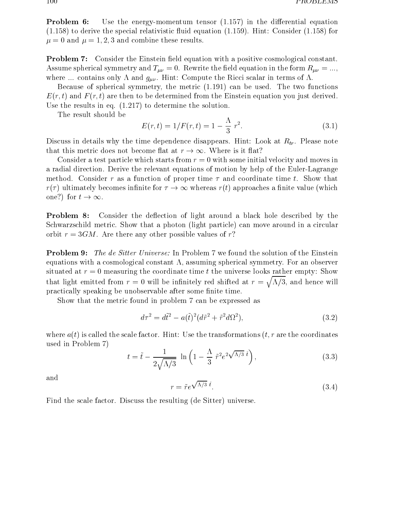**Problem 6:** Use the energy-momentum tensor  $(1.157)$  in the differential equation  $(1.158)$  to derive the special relativistic fluid equation  $(1.159)$ . Hint: Consider  $(1.158)$  for and and combine these results is a second combined of the second combine the second combine second combines of

Problem Consider the Einstein eld equation with a positive cosmological constant Assume spherical symmetry and T- Rewrite the eld equation in the form R where  $\mu$  and  $\mu$  and  $\mu$  and  $\mu$  in terms of  $\mu$  scalar in terms of  $\mu$  and  $\mu$  and  $\mu$  and  $\mu$  and  $\mu$  and  $\mu$  and  $\mu$  and  $\mu$  and  $\mu$  and  $\mu$  and  $\mu$  and  $\mu$  and  $\mu$  and  $\mu$  and  $\mu$  and  $\mu$  and  $\mu$ 

Because of spherical symmetry, the metric  $(1.191)$  can be used. The two functions  $E(r, t)$  and  $F(r, t)$  are then to be determined from the Einstein equation you just derived. use the results in eq. (refreshed) to determine the solution of the solution of the solution of the solution o

The result should be

$$
E(r,t) = 1/F(r,t) = 1 - \frac{\Lambda}{3} r^2.
$$
\n(3.1)

Discuss in details why the time dependence disappears. Hint: Look at  $R_{tr}$ . Please note that this metric does not become flat at  $r \to \infty$ . Where is it flat?

Consider a test particle which starts from  $r = 0$  with some initial velocity and moves in a radial direction. Derive the relevant equations of motion by help of the Euler-Lagrange method. Consider r as a function of proper time  $\tau$  and coordinate time t. Show that  $r(\tau)$  ultimately becomes infinite for  $\tau \rightarrow \infty$  whereas  $r(t)$  approaches a finite value (which one?) for  $t \to \infty$ .

**Problem 8:** Consider the deflection of light around a black hole described by the Schwarzschild metric. Show that a photon (light particle) can move around in a circular orbit  $r = 3GM$ . Are there any other possible values of r?

**Problem 9:** The de Sitter Universe: In Problem 7 we found the solution of the Einstein equations with a cosmological constant  $\Lambda$ , assuming spherical symmetry. For an observer situated at  $r = 0$  measuring the coordinate time t the universe looks rather empty: Show that light emitted from  $r = 0$  will be infinitely red shifted at  $r = \sqrt{\Lambda/3}$ , and hence will practically speaking be unobservable after some nite time

Show that the metric found in problem 7 can be expressed as

$$
d\tau^2 = d\tilde{t}^2 - a(\tilde{t})^2(d\tilde{r}^2 + \tilde{r}^2 d\Omega^2),
$$
\n(3.2)

where  $a(t)$  is called the scale factor. Hint: Use the transformations  $(t, r)$  are the coordinates used in Problem 

$$
t = \tilde{t} - \frac{1}{2\sqrt{\Lambda/3}} \ln\left(1 - \frac{\Lambda}{3} \tilde{r}^2 e^{2\sqrt{\Lambda/3} \tilde{t}}\right),\tag{3.3}
$$

and

$$
r = \tilde{r}e^{\sqrt{\Lambda/3}\ \tilde{t}}.\tag{3.4}
$$

Find the scale factor. Discuss the resulting (de Sitter) universe.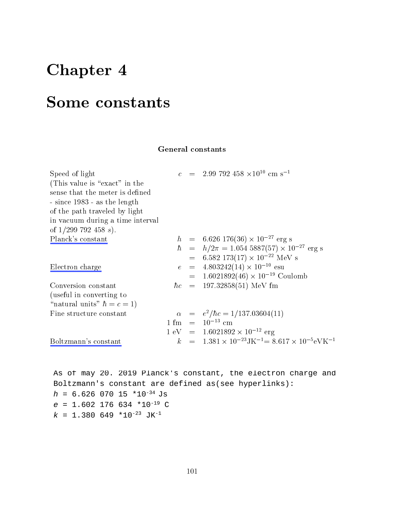# chapter in the contract of the contract of the contract of the contract of the contract of the contract of the

# Some constants

## General constants

| Speed of light                    |  | $c = 2.99792458 \times 10^{10}$ cm s <sup>-1</sup>                                      |
|-----------------------------------|--|-----------------------------------------------------------------------------------------|
| (This value is "exact" in the     |  |                                                                                         |
| sense that the meter is defined   |  |                                                                                         |
| - since 1983 - as the length      |  |                                                                                         |
| of the path traveled by light     |  |                                                                                         |
| in vacuum during a time interval  |  |                                                                                         |
| of $1/299$ 792 458 s).            |  |                                                                                         |
| Planck's constant                 |  | $h = 6.626\ 176(36) \times 10^{-27}$ erg s                                              |
|                                   |  | $\hbar = h/2\pi = 1.0545887(57) \times 10^{-27}$ erg s                                  |
|                                   |  | $= 6.582 173(17) \times 10^{-22}$ MeV s                                                 |
| Electron charge                   |  | $e = 4.803242(14) \times 10^{-10}$ esu                                                  |
|                                   |  | $= 1.6021892(46) \times 10^{-19}$ Coulomb                                               |
| Conversion constant               |  | $\hbar c = 197.32858(51) \text{ MeV fm}$                                                |
| (useful in converting to          |  |                                                                                         |
| "natural units" $\hbar = c = 1$ ) |  |                                                                                         |
| Fine structure constant           |  | $\alpha = e^2/\hbar c = 1/137.03604(11)$                                                |
|                                   |  | $1 \text{ fm} = 10^{-13} \text{ cm}$                                                    |
|                                   |  | $1 \text{ eV} = 1.6021892 \times 10^{-12} \text{ erg}$                                  |
| Boltzmann's constant              |  | $k = 1.381 \times 10^{-23}$ JK <sup>-1</sup> = $8.617 \times 10^{-5}$ eVK <sup>-1</sup> |

As of may 20. 2019 Planck's constant, the electron charge and Boltzmann's constant are defined as(see hyperlinks):  $h = 6.626$  070 15 \*10<sup>-34</sup> Js  $e = 1.602$  176 634 \*10<sup>-19</sup> C  $k = 1.380 649 * 10^{-23}$  JK<sup>-1</sup>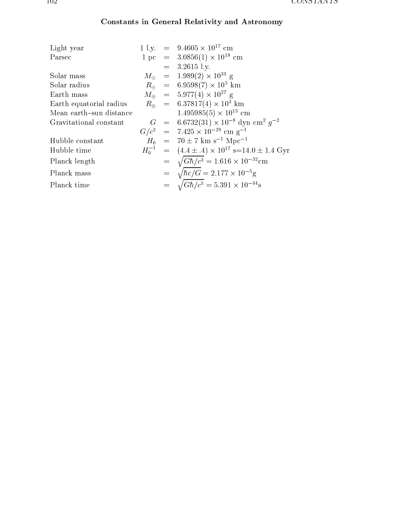| Constants in General Relativity and Astronomy |  |
|-----------------------------------------------|--|
|-----------------------------------------------|--|

| Light year              |  | 1 l.y. = $9.4605 \times 10^{17}$ cm                             |
|-------------------------|--|-----------------------------------------------------------------|
| Parsec                  |  | $1 \text{ pc} = 3.0856(1) \times 10^{18} \text{ cm}$            |
|                         |  | $= 3.2615$ l.y.                                                 |
| Solar mass              |  | $M_{\odot}$ = 1.989(2) × 10 <sup>33</sup> g                     |
| Solar radius            |  | $R_{\odot}$ = 6.9598(7) × 10 <sup>5</sup> km                    |
| Earth mass              |  | $M_{\oplus} = 5.977(4) \times 10^{27}$ g                        |
| Earth equatorial radius |  | $R_{\oplus} = 6.37817(4) \times 10^3$ km                        |
| Mean earth–sun distance |  | $1.495985(5) \times 10^{13}$ cm                                 |
| Gravitational constant  |  | $G = 6.6732(31) \times 10^{-8}$ dyn cm <sup>2</sup> $g^{-2}$    |
|                         |  | $G/c^2$ = 7.425 × 10 <sup>-29</sup> cm g <sup>-1</sup>          |
| Hubble constant         |  | $H_0$ = 70 ± 7 km s <sup>-1</sup> Mpc <sup>-1</sup>             |
| Hubble time             |  | $H_0^{-1}$ = $(4.4 \pm .4) \times 10^{17}$ s=14.0 $\pm$ 1.4 Gyr |
| Planck length           |  | $= \sqrt{G\hbar/c^3} = 1.616 \times 10^{-32}$ cm                |
| Planck mass             |  | $= \sqrt{\hbar c/G} = 2.177 \times 10^{-5}$ g                   |
| Planck time             |  | $= \sqrt{G\hbar/c^5} = 5.391 \times 10^{-44}$ s                 |